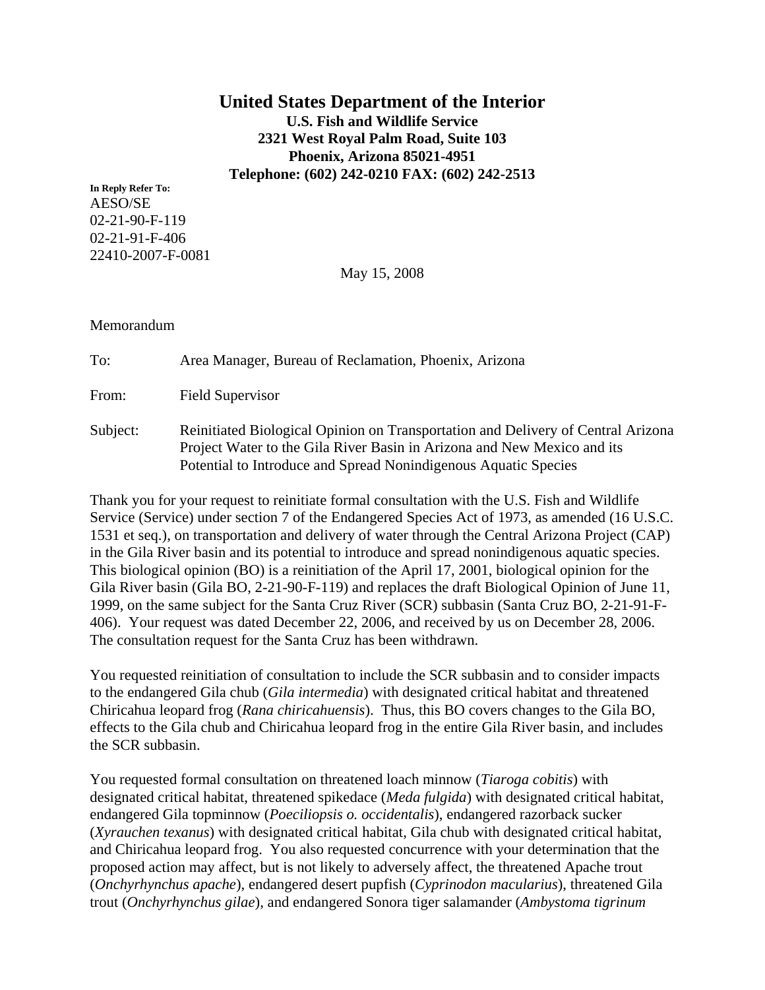# **United States Department of the Interior U.S. Fish and Wildlife Service 2321 West Royal Palm Road, Suite 103 Phoenix, Arizona 85021-4951 Telephone: (602) 242-0210 FAX: (602) 242-2513**

**In Reply Refer To:**  AESO/SE 02-21-90-F-119 02-21-91-F-406 22410-2007-F-0081

May 15, 2008

### Memorandum

To: Area Manager, Bureau of Reclamation, Phoenix, Arizona

From: Field Supervisor

Subject: Reinitiated Biological Opinion on Transportation and Delivery of Central Arizona Project Water to the Gila River Basin in Arizona and New Mexico and its Potential to Introduce and Spread Nonindigenous Aquatic Species

Thank you for your request to reinitiate formal consultation with the U.S. Fish and Wildlife Service (Service) under section 7 of the Endangered Species Act of 1973, as amended (16 U.S.C. 1531 et seq.), on transportation and delivery of water through the Central Arizona Project (CAP) in the Gila River basin and its potential to introduce and spread nonindigenous aquatic species. This biological opinion (BO) is a reinitiation of the April 17, 2001, biological opinion for the Gila River basin (Gila BO, 2-21-90-F-119) and replaces the draft Biological Opinion of June 11, 1999, on the same subject for the Santa Cruz River (SCR) subbasin (Santa Cruz BO, 2-21-91-F-406). Your request was dated December 22, 2006, and received by us on December 28, 2006. The consultation request for the Santa Cruz has been withdrawn.

You requested reinitiation of consultation to include the SCR subbasin and to consider impacts to the endangered Gila chub (*Gila intermedia*) with designated critical habitat and threatened Chiricahua leopard frog (*Rana chiricahuensis*). Thus, this BO covers changes to the Gila BO, effects to the Gila chub and Chiricahua leopard frog in the entire Gila River basin, and includes the SCR subbasin.

You requested formal consultation on threatened loach minnow (*Tiaroga cobitis*) with designated critical habitat, threatened spikedace (*Meda fulgida*) with designated critical habitat, endangered Gila topminnow (*Poeciliopsis o. occidentalis*), endangered razorback sucker (*Xyrauchen texanus*) with designated critical habitat, Gila chub with designated critical habitat, and Chiricahua leopard frog. You also requested concurrence with your determination that the proposed action may affect, but is not likely to adversely affect, the threatened Apache trout (*Onchyrhynchus apache*), endangered desert pupfish (*Cyprinodon macularius*), threatened Gila trout (*Onchyrhynchus gilae*), and endangered Sonora tiger salamander (*Ambystoma tigrinum*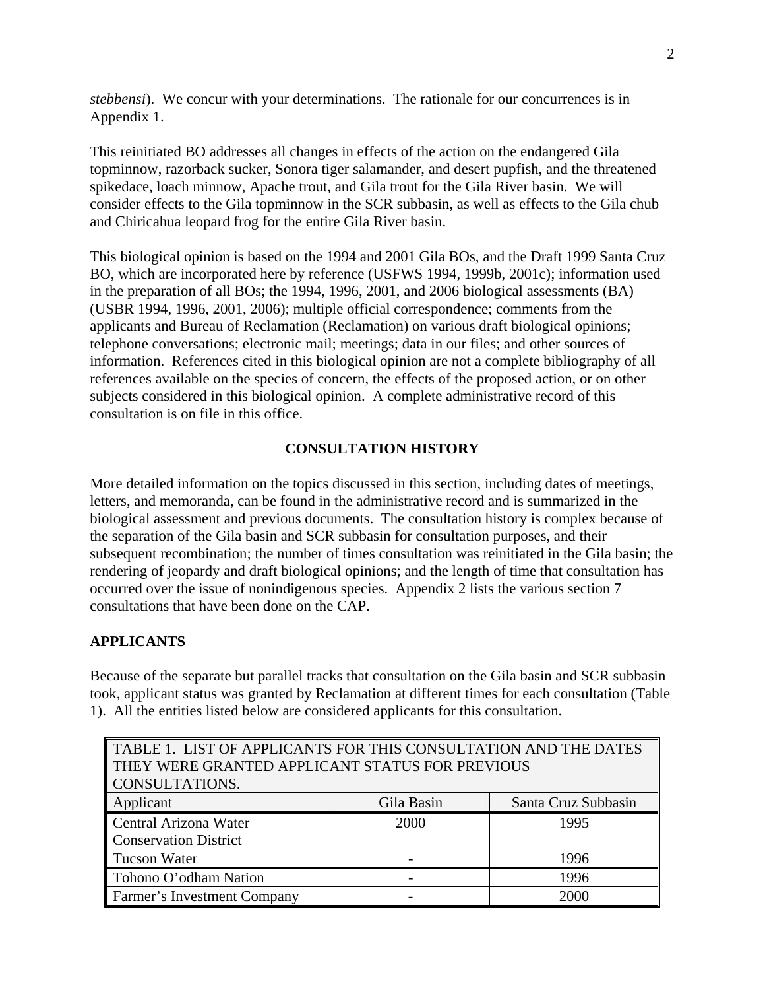*stebbensi*). We concur with your determinations. The rationale for our concurrences is in Appendix 1.

This reinitiated BO addresses all changes in effects of the action on the endangered Gila topminnow, razorback sucker, Sonora tiger salamander, and desert pupfish, and the threatened spikedace, loach minnow, Apache trout, and Gila trout for the Gila River basin. We will consider effects to the Gila topminnow in the SCR subbasin, as well as effects to the Gila chub and Chiricahua leopard frog for the entire Gila River basin.

This biological opinion is based on the 1994 and 2001 Gila BOs, and the Draft 1999 Santa Cruz BO, which are incorporated here by reference (USFWS 1994, 1999b, 2001c); information used in the preparation of all BOs; the 1994, 1996, 2001, and 2006 biological assessments (BA) (USBR 1994, 1996, 2001, 2006); multiple official correspondence; comments from the applicants and Bureau of Reclamation (Reclamation) on various draft biological opinions; telephone conversations; electronic mail; meetings; data in our files; and other sources of information. References cited in this biological opinion are not a complete bibliography of all references available on the species of concern, the effects of the proposed action, or on other subjects considered in this biological opinion. A complete administrative record of this consultation is on file in this office.

# **CONSULTATION HISTORY**

More detailed information on the topics discussed in this section, including dates of meetings, letters, and memoranda, can be found in the administrative record and is summarized in the biological assessment and previous documents. The consultation history is complex because of the separation of the Gila basin and SCR subbasin for consultation purposes, and their subsequent recombination; the number of times consultation was reinitiated in the Gila basin; the rendering of jeopardy and draft biological opinions; and the length of time that consultation has occurred over the issue of nonindigenous species. Appendix 2 lists the various section 7 consultations that have been done on the CAP.

# **APPLICANTS**

Because of the separate but parallel tracks that consultation on the Gila basin and SCR subbasin took, applicant status was granted by Reclamation at different times for each consultation (Table 1). All the entities listed below are considered applicants for this consultation.

| TABLE 1. LIST OF APPLICANTS FOR THIS CONSULTATION AND THE DATES |            |                     |  |  |  |
|-----------------------------------------------------------------|------------|---------------------|--|--|--|
| THEY WERE GRANTED APPLICANT STATUS FOR PREVIOUS                 |            |                     |  |  |  |
| CONSULTATIONS.                                                  |            |                     |  |  |  |
| Applicant                                                       | Gila Basin | Santa Cruz Subbasin |  |  |  |
| Central Arizona Water                                           | 2000       | 1995                |  |  |  |
| <b>Conservation District</b>                                    |            |                     |  |  |  |
| <b>Tucson Water</b>                                             |            | 1996                |  |  |  |
| Tohono O'odham Nation<br>1996                                   |            |                     |  |  |  |
| Farmer's Investment Company                                     |            | 2000                |  |  |  |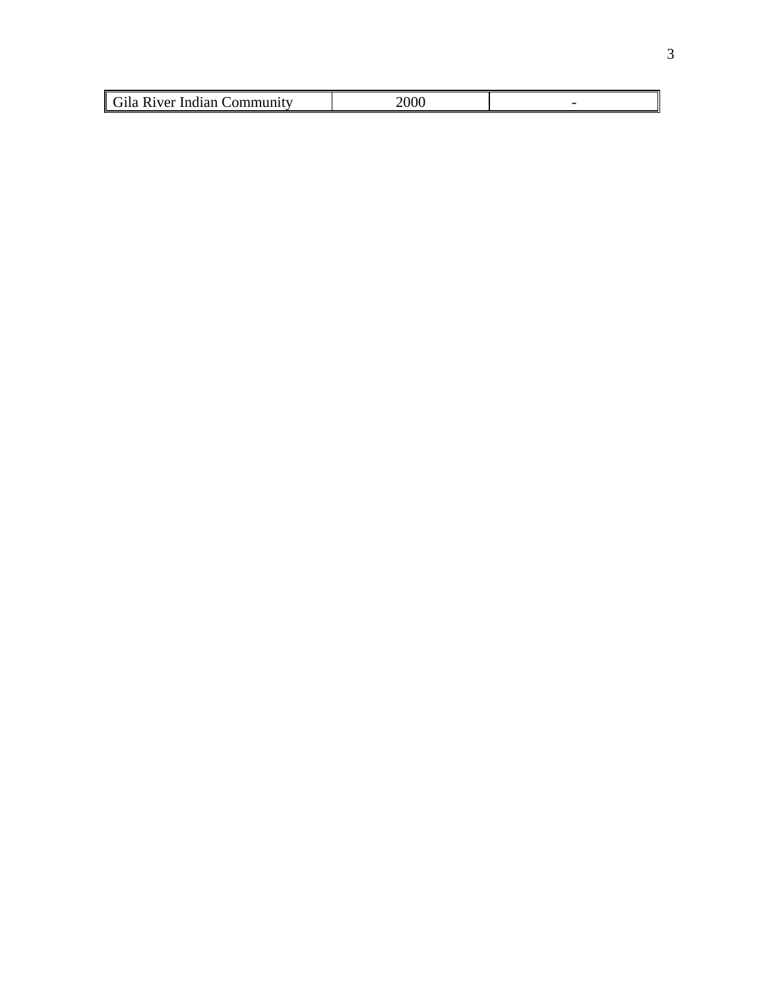| $\overline{C}$<br>1Ver<br>Indian.<br>п |  |
|----------------------------------------|--|
|                                        |  |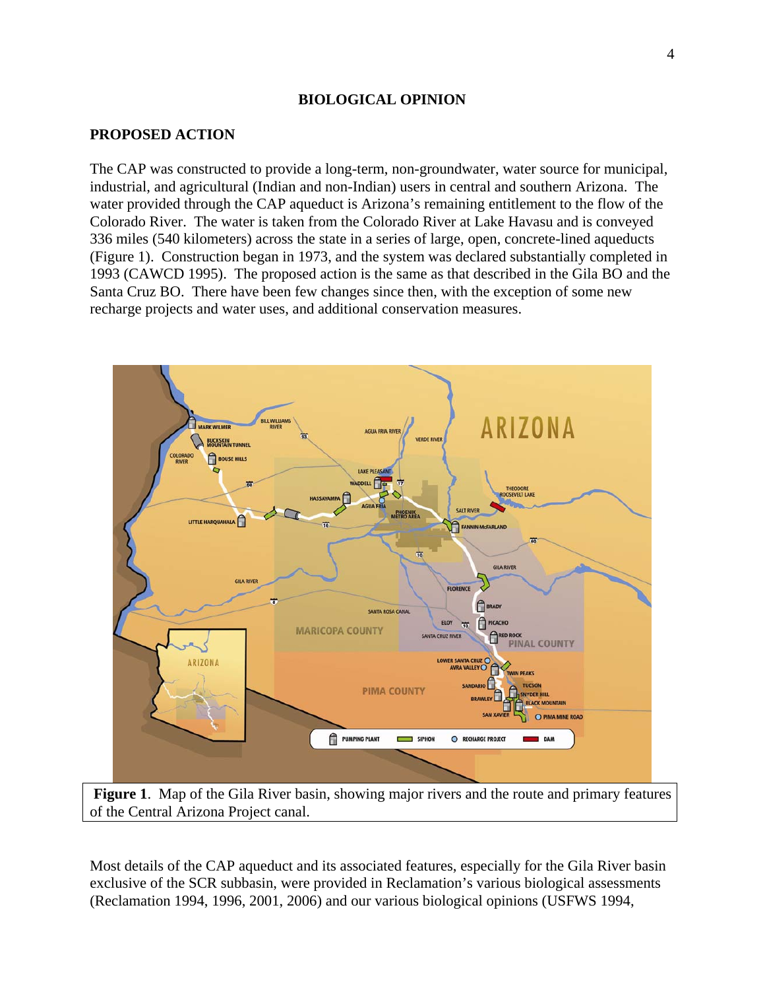#### **BIOLOGICAL OPINION**

#### **PROPOSED ACTION**

The CAP was constructed to provide a long-term, non-groundwater, water source for municipal, industrial, and agricultural (Indian and non-Indian) users in central and southern Arizona. The water provided through the CAP aqueduct is Arizona's remaining entitlement to the flow of the Colorado River. The water is taken from the Colorado River at Lake Havasu and is conveyed 336 miles (540 kilometers) across the state in a series of large, open, concrete-lined aqueducts (Figure 1). Construction began in 1973, and the system was declared substantially completed in 1993 (CAWCD 1995). The proposed action is the same as that described in the Gila BO and the Santa Cruz BO. There have been few changes since then, with the exception of some new recharge projects and water uses, and additional conservation measures.



 **Figure 1**. Map of the Gila River basin, showing major rivers and the route and primary features of the Central Arizona Project canal.

Most details of the CAP aqueduct and its associated features, especially for the Gila River basin exclusive of the SCR subbasin, were provided in Reclamation's various biological assessments (Reclamation 1994, 1996, 2001, 2006) and our various biological opinions (USFWS 1994,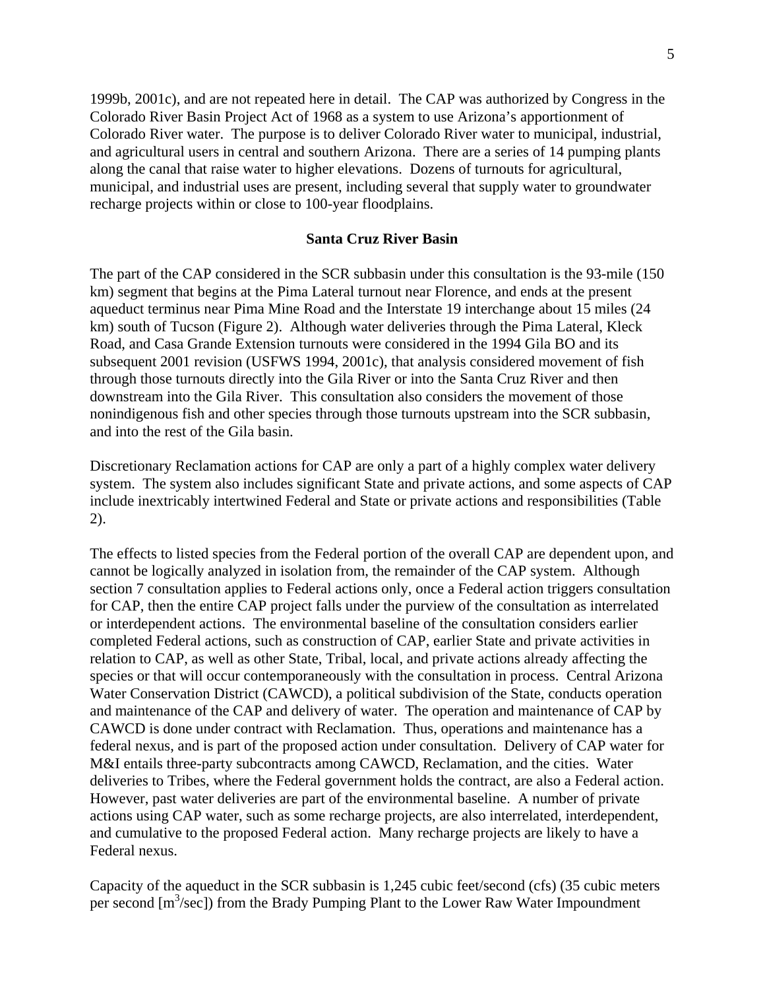1999b, 2001c), and are not repeated here in detail. The CAP was authorized by Congress in the Colorado River Basin Project Act of 1968 as a system to use Arizona's apportionment of Colorado River water. The purpose is to deliver Colorado River water to municipal, industrial, and agricultural users in central and southern Arizona. There are a series of 14 pumping plants along the canal that raise water to higher elevations. Dozens of turnouts for agricultural, municipal, and industrial uses are present, including several that supply water to groundwater recharge projects within or close to 100-year floodplains.

#### **Santa Cruz River Basin**

The part of the CAP considered in the SCR subbasin under this consultation is the 93-mile (150 km) segment that begins at the Pima Lateral turnout near Florence, and ends at the present aqueduct terminus near Pima Mine Road and the Interstate 19 interchange about 15 miles (24 km) south of Tucson (Figure 2). Although water deliveries through the Pima Lateral, Kleck Road, and Casa Grande Extension turnouts were considered in the 1994 Gila BO and its subsequent 2001 revision (USFWS 1994, 2001c), that analysis considered movement of fish through those turnouts directly into the Gila River or into the Santa Cruz River and then downstream into the Gila River. This consultation also considers the movement of those nonindigenous fish and other species through those turnouts upstream into the SCR subbasin, and into the rest of the Gila basin.

Discretionary Reclamation actions for CAP are only a part of a highly complex water delivery system. The system also includes significant State and private actions, and some aspects of CAP include inextricably intertwined Federal and State or private actions and responsibilities (Table 2).

The effects to listed species from the Federal portion of the overall CAP are dependent upon, and cannot be logically analyzed in isolation from, the remainder of the CAP system. Although section 7 consultation applies to Federal actions only, once a Federal action triggers consultation for CAP, then the entire CAP project falls under the purview of the consultation as interrelated or interdependent actions. The environmental baseline of the consultation considers earlier completed Federal actions, such as construction of CAP, earlier State and private activities in relation to CAP, as well as other State, Tribal, local, and private actions already affecting the species or that will occur contemporaneously with the consultation in process. Central Arizona Water Conservation District (CAWCD), a political subdivision of the State, conducts operation and maintenance of the CAP and delivery of water. The operation and maintenance of CAP by CAWCD is done under contract with Reclamation. Thus, operations and maintenance has a federal nexus, and is part of the proposed action under consultation. Delivery of CAP water for M&I entails three-party subcontracts among CAWCD, Reclamation, and the cities. Water deliveries to Tribes, where the Federal government holds the contract, are also a Federal action. However, past water deliveries are part of the environmental baseline. A number of private actions using CAP water, such as some recharge projects, are also interrelated, interdependent, and cumulative to the proposed Federal action. Many recharge projects are likely to have a Federal nexus.

Capacity of the aqueduct in the SCR subbasin is 1,245 cubic feet/second (cfs) (35 cubic meters per second [m<sup>3</sup>/sec]) from the Brady Pumping Plant to the Lower Raw Water Impoundment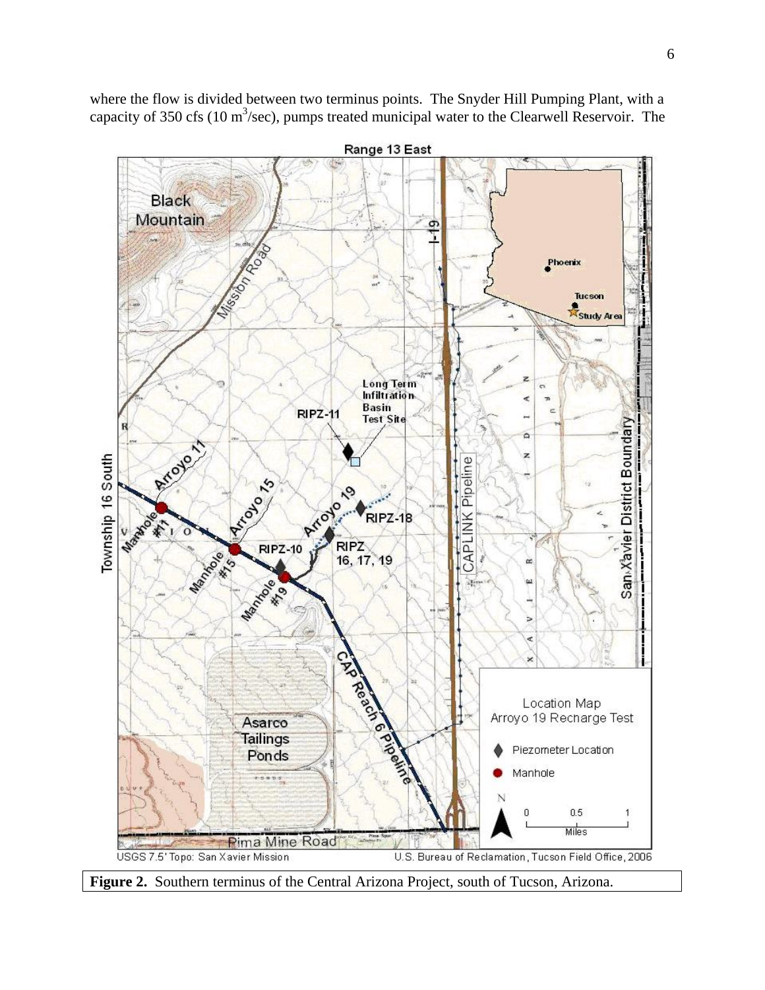

where the flow is divided between two terminus points. The Snyder Hill Pumping Plant, with a capacity of 350 cfs (10  $\text{m}^3/\text{sec}$ ), pumps treated municipal water to the Clearwell Reservoir. The

**Figure 2.** Southern terminus of the Central Arizona Project, south of Tucson, Arizona.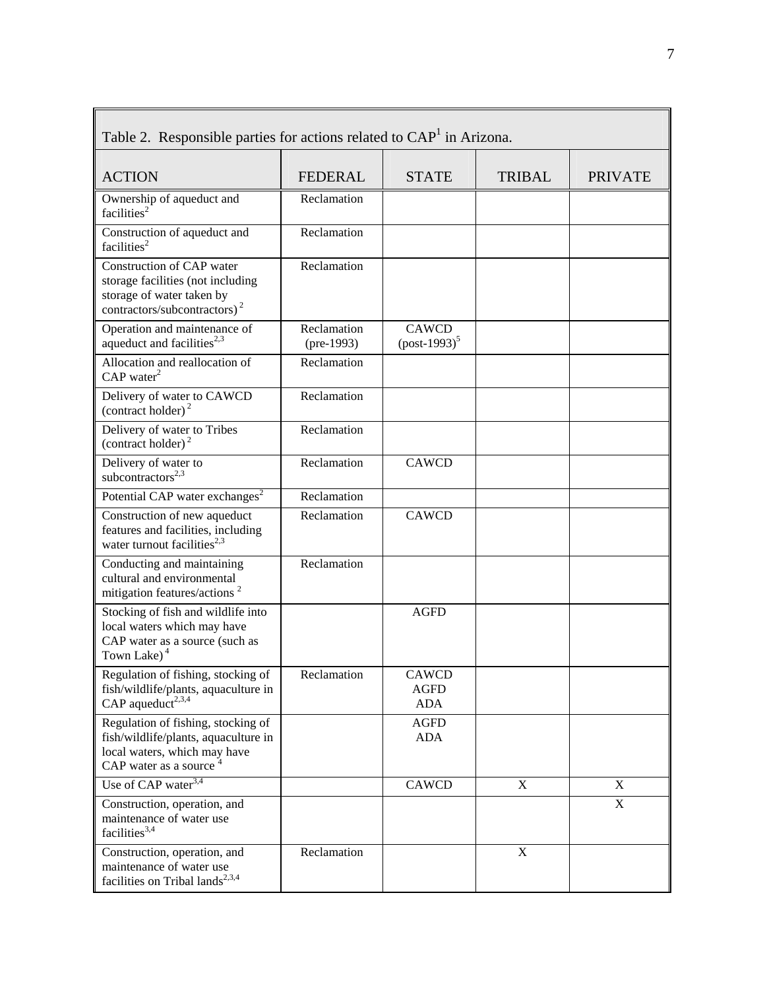| Table 2. Responsible parties for actions related to CAP <sup>1</sup> in Arizona.                                                        |                             |                                    |               |                |  |
|-----------------------------------------------------------------------------------------------------------------------------------------|-----------------------------|------------------------------------|---------------|----------------|--|
| <b>ACTION</b>                                                                                                                           | <b>FEDERAL</b>              | <b>STATE</b>                       | <b>TRIBAL</b> | <b>PRIVATE</b> |  |
| Ownership of aqueduct and<br>facilities <sup>2</sup>                                                                                    | Reclamation                 |                                    |               |                |  |
| Construction of aqueduct and<br>facilities <sup>2</sup>                                                                                 | Reclamation                 |                                    |               |                |  |
| Construction of CAP water<br>storage facilities (not including<br>storage of water taken by<br>contractors/subcontractors) <sup>2</sup> | Reclamation                 |                                    |               |                |  |
| Operation and maintenance of<br>aqueduct and facilities <sup>2,3</sup>                                                                  | Reclamation<br>$(pre-1993)$ | <b>CAWCD</b><br>$(post-1993)^5$    |               |                |  |
| Allocation and reallocation of<br>$CAP$ water <sup>2</sup>                                                                              | Reclamation                 |                                    |               |                |  |
| Delivery of water to CAWCD<br>(contract holder) <sup>2</sup>                                                                            | Reclamation                 |                                    |               |                |  |
| Delivery of water to Tribes<br>(contract holder) $^2$                                                                                   | Reclamation                 |                                    |               |                |  |
| Delivery of water to<br>subcontractors <sup>2,3</sup>                                                                                   | Reclamation                 | <b>CAWCD</b>                       |               |                |  |
| Potential CAP water exchanges <sup>2</sup>                                                                                              | Reclamation                 |                                    |               |                |  |
| Construction of new aqueduct<br>features and facilities, including<br>water turnout facilities <sup>2,3</sup>                           | Reclamation                 | <b>CAWCD</b>                       |               |                |  |
| Conducting and maintaining<br>cultural and environmental<br>mitigation features/actions <sup>2</sup>                                    | Reclamation                 |                                    |               |                |  |
| Stocking of fish and wildlife into<br>local waters which may have<br>CAP water as a source (such as<br>Town Lake) <sup>4</sup>          |                             | <b>AGFD</b>                        |               |                |  |
| Regulation of fishing, stocking of<br>fish/wildlife/plants, aquaculture in<br>CAP aqueduct <sup>2,3,4</sup>                             | Reclamation                 | CAWCD<br><b>AGFD</b><br><b>ADA</b> |               |                |  |
| Regulation of fishing, stocking of<br>fish/wildlife/plants, aquaculture in<br>local waters, which may have<br>CAP water as a source     |                             | <b>AGFD</b><br><b>ADA</b>          |               |                |  |
| Use of $\overline{CAP}$ water <sup>3,4</sup>                                                                                            |                             | <b>CAWCD</b>                       | $\mathbf X$   | X              |  |
| Construction, operation, and<br>maintenance of water use<br>facilities <sup>3,4</sup>                                                   |                             |                                    |               | X              |  |
| Construction, operation, and<br>maintenance of water use<br>facilities on Tribal lands <sup>2,3,4</sup>                                 | Reclamation                 |                                    | $\mathbf X$   |                |  |

| Table 2. Responsible parties for actions related to CAP <sup>1</sup> in Arizona. |  |  |
|----------------------------------------------------------------------------------|--|--|
|                                                                                  |  |  |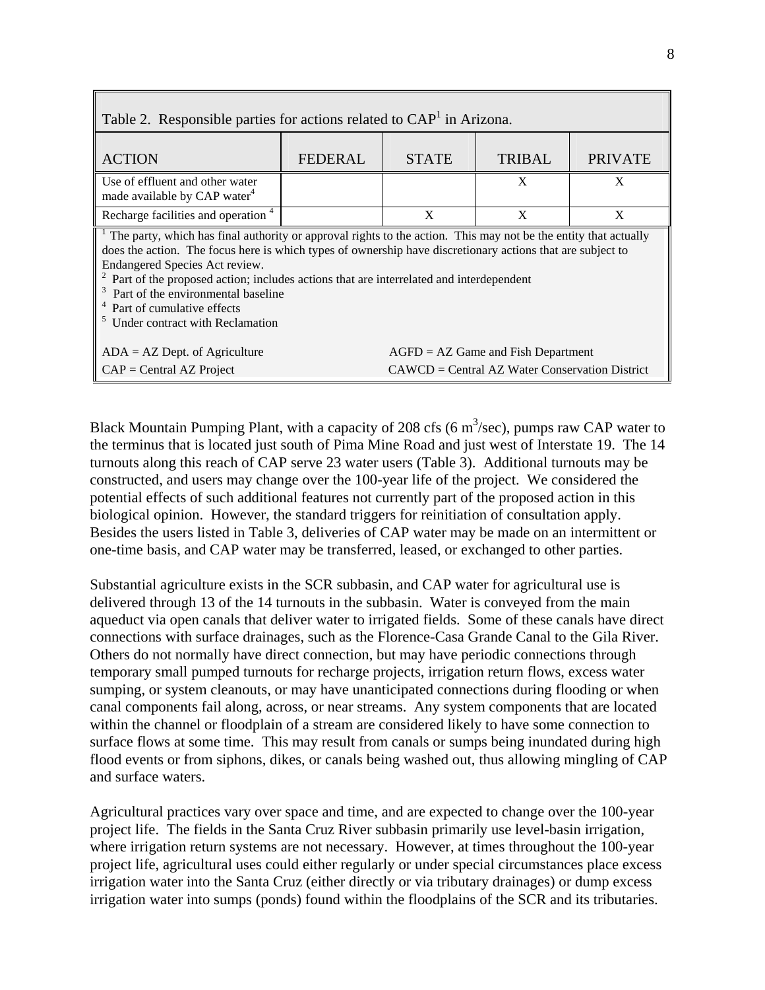| Table 2. Responsible parties for actions related to CAP <sup>1</sup> in Arizona.                                                                                                                                                                                                                                                                                                                                                                                                           |                                      |              |                                                  |                |  |  |
|--------------------------------------------------------------------------------------------------------------------------------------------------------------------------------------------------------------------------------------------------------------------------------------------------------------------------------------------------------------------------------------------------------------------------------------------------------------------------------------------|--------------------------------------|--------------|--------------------------------------------------|----------------|--|--|
| <b>ACTION</b>                                                                                                                                                                                                                                                                                                                                                                                                                                                                              | <b>FEDERAL</b>                       | <b>STATE</b> | <b>TRIBAL</b>                                    | <b>PRIVATE</b> |  |  |
| Use of effluent and other water                                                                                                                                                                                                                                                                                                                                                                                                                                                            |                                      |              | X                                                | X              |  |  |
| made available by CAP water <sup>4</sup>                                                                                                                                                                                                                                                                                                                                                                                                                                                   |                                      |              |                                                  |                |  |  |
| Recharge facilities and operation <sup>4</sup>                                                                                                                                                                                                                                                                                                                                                                                                                                             |                                      | X            | X                                                | X              |  |  |
| The party, which has final authority or approval rights to the action. This may not be the entity that actually<br>does the action. The focus here is which types of ownership have discretionary actions that are subject to<br>Endangered Species Act review.<br><sup>2</sup> Part of the proposed action; includes actions that are interrelated and interdependent<br>Part of the environmental baseline<br><sup>4</sup> Part of cumulative effects<br>Under contract with Reclamation |                                      |              |                                                  |                |  |  |
| $ADA = AZ$ Dept. of Agriculture                                                                                                                                                                                                                                                                                                                                                                                                                                                            | $AGFD = AZ$ Game and Fish Department |              |                                                  |                |  |  |
| $CAP = Central AZ Project$                                                                                                                                                                                                                                                                                                                                                                                                                                                                 |                                      |              | $CAWCD = Central AZ Water Conservation District$ |                |  |  |

Г

Black Mountain Pumping Plant, with a capacity of 208 cfs (6  $m^3$ /sec), pumps raw CAP water to the terminus that is located just south of Pima Mine Road and just west of Interstate 19. The 14 turnouts along this reach of CAP serve 23 water users (Table 3). Additional turnouts may be constructed, and users may change over the 100-year life of the project. We considered the potential effects of such additional features not currently part of the proposed action in this biological opinion. However, the standard triggers for reinitiation of consultation apply. Besides the users listed in Table 3, deliveries of CAP water may be made on an intermittent or one-time basis, and CAP water may be transferred, leased, or exchanged to other parties.

Substantial agriculture exists in the SCR subbasin, and CAP water for agricultural use is delivered through 13 of the 14 turnouts in the subbasin. Water is conveyed from the main aqueduct via open canals that deliver water to irrigated fields. Some of these canals have direct connections with surface drainages, such as the Florence-Casa Grande Canal to the Gila River. Others do not normally have direct connection, but may have periodic connections through temporary small pumped turnouts for recharge projects, irrigation return flows, excess water sumping, or system cleanouts, or may have unanticipated connections during flooding or when canal components fail along, across, or near streams. Any system components that are located within the channel or floodplain of a stream are considered likely to have some connection to surface flows at some time. This may result from canals or sumps being inundated during high flood events or from siphons, dikes, or canals being washed out, thus allowing mingling of CAP and surface waters.

Agricultural practices vary over space and time, and are expected to change over the 100-year project life. The fields in the Santa Cruz River subbasin primarily use level-basin irrigation, where irrigation return systems are not necessary. However, at times throughout the 100-year project life, agricultural uses could either regularly or under special circumstances place excess irrigation water into the Santa Cruz (either directly or via tributary drainages) or dump excess irrigation water into sumps (ponds) found within the floodplains of the SCR and its tributaries.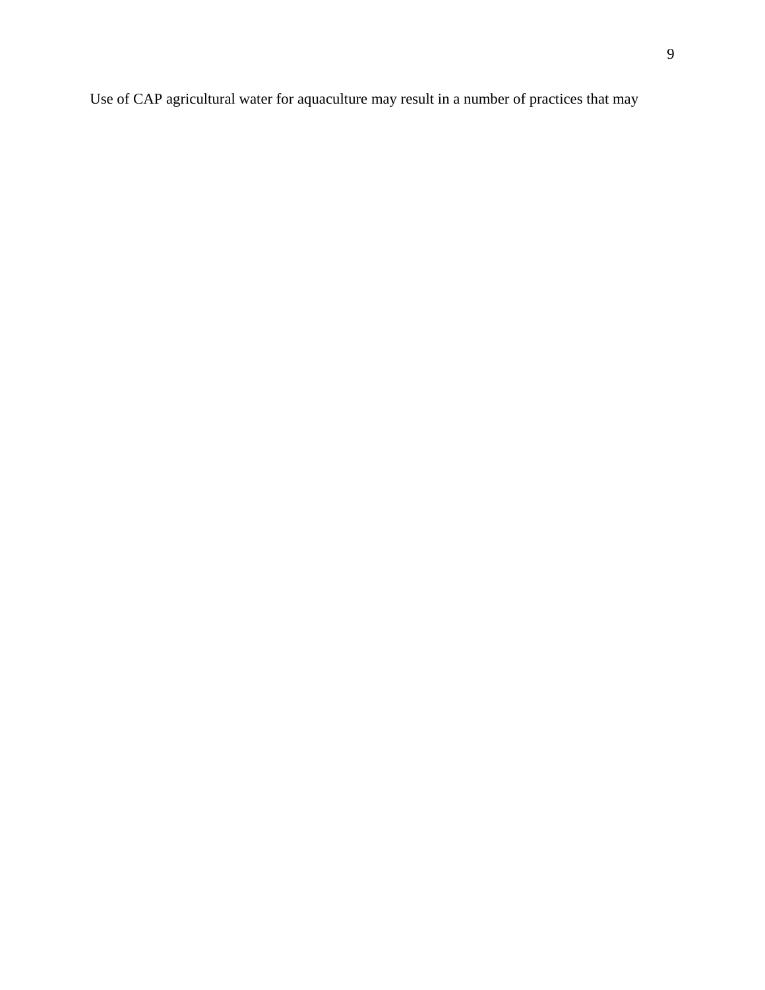Use of CAP agricultural water for aquaculture may result in a number of practices that may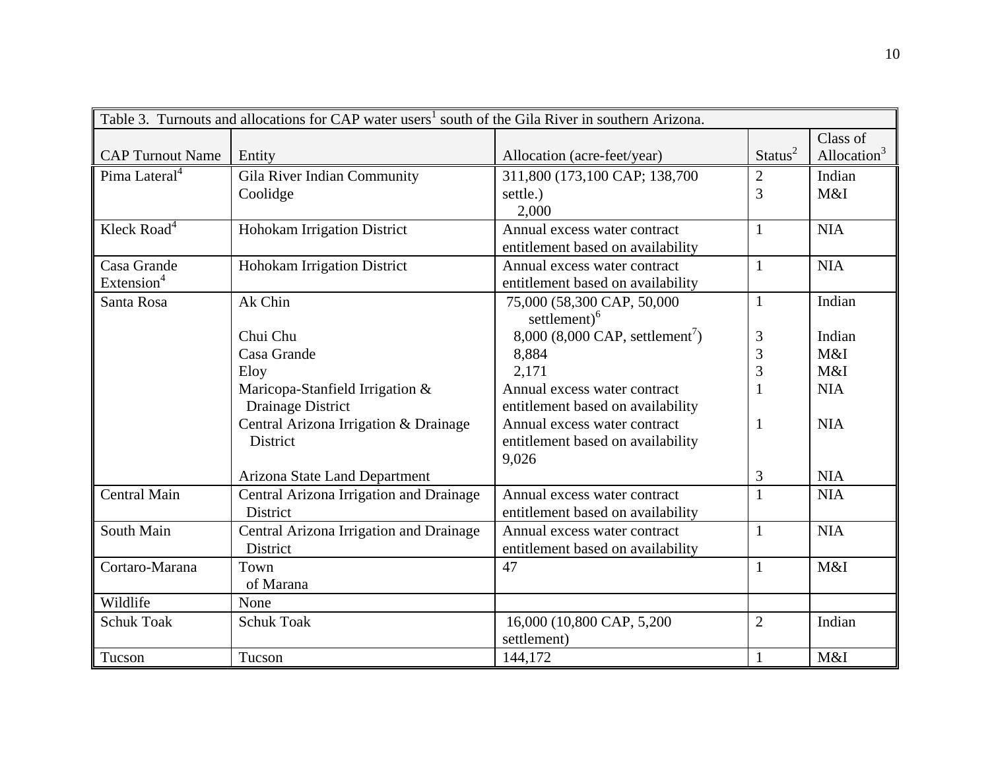|                           | Table 3. Turnouts and allocations for CAP water users <sup>1</sup> south of the Gila River in southern Arizona. |                                             |                     |                |
|---------------------------|-----------------------------------------------------------------------------------------------------------------|---------------------------------------------|---------------------|----------------|
|                           |                                                                                                                 |                                             |                     | Class of       |
| <b>CAP Turnout Name</b>   | Entity                                                                                                          | Allocation (acre-feet/year)                 | Status <sup>2</sup> | Allocation $3$ |
| Pima Lateral <sup>4</sup> | Gila River Indian Community                                                                                     | 311,800 (173,100 CAP; 138,700               | $\mathbf{2}$        | Indian         |
|                           | Coolidge                                                                                                        | settle.)                                    | 3                   | M&I            |
|                           |                                                                                                                 | 2,000                                       |                     |                |
| Kleck Road <sup>4</sup>   | Hohokam Irrigation District                                                                                     | Annual excess water contract                | $\mathbf{1}$        | <b>NIA</b>     |
|                           |                                                                                                                 | entitlement based on availability           |                     |                |
| Casa Grande               | Hohokam Irrigation District                                                                                     | Annual excess water contract                | $\mathbf{1}$        | <b>NIA</b>     |
| Extension <sup>4</sup>    |                                                                                                                 | entitlement based on availability           |                     |                |
| Santa Rosa                | Ak Chin                                                                                                         | 75,000 (58,300 CAP, 50,000                  | $\mathbf{1}$        | Indian         |
|                           |                                                                                                                 | settlement) <sup>6</sup>                    |                     |                |
|                           | Chui Chu                                                                                                        | 8,000 (8,000 CAP, settlement <sup>7</sup> ) | 3                   | Indian         |
|                           | Casa Grande                                                                                                     | 8,884                                       | 3                   | M&I            |
|                           | Eloy                                                                                                            | 2,171                                       | 3                   | M&I            |
|                           | Maricopa-Stanfield Irrigation &                                                                                 | Annual excess water contract                |                     | <b>NIA</b>     |
|                           | Drainage District                                                                                               | entitlement based on availability           |                     |                |
|                           | Central Arizona Irrigation & Drainage                                                                           | Annual excess water contract                | $\mathbf{1}$        | <b>NIA</b>     |
|                           | <b>District</b>                                                                                                 | entitlement based on availability           |                     |                |
|                           |                                                                                                                 | 9,026                                       |                     |                |
|                           | Arizona State Land Department                                                                                   |                                             | 3                   | <b>NIA</b>     |
| <b>Central Main</b>       | Central Arizona Irrigation and Drainage                                                                         | Annual excess water contract                | $\mathbf{1}$        | <b>NIA</b>     |
|                           | District                                                                                                        | entitlement based on availability           |                     |                |
| South Main                | Central Arizona Irrigation and Drainage                                                                         | Annual excess water contract                | $\mathbf{1}$        | <b>NIA</b>     |
|                           | <b>District</b>                                                                                                 | entitlement based on availability           |                     |                |
| Cortaro-Marana            | Town                                                                                                            | 47                                          | $\mathbf{1}$        | M&I            |
|                           | of Marana                                                                                                       |                                             |                     |                |
| Wildlife                  | None                                                                                                            |                                             |                     |                |
| <b>Schuk Toak</b>         | <b>Schuk Toak</b>                                                                                               | 16,000 (10,800 CAP, 5,200)                  | $\overline{2}$      | Indian         |
|                           |                                                                                                                 | settlement)                                 |                     |                |
| Tucson                    | Tucson                                                                                                          | 144,172                                     | $\mathbf{1}$        | M&I            |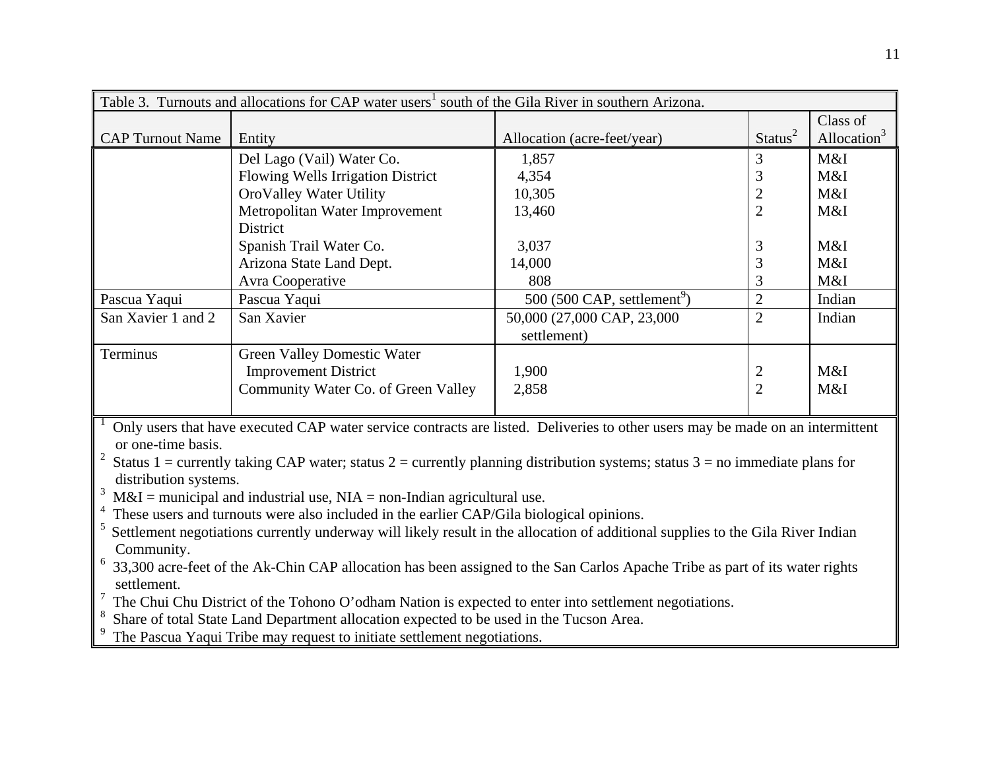| Table 3. Turnouts and allocations for CAP water users <sup>1</sup> south of the Gila River in southern Arizona.                                                                                                                                                                                                                                                                                                                                                                                                                                                                                                                                                                                                                                                                                                                                                                                                                                                                                                                                                                                     |                                     |                                         |                     |                         |  |  |  |
|-----------------------------------------------------------------------------------------------------------------------------------------------------------------------------------------------------------------------------------------------------------------------------------------------------------------------------------------------------------------------------------------------------------------------------------------------------------------------------------------------------------------------------------------------------------------------------------------------------------------------------------------------------------------------------------------------------------------------------------------------------------------------------------------------------------------------------------------------------------------------------------------------------------------------------------------------------------------------------------------------------------------------------------------------------------------------------------------------------|-------------------------------------|-----------------------------------------|---------------------|-------------------------|--|--|--|
|                                                                                                                                                                                                                                                                                                                                                                                                                                                                                                                                                                                                                                                                                                                                                                                                                                                                                                                                                                                                                                                                                                     | Class of                            |                                         |                     |                         |  |  |  |
| <b>CAP Turnout Name</b>                                                                                                                                                                                                                                                                                                                                                                                                                                                                                                                                                                                                                                                                                                                                                                                                                                                                                                                                                                                                                                                                             | Entity                              | Allocation (acre-feet/year)             | Status <sup>2</sup> | Allocation <sup>3</sup> |  |  |  |
|                                                                                                                                                                                                                                                                                                                                                                                                                                                                                                                                                                                                                                                                                                                                                                                                                                                                                                                                                                                                                                                                                                     | Del Lago (Vail) Water Co.           | 1,857                                   | 3                   | M&I                     |  |  |  |
|                                                                                                                                                                                                                                                                                                                                                                                                                                                                                                                                                                                                                                                                                                                                                                                                                                                                                                                                                                                                                                                                                                     | Flowing Wells Irrigation District   | 4,354                                   | 3                   | M&I                     |  |  |  |
|                                                                                                                                                                                                                                                                                                                                                                                                                                                                                                                                                                                                                                                                                                                                                                                                                                                                                                                                                                                                                                                                                                     | OroValley Water Utility             | 10,305                                  | $\overline{2}$      | M&I                     |  |  |  |
|                                                                                                                                                                                                                                                                                                                                                                                                                                                                                                                                                                                                                                                                                                                                                                                                                                                                                                                                                                                                                                                                                                     | Metropolitan Water Improvement      | 13,460                                  | $\overline{2}$      | M&I                     |  |  |  |
|                                                                                                                                                                                                                                                                                                                                                                                                                                                                                                                                                                                                                                                                                                                                                                                                                                                                                                                                                                                                                                                                                                     | District                            |                                         |                     |                         |  |  |  |
|                                                                                                                                                                                                                                                                                                                                                                                                                                                                                                                                                                                                                                                                                                                                                                                                                                                                                                                                                                                                                                                                                                     | Spanish Trail Water Co.             | 3,037                                   | 3                   | M&I                     |  |  |  |
|                                                                                                                                                                                                                                                                                                                                                                                                                                                                                                                                                                                                                                                                                                                                                                                                                                                                                                                                                                                                                                                                                                     | Arizona State Land Dept.            | 14,000                                  | 3                   | M&I                     |  |  |  |
|                                                                                                                                                                                                                                                                                                                                                                                                                                                                                                                                                                                                                                                                                                                                                                                                                                                                                                                                                                                                                                                                                                     | Avra Cooperative                    | 808                                     | 3                   | M&I                     |  |  |  |
| Pascua Yaqui                                                                                                                                                                                                                                                                                                                                                                                                                                                                                                                                                                                                                                                                                                                                                                                                                                                                                                                                                                                                                                                                                        | Pascua Yaqui                        | 500 (500 CAP, settlement <sup>9</sup> ) | $\overline{2}$      | Indian                  |  |  |  |
| San Xavier 1 and 2                                                                                                                                                                                                                                                                                                                                                                                                                                                                                                                                                                                                                                                                                                                                                                                                                                                                                                                                                                                                                                                                                  | San Xavier                          | 50,000 (27,000 CAP, 23,000              | $\overline{2}$      | Indian                  |  |  |  |
|                                                                                                                                                                                                                                                                                                                                                                                                                                                                                                                                                                                                                                                                                                                                                                                                                                                                                                                                                                                                                                                                                                     |                                     | settlement)                             |                     |                         |  |  |  |
| Terminus                                                                                                                                                                                                                                                                                                                                                                                                                                                                                                                                                                                                                                                                                                                                                                                                                                                                                                                                                                                                                                                                                            | <b>Green Valley Domestic Water</b>  |                                         |                     |                         |  |  |  |
|                                                                                                                                                                                                                                                                                                                                                                                                                                                                                                                                                                                                                                                                                                                                                                                                                                                                                                                                                                                                                                                                                                     | <b>Improvement District</b>         | 1,900                                   | $\overline{2}$      | M&I                     |  |  |  |
|                                                                                                                                                                                                                                                                                                                                                                                                                                                                                                                                                                                                                                                                                                                                                                                                                                                                                                                                                                                                                                                                                                     | Community Water Co. of Green Valley | 2,858                                   | $\overline{2}$      | M&I                     |  |  |  |
| Only users that have executed CAP water service contracts are listed. Deliveries to other users may be made on an intermittent<br>or one-time basis.<br>Status 1 = currently taking CAP water; status 2 = currently planning distribution systems; status 3 = no immediate plans for<br>distribution systems.<br>3<br>$M&I =$ municipal and industrial use, $NIA =$ non-Indian agricultural use.<br>These users and turnouts were also included in the earlier CAP/Gila biological opinions.<br>5<br>Settlement negotiations currently underway will likely result in the allocation of additional supplies to the Gila River Indian<br>Community.<br>$6\,$ 33,300 acre-feet of the Ak-Chin CAP allocation has been assigned to the San Carlos Apache Tribe as part of its water rights<br>settlement.<br>$\frac{7}{1}$ The Chui Chu District of the Tohono O'odham Nation is expected to enter into settlement negotiations.<br>Share of total State Land Department allocation expected to be used in the Tucson Area.<br>The Pascua Yaqui Tribe may request to initiate settlement negotiations. |                                     |                                         |                     |                         |  |  |  |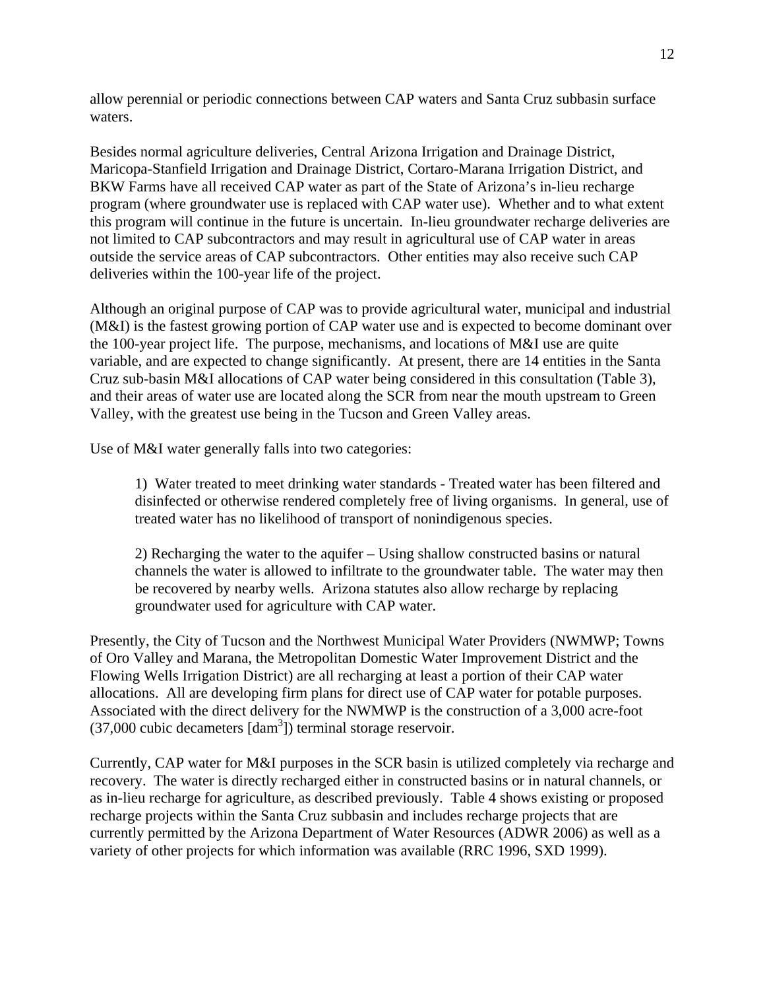allow perennial or periodic connections between CAP waters and Santa Cruz subbasin surface waters.

Besides normal agriculture deliveries, Central Arizona Irrigation and Drainage District, Maricopa-Stanfield Irrigation and Drainage District, Cortaro-Marana Irrigation District, and BKW Farms have all received CAP water as part of the State of Arizona's in-lieu recharge program (where groundwater use is replaced with CAP water use). Whether and to what extent this program will continue in the future is uncertain. In-lieu groundwater recharge deliveries are not limited to CAP subcontractors and may result in agricultural use of CAP water in areas outside the service areas of CAP subcontractors. Other entities may also receive such CAP deliveries within the 100-year life of the project.

Although an original purpose of CAP was to provide agricultural water, municipal and industrial (M&I) is the fastest growing portion of CAP water use and is expected to become dominant over the 100-year project life. The purpose, mechanisms, and locations of M&I use are quite variable, and are expected to change significantly. At present, there are 14 entities in the Santa Cruz sub-basin M&I allocations of CAP water being considered in this consultation (Table 3), and their areas of water use are located along the SCR from near the mouth upstream to Green Valley, with the greatest use being in the Tucson and Green Valley areas.

Use of M&I water generally falls into two categories:

1) Water treated to meet drinking water standards - Treated water has been filtered and disinfected or otherwise rendered completely free of living organisms. In general, use of treated water has no likelihood of transport of nonindigenous species.

2) Recharging the water to the aquifer – Using shallow constructed basins or natural channels the water is allowed to infiltrate to the groundwater table. The water may then be recovered by nearby wells. Arizona statutes also allow recharge by replacing groundwater used for agriculture with CAP water.

Presently, the City of Tucson and the Northwest Municipal Water Providers (NWMWP; Towns of Oro Valley and Marana, the Metropolitan Domestic Water Improvement District and the Flowing Wells Irrigation District) are all recharging at least a portion of their CAP water allocations. All are developing firm plans for direct use of CAP water for potable purposes. Associated with the direct delivery for the NWMWP is the construction of a 3,000 acre-foot  $(37,000 \text{ cubic decameters}$  [dam<sup>3</sup>]) terminal storage reservoir.

Currently, CAP water for M&I purposes in the SCR basin is utilized completely via recharge and recovery. The water is directly recharged either in constructed basins or in natural channels, or as in-lieu recharge for agriculture, as described previously. Table 4 shows existing or proposed recharge projects within the Santa Cruz subbasin and includes recharge projects that are currently permitted by the Arizona Department of Water Resources (ADWR 2006) as well as a variety of other projects for which information was available (RRC 1996, SXD 1999).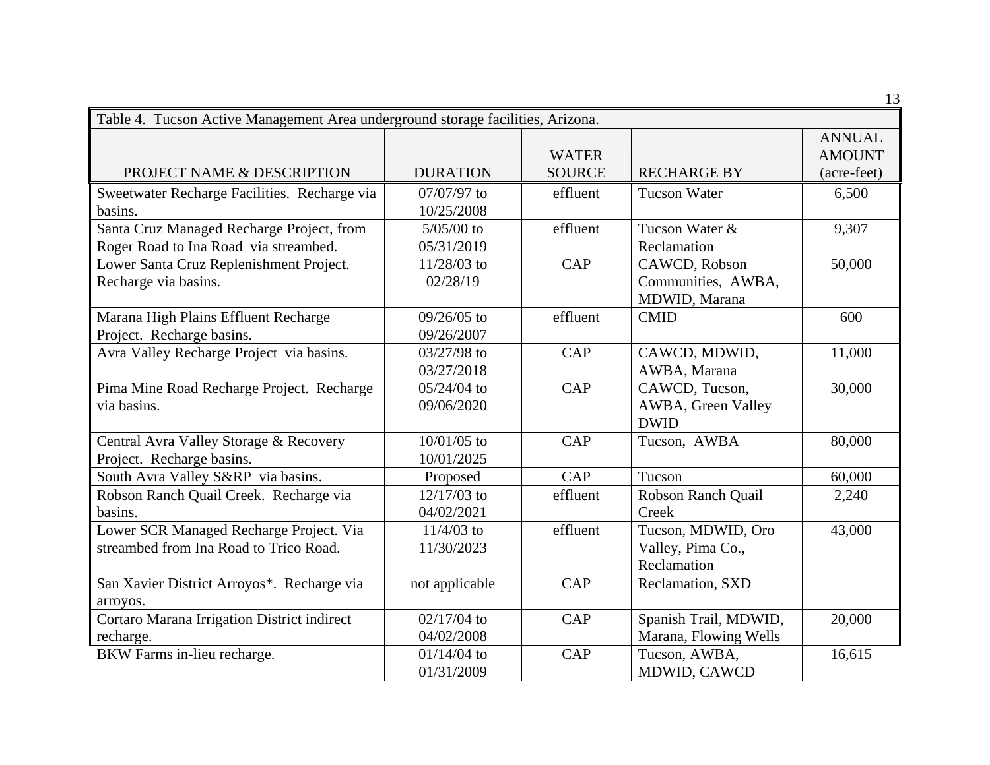| Table 4. Tucson Active Management Area underground storage facilities, Arizona. |                 |               |                       |                                |
|---------------------------------------------------------------------------------|-----------------|---------------|-----------------------|--------------------------------|
|                                                                                 |                 | <b>WATER</b>  |                       | <b>ANNUAL</b><br><b>AMOUNT</b> |
| PROJECT NAME & DESCRIPTION                                                      | <b>DURATION</b> | <b>SOURCE</b> | <b>RECHARGE BY</b>    | (acre-feet)                    |
| Sweetwater Recharge Facilities. Recharge via                                    | 07/07/97 to     | effluent      | <b>Tucson Water</b>   | 6,500                          |
| basins.                                                                         | 10/25/2008      |               |                       |                                |
| Santa Cruz Managed Recharge Project, from                                       | $5/05/00$ to    | effluent      | Tucson Water &        | 9,307                          |
| Roger Road to Ina Road via streambed.                                           | 05/31/2019      |               | Reclamation           |                                |
| Lower Santa Cruz Replenishment Project.                                         | 11/28/03 to     | <b>CAP</b>    | CAWCD, Robson         | 50,000                         |
| Recharge via basins.                                                            | 02/28/19        |               | Communities, AWBA,    |                                |
|                                                                                 |                 |               | MDWID, Marana         |                                |
| Marana High Plains Effluent Recharge                                            | 09/26/05 to     | effluent      | <b>CMID</b>           | 600                            |
| Project. Recharge basins.                                                       | 09/26/2007      |               |                       |                                |
| Avra Valley Recharge Project via basins.                                        | 03/27/98 to     | CAP           | CAWCD, MDWID,         | 11,000                         |
|                                                                                 | 03/27/2018      |               | AWBA, Marana          |                                |
| Pima Mine Road Recharge Project. Recharge                                       | $05/24/04$ to   | CAP           | CAWCD, Tucson,        | 30,000                         |
| via basins.                                                                     | 09/06/2020      |               | AWBA, Green Valley    |                                |
|                                                                                 |                 |               | <b>DWID</b>           |                                |
| Central Avra Valley Storage & Recovery                                          | 10/01/05 to     | <b>CAP</b>    | Tucson, AWBA          | 80,000                         |
| Project. Recharge basins.                                                       | 10/01/2025      |               |                       |                                |
| South Avra Valley S&RP via basins.                                              | Proposed        | <b>CAP</b>    | Tucson                | 60,000                         |
| Robson Ranch Quail Creek. Recharge via                                          | 12/17/03 to     | effluent      | Robson Ranch Quail    | 2,240                          |
| basins.                                                                         | 04/02/2021      |               | Creek                 |                                |
| Lower SCR Managed Recharge Project. Via                                         | $11/4/03$ to    | effluent      | Tucson, MDWID, Oro    | 43,000                         |
| streambed from Ina Road to Trico Road.                                          | 11/30/2023      |               | Valley, Pima Co.,     |                                |
|                                                                                 |                 |               | Reclamation           |                                |
| San Xavier District Arroyos*. Recharge via                                      | not applicable  | CAP           | Reclamation, SXD      |                                |
| arroyos.                                                                        |                 |               |                       |                                |
| Cortaro Marana Irrigation District indirect                                     | $02/17/04$ to   | <b>CAP</b>    | Spanish Trail, MDWID, | 20,000                         |
| recharge.                                                                       | 04/02/2008      |               | Marana, Flowing Wells |                                |
| BKW Farms in-lieu recharge.                                                     | $01/14/04$ to   | <b>CAP</b>    | Tucson, AWBA,         | 16,615                         |
|                                                                                 | 01/31/2009      |               | MDWID, CAWCD          |                                |

13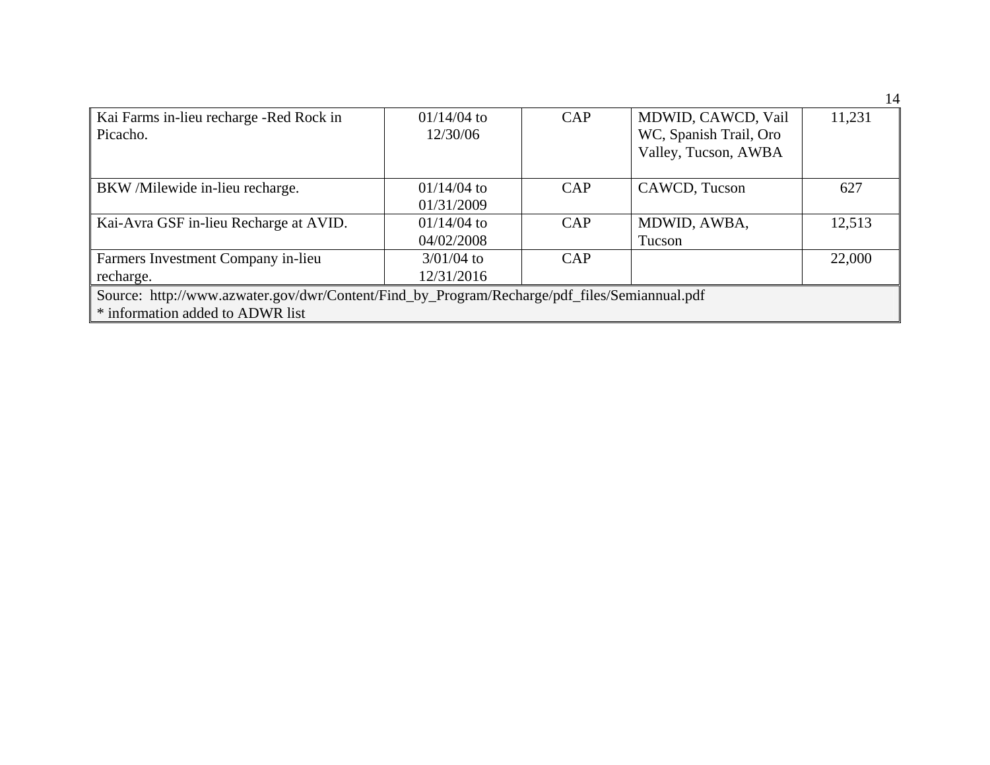|                                                                                              |               |     |                        | . .    |  |  |
|----------------------------------------------------------------------------------------------|---------------|-----|------------------------|--------|--|--|
| Kai Farms in-lieu recharge -Red Rock in                                                      | $01/14/04$ to | CAP | MDWID, CAWCD, Vail     | 11,231 |  |  |
| Picacho.                                                                                     | 12/30/06      |     | WC, Spanish Trail, Oro |        |  |  |
|                                                                                              |               |     | Valley, Tucson, AWBA   |        |  |  |
|                                                                                              |               |     |                        |        |  |  |
| BKW/Milewide in-lieu recharge.                                                               | $01/14/04$ to | CAP | CAWCD, Tucson          | 627    |  |  |
|                                                                                              | 01/31/2009    |     |                        |        |  |  |
| Kai-Avra GSF in-lieu Recharge at AVID.                                                       | $01/14/04$ to | CAP | MDWID, AWBA,           | 12,513 |  |  |
|                                                                                              | 04/02/2008    |     | Tucson                 |        |  |  |
| Farmers Investment Company in-lieu                                                           | $3/01/04$ to  | CAP |                        | 22,000 |  |  |
| recharge.                                                                                    | 12/31/2016    |     |                        |        |  |  |
| Source: http://www.azwater.gov/dwr/Content/Find_by_Program/Recharge/pdf_files/Semiannual.pdf |               |     |                        |        |  |  |
| * information added to ADWR list                                                             |               |     |                        |        |  |  |

14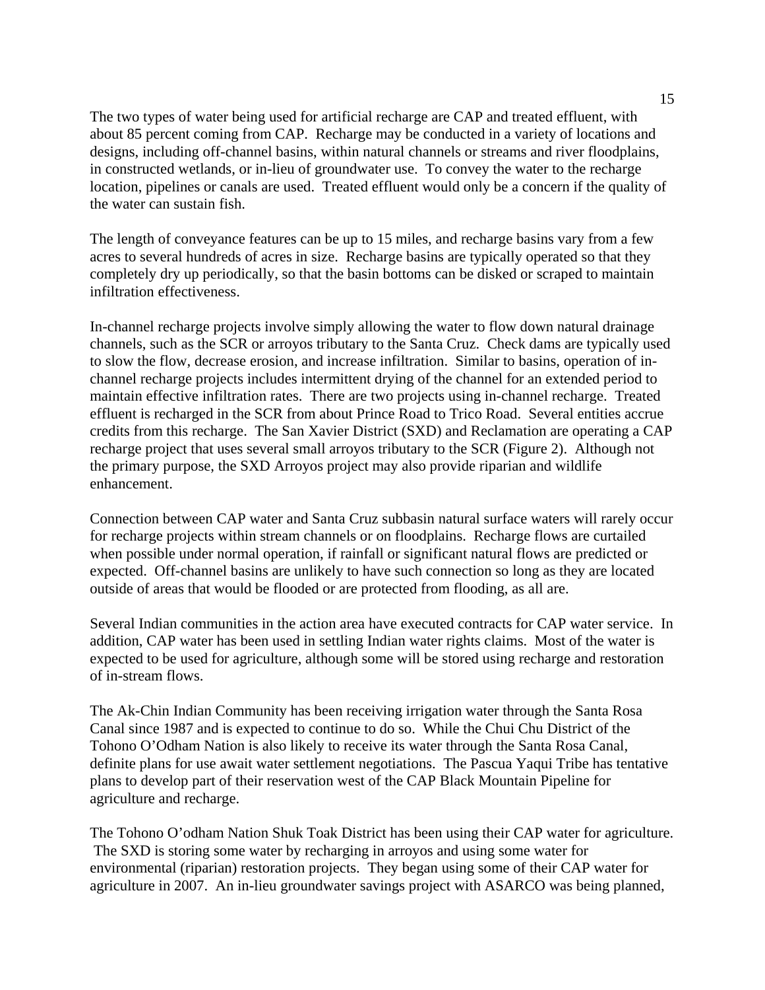The two types of water being used for artificial recharge are CAP and treated effluent, with about 85 percent coming from CAP. Recharge may be conducted in a variety of locations and designs, including off-channel basins, within natural channels or streams and river floodplains, in constructed wetlands, or in-lieu of groundwater use. To convey the water to the recharge location, pipelines or canals are used. Treated effluent would only be a concern if the quality of the water can sustain fish.

The length of conveyance features can be up to 15 miles, and recharge basins vary from a few acres to several hundreds of acres in size. Recharge basins are typically operated so that they completely dry up periodically, so that the basin bottoms can be disked or scraped to maintain infiltration effectiveness.

In-channel recharge projects involve simply allowing the water to flow down natural drainage channels, such as the SCR or arroyos tributary to the Santa Cruz. Check dams are typically used to slow the flow, decrease erosion, and increase infiltration. Similar to basins, operation of inchannel recharge projects includes intermittent drying of the channel for an extended period to maintain effective infiltration rates. There are two projects using in-channel recharge. Treated effluent is recharged in the SCR from about Prince Road to Trico Road. Several entities accrue credits from this recharge. The San Xavier District (SXD) and Reclamation are operating a CAP recharge project that uses several small arroyos tributary to the SCR (Figure 2). Although not the primary purpose, the SXD Arroyos project may also provide riparian and wildlife enhancement.

Connection between CAP water and Santa Cruz subbasin natural surface waters will rarely occur for recharge projects within stream channels or on floodplains. Recharge flows are curtailed when possible under normal operation, if rainfall or significant natural flows are predicted or expected. Off-channel basins are unlikely to have such connection so long as they are located outside of areas that would be flooded or are protected from flooding, as all are.

Several Indian communities in the action area have executed contracts for CAP water service. In addition, CAP water has been used in settling Indian water rights claims. Most of the water is expected to be used for agriculture, although some will be stored using recharge and restoration of in-stream flows.

The Ak-Chin Indian Community has been receiving irrigation water through the Santa Rosa Canal since 1987 and is expected to continue to do so. While the Chui Chu District of the Tohono O'Odham Nation is also likely to receive its water through the Santa Rosa Canal, definite plans for use await water settlement negotiations. The Pascua Yaqui Tribe has tentative plans to develop part of their reservation west of the CAP Black Mountain Pipeline for agriculture and recharge.

The Tohono O'odham Nation Shuk Toak District has been using their CAP water for agriculture. The SXD is storing some water by recharging in arroyos and using some water for environmental (riparian) restoration projects. They began using some of their CAP water for agriculture in 2007. An in-lieu groundwater savings project with ASARCO was being planned,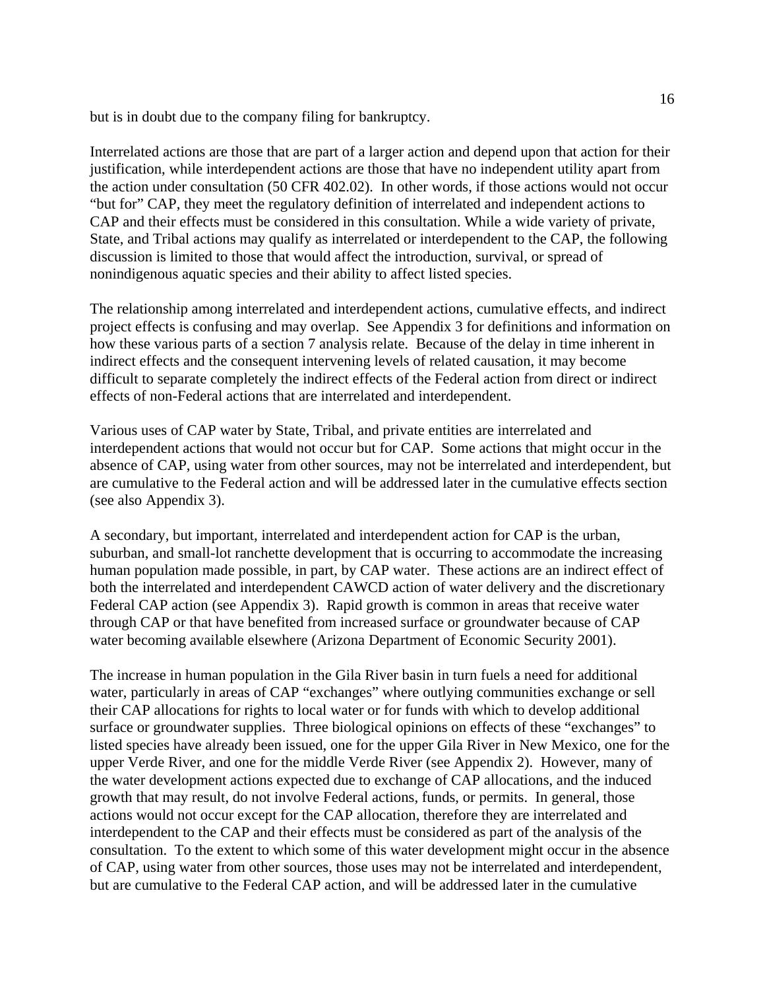but is in doubt due to the company filing for bankruptcy.

Interrelated actions are those that are part of a larger action and depend upon that action for their justification, while interdependent actions are those that have no independent utility apart from the action under consultation (50 CFR 402.02). In other words, if those actions would not occur "but for" CAP, they meet the regulatory definition of interrelated and independent actions to CAP and their effects must be considered in this consultation. While a wide variety of private, State, and Tribal actions may qualify as interrelated or interdependent to the CAP, the following discussion is limited to those that would affect the introduction, survival, or spread of nonindigenous aquatic species and their ability to affect listed species.

The relationship among interrelated and interdependent actions, cumulative effects, and indirect project effects is confusing and may overlap. See Appendix 3 for definitions and information on how these various parts of a section 7 analysis relate. Because of the delay in time inherent in indirect effects and the consequent intervening levels of related causation, it may become difficult to separate completely the indirect effects of the Federal action from direct or indirect effects of non-Federal actions that are interrelated and interdependent.

Various uses of CAP water by State, Tribal, and private entities are interrelated and interdependent actions that would not occur but for CAP. Some actions that might occur in the absence of CAP, using water from other sources, may not be interrelated and interdependent, but are cumulative to the Federal action and will be addressed later in the cumulative effects section (see also Appendix 3).

A secondary, but important, interrelated and interdependent action for CAP is the urban, suburban, and small-lot ranchette development that is occurring to accommodate the increasing human population made possible, in part, by CAP water. These actions are an indirect effect of both the interrelated and interdependent CAWCD action of water delivery and the discretionary Federal CAP action (see Appendix 3). Rapid growth is common in areas that receive water through CAP or that have benefited from increased surface or groundwater because of CAP water becoming available elsewhere (Arizona Department of Economic Security 2001).

The increase in human population in the Gila River basin in turn fuels a need for additional water, particularly in areas of CAP "exchanges" where outlying communities exchange or sell their CAP allocations for rights to local water or for funds with which to develop additional surface or groundwater supplies. Three biological opinions on effects of these "exchanges" to listed species have already been issued, one for the upper Gila River in New Mexico, one for the upper Verde River, and one for the middle Verde River (see Appendix 2). However, many of the water development actions expected due to exchange of CAP allocations, and the induced growth that may result, do not involve Federal actions, funds, or permits. In general, those actions would not occur except for the CAP allocation, therefore they are interrelated and interdependent to the CAP and their effects must be considered as part of the analysis of the consultation. To the extent to which some of this water development might occur in the absence of CAP, using water from other sources, those uses may not be interrelated and interdependent, but are cumulative to the Federal CAP action, and will be addressed later in the cumulative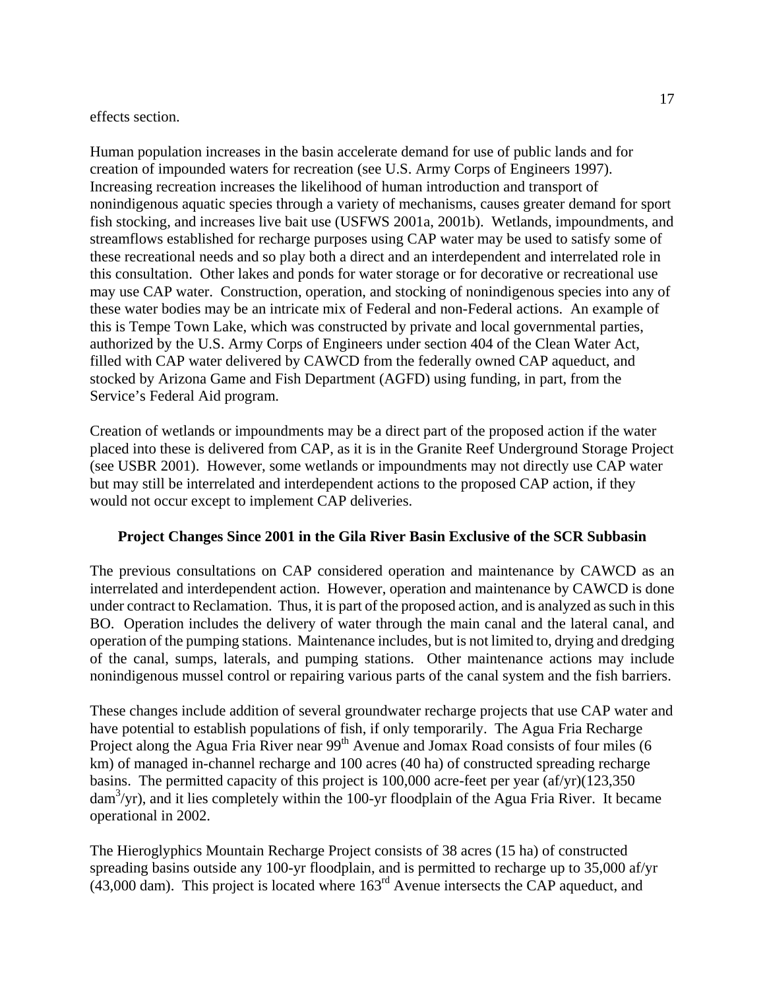### effects section.

Human population increases in the basin accelerate demand for use of public lands and for creation of impounded waters for recreation (see U.S. Army Corps of Engineers 1997). Increasing recreation increases the likelihood of human introduction and transport of nonindigenous aquatic species through a variety of mechanisms, causes greater demand for sport fish stocking, and increases live bait use (USFWS 2001a, 2001b). Wetlands, impoundments, and streamflows established for recharge purposes using CAP water may be used to satisfy some of these recreational needs and so play both a direct and an interdependent and interrelated role in this consultation. Other lakes and ponds for water storage or for decorative or recreational use may use CAP water. Construction, operation, and stocking of nonindigenous species into any of these water bodies may be an intricate mix of Federal and non-Federal actions. An example of this is Tempe Town Lake, which was constructed by private and local governmental parties, authorized by the U.S. Army Corps of Engineers under section 404 of the Clean Water Act, filled with CAP water delivered by CAWCD from the federally owned CAP aqueduct, and stocked by Arizona Game and Fish Department (AGFD) using funding, in part, from the Service's Federal Aid program.

Creation of wetlands or impoundments may be a direct part of the proposed action if the water placed into these is delivered from CAP, as it is in the Granite Reef Underground Storage Project (see USBR 2001). However, some wetlands or impoundments may not directly use CAP water but may still be interrelated and interdependent actions to the proposed CAP action, if they would not occur except to implement CAP deliveries.

# **Project Changes Since 2001 in the Gila River Basin Exclusive of the SCR Subbasin**

The previous consultations on CAP considered operation and maintenance by CAWCD as an interrelated and interdependent action. However, operation and maintenance by CAWCD is done under contract to Reclamation. Thus, it is part of the proposed action, and is analyzed as such in this BO. Operation includes the delivery of water through the main canal and the lateral canal, and operation of the pumping stations. Maintenance includes, but is not limited to, drying and dredging of the canal, sumps, laterals, and pumping stations. Other maintenance actions may include nonindigenous mussel control or repairing various parts of the canal system and the fish barriers.

These changes include addition of several groundwater recharge projects that use CAP water and have potential to establish populations of fish, if only temporarily. The Agua Fria Recharge Project along the Agua Fria River near 99<sup>th</sup> Avenue and Jomax Road consists of four miles (6 km) of managed in-channel recharge and 100 acres (40 ha) of constructed spreading recharge basins. The permitted capacity of this project is 100,000 acre-feet per year (af/yr)(123,350 dam3 /yr), and it lies completely within the 100-yr floodplain of the Agua Fria River. It became operational in 2002.

The Hieroglyphics Mountain Recharge Project consists of 38 acres (15 ha) of constructed spreading basins outside any 100-yr floodplain, and is permitted to recharge up to 35,000 af/yr  $(43,000$  dam). This project is located where  $163<sup>rd</sup>$  Avenue intersects the CAP aqueduct, and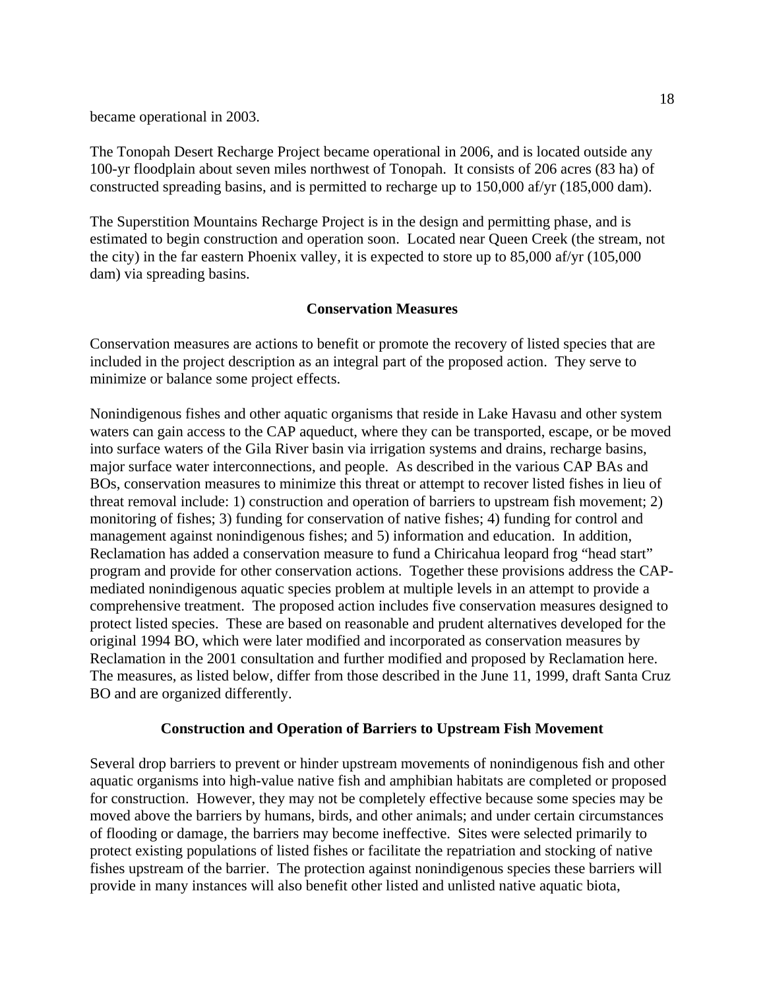became operational in 2003.

The Tonopah Desert Recharge Project became operational in 2006, and is located outside any 100-yr floodplain about seven miles northwest of Tonopah. It consists of 206 acres (83 ha) of constructed spreading basins, and is permitted to recharge up to 150,000 af/yr (185,000 dam).

The Superstition Mountains Recharge Project is in the design and permitting phase, and is estimated to begin construction and operation soon. Located near Queen Creek (the stream, not the city) in the far eastern Phoenix valley, it is expected to store up to 85,000 af/yr (105,000 dam) via spreading basins.

# **Conservation Measures**

Conservation measures are actions to benefit or promote the recovery of listed species that are included in the project description as an integral part of the proposed action. They serve to minimize or balance some project effects.

Nonindigenous fishes and other aquatic organisms that reside in Lake Havasu and other system waters can gain access to the CAP aqueduct, where they can be transported, escape, or be moved into surface waters of the Gila River basin via irrigation systems and drains, recharge basins, major surface water interconnections, and people. As described in the various CAP BAs and BOs, conservation measures to minimize this threat or attempt to recover listed fishes in lieu of threat removal include: 1) construction and operation of barriers to upstream fish movement; 2) monitoring of fishes; 3) funding for conservation of native fishes; 4) funding for control and management against nonindigenous fishes; and 5) information and education. In addition, Reclamation has added a conservation measure to fund a Chiricahua leopard frog "head start" program and provide for other conservation actions. Together these provisions address the CAPmediated nonindigenous aquatic species problem at multiple levels in an attempt to provide a comprehensive treatment. The proposed action includes five conservation measures designed to protect listed species. These are based on reasonable and prudent alternatives developed for the original 1994 BO, which were later modified and incorporated as conservation measures by Reclamation in the 2001 consultation and further modified and proposed by Reclamation here. The measures, as listed below, differ from those described in the June 11, 1999, draft Santa Cruz BO and are organized differently.

# **Construction and Operation of Barriers to Upstream Fish Movement**

Several drop barriers to prevent or hinder upstream movements of nonindigenous fish and other aquatic organisms into high-value native fish and amphibian habitats are completed or proposed for construction. However, they may not be completely effective because some species may be moved above the barriers by humans, birds, and other animals; and under certain circumstances of flooding or damage, the barriers may become ineffective. Sites were selected primarily to protect existing populations of listed fishes or facilitate the repatriation and stocking of native fishes upstream of the barrier. The protection against nonindigenous species these barriers will provide in many instances will also benefit other listed and unlisted native aquatic biota,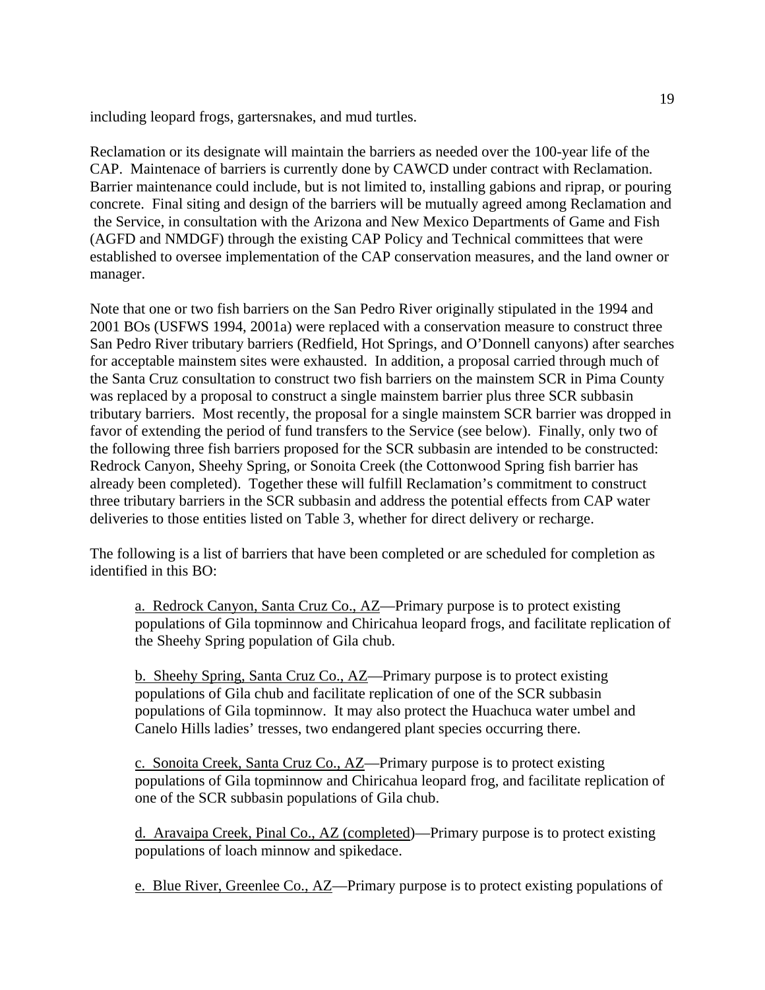including leopard frogs, gartersnakes, and mud turtles.

Reclamation or its designate will maintain the barriers as needed over the 100-year life of the CAP. Maintenace of barriers is currently done by CAWCD under contract with Reclamation. Barrier maintenance could include, but is not limited to, installing gabions and riprap, or pouring concrete. Final siting and design of the barriers will be mutually agreed among Reclamation and the Service, in consultation with the Arizona and New Mexico Departments of Game and Fish (AGFD and NMDGF) through the existing CAP Policy and Technical committees that were established to oversee implementation of the CAP conservation measures, and the land owner or manager.

Note that one or two fish barriers on the San Pedro River originally stipulated in the 1994 and 2001 BOs (USFWS 1994, 2001a) were replaced with a conservation measure to construct three San Pedro River tributary barriers (Redfield, Hot Springs, and O'Donnell canyons) after searches for acceptable mainstem sites were exhausted. In addition, a proposal carried through much of the Santa Cruz consultation to construct two fish barriers on the mainstem SCR in Pima County was replaced by a proposal to construct a single mainstem barrier plus three SCR subbasin tributary barriers. Most recently, the proposal for a single mainstem SCR barrier was dropped in favor of extending the period of fund transfers to the Service (see below). Finally, only two of the following three fish barriers proposed for the SCR subbasin are intended to be constructed: Redrock Canyon, Sheehy Spring, or Sonoita Creek (the Cottonwood Spring fish barrier has already been completed). Together these will fulfill Reclamation's commitment to construct three tributary barriers in the SCR subbasin and address the potential effects from CAP water deliveries to those entities listed on Table 3, whether for direct delivery or recharge.

The following is a list of barriers that have been completed or are scheduled for completion as identified in this BO:

a. Redrock Canyon, Santa Cruz Co., AZ—Primary purpose is to protect existing populations of Gila topminnow and Chiricahua leopard frogs, and facilitate replication of the Sheehy Spring population of Gila chub.

b. Sheehy Spring, Santa Cruz Co., AZ—Primary purpose is to protect existing populations of Gila chub and facilitate replication of one of the SCR subbasin populations of Gila topminnow. It may also protect the Huachuca water umbel and Canelo Hills ladies' tresses, two endangered plant species occurring there.

c. Sonoita Creek, Santa Cruz Co., AZ—Primary purpose is to protect existing populations of Gila topminnow and Chiricahua leopard frog, and facilitate replication of one of the SCR subbasin populations of Gila chub.

d. Aravaipa Creek, Pinal Co., AZ (completed)—Primary purpose is to protect existing populations of loach minnow and spikedace.

e. Blue River, Greenlee Co., AZ—Primary purpose is to protect existing populations of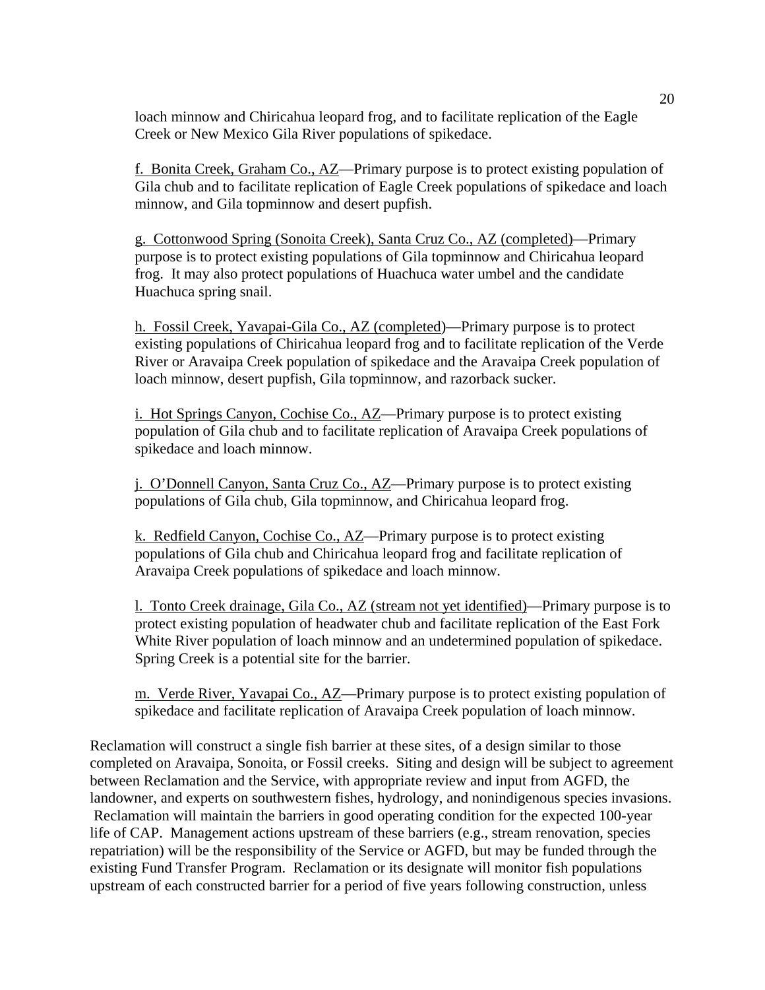loach minnow and Chiricahua leopard frog, and to facilitate replication of the Eagle Creek or New Mexico Gila River populations of spikedace.

f. Bonita Creek, Graham Co., AZ—Primary purpose is to protect existing population of Gila chub and to facilitate replication of Eagle Creek populations of spikedace and loach minnow, and Gila topminnow and desert pupfish.

g. Cottonwood Spring (Sonoita Creek), Santa Cruz Co., AZ (completed)—Primary purpose is to protect existing populations of Gila topminnow and Chiricahua leopard frog. It may also protect populations of Huachuca water umbel and the candidate Huachuca spring snail.

h. Fossil Creek, Yavapai-Gila Co., AZ (completed)—Primary purpose is to protect existing populations of Chiricahua leopard frog and to facilitate replication of the Verde River or Aravaipa Creek population of spikedace and the Aravaipa Creek population of loach minnow, desert pupfish, Gila topminnow, and razorback sucker.

i. Hot Springs Canyon, Cochise Co., AZ—Primary purpose is to protect existing population of Gila chub and to facilitate replication of Aravaipa Creek populations of spikedace and loach minnow.

j. O'Donnell Canyon, Santa Cruz Co., AZ—Primary purpose is to protect existing populations of Gila chub, Gila topminnow, and Chiricahua leopard frog.

k. Redfield Canyon, Cochise Co., AZ—Primary purpose is to protect existing populations of Gila chub and Chiricahua leopard frog and facilitate replication of Aravaipa Creek populations of spikedace and loach minnow.

l. Tonto Creek drainage, Gila Co., AZ (stream not yet identified)—Primary purpose is to protect existing population of headwater chub and facilitate replication of the East Fork White River population of loach minnow and an undetermined population of spikedace. Spring Creek is a potential site for the barrier.

m. Verde River, Yavapai Co., AZ—Primary purpose is to protect existing population of spikedace and facilitate replication of Aravaipa Creek population of loach minnow.

Reclamation will construct a single fish barrier at these sites, of a design similar to those completed on Aravaipa, Sonoita, or Fossil creeks. Siting and design will be subject to agreement between Reclamation and the Service, with appropriate review and input from AGFD, the landowner, and experts on southwestern fishes, hydrology, and nonindigenous species invasions. Reclamation will maintain the barriers in good operating condition for the expected 100-year life of CAP. Management actions upstream of these barriers (e.g., stream renovation, species repatriation) will be the responsibility of the Service or AGFD, but may be funded through the existing Fund Transfer Program. Reclamation or its designate will monitor fish populations upstream of each constructed barrier for a period of five years following construction, unless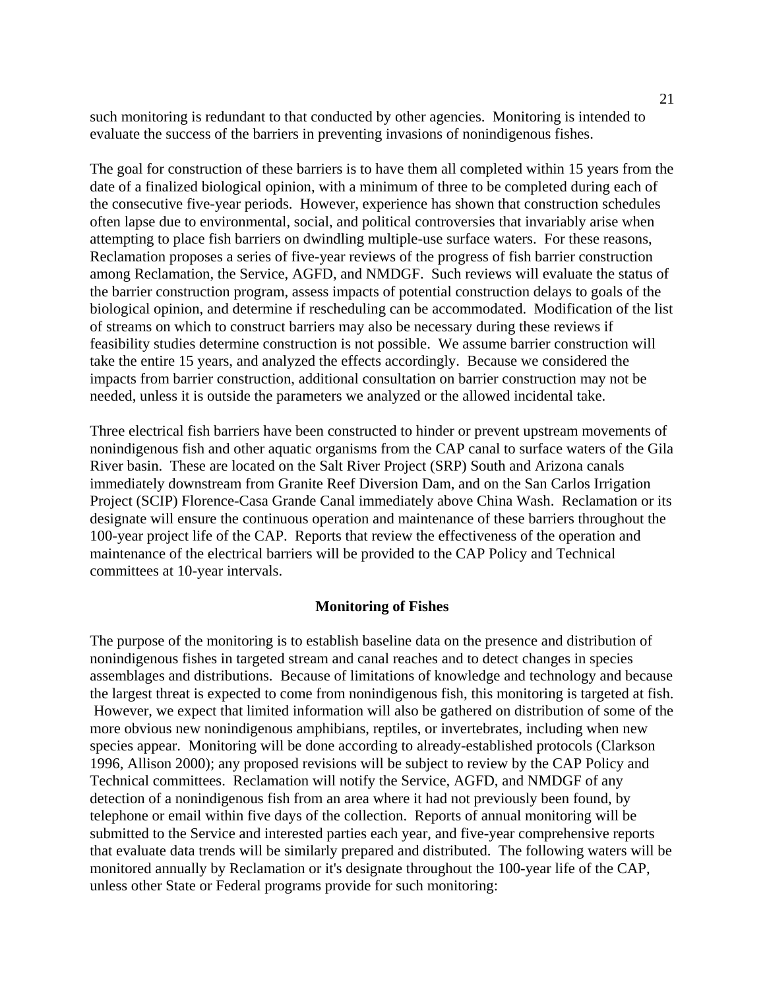such monitoring is redundant to that conducted by other agencies. Monitoring is intended to evaluate the success of the barriers in preventing invasions of nonindigenous fishes.

The goal for construction of these barriers is to have them all completed within 15 years from the date of a finalized biological opinion, with a minimum of three to be completed during each of the consecutive five-year periods. However, experience has shown that construction schedules often lapse due to environmental, social, and political controversies that invariably arise when attempting to place fish barriers on dwindling multiple-use surface waters. For these reasons, Reclamation proposes a series of five-year reviews of the progress of fish barrier construction among Reclamation, the Service, AGFD, and NMDGF. Such reviews will evaluate the status of the barrier construction program, assess impacts of potential construction delays to goals of the biological opinion, and determine if rescheduling can be accommodated. Modification of the list of streams on which to construct barriers may also be necessary during these reviews if feasibility studies determine construction is not possible. We assume barrier construction will take the entire 15 years, and analyzed the effects accordingly. Because we considered the impacts from barrier construction, additional consultation on barrier construction may not be needed, unless it is outside the parameters we analyzed or the allowed incidental take.

Three electrical fish barriers have been constructed to hinder or prevent upstream movements of nonindigenous fish and other aquatic organisms from the CAP canal to surface waters of the Gila River basin. These are located on the Salt River Project (SRP) South and Arizona canals immediately downstream from Granite Reef Diversion Dam, and on the San Carlos Irrigation Project (SCIP) Florence-Casa Grande Canal immediately above China Wash. Reclamation or its designate will ensure the continuous operation and maintenance of these barriers throughout the 100-year project life of the CAP. Reports that review the effectiveness of the operation and maintenance of the electrical barriers will be provided to the CAP Policy and Technical committees at 10-year intervals.

#### **Monitoring of Fishes**

The purpose of the monitoring is to establish baseline data on the presence and distribution of nonindigenous fishes in targeted stream and canal reaches and to detect changes in species assemblages and distributions. Because of limitations of knowledge and technology and because the largest threat is expected to come from nonindigenous fish, this monitoring is targeted at fish. However, we expect that limited information will also be gathered on distribution of some of the more obvious new nonindigenous amphibians, reptiles, or invertebrates, including when new species appear. Monitoring will be done according to already-established protocols (Clarkson 1996, Allison 2000); any proposed revisions will be subject to review by the CAP Policy and Technical committees. Reclamation will notify the Service, AGFD, and NMDGF of any detection of a nonindigenous fish from an area where it had not previously been found, by telephone or email within five days of the collection. Reports of annual monitoring will be submitted to the Service and interested parties each year, and five-year comprehensive reports that evaluate data trends will be similarly prepared and distributed. The following waters will be monitored annually by Reclamation or it's designate throughout the 100-year life of the CAP, unless other State or Federal programs provide for such monitoring: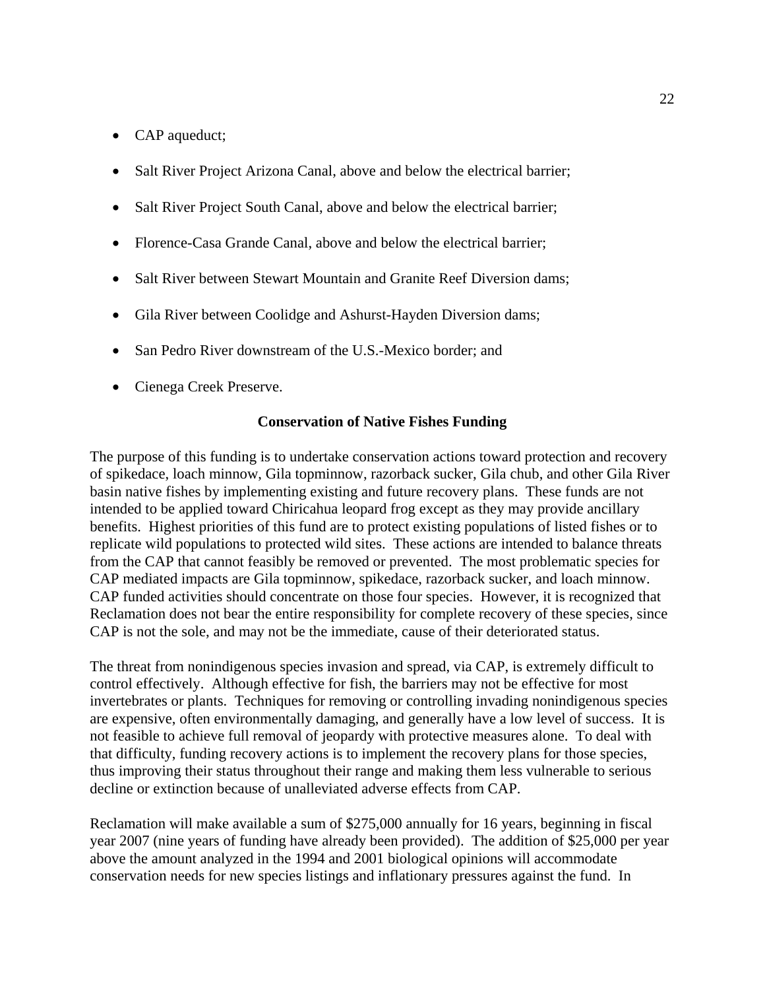- CAP aqueduct;
- Salt River Project Arizona Canal, above and below the electrical barrier;
- Salt River Project South Canal, above and below the electrical barrier;
- Florence-Casa Grande Canal, above and below the electrical barrier;
- Salt River between Stewart Mountain and Granite Reef Diversion dams;
- Gila River between Coolidge and Ashurst-Hayden Diversion dams;
- San Pedro River downstream of the U.S.-Mexico border: and
- Cienega Creek Preserve.

### **Conservation of Native Fishes Funding**

The purpose of this funding is to undertake conservation actions toward protection and recovery of spikedace, loach minnow, Gila topminnow, razorback sucker, Gila chub, and other Gila River basin native fishes by implementing existing and future recovery plans. These funds are not intended to be applied toward Chiricahua leopard frog except as they may provide ancillary benefits. Highest priorities of this fund are to protect existing populations of listed fishes or to replicate wild populations to protected wild sites. These actions are intended to balance threats from the CAP that cannot feasibly be removed or prevented. The most problematic species for CAP mediated impacts are Gila topminnow, spikedace, razorback sucker, and loach minnow. CAP funded activities should concentrate on those four species. However, it is recognized that Reclamation does not bear the entire responsibility for complete recovery of these species, since CAP is not the sole, and may not be the immediate, cause of their deteriorated status.

The threat from nonindigenous species invasion and spread, via CAP, is extremely difficult to control effectively. Although effective for fish, the barriers may not be effective for most invertebrates or plants. Techniques for removing or controlling invading nonindigenous species are expensive, often environmentally damaging, and generally have a low level of success. It is not feasible to achieve full removal of jeopardy with protective measures alone. To deal with that difficulty, funding recovery actions is to implement the recovery plans for those species, thus improving their status throughout their range and making them less vulnerable to serious decline or extinction because of unalleviated adverse effects from CAP.

Reclamation will make available a sum of \$275,000 annually for 16 years, beginning in fiscal year 2007 (nine years of funding have already been provided). The addition of \$25,000 per year above the amount analyzed in the 1994 and 2001 biological opinions will accommodate conservation needs for new species listings and inflationary pressures against the fund. In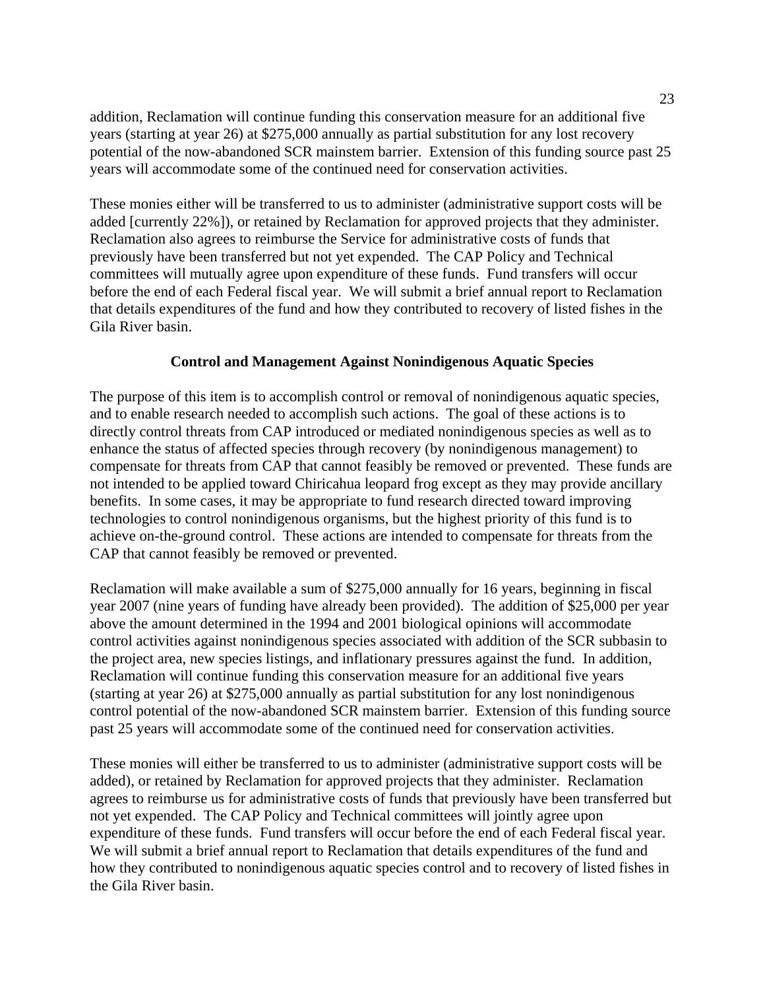addition, Reclamation will continue funding this conservation measure for an additional five years (starting at year 26) at \$275,000 annually as partial substitution for any lost recovery potential of the now-abandoned SCR mainstem barrier. Extension of this funding source past 25 years will accommodate some of the continued need for conservation activities.

These monies either will be transferred to us to administer (administrative support costs will be added [currently 22%]), or retained by Reclamation for approved projects that they administer. Reclamation also agrees to reimburse the Service for administrative costs of funds that previously have been transferred but not yet expended. The CAP Policy and Technical committees will mutually agree upon expenditure of these funds. Fund transfers will occur before the end of each Federal fiscal year. We will submit a brief annual report to Reclamation that details expenditures of the fund and how they contributed to recovery of listed fishes in the Gila River basin.

# **Control and Management Against Nonindigenous Aquatic Species**

The purpose of this item is to accomplish control or removal of nonindigenous aquatic species, and to enable research needed to accomplish such actions. The goal of these actions is to directly control threats from CAP introduced or mediated nonindigenous species as well as to enhance the status of affected species through recovery (by nonindigenous management) to compensate for threats from CAP that cannot feasibly be removed or prevented. These funds are not intended to be applied toward Chiricahua leopard frog except as they may provide ancillary benefits. In some cases, it may be appropriate to fund research directed toward improving technologies to control nonindigenous organisms, but the highest priority of this fund is to achieve on-the-ground control. These actions are intended to compensate for threats from the CAP that cannot feasibly be removed or prevented.

Reclamation will make available a sum of \$275,000 annually for 16 years, beginning in fiscal year 2007 (nine years of funding have already been provided). The addition of \$25,000 per year above the amount determined in the 1994 and 2001 biological opinions will accommodate control activities against nonindigenous species associated with addition of the SCR subbasin to the project area, new species listings, and inflationary pressures against the fund. In addition, Reclamation will continue funding this conservation measure for an additional five years (starting at year 26) at \$275,000 annually as partial substitution for any lost nonindigenous control potential of the now-abandoned SCR mainstem barrier. Extension of this funding source past 25 years will accommodate some of the continued need for conservation activities.

These monies will either be transferred to us to administer (administrative support costs will be added), or retained by Reclamation for approved projects that they administer. Reclamation agrees to reimburse us for administrative costs of funds that previously have been transferred but not yet expended. The CAP Policy and Technical committees will jointly agree upon expenditure of these funds. Fund transfers will occur before the end of each Federal fiscal year. We will submit a brief annual report to Reclamation that details expenditures of the fund and how they contributed to nonindigenous aquatic species control and to recovery of listed fishes in the Gila River basin.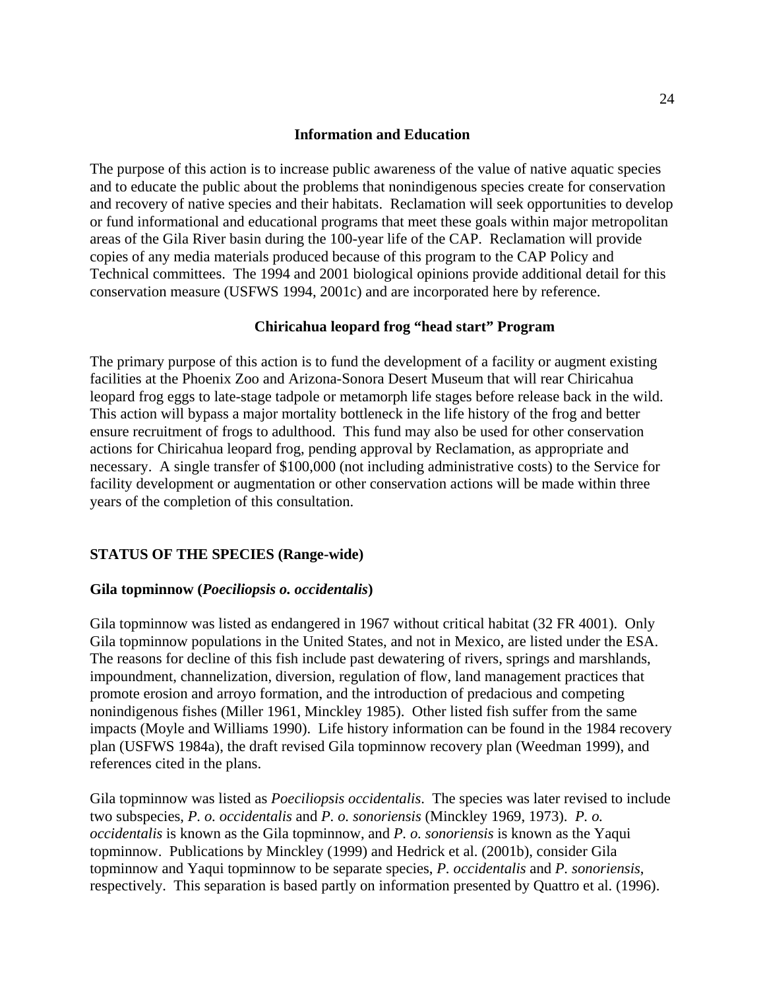### **Information and Education**

The purpose of this action is to increase public awareness of the value of native aquatic species and to educate the public about the problems that nonindigenous species create for conservation and recovery of native species and their habitats. Reclamation will seek opportunities to develop or fund informational and educational programs that meet these goals within major metropolitan areas of the Gila River basin during the 100-year life of the CAP. Reclamation will provide copies of any media materials produced because of this program to the CAP Policy and Technical committees. The 1994 and 2001 biological opinions provide additional detail for this conservation measure (USFWS 1994, 2001c) and are incorporated here by reference.

### **Chiricahua leopard frog "head start" Program**

The primary purpose of this action is to fund the development of a facility or augment existing facilities at the Phoenix Zoo and Arizona-Sonora Desert Museum that will rear Chiricahua leopard frog eggs to late-stage tadpole or metamorph life stages before release back in the wild. This action will bypass a major mortality bottleneck in the life history of the frog and better ensure recruitment of frogs to adulthood. This fund may also be used for other conservation actions for Chiricahua leopard frog, pending approval by Reclamation, as appropriate and necessary. A single transfer of \$100,000 (not including administrative costs) to the Service for facility development or augmentation or other conservation actions will be made within three years of the completion of this consultation.

# **STATUS OF THE SPECIES (Range-wide)**

### **Gila topminnow (***Poeciliopsis o. occidentalis***)**

Gila topminnow was listed as endangered in 1967 without critical habitat (32 FR 4001). Only Gila topminnow populations in the United States, and not in Mexico, are listed under the ESA. The reasons for decline of this fish include past dewatering of rivers, springs and marshlands, impoundment, channelization, diversion, regulation of flow, land management practices that promote erosion and arroyo formation, and the introduction of predacious and competing nonindigenous fishes (Miller 1961, Minckley 1985). Other listed fish suffer from the same impacts (Moyle and Williams 1990). Life history information can be found in the 1984 recovery plan (USFWS 1984a), the draft revised Gila topminnow recovery plan (Weedman 1999), and references cited in the plans.

Gila topminnow was listed as *Poeciliopsis occidentalis*. The species was later revised to include two subspecies, *P. o. occidentalis* and *P. o. sonoriensis* (Minckley 1969, 1973). *P. o. occidentalis* is known as the Gila topminnow, and *P. o. sonoriensis* is known as the Yaqui topminnow. Publications by Minckley (1999) and Hedrick et al. (2001b), consider Gila topminnow and Yaqui topminnow to be separate species, *P. occidentalis* and *P. sonoriensis*, respectively. This separation is based partly on information presented by Quattro et al. (1996).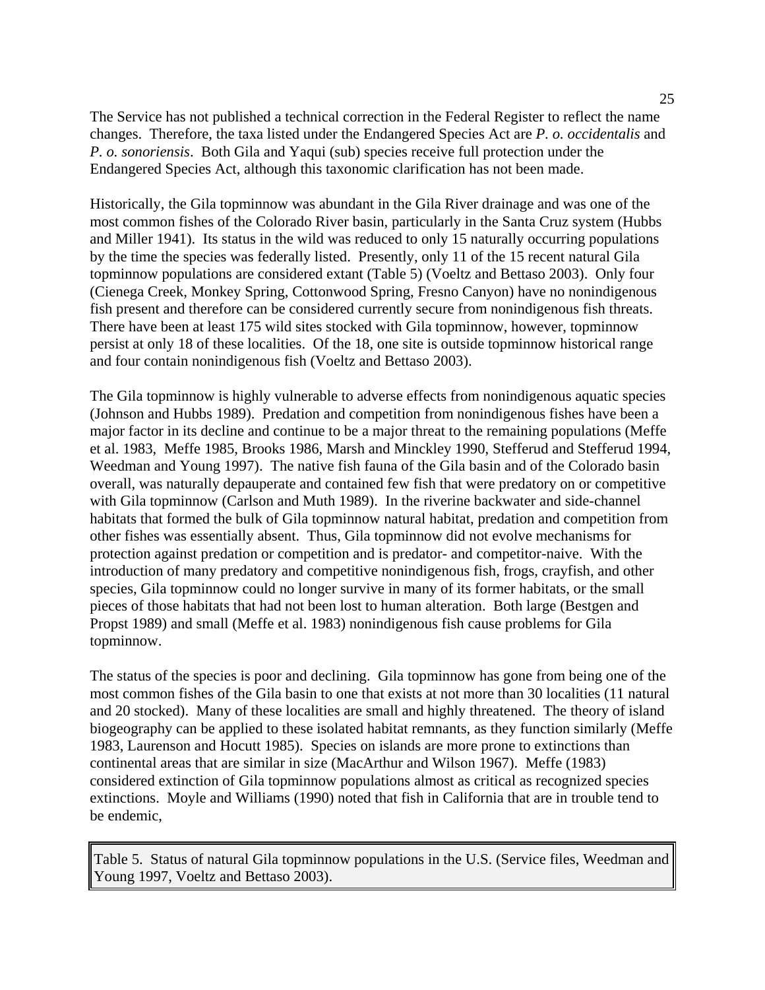The Service has not published a technical correction in the Federal Register to reflect the name changes. Therefore, the taxa listed under the Endangered Species Act are *P. o. occidentalis* and *P. o. sonoriensis*. Both Gila and Yaqui (sub) species receive full protection under the Endangered Species Act, although this taxonomic clarification has not been made.

Historically, the Gila topminnow was abundant in the Gila River drainage and was one of the most common fishes of the Colorado River basin, particularly in the Santa Cruz system (Hubbs and Miller 1941). Its status in the wild was reduced to only 15 naturally occurring populations by the time the species was federally listed. Presently, only 11 of the 15 recent natural Gila topminnow populations are considered extant (Table 5) (Voeltz and Bettaso 2003). Only four (Cienega Creek, Monkey Spring, Cottonwood Spring, Fresno Canyon) have no nonindigenous fish present and therefore can be considered currently secure from nonindigenous fish threats. There have been at least 175 wild sites stocked with Gila topminnow, however, topminnow persist at only 18 of these localities. Of the 18, one site is outside topminnow historical range and four contain nonindigenous fish (Voeltz and Bettaso 2003).

The Gila topminnow is highly vulnerable to adverse effects from nonindigenous aquatic species (Johnson and Hubbs 1989). Predation and competition from nonindigenous fishes have been a major factor in its decline and continue to be a major threat to the remaining populations (Meffe et al. 1983, Meffe 1985, Brooks 1986, Marsh and Minckley 1990, Stefferud and Stefferud 1994, Weedman and Young 1997). The native fish fauna of the Gila basin and of the Colorado basin overall, was naturally depauperate and contained few fish that were predatory on or competitive with Gila topminnow (Carlson and Muth 1989). In the riverine backwater and side-channel habitats that formed the bulk of Gila topminnow natural habitat, predation and competition from other fishes was essentially absent. Thus, Gila topminnow did not evolve mechanisms for protection against predation or competition and is predator- and competitor-naive. With the introduction of many predatory and competitive nonindigenous fish, frogs, crayfish, and other species, Gila topminnow could no longer survive in many of its former habitats, or the small pieces of those habitats that had not been lost to human alteration. Both large (Bestgen and Propst 1989) and small (Meffe et al. 1983) nonindigenous fish cause problems for Gila topminnow.

The status of the species is poor and declining. Gila topminnow has gone from being one of the most common fishes of the Gila basin to one that exists at not more than 30 localities (11 natural and 20 stocked). Many of these localities are small and highly threatened. The theory of island biogeography can be applied to these isolated habitat remnants, as they function similarly (Meffe 1983, Laurenson and Hocutt 1985). Species on islands are more prone to extinctions than continental areas that are similar in size (MacArthur and Wilson 1967). Meffe (1983) considered extinction of Gila topminnow populations almost as critical as recognized species extinctions. Moyle and Williams (1990) noted that fish in California that are in trouble tend to be endemic,

Table 5. Status of natural Gila topminnow populations in the U.S. (Service files, Weedman and Young 1997, Voeltz and Bettaso 2003).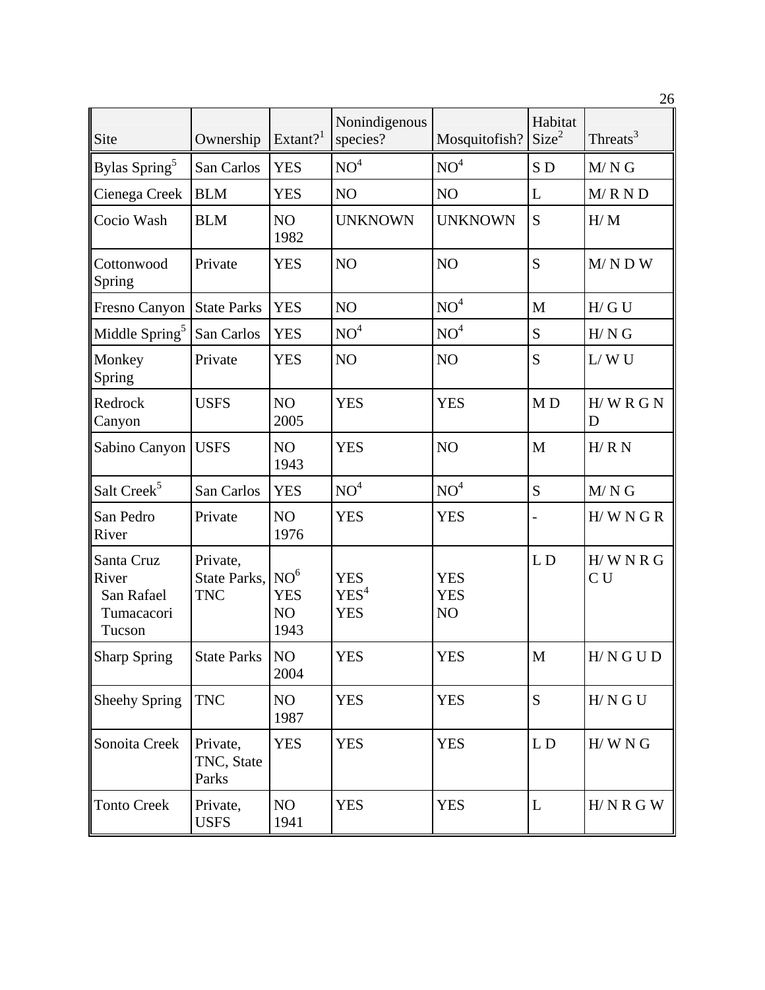|                                                           |                                        |                                             |                                              |                                            |                              | 26                   |
|-----------------------------------------------------------|----------------------------------------|---------------------------------------------|----------------------------------------------|--------------------------------------------|------------------------------|----------------------|
| Site                                                      | Ownership                              | Extant? <sup>1</sup>                        | Nonindigenous<br>species?                    | Mosquitofish?                              | Habitat<br>Size <sup>2</sup> | Threats <sup>3</sup> |
| Bylas Spring <sup>5</sup>                                 | San Carlos                             | <b>YES</b>                                  | NO <sup>4</sup>                              | NO <sup>4</sup>                            | SD                           | $M/N$ G              |
| Cienega Creek                                             | <b>BLM</b>                             | <b>YES</b>                                  | NO                                           | NO                                         | L                            | M/R N D              |
| Cocio Wash                                                | <b>BLM</b>                             | N <sub>O</sub><br>1982                      | <b>UNKNOWN</b>                               | <b>UNKNOWN</b>                             | S                            | H/M                  |
| Cottonwood<br>Spring                                      | Private                                | <b>YES</b>                                  | NO                                           | NO                                         | S                            | $M/N$ D W            |
| Fresno Canyon                                             | <b>State Parks</b>                     | <b>YES</b>                                  | NO                                           | NO <sup>4</sup>                            | M                            | H/GU                 |
| Middle Spring <sup>5</sup>                                | San Carlos                             | <b>YES</b>                                  | NO <sup>4</sup>                              | NO <sup>4</sup>                            | S                            | H/NG                 |
| Monkey<br>Spring                                          | Private                                | <b>YES</b>                                  | NO <sub>1</sub>                              | NO                                         | S                            | L/WU                 |
| Redrock<br>Canyon                                         | <b>USFS</b>                            | NO<br>2005                                  | <b>YES</b>                                   | <b>YES</b>                                 | M <sub>D</sub>               | $H/WR$ G N<br>D      |
| Sabino Canyon                                             | <b>USFS</b>                            | N <sub>O</sub><br>1943                      | <b>YES</b>                                   | NO                                         | M                            | H/RN                 |
| Salt Creek <sup>5</sup>                                   | San Carlos                             | <b>YES</b>                                  | NO <sup>4</sup>                              | NO <sup>4</sup>                            | S                            | $M/N$ G              |
| San Pedro<br>River                                        | Private                                | NO<br>1976                                  | <b>YES</b>                                   | <b>YES</b>                                 |                              | H/WNGR               |
| Santa Cruz<br>River<br>San Rafael<br>Tumacacori<br>Tucson | Private,<br>State Parks,<br><b>TNC</b> | NO <sup>6</sup><br><b>YES</b><br>NO<br>1943 | <b>YES</b><br>YES <sup>4</sup><br><b>YES</b> | <b>YES</b><br><b>YES</b><br>N <sub>O</sub> | L <sub>D</sub>               | H/WNRG<br>CU         |
| <b>Sharp Spring</b>                                       | <b>State Parks</b>                     | NO<br>2004                                  | <b>YES</b>                                   | <b>YES</b>                                 | $\mathbf M$                  | H/N G U D            |
| <b>Sheehy Spring</b>                                      | <b>TNC</b>                             | NO<br>1987                                  | <b>YES</b>                                   | <b>YES</b>                                 | S                            | H/N G U              |
| Sonoita Creek                                             | Private,<br>TNC, State<br>Parks        | <b>YES</b>                                  | <b>YES</b>                                   | <b>YES</b>                                 | LD                           | H/WN G               |
| <b>Tonto Creek</b>                                        | Private,<br><b>USFS</b>                | NO<br>1941                                  | <b>YES</b>                                   | <b>YES</b>                                 | $\mathbf L$                  | H/N R G W            |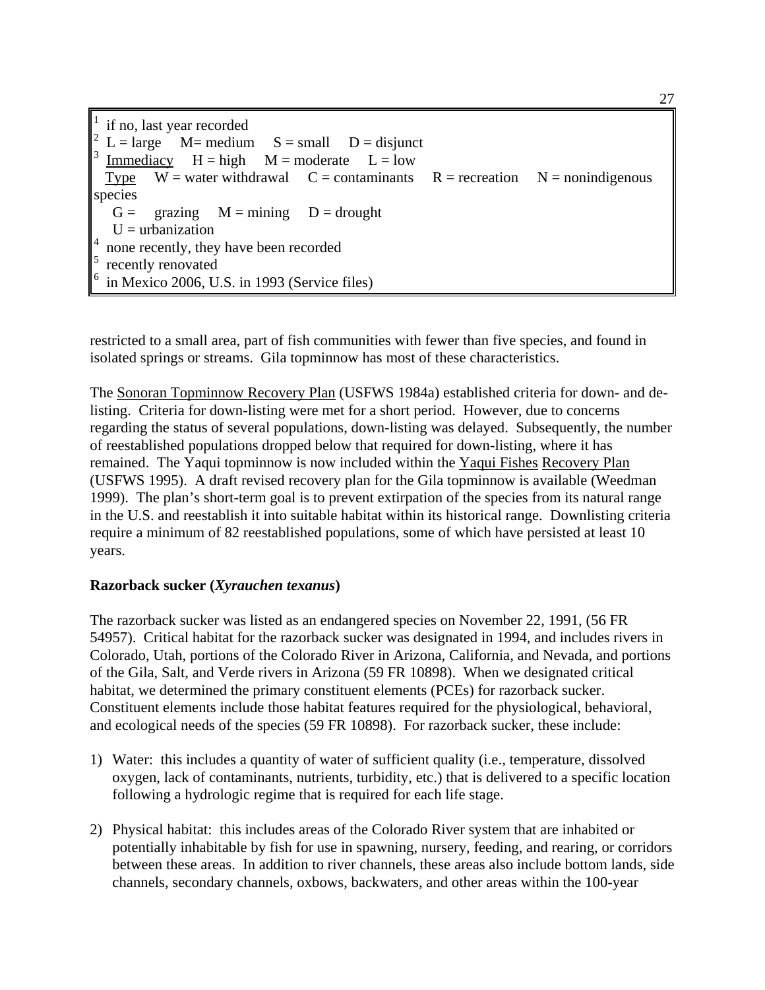1 if no, last year recorded 2  $L = large$   $M = medium$   $S = small$   $D = disjunct$ 3 Immediacy  $H = high$   $M = moderate$   $L = low$ Type  $W =$  water withdrawal  $C =$  contaminants  $R =$  recreation  $N =$  nonindigenous species  $G = \text{grazing}$   $M = \text{mining}$   $D = \text{drought}$  $U =$ urbanization 4 none recently, they have been recorded 5 recently renovated 6 in Mexico 2006, U.S. in 1993 (Service files)

restricted to a small area, part of fish communities with fewer than five species, and found in isolated springs or streams. Gila topminnow has most of these characteristics.

The Sonoran Topminnow Recovery Plan (USFWS 1984a) established criteria for down- and delisting. Criteria for down-listing were met for a short period. However, due to concerns regarding the status of several populations, down-listing was delayed. Subsequently, the number of reestablished populations dropped below that required for down-listing, where it has remained. The Yaqui topminnow is now included within the Yaqui Fishes Recovery Plan (USFWS 1995). A draft revised recovery plan for the Gila topminnow is available (Weedman 1999). The plan's short-term goal is to prevent extirpation of the species from its natural range in the U.S. and reestablish it into suitable habitat within its historical range. Downlisting criteria require a minimum of 82 reestablished populations, some of which have persisted at least 10 years.

# **Razorback sucker (***Xyrauchen texanus***)**

The razorback sucker was listed as an endangered species on November 22, 1991, (56 FR 54957). Critical habitat for the razorback sucker was designated in 1994, and includes rivers in Colorado, Utah, portions of the Colorado River in Arizona, California, and Nevada, and portions of the Gila, Salt, and Verde rivers in Arizona (59 FR 10898). When we designated critical habitat, we determined the primary constituent elements (PCEs) for razorback sucker. Constituent elements include those habitat features required for the physiological, behavioral, and ecological needs of the species (59 FR 10898). For razorback sucker, these include:

- 1) Water: this includes a quantity of water of sufficient quality (i.e., temperature, dissolved oxygen, lack of contaminants, nutrients, turbidity, etc.) that is delivered to a specific location following a hydrologic regime that is required for each life stage.
- 2) Physical habitat: this includes areas of the Colorado River system that are inhabited or potentially inhabitable by fish for use in spawning, nursery, feeding, and rearing, or corridors between these areas. In addition to river channels, these areas also include bottom lands, side channels, secondary channels, oxbows, backwaters, and other areas within the 100-year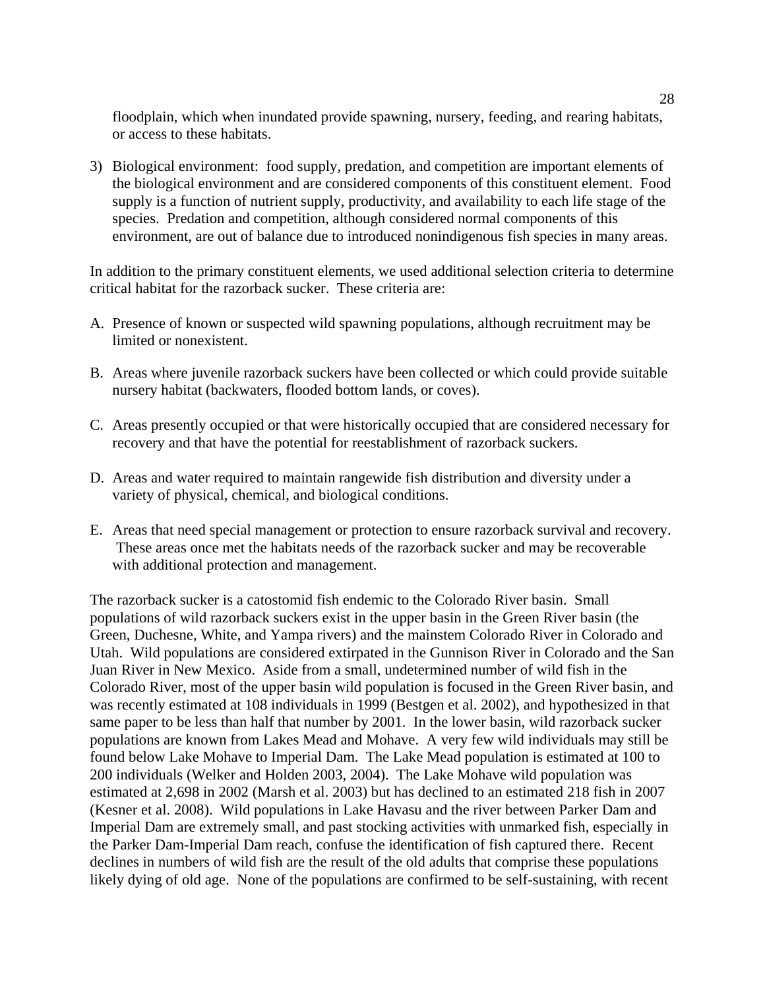floodplain, which when inundated provide spawning, nursery, feeding, and rearing habitats, or access to these habitats.

3) Biological environment: food supply, predation, and competition are important elements of the biological environment and are considered components of this constituent element. Food supply is a function of nutrient supply, productivity, and availability to each life stage of the species. Predation and competition, although considered normal components of this environment, are out of balance due to introduced nonindigenous fish species in many areas.

In addition to the primary constituent elements, we used additional selection criteria to determine critical habitat for the razorback sucker. These criteria are:

- A. Presence of known or suspected wild spawning populations, although recruitment may be limited or nonexistent.
- B. Areas where juvenile razorback suckers have been collected or which could provide suitable nursery habitat (backwaters, flooded bottom lands, or coves).
- C. Areas presently occupied or that were historically occupied that are considered necessary for recovery and that have the potential for reestablishment of razorback suckers.
- D. Areas and water required to maintain rangewide fish distribution and diversity under a variety of physical, chemical, and biological conditions.
- E. Areas that need special management or protection to ensure razorback survival and recovery. These areas once met the habitats needs of the razorback sucker and may be recoverable with additional protection and management.

The razorback sucker is a catostomid fish endemic to the Colorado River basin. Small populations of wild razorback suckers exist in the upper basin in the Green River basin (the Green, Duchesne, White, and Yampa rivers) and the mainstem Colorado River in Colorado and Utah. Wild populations are considered extirpated in the Gunnison River in Colorado and the San Juan River in New Mexico. Aside from a small, undetermined number of wild fish in the Colorado River, most of the upper basin wild population is focused in the Green River basin, and was recently estimated at 108 individuals in 1999 (Bestgen et al. 2002), and hypothesized in that same paper to be less than half that number by 2001. In the lower basin, wild razorback sucker populations are known from Lakes Mead and Mohave. A very few wild individuals may still be found below Lake Mohave to Imperial Dam. The Lake Mead population is estimated at 100 to 200 individuals (Welker and Holden 2003, 2004). The Lake Mohave wild population was estimated at 2,698 in 2002 (Marsh et al. 2003) but has declined to an estimated 218 fish in 2007 (Kesner et al. 2008). Wild populations in Lake Havasu and the river between Parker Dam and Imperial Dam are extremely small, and past stocking activities with unmarked fish, especially in the Parker Dam-Imperial Dam reach, confuse the identification of fish captured there. Recent declines in numbers of wild fish are the result of the old adults that comprise these populations likely dying of old age. None of the populations are confirmed to be self-sustaining, with recent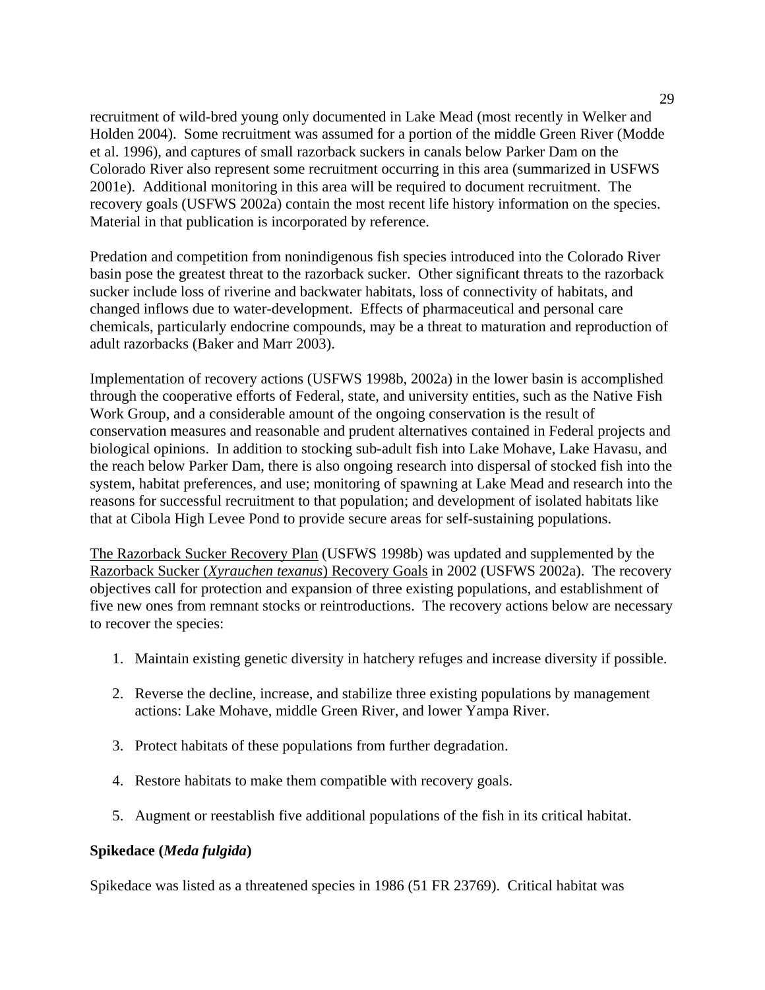recruitment of wild-bred young only documented in Lake Mead (most recently in Welker and Holden 2004). Some recruitment was assumed for a portion of the middle Green River (Modde et al. 1996), and captures of small razorback suckers in canals below Parker Dam on the Colorado River also represent some recruitment occurring in this area (summarized in USFWS 2001e). Additional monitoring in this area will be required to document recruitment. The recovery goals (USFWS 2002a) contain the most recent life history information on the species. Material in that publication is incorporated by reference.

Predation and competition from nonindigenous fish species introduced into the Colorado River basin pose the greatest threat to the razorback sucker. Other significant threats to the razorback sucker include loss of riverine and backwater habitats, loss of connectivity of habitats, and changed inflows due to water-development. Effects of pharmaceutical and personal care chemicals, particularly endocrine compounds, may be a threat to maturation and reproduction of adult razorbacks (Baker and Marr 2003).

Implementation of recovery actions (USFWS 1998b, 2002a) in the lower basin is accomplished through the cooperative efforts of Federal, state, and university entities, such as the Native Fish Work Group, and a considerable amount of the ongoing conservation is the result of conservation measures and reasonable and prudent alternatives contained in Federal projects and biological opinions. In addition to stocking sub-adult fish into Lake Mohave, Lake Havasu, and the reach below Parker Dam, there is also ongoing research into dispersal of stocked fish into the system, habitat preferences, and use; monitoring of spawning at Lake Mead and research into the reasons for successful recruitment to that population; and development of isolated habitats like that at Cibola High Levee Pond to provide secure areas for self-sustaining populations.

The Razorback Sucker Recovery Plan (USFWS 1998b) was updated and supplemented by the Razorback Sucker (*Xyrauchen texanus*) Recovery Goals in 2002 (USFWS 2002a). The recovery objectives call for protection and expansion of three existing populations, and establishment of five new ones from remnant stocks or reintroductions. The recovery actions below are necessary to recover the species:

- 1. Maintain existing genetic diversity in hatchery refuges and increase diversity if possible.
- 2. Reverse the decline, increase, and stabilize three existing populations by management actions: Lake Mohave, middle Green River, and lower Yampa River.
- 3. Protect habitats of these populations from further degradation.
- 4. Restore habitats to make them compatible with recovery goals.
- 5. Augment or reestablish five additional populations of the fish in its critical habitat.

### **Spikedace (***Meda fulgida***)**

Spikedace was listed as a threatened species in 1986 (51 FR 23769). Critical habitat was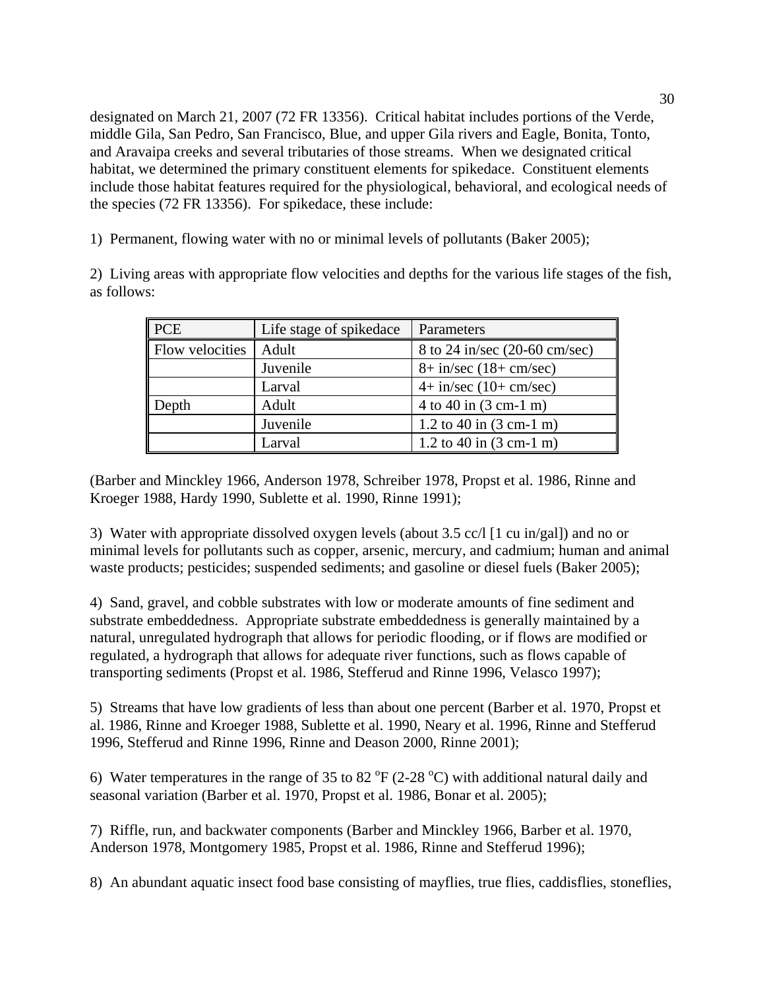designated on March 21, 2007 (72 FR 13356). Critical habitat includes portions of the Verde, middle Gila, San Pedro, San Francisco, Blue, and upper Gila rivers and Eagle, Bonita, Tonto, and Aravaipa creeks and several tributaries of those streams. When we designated critical habitat, we determined the primary constituent elements for spikedace. Constituent elements include those habitat features required for the physiological, behavioral, and ecological needs of the species (72 FR 13356). For spikedace, these include:

1) Permanent, flowing water with no or minimal levels of pollutants (Baker 2005);

2) Living areas with appropriate flow velocities and depths for the various life stages of the fish, as follows:

| <b>PCE</b>      | Life stage of spikedace | Parameters                        |
|-----------------|-------------------------|-----------------------------------|
| Flow velocities | Adult                   | 8 to 24 in/sec (20-60 cm/sec)     |
|                 | Juvenile                | $8 + in/sec (18 + cm/sec)$        |
|                 | Larval                  | $4 + in/sec (10 + cm/sec)$        |
| Depth           | Adult                   | 4 to 40 in $(3 \text{ cm-1 m})$   |
|                 | Juvenile                | 1.2 to 40 in $(3 \text{ cm-1 m})$ |
|                 | Larval                  | 1.2 to 40 in $(3 \text{ cm-1 m})$ |

(Barber and Minckley 1966, Anderson 1978, Schreiber 1978, Propst et al. 1986, Rinne and Kroeger 1988, Hardy 1990, Sublette et al. 1990, Rinne 1991);

3) Water with appropriate dissolved oxygen levels (about 3.5 cc/l [1 cu in/gal]) and no or minimal levels for pollutants such as copper, arsenic, mercury, and cadmium; human and animal waste products; pesticides; suspended sediments; and gasoline or diesel fuels (Baker 2005);

4) Sand, gravel, and cobble substrates with low or moderate amounts of fine sediment and substrate embeddedness. Appropriate substrate embeddedness is generally maintained by a natural, unregulated hydrograph that allows for periodic flooding, or if flows are modified or regulated, a hydrograph that allows for adequate river functions, such as flows capable of transporting sediments (Propst et al. 1986, Stefferud and Rinne 1996, Velasco 1997);

5) Streams that have low gradients of less than about one percent (Barber et al. 1970, Propst et al. 1986, Rinne and Kroeger 1988, Sublette et al. 1990, Neary et al. 1996, Rinne and Stefferud 1996, Stefferud and Rinne 1996, Rinne and Deason 2000, Rinne 2001);

6) Water temperatures in the range of 35 to 82  $\rm{^{\circ}F}$  (2-28  $\rm{^{\circ}C}$ ) with additional natural daily and seasonal variation (Barber et al. 1970, Propst et al. 1986, Bonar et al. 2005);

7) Riffle, run, and backwater components (Barber and Minckley 1966, Barber et al. 1970, Anderson 1978, Montgomery 1985, Propst et al. 1986, Rinne and Stefferud 1996);

8) An abundant aquatic insect food base consisting of mayflies, true flies, caddisflies, stoneflies,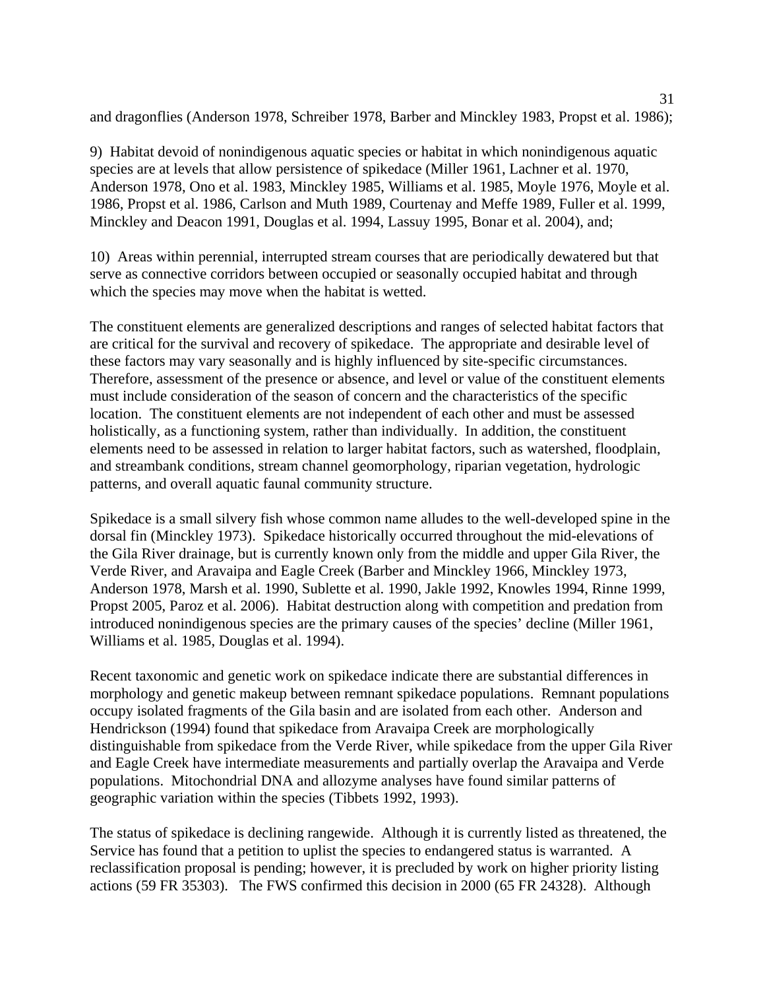and dragonflies (Anderson 1978, Schreiber 1978, Barber and Minckley 1983, Propst et al. 1986);

9) Habitat devoid of nonindigenous aquatic species or habitat in which nonindigenous aquatic species are at levels that allow persistence of spikedace (Miller 1961, Lachner et al. 1970, Anderson 1978, Ono et al. 1983, Minckley 1985, Williams et al. 1985, Moyle 1976, Moyle et al. 1986, Propst et al. 1986, Carlson and Muth 1989, Courtenay and Meffe 1989, Fuller et al. 1999, Minckley and Deacon 1991, Douglas et al. 1994, Lassuy 1995, Bonar et al. 2004), and;

10) Areas within perennial, interrupted stream courses that are periodically dewatered but that serve as connective corridors between occupied or seasonally occupied habitat and through which the species may move when the habitat is wetted.

The constituent elements are generalized descriptions and ranges of selected habitat factors that are critical for the survival and recovery of spikedace. The appropriate and desirable level of these factors may vary seasonally and is highly influenced by site-specific circumstances. Therefore, assessment of the presence or absence, and level or value of the constituent elements must include consideration of the season of concern and the characteristics of the specific location. The constituent elements are not independent of each other and must be assessed holistically, as a functioning system, rather than individually. In addition, the constituent elements need to be assessed in relation to larger habitat factors, such as watershed, floodplain, and streambank conditions, stream channel geomorphology, riparian vegetation, hydrologic patterns, and overall aquatic faunal community structure.

Spikedace is a small silvery fish whose common name alludes to the well-developed spine in the dorsal fin (Minckley 1973). Spikedace historically occurred throughout the mid-elevations of the Gila River drainage, but is currently known only from the middle and upper Gila River, the Verde River, and Aravaipa and Eagle Creek (Barber and Minckley 1966, Minckley 1973, Anderson 1978, Marsh et al. 1990, Sublette et al. 1990, Jakle 1992, Knowles 1994, Rinne 1999, Propst 2005, Paroz et al. 2006). Habitat destruction along with competition and predation from introduced nonindigenous species are the primary causes of the species' decline (Miller 1961, Williams et al. 1985, Douglas et al. 1994).

Recent taxonomic and genetic work on spikedace indicate there are substantial differences in morphology and genetic makeup between remnant spikedace populations. Remnant populations occupy isolated fragments of the Gila basin and are isolated from each other. Anderson and Hendrickson (1994) found that spikedace from Aravaipa Creek are morphologically distinguishable from spikedace from the Verde River, while spikedace from the upper Gila River and Eagle Creek have intermediate measurements and partially overlap the Aravaipa and Verde populations. Mitochondrial DNA and allozyme analyses have found similar patterns of geographic variation within the species (Tibbets 1992, 1993).

The status of spikedace is declining rangewide. Although it is currently listed as threatened, the Service has found that a petition to uplist the species to endangered status is warranted. A reclassification proposal is pending; however, it is precluded by work on higher priority listing actions (59 FR 35303). The FWS confirmed this decision in 2000 (65 FR 24328). Although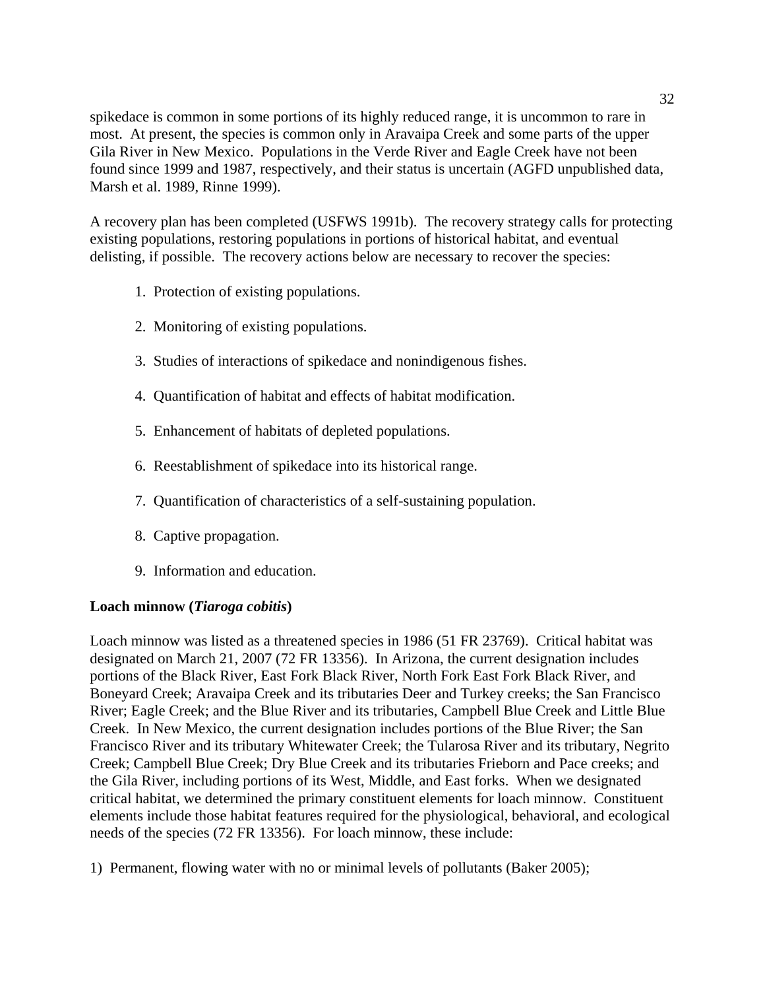spikedace is common in some portions of its highly reduced range, it is uncommon to rare in most. At present, the species is common only in Aravaipa Creek and some parts of the upper Gila River in New Mexico. Populations in the Verde River and Eagle Creek have not been found since 1999 and 1987, respectively, and their status is uncertain (AGFD unpublished data, Marsh et al. 1989, Rinne 1999).

A recovery plan has been completed (USFWS 1991b). The recovery strategy calls for protecting existing populations, restoring populations in portions of historical habitat, and eventual delisting, if possible. The recovery actions below are necessary to recover the species:

- 1. Protection of existing populations.
- 2. Monitoring of existing populations.
- 3. Studies of interactions of spikedace and nonindigenous fishes.
- 4. Quantification of habitat and effects of habitat modification.
- 5. Enhancement of habitats of depleted populations.
- 6. Reestablishment of spikedace into its historical range.
- 7. Quantification of characteristics of a self-sustaining population.
- 8. Captive propagation.
- 9. Information and education.

# **Loach minnow (***Tiaroga cobitis***)**

Loach minnow was listed as a threatened species in 1986 (51 FR 23769). Critical habitat was designated on March 21, 2007 (72 FR 13356). In Arizona, the current designation includes portions of the Black River, East Fork Black River, North Fork East Fork Black River, and Boneyard Creek; Aravaipa Creek and its tributaries Deer and Turkey creeks; the San Francisco River; Eagle Creek; and the Blue River and its tributaries, Campbell Blue Creek and Little Blue Creek. In New Mexico, the current designation includes portions of the Blue River; the San Francisco River and its tributary Whitewater Creek; the Tularosa River and its tributary, Negrito Creek; Campbell Blue Creek; Dry Blue Creek and its tributaries Frieborn and Pace creeks; and the Gila River, including portions of its West, Middle, and East forks. When we designated critical habitat, we determined the primary constituent elements for loach minnow. Constituent elements include those habitat features required for the physiological, behavioral, and ecological needs of the species (72 FR 13356). For loach minnow, these include:

1) Permanent, flowing water with no or minimal levels of pollutants (Baker 2005);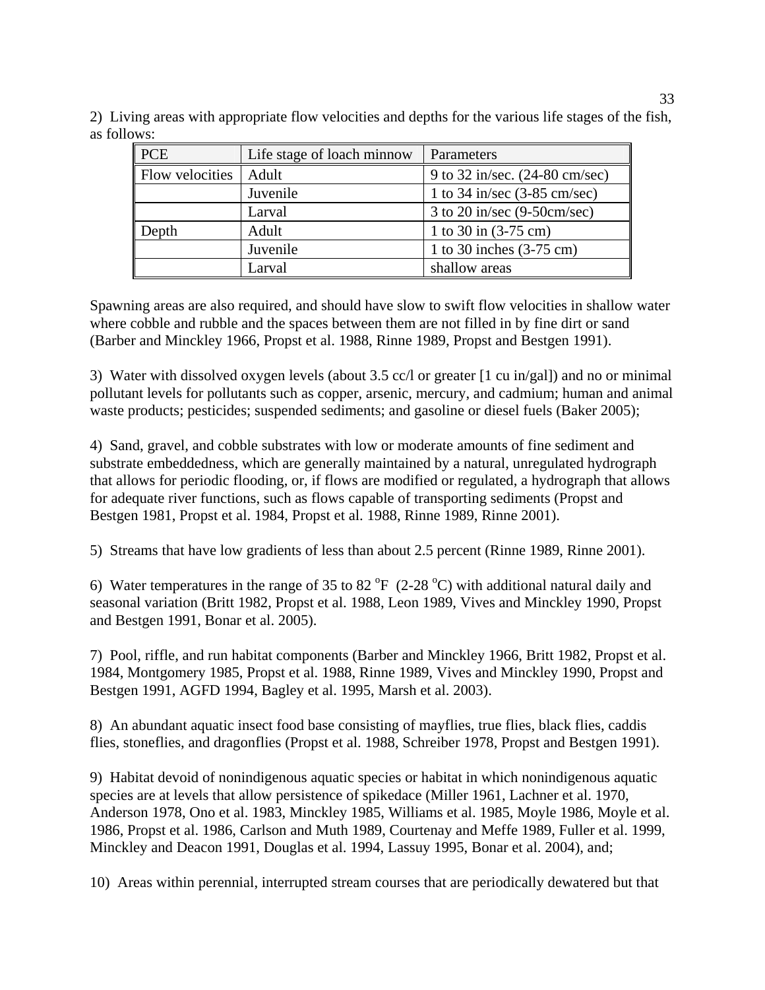| <b>PCE</b>      | Life stage of loach minnow | Parameters                             |
|-----------------|----------------------------|----------------------------------------|
| Flow velocities | Adult                      | 9 to 32 in/sec. (24-80 cm/sec)         |
|                 | Juvenile                   | 1 to 34 in/sec $(3-85 \text{ cm/sec})$ |
|                 | Larval                     | 3 to 20 in/sec $(9-50cm/sec)$          |
| Depth           | Adult                      | 1 to 30 in $(3-75 \text{ cm})$         |
|                 | Juvenile                   | 1 to 30 inches $(3-75 \text{ cm})$     |
|                 | Larval                     | shallow areas                          |

2) Living areas with appropriate flow velocities and depths for the various life stages of the fish, as follows:

Spawning areas are also required, and should have slow to swift flow velocities in shallow water where cobble and rubble and the spaces between them are not filled in by fine dirt or sand (Barber and Minckley 1966, Propst et al. 1988, Rinne 1989, Propst and Bestgen 1991).

3) Water with dissolved oxygen levels (about 3.5 cc/l or greater [1 cu in/gal]) and no or minimal pollutant levels for pollutants such as copper, arsenic, mercury, and cadmium; human and animal waste products; pesticides; suspended sediments; and gasoline or diesel fuels (Baker 2005);

4) Sand, gravel, and cobble substrates with low or moderate amounts of fine sediment and substrate embeddedness, which are generally maintained by a natural, unregulated hydrograph that allows for periodic flooding, or, if flows are modified or regulated, a hydrograph that allows for adequate river functions, such as flows capable of transporting sediments (Propst and Bestgen 1981, Propst et al. 1984, Propst et al. 1988, Rinne 1989, Rinne 2001).

5) Streams that have low gradients of less than about 2.5 percent (Rinne 1989, Rinne 2001).

6) Water temperatures in the range of 35 to 82  $\rm{^{\circ}F}$  (2-28  $\rm{^{\circ}C}$ ) with additional natural daily and seasonal variation (Britt 1982, Propst et al. 1988, Leon 1989, Vives and Minckley 1990, Propst and Bestgen 1991, Bonar et al. 2005).

7) Pool, riffle, and run habitat components (Barber and Minckley 1966, Britt 1982, Propst et al. 1984, Montgomery 1985, Propst et al. 1988, Rinne 1989, Vives and Minckley 1990, Propst and Bestgen 1991, AGFD 1994, Bagley et al. 1995, Marsh et al. 2003).

8) An abundant aquatic insect food base consisting of mayflies, true flies, black flies, caddis flies, stoneflies, and dragonflies (Propst et al. 1988, Schreiber 1978, Propst and Bestgen 1991).

9) Habitat devoid of nonindigenous aquatic species or habitat in which nonindigenous aquatic species are at levels that allow persistence of spikedace (Miller 1961, Lachner et al. 1970, Anderson 1978, Ono et al. 1983, Minckley 1985, Williams et al. 1985, Moyle 1986, Moyle et al. 1986, Propst et al. 1986, Carlson and Muth 1989, Courtenay and Meffe 1989, Fuller et al. 1999, Minckley and Deacon 1991, Douglas et al. 1994, Lassuy 1995, Bonar et al. 2004), and;

10) Areas within perennial, interrupted stream courses that are periodically dewatered but that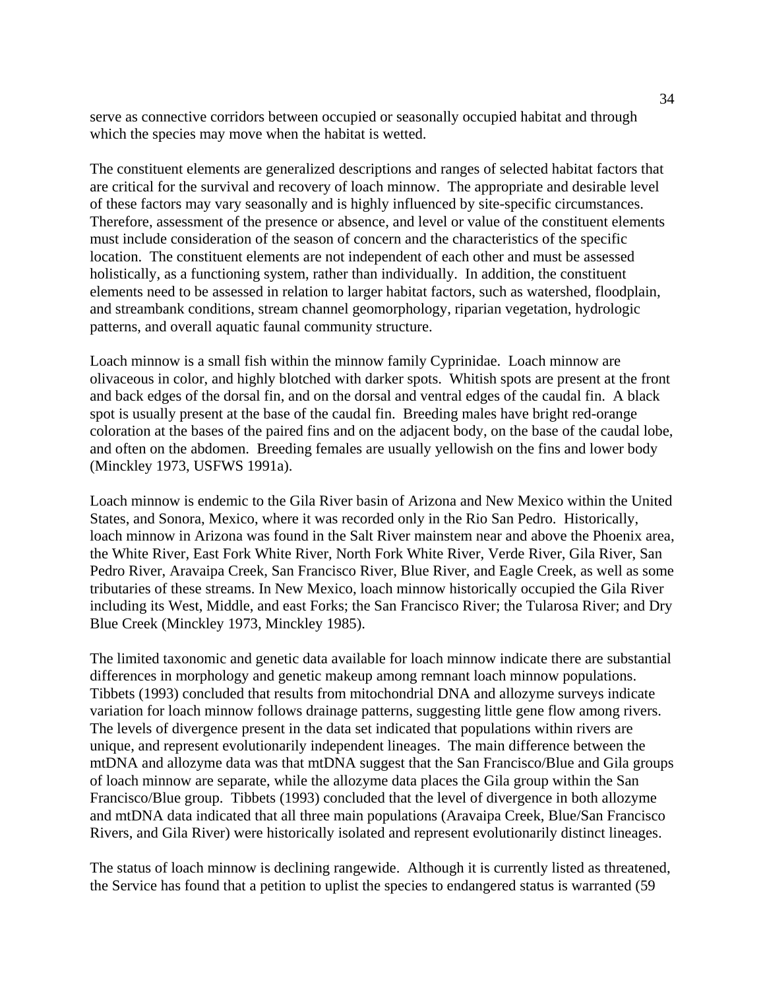serve as connective corridors between occupied or seasonally occupied habitat and through which the species may move when the habitat is wetted.

The constituent elements are generalized descriptions and ranges of selected habitat factors that are critical for the survival and recovery of loach minnow. The appropriate and desirable level of these factors may vary seasonally and is highly influenced by site-specific circumstances. Therefore, assessment of the presence or absence, and level or value of the constituent elements must include consideration of the season of concern and the characteristics of the specific location. The constituent elements are not independent of each other and must be assessed holistically, as a functioning system, rather than individually. In addition, the constituent elements need to be assessed in relation to larger habitat factors, such as watershed, floodplain, and streambank conditions, stream channel geomorphology, riparian vegetation, hydrologic patterns, and overall aquatic faunal community structure.

Loach minnow is a small fish within the minnow family Cyprinidae. Loach minnow are olivaceous in color, and highly blotched with darker spots. Whitish spots are present at the front and back edges of the dorsal fin, and on the dorsal and ventral edges of the caudal fin. A black spot is usually present at the base of the caudal fin. Breeding males have bright red-orange coloration at the bases of the paired fins and on the adjacent body, on the base of the caudal lobe, and often on the abdomen. Breeding females are usually yellowish on the fins and lower body (Minckley 1973, USFWS 1991a).

Loach minnow is endemic to the Gila River basin of Arizona and New Mexico within the United States, and Sonora, Mexico, where it was recorded only in the Rio San Pedro. Historically, loach minnow in Arizona was found in the Salt River mainstem near and above the Phoenix area, the White River, East Fork White River, North Fork White River, Verde River, Gila River, San Pedro River, Aravaipa Creek, San Francisco River, Blue River, and Eagle Creek, as well as some tributaries of these streams. In New Mexico, loach minnow historically occupied the Gila River including its West, Middle, and east Forks; the San Francisco River; the Tularosa River; and Dry Blue Creek (Minckley 1973, Minckley 1985).

The limited taxonomic and genetic data available for loach minnow indicate there are substantial differences in morphology and genetic makeup among remnant loach minnow populations. Tibbets (1993) concluded that results from mitochondrial DNA and allozyme surveys indicate variation for loach minnow follows drainage patterns, suggesting little gene flow among rivers. The levels of divergence present in the data set indicated that populations within rivers are unique, and represent evolutionarily independent lineages. The main difference between the mtDNA and allozyme data was that mtDNA suggest that the San Francisco/Blue and Gila groups of loach minnow are separate, while the allozyme data places the Gila group within the San Francisco/Blue group. Tibbets (1993) concluded that the level of divergence in both allozyme and mtDNA data indicated that all three main populations (Aravaipa Creek, Blue/San Francisco Rivers, and Gila River) were historically isolated and represent evolutionarily distinct lineages.

The status of loach minnow is declining rangewide. Although it is currently listed as threatened, the Service has found that a petition to uplist the species to endangered status is warranted (59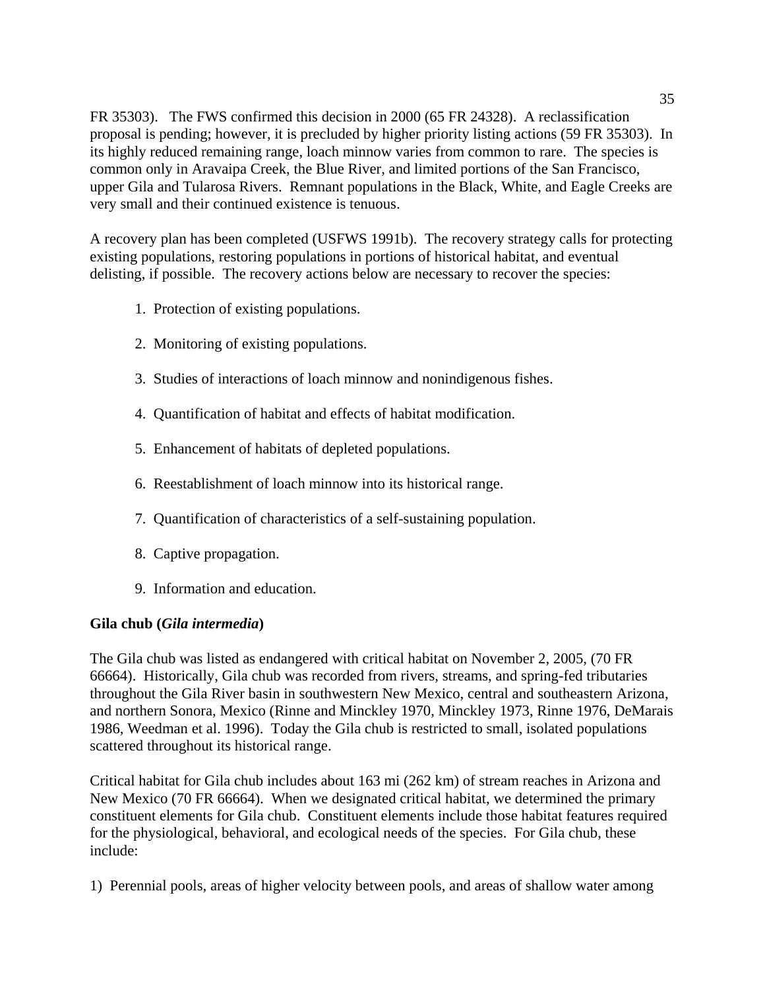FR 35303). The FWS confirmed this decision in 2000 (65 FR 24328). A reclassification proposal is pending; however, it is precluded by higher priority listing actions (59 FR 35303). In its highly reduced remaining range, loach minnow varies from common to rare. The species is common only in Aravaipa Creek, the Blue River, and limited portions of the San Francisco, upper Gila and Tularosa Rivers. Remnant populations in the Black, White, and Eagle Creeks are very small and their continued existence is tenuous.

A recovery plan has been completed (USFWS 1991b). The recovery strategy calls for protecting existing populations, restoring populations in portions of historical habitat, and eventual delisting, if possible. The recovery actions below are necessary to recover the species:

- 1. Protection of existing populations.
- 2. Monitoring of existing populations.
- 3. Studies of interactions of loach minnow and nonindigenous fishes.
- 4. Quantification of habitat and effects of habitat modification.
- 5. Enhancement of habitats of depleted populations.
- 6. Reestablishment of loach minnow into its historical range.
- 7. Quantification of characteristics of a self-sustaining population.
- 8. Captive propagation.
- 9. Information and education.

# **Gila chub (***Gila intermedia***)**

The Gila chub was listed as endangered with critical habitat on November 2, 2005, (70 FR 66664). Historically, Gila chub was recorded from rivers, streams, and spring-fed tributaries throughout the Gila River basin in southwestern New Mexico, central and southeastern Arizona, and northern Sonora, Mexico (Rinne and Minckley 1970, Minckley 1973, Rinne 1976, DeMarais 1986, Weedman et al. 1996). Today the Gila chub is restricted to small, isolated populations scattered throughout its historical range.

Critical habitat for Gila chub includes about 163 mi (262 km) of stream reaches in Arizona and New Mexico (70 FR 66664). When we designated critical habitat, we determined the primary constituent elements for Gila chub. Constituent elements include those habitat features required for the physiological, behavioral, and ecological needs of the species. For Gila chub, these include:

1) Perennial pools, areas of higher velocity between pools, and areas of shallow water among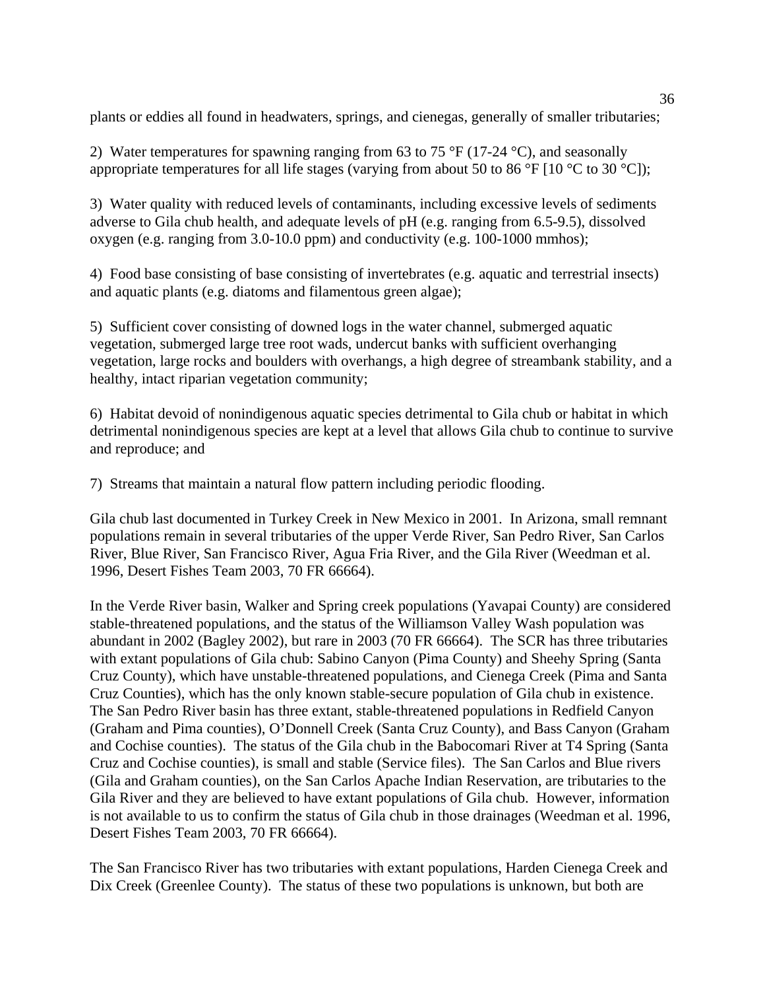plants or eddies all found in headwaters, springs, and cienegas, generally of smaller tributaries;

2) Water temperatures for spawning ranging from 63 to 75 °F (17-24 °C), and seasonally appropriate temperatures for all life stages (varying from about 50 to 86 °F [10 °C to 30 °C]);

3) Water quality with reduced levels of contaminants, including excessive levels of sediments adverse to Gila chub health, and adequate levels of pH (e.g. ranging from 6.5-9.5), dissolved oxygen (e.g. ranging from 3.0-10.0 ppm) and conductivity (e.g. 100-1000 mmhos);

4) Food base consisting of base consisting of invertebrates (e.g. aquatic and terrestrial insects) and aquatic plants (e.g. diatoms and filamentous green algae);

5) Sufficient cover consisting of downed logs in the water channel, submerged aquatic vegetation, submerged large tree root wads, undercut banks with sufficient overhanging vegetation, large rocks and boulders with overhangs, a high degree of streambank stability, and a healthy, intact riparian vegetation community;

6) Habitat devoid of nonindigenous aquatic species detrimental to Gila chub or habitat in which detrimental nonindigenous species are kept at a level that allows Gila chub to continue to survive and reproduce; and

7) Streams that maintain a natural flow pattern including periodic flooding.

Gila chub last documented in Turkey Creek in New Mexico in 2001. In Arizona, small remnant populations remain in several tributaries of the upper Verde River, San Pedro River, San Carlos River, Blue River, San Francisco River, Agua Fria River, and the Gila River (Weedman et al. 1996, Desert Fishes Team 2003, 70 FR 66664).

In the Verde River basin, Walker and Spring creek populations (Yavapai County) are considered stable-threatened populations, and the status of the Williamson Valley Wash population was abundant in 2002 (Bagley 2002), but rare in 2003 (70 FR 66664). The SCR has three tributaries with extant populations of Gila chub: Sabino Canyon (Pima County) and Sheehy Spring (Santa Cruz County), which have unstable-threatened populations, and Cienega Creek (Pima and Santa Cruz Counties), which has the only known stable-secure population of Gila chub in existence. The San Pedro River basin has three extant, stable-threatened populations in Redfield Canyon (Graham and Pima counties), O'Donnell Creek (Santa Cruz County), and Bass Canyon (Graham and Cochise counties). The status of the Gila chub in the Babocomari River at T4 Spring (Santa Cruz and Cochise counties), is small and stable (Service files). The San Carlos and Blue rivers (Gila and Graham counties), on the San Carlos Apache Indian Reservation, are tributaries to the Gila River and they are believed to have extant populations of Gila chub. However, information is not available to us to confirm the status of Gila chub in those drainages (Weedman et al. 1996, Desert Fishes Team 2003, 70 FR 66664).

The San Francisco River has two tributaries with extant populations, Harden Cienega Creek and Dix Creek (Greenlee County). The status of these two populations is unknown, but both are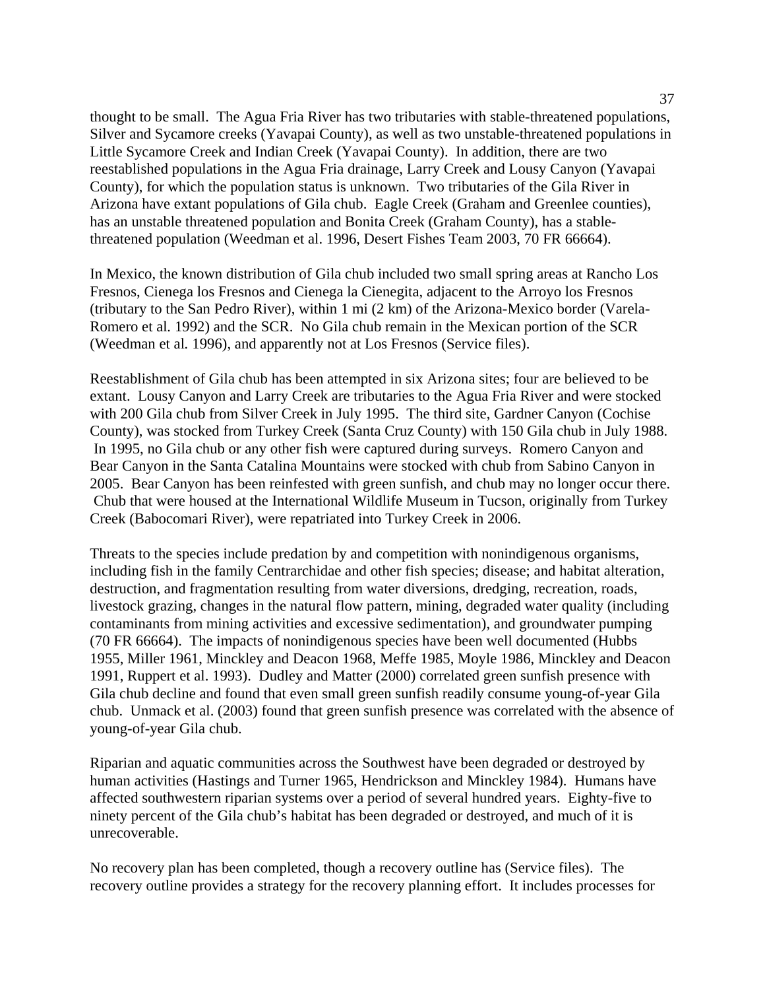thought to be small. The Agua Fria River has two tributaries with stable-threatened populations, Silver and Sycamore creeks (Yavapai County), as well as two unstable-threatened populations in Little Sycamore Creek and Indian Creek (Yavapai County). In addition, there are two reestablished populations in the Agua Fria drainage, Larry Creek and Lousy Canyon (Yavapai County), for which the population status is unknown. Two tributaries of the Gila River in Arizona have extant populations of Gila chub. Eagle Creek (Graham and Greenlee counties), has an unstable threatened population and Bonita Creek (Graham County), has a stablethreatened population (Weedman et al. 1996, Desert Fishes Team 2003, 70 FR 66664).

In Mexico, the known distribution of Gila chub included two small spring areas at Rancho Los Fresnos, Cienega los Fresnos and Cienega la Cienegita, adjacent to the Arroyo los Fresnos (tributary to the San Pedro River), within 1 mi (2 km) of the Arizona-Mexico border (Varela-Romero et al*.* 1992) and the SCR. No Gila chub remain in the Mexican portion of the SCR (Weedman et al*.* 1996), and apparently not at Los Fresnos (Service files).

Reestablishment of Gila chub has been attempted in six Arizona sites; four are believed to be extant. Lousy Canyon and Larry Creek are tributaries to the Agua Fria River and were stocked with 200 Gila chub from Silver Creek in July 1995. The third site, Gardner Canyon (Cochise County), was stocked from Turkey Creek (Santa Cruz County) with 150 Gila chub in July 1988. In 1995, no Gila chub or any other fish were captured during surveys. Romero Canyon and Bear Canyon in the Santa Catalina Mountains were stocked with chub from Sabino Canyon in 2005. Bear Canyon has been reinfested with green sunfish, and chub may no longer occur there. Chub that were housed at the International Wildlife Museum in Tucson, originally from Turkey Creek (Babocomari River), were repatriated into Turkey Creek in 2006.

Threats to the species include predation by and competition with nonindigenous organisms, including fish in the family Centrarchidae and other fish species; disease; and habitat alteration, destruction, and fragmentation resulting from water diversions, dredging, recreation, roads, livestock grazing, changes in the natural flow pattern, mining, degraded water quality (including contaminants from mining activities and excessive sedimentation), and groundwater pumping (70 FR 66664). The impacts of nonindigenous species have been well documented (Hubbs 1955, Miller 1961, Minckley and Deacon 1968, Meffe 1985, Moyle 1986, Minckley and Deacon 1991, Ruppert et al. 1993). Dudley and Matter (2000) correlated green sunfish presence with Gila chub decline and found that even small green sunfish readily consume young-of-year Gila chub. Unmack et al. (2003) found that green sunfish presence was correlated with the absence of young-of-year Gila chub.

Riparian and aquatic communities across the Southwest have been degraded or destroyed by human activities (Hastings and Turner 1965, Hendrickson and Minckley 1984). Humans have affected southwestern riparian systems over a period of several hundred years. Eighty-five to ninety percent of the Gila chub's habitat has been degraded or destroyed, and much of it is unrecoverable.

No recovery plan has been completed, though a recovery outline has (Service files). The recovery outline provides a strategy for the recovery planning effort. It includes processes for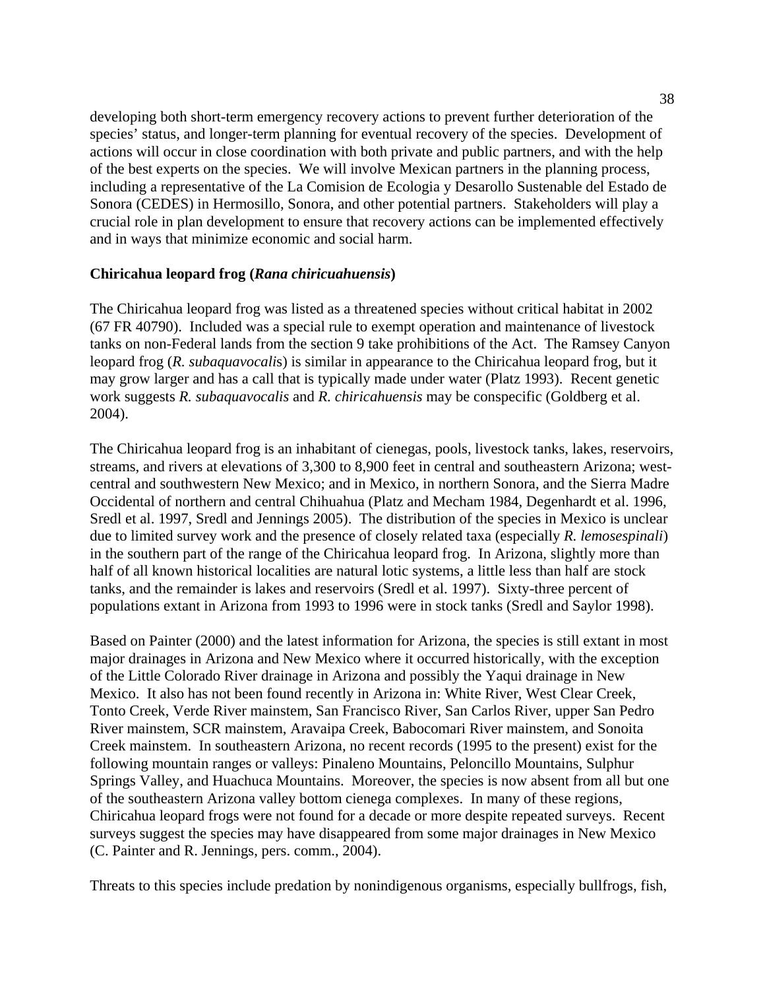developing both short-term emergency recovery actions to prevent further deterioration of the species' status, and longer-term planning for eventual recovery of the species. Development of actions will occur in close coordination with both private and public partners, and with the help of the best experts on the species. We will involve Mexican partners in the planning process, including a representative of the La Comision de Ecologia y Desarollo Sustenable del Estado de Sonora (CEDES) in Hermosillo, Sonora, and other potential partners. Stakeholders will play a crucial role in plan development to ensure that recovery actions can be implemented effectively and in ways that minimize economic and social harm.

### **Chiricahua leopard frog (***Rana chiricuahuensis***)**

The Chiricahua leopard frog was listed as a threatened species without critical habitat in 2002 (67 FR 40790). Included was a special rule to exempt operation and maintenance of livestock tanks on non-Federal lands from the section 9 take prohibitions of the Act. The Ramsey Canyon leopard frog (*R. subaquavocali*s) is similar in appearance to the Chiricahua leopard frog, but it may grow larger and has a call that is typically made under water (Platz 1993). Recent genetic work suggests *R. subaquavocalis* and *R. chiricahuensis* may be conspecific (Goldberg et al. 2004).

The Chiricahua leopard frog is an inhabitant of cienegas, pools, livestock tanks, lakes, reservoirs, streams, and rivers at elevations of 3,300 to 8,900 feet in central and southeastern Arizona; westcentral and southwestern New Mexico; and in Mexico, in northern Sonora, and the Sierra Madre Occidental of northern and central Chihuahua (Platz and Mecham 1984, Degenhardt et al. 1996, Sredl et al. 1997, Sredl and Jennings 2005). The distribution of the species in Mexico is unclear due to limited survey work and the presence of closely related taxa (especially *R. lemosespinali*) in the southern part of the range of the Chiricahua leopard frog. In Arizona, slightly more than half of all known historical localities are natural lotic systems, a little less than half are stock tanks, and the remainder is lakes and reservoirs (Sredl et al. 1997). Sixty-three percent of populations extant in Arizona from 1993 to 1996 were in stock tanks (Sredl and Saylor 1998).

Based on Painter (2000) and the latest information for Arizona, the species is still extant in most major drainages in Arizona and New Mexico where it occurred historically, with the exception of the Little Colorado River drainage in Arizona and possibly the Yaqui drainage in New Mexico. It also has not been found recently in Arizona in: White River, West Clear Creek, Tonto Creek, Verde River mainstem, San Francisco River, San Carlos River, upper San Pedro River mainstem, SCR mainstem, Aravaipa Creek, Babocomari River mainstem, and Sonoita Creek mainstem. In southeastern Arizona, no recent records (1995 to the present) exist for the following mountain ranges or valleys: Pinaleno Mountains, Peloncillo Mountains, Sulphur Springs Valley, and Huachuca Mountains. Moreover, the species is now absent from all but one of the southeastern Arizona valley bottom cienega complexes. In many of these regions, Chiricahua leopard frogs were not found for a decade or more despite repeated surveys. Recent surveys suggest the species may have disappeared from some major drainages in New Mexico (C. Painter and R. Jennings, pers. comm., 2004).

Threats to this species include predation by nonindigenous organisms, especially bullfrogs, fish,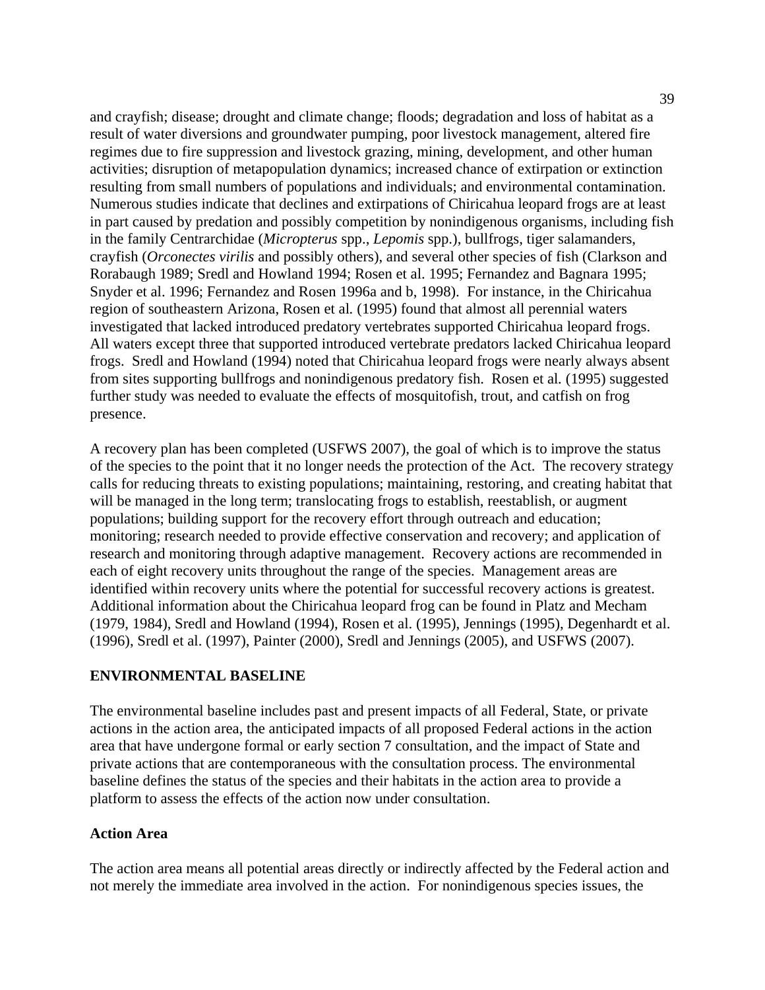and crayfish; disease; drought and climate change; floods; degradation and loss of habitat as a result of water diversions and groundwater pumping, poor livestock management, altered fire regimes due to fire suppression and livestock grazing, mining, development, and other human activities; disruption of metapopulation dynamics; increased chance of extirpation or extinction resulting from small numbers of populations and individuals; and environmental contamination. Numerous studies indicate that declines and extirpations of Chiricahua leopard frogs are at least in part caused by predation and possibly competition by nonindigenous organisms, including fish in the family Centrarchidae (*Micropterus* spp., *Lepomis* spp.), bullfrogs, tiger salamanders, crayfish (*Orconectes virilis* and possibly others), and several other species of fish (Clarkson and Rorabaugh 1989; Sredl and Howland 1994; Rosen et al. 1995; Fernandez and Bagnara 1995; Snyder et al. 1996; Fernandez and Rosen 1996a and b, 1998). For instance, in the Chiricahua region of southeastern Arizona, Rosen et al*.* (1995) found that almost all perennial waters investigated that lacked introduced predatory vertebrates supported Chiricahua leopard frogs. All waters except three that supported introduced vertebrate predators lacked Chiricahua leopard frogs. Sredl and Howland (1994) noted that Chiricahua leopard frogs were nearly always absent from sites supporting bullfrogs and nonindigenous predatory fish. Rosen et al*.* (1995) suggested further study was needed to evaluate the effects of mosquitofish, trout, and catfish on frog presence.

A recovery plan has been completed (USFWS 2007), the goal of which is to improve the status of the species to the point that it no longer needs the protection of the Act. The recovery strategy calls for reducing threats to existing populations; maintaining, restoring, and creating habitat that will be managed in the long term; translocating frogs to establish, reestablish, or augment populations; building support for the recovery effort through outreach and education; monitoring; research needed to provide effective conservation and recovery; and application of research and monitoring through adaptive management. Recovery actions are recommended in each of eight recovery units throughout the range of the species. Management areas are identified within recovery units where the potential for successful recovery actions is greatest. Additional information about the Chiricahua leopard frog can be found in Platz and Mecham (1979, 1984), Sredl and Howland (1994), Rosen et al. (1995), Jennings (1995), Degenhardt et al. (1996), Sredl et al. (1997), Painter (2000), Sredl and Jennings (2005), and USFWS (2007).

### **ENVIRONMENTAL BASELINE**

The environmental baseline includes past and present impacts of all Federal, State, or private actions in the action area, the anticipated impacts of all proposed Federal actions in the action area that have undergone formal or early section 7 consultation, and the impact of State and private actions that are contemporaneous with the consultation process. The environmental baseline defines the status of the species and their habitats in the action area to provide a platform to assess the effects of the action now under consultation.

#### **Action Area**

The action area means all potential areas directly or indirectly affected by the Federal action and not merely the immediate area involved in the action. For nonindigenous species issues, the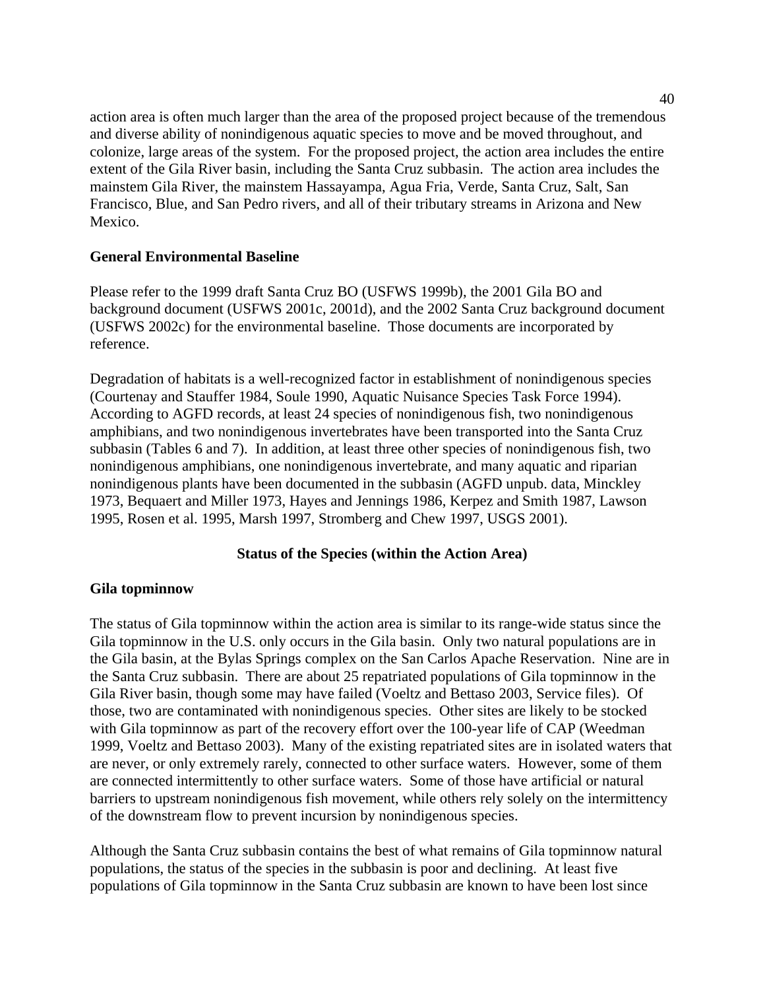action area is often much larger than the area of the proposed project because of the tremendous and diverse ability of nonindigenous aquatic species to move and be moved throughout, and colonize, large areas of the system. For the proposed project, the action area includes the entire extent of the Gila River basin, including the Santa Cruz subbasin. The action area includes the mainstem Gila River, the mainstem Hassayampa, Agua Fria, Verde, Santa Cruz, Salt, San Francisco, Blue, and San Pedro rivers, and all of their tributary streams in Arizona and New Mexico.

## **General Environmental Baseline**

Please refer to the 1999 draft Santa Cruz BO (USFWS 1999b), the 2001 Gila BO and background document (USFWS 2001c, 2001d), and the 2002 Santa Cruz background document (USFWS 2002c) for the environmental baseline. Those documents are incorporated by reference.

Degradation of habitats is a well-recognized factor in establishment of nonindigenous species (Courtenay and Stauffer 1984, Soule 1990, Aquatic Nuisance Species Task Force 1994). According to AGFD records, at least 24 species of nonindigenous fish, two nonindigenous amphibians, and two nonindigenous invertebrates have been transported into the Santa Cruz subbasin (Tables 6 and 7). In addition, at least three other species of nonindigenous fish, two nonindigenous amphibians, one nonindigenous invertebrate, and many aquatic and riparian nonindigenous plants have been documented in the subbasin (AGFD unpub. data, Minckley 1973, Bequaert and Miller 1973, Hayes and Jennings 1986, Kerpez and Smith 1987, Lawson 1995, Rosen et al. 1995, Marsh 1997, Stromberg and Chew 1997, USGS 2001).

## **Status of the Species (within the Action Area)**

### **Gila topminnow**

The status of Gila topminnow within the action area is similar to its range-wide status since the Gila topminnow in the U.S. only occurs in the Gila basin. Only two natural populations are in the Gila basin, at the Bylas Springs complex on the San Carlos Apache Reservation. Nine are in the Santa Cruz subbasin. There are about 25 repatriated populations of Gila topminnow in the Gila River basin, though some may have failed (Voeltz and Bettaso 2003, Service files). Of those, two are contaminated with nonindigenous species. Other sites are likely to be stocked with Gila topminnow as part of the recovery effort over the 100-year life of CAP (Weedman 1999, Voeltz and Bettaso 2003). Many of the existing repatriated sites are in isolated waters that are never, or only extremely rarely, connected to other surface waters. However, some of them are connected intermittently to other surface waters. Some of those have artificial or natural barriers to upstream nonindigenous fish movement, while others rely solely on the intermittency of the downstream flow to prevent incursion by nonindigenous species.

Although the Santa Cruz subbasin contains the best of what remains of Gila topminnow natural populations, the status of the species in the subbasin is poor and declining. At least five populations of Gila topminnow in the Santa Cruz subbasin are known to have been lost since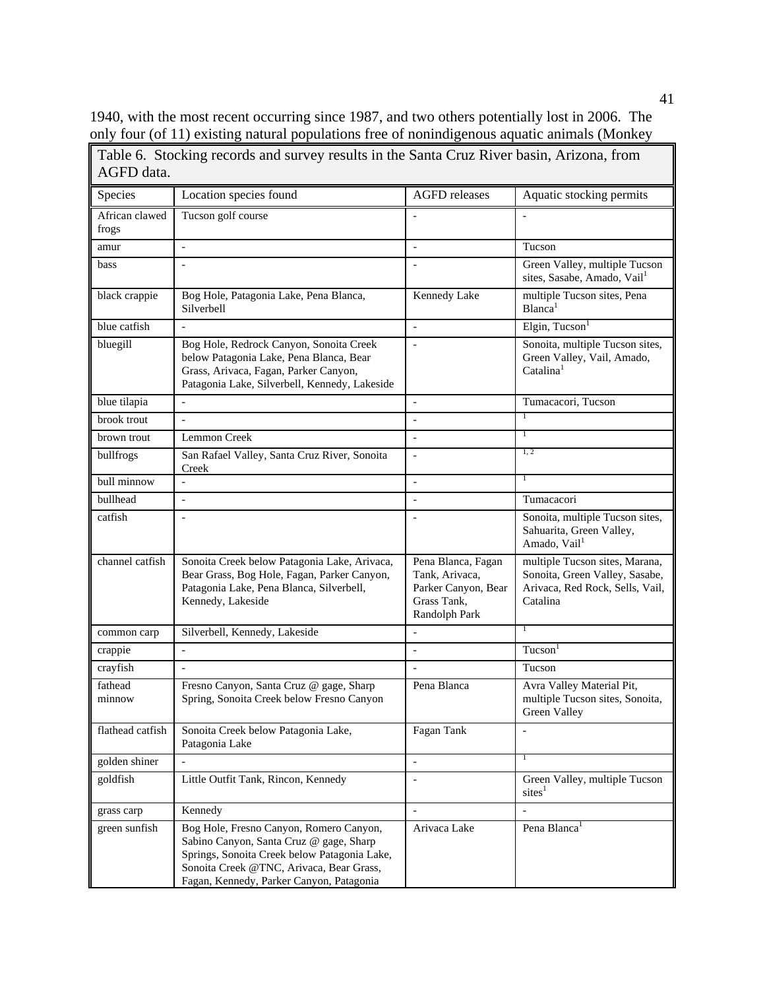1940, with the most recent occurring since 1987, and two others potentially lost in 2006. The only four (of 11) existing natural populations free of nonindigenous aquatic animals (Monkey

Table 6. Stocking records and survey results in the Santa Cruz River basin, Arizona, from

| AGFD data.              |                                                                                                                                                                                                                            |                                                                                             |                                                                                                                 |
|-------------------------|----------------------------------------------------------------------------------------------------------------------------------------------------------------------------------------------------------------------------|---------------------------------------------------------------------------------------------|-----------------------------------------------------------------------------------------------------------------|
| Species                 | Location species found                                                                                                                                                                                                     | <b>AGFD</b> releases                                                                        | Aquatic stocking permits                                                                                        |
| African clawed<br>frogs | Tucson golf course                                                                                                                                                                                                         |                                                                                             |                                                                                                                 |
| amur                    | $\overline{a}$                                                                                                                                                                                                             | $\overline{a}$                                                                              | Tucson                                                                                                          |
| bass                    | $\overline{\phantom{0}}$                                                                                                                                                                                                   | $\overline{a}$                                                                              | Green Valley, multiple Tucson<br>sites, Sasabe, Amado, Vail <sup>1</sup>                                        |
| black crappie           | Bog Hole, Patagonia Lake, Pena Blanca,<br>Silverbell                                                                                                                                                                       | Kennedy Lake                                                                                | multiple Tucson sites, Pena<br>Blanca <sup>1</sup>                                                              |
| blue catfish            | $\overline{a}$                                                                                                                                                                                                             | $\overline{\phantom{a}}$                                                                    | Elgin, Tucson $1$                                                                                               |
| bluegill                | Bog Hole, Redrock Canyon, Sonoita Creek<br>below Patagonia Lake, Pena Blanca, Bear<br>Grass, Arivaca, Fagan, Parker Canyon,<br>Patagonia Lake, Silverbell, Kennedy, Lakeside                                               |                                                                                             | Sonoita, multiple Tucson sites,<br>Green Valley, Vail, Amado,<br>Catalina <sup>1</sup>                          |
| blue tilapia            | $\overline{a}$                                                                                                                                                                                                             | $\overline{a}$                                                                              | Tumacacori, Tucson                                                                                              |
| brook trout             | $\overline{a}$                                                                                                                                                                                                             | $\overline{a}$                                                                              |                                                                                                                 |
| brown trout             | Lemmon Creek                                                                                                                                                                                                               | $\overline{a}$                                                                              | T                                                                                                               |
| bullfrogs               | San Rafael Valley, Santa Cruz River, Sonoita<br>Creek                                                                                                                                                                      | $\overline{a}$                                                                              | 1, 2                                                                                                            |
| bull minnow             | $\overline{a}$                                                                                                                                                                                                             | $\overline{a}$                                                                              | Τ                                                                                                               |
| bullhead                | $\overline{a}$                                                                                                                                                                                                             | $\overline{a}$                                                                              | Tumacacori                                                                                                      |
| catfish                 | $\overline{\phantom{0}}$                                                                                                                                                                                                   |                                                                                             | Sonoita, multiple Tucson sites,<br>Sahuarita, Green Valley,<br>Amado, Vail <sup>1</sup>                         |
| channel catfish         | Sonoita Creek below Patagonia Lake, Arivaca,<br>Bear Grass, Bog Hole, Fagan, Parker Canyon,<br>Patagonia Lake, Pena Blanca, Silverbell,<br>Kennedy, Lakeside                                                               | Pena Blanca, Fagan<br>Tank, Arivaca,<br>Parker Canyon, Bear<br>Grass Tank,<br>Randolph Park | multiple Tucson sites, Marana,<br>Sonoita, Green Valley, Sasabe,<br>Arivaca, Red Rock, Sells, Vail,<br>Catalina |
| common carp             | Silverbell, Kennedy, Lakeside                                                                                                                                                                                              | $\overline{\phantom{a}}$                                                                    |                                                                                                                 |
| crappie                 | $\overline{a}$                                                                                                                                                                                                             | $\overline{a}$                                                                              | Tucson <sup>1</sup>                                                                                             |
| crayfish                | $\overline{a}$                                                                                                                                                                                                             |                                                                                             | Tucson                                                                                                          |
| fathead<br>minnow       | Fresno Canyon, Santa Cruz @ gage, Sharp<br>Spring, Sonoita Creek below Fresno Canyon                                                                                                                                       | Pena Blanca                                                                                 | Avra Valley Material Pit,<br>multiple Tucson sites, Sonoita,<br>Green Valley                                    |
| flathead catfish        | Sonoita Creek below Patagonia Lake,<br>Patagonia Lake                                                                                                                                                                      | Fagan Tank                                                                                  |                                                                                                                 |
| golden shiner           |                                                                                                                                                                                                                            | $\Box$                                                                                      | Τ                                                                                                               |
| goldfish                | Little Outfit Tank, Rincon, Kennedy                                                                                                                                                                                        |                                                                                             | Green Valley, multiple Tucson<br>$\text{sites}^1$                                                               |
| grass carp              | Kennedy                                                                                                                                                                                                                    |                                                                                             |                                                                                                                 |
| green sunfish           | Bog Hole, Fresno Canyon, Romero Canyon,<br>Sabino Canyon, Santa Cruz @ gage, Sharp<br>Springs, Sonoita Creek below Patagonia Lake,<br>Sonoita Creek @TNC, Arivaca, Bear Grass,<br>Fagan, Kennedy, Parker Canyon, Patagonia | Arivaca Lake                                                                                | Pena Blanca <sup>1</sup>                                                                                        |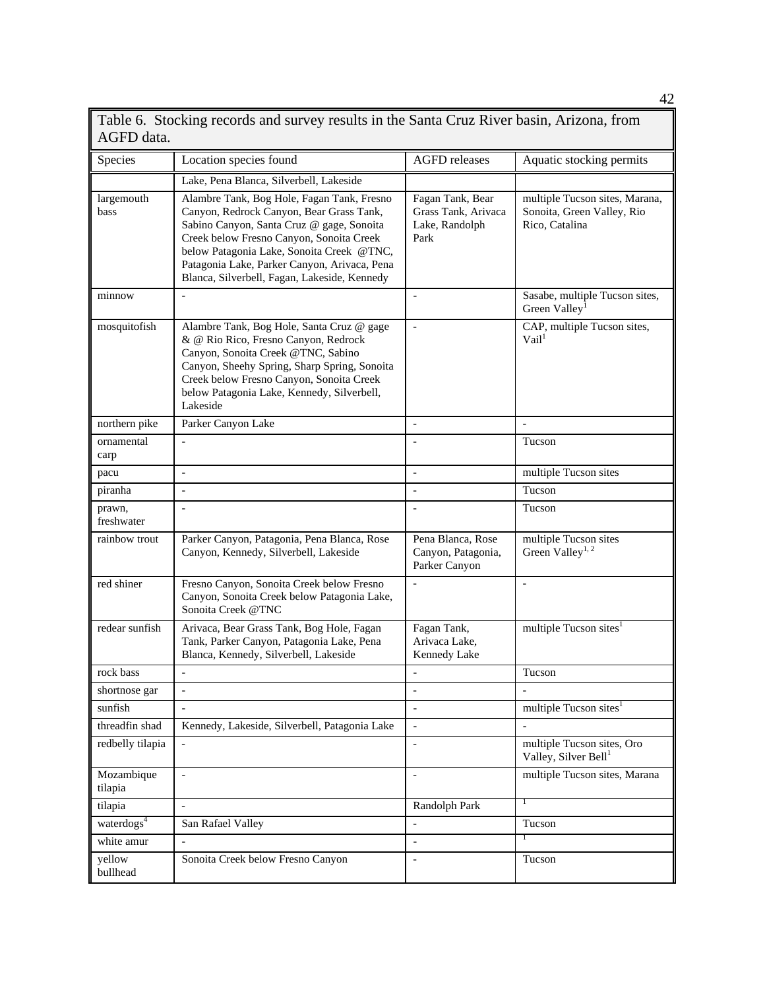| AGFD data.             | Taoic o. Diocking Tecords and survey Tesuns in the Dania Cruz Kryer basin, Amzona, Hom                                                                                                                                                                                                                                       |                                                                   |                                                                                |
|------------------------|------------------------------------------------------------------------------------------------------------------------------------------------------------------------------------------------------------------------------------------------------------------------------------------------------------------------------|-------------------------------------------------------------------|--------------------------------------------------------------------------------|
| Species                | Location species found                                                                                                                                                                                                                                                                                                       | <b>AGFD</b> releases                                              | Aquatic stocking permits                                                       |
|                        | Lake, Pena Blanca, Silverbell, Lakeside                                                                                                                                                                                                                                                                                      |                                                                   |                                                                                |
| largemouth<br>bass     | Alambre Tank, Bog Hole, Fagan Tank, Fresno<br>Canyon, Redrock Canyon, Bear Grass Tank,<br>Sabino Canyon, Santa Cruz @ gage, Sonoita<br>Creek below Fresno Canyon, Sonoita Creek<br>below Patagonia Lake, Sonoita Creek @TNC,<br>Patagonia Lake, Parker Canyon, Arivaca, Pena<br>Blanca, Silverbell, Fagan, Lakeside, Kennedy | Fagan Tank, Bear<br>Grass Tank, Arivaca<br>Lake, Randolph<br>Park | multiple Tucson sites, Marana,<br>Sonoita, Green Valley, Rio<br>Rico, Catalina |
| minnow                 |                                                                                                                                                                                                                                                                                                                              | $\overline{\phantom{a}}$                                          | Sasabe, multiple Tucson sites,<br>Green Valley <sup>1</sup>                    |
| mosquitofish           | Alambre Tank, Bog Hole, Santa Cruz @ gage<br>& @ Rio Rico, Fresno Canyon, Redrock<br>Canyon, Sonoita Creek @TNC, Sabino<br>Canyon, Sheehy Spring, Sharp Spring, Sonoita<br>Creek below Fresno Canyon, Sonoita Creek<br>below Patagonia Lake, Kennedy, Silverbell,<br>Lakeside                                                | $\equiv$                                                          | CAP, multiple Tucson sites,<br>Val <sup>1</sup>                                |
| northern pike          | Parker Canyon Lake                                                                                                                                                                                                                                                                                                           | $\overline{\phantom{a}}$                                          | $\frac{1}{2}$                                                                  |
| ornamental<br>carp     | $\overline{a}$                                                                                                                                                                                                                                                                                                               | $\overline{a}$                                                    | Tucson                                                                         |
| pacu                   | $\overline{\phantom{a}}$                                                                                                                                                                                                                                                                                                     | $\mathbf{r}$                                                      | multiple Tucson sites                                                          |
| piranha                | $\frac{1}{2}$                                                                                                                                                                                                                                                                                                                | $\overline{a}$                                                    | Tucson                                                                         |
| prawn,<br>freshwater   | $\overline{\phantom{0}}$                                                                                                                                                                                                                                                                                                     | $\overline{\phantom{a}}$                                          | Tucson                                                                         |
| rainbow trout          | Parker Canyon, Patagonia, Pena Blanca, Rose<br>Canyon, Kennedy, Silverbell, Lakeside                                                                                                                                                                                                                                         | Pena Blanca, Rose<br>Canyon, Patagonia,<br>Parker Canyon          | multiple Tucson sites<br>Green Valley <sup>1, 2</sup>                          |
| red shiner             | Fresno Canyon, Sonoita Creek below Fresno<br>Canyon, Sonoita Creek below Patagonia Lake,<br>Sonoita Creek @TNC                                                                                                                                                                                                               | $\bar{\phantom{a}}$                                               | $\overline{a}$                                                                 |
| redear sunfish         | Arivaca, Bear Grass Tank, Bog Hole, Fagan<br>Tank, Parker Canyon, Patagonia Lake, Pena<br>Blanca, Kennedy, Silverbell, Lakeside                                                                                                                                                                                              | Fagan Tank,<br>Arivaca Lake,<br>Kennedy Lake                      | multiple Tucson sites <sup>1</sup>                                             |
| rock bass              | $\overline{a}$                                                                                                                                                                                                                                                                                                               |                                                                   | Tucson                                                                         |
| shortnose gar          | $\qquad \qquad \blacksquare$                                                                                                                                                                                                                                                                                                 | $\overline{\phantom{a}}$                                          |                                                                                |
| sunfish                |                                                                                                                                                                                                                                                                                                                              | $\bar{a}$                                                         | multiple Tucson sites <sup>1</sup>                                             |
| threadfin shad         | Kennedy, Lakeside, Silverbell, Patagonia Lake                                                                                                                                                                                                                                                                                | $\overline{\phantom{a}}$                                          |                                                                                |
| redbelly tilapia       |                                                                                                                                                                                                                                                                                                                              |                                                                   | multiple Tucson sites, Oro<br>Valley, Silver Bell <sup>1</sup>                 |
| Mozambique<br>tilapia  | $\overline{a}$                                                                                                                                                                                                                                                                                                               |                                                                   | multiple Tucson sites, Marana                                                  |
| tilapia                | $\overline{\phantom{m}}$                                                                                                                                                                                                                                                                                                     | Randolph Park                                                     |                                                                                |
| waterdogs <sup>4</sup> | San Rafael Valley                                                                                                                                                                                                                                                                                                            | $\overline{\phantom{0}}$                                          | Tucson                                                                         |
| white amur             | $\overline{a}$                                                                                                                                                                                                                                                                                                               | $\bar{\phantom{a}}$                                               | т                                                                              |
| yellow<br>bullhead     | Sonoita Creek below Fresno Canyon                                                                                                                                                                                                                                                                                            | $\overline{\phantom{a}}$                                          | Tucson                                                                         |

Table 6. Stocking records and survey results in the Santa Cruz River basin, Arizona, from

42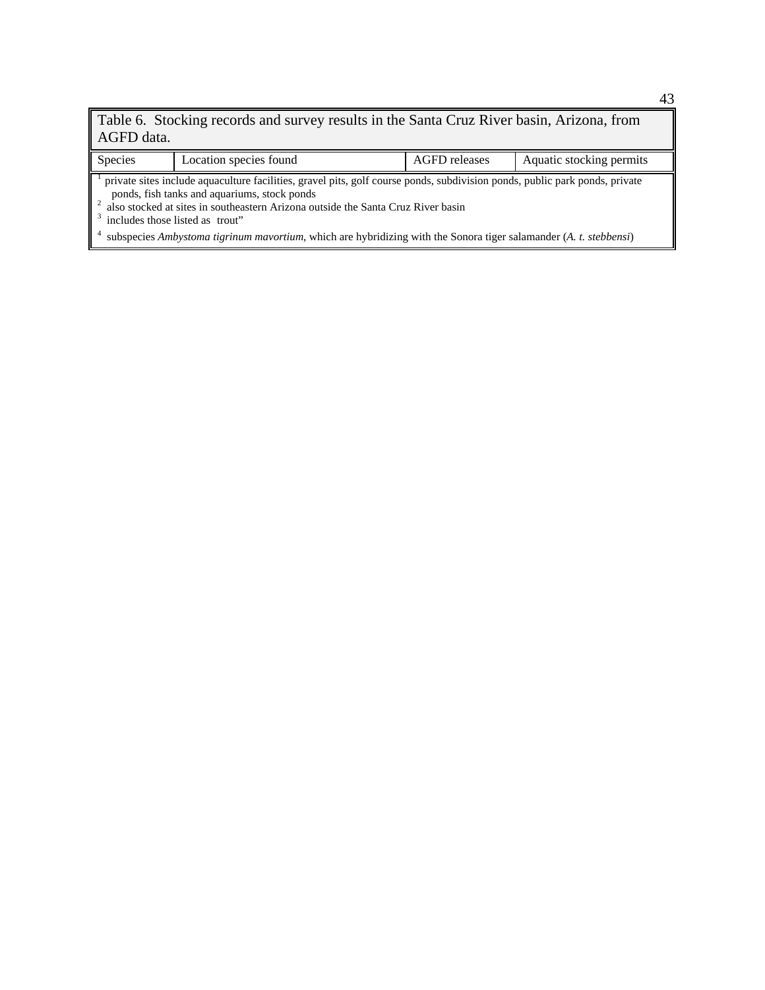Table 6. Stocking records and survey results in the Santa Cruz River basin, Arizona, from AGFD data.

Species Location species found AGFD releases Aquatic stocking permits 1 private sites include aquaculture facilities, gravel pits, golf course ponds, subdivision ponds, public park ponds, private

 ponds, fish tanks and aquariums, stock ponds 2 also stocked at sites in southeastern Arizona outside the Santa Cruz River basin

<sup>3</sup> includes those listed as trout"

4 subspecies *Ambystoma tigrinum mavortium*, which are hybridizing with the Sonora tiger salamander (*A. t. stebbensi*)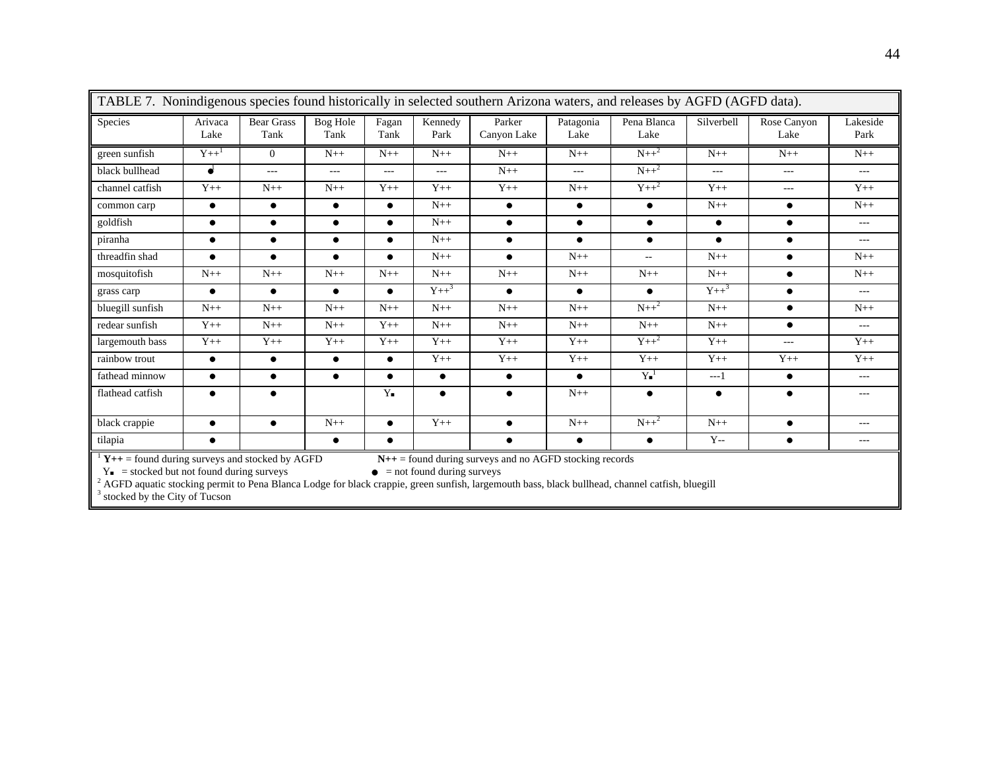| TABLE 7. Nonindigenous species found historically in selected southern Arizona waters, and releases by AGFD (AGFD data). |                 |                           |                         |                    |                 |                                                              |                   |                             |               |                     |                  |
|--------------------------------------------------------------------------------------------------------------------------|-----------------|---------------------------|-------------------------|--------------------|-----------------|--------------------------------------------------------------|-------------------|-----------------------------|---------------|---------------------|------------------|
| Species                                                                                                                  | Arivaca<br>Lake | <b>Bear Grass</b><br>Tank | <b>Bog Hole</b><br>Tank | Fagan<br>Tank      | Kennedy<br>Park | Parker<br>Canyon Lake                                        | Patagonia<br>Lake | Pena Blanca<br>Lake         | Silverbell    | Rose Canyon<br>Lake | Lakeside<br>Park |
| green sunfish                                                                                                            | $Y++^1$         | $\overline{0}$            | $N++$                   | $N++$              | $N++$           | $N++$                                                        | $N++$             | $N++^2$                     | $N++$         | $N++$               | $N++$            |
| black bullhead                                                                                                           | ď               | $---$                     | $\frac{1}{2}$           | $\frac{1}{2}$      | $---$           | $N++$                                                        | $\frac{1}{2}$     | $N++^2$                     | $\frac{1}{2}$ | $---$               | $---$            |
| channel catfish                                                                                                          | $Y++$           | $N++$                     | $N++$                   | $Y_{++}$           | $Y++$           | $Y_{++}$                                                     | $N_{++}$          | $Y++^2$                     | $Y_{++}$      | $---$               | $Y++$            |
| common carp                                                                                                              | $\bullet$       | $\bullet$                 | $\bullet$               | $\bullet$          | $N_{++}$        | $\bullet$                                                    | $\bullet$         | $\bullet$                   | $N++$         | $\bullet$           | $N++$            |
| goldfish                                                                                                                 | $\bullet$       | $\bullet$                 | $\bullet$               | $\bullet$          | $N++$           | $\bullet$                                                    | $\bullet$         | $\bullet$                   | $\bullet$     | $\bullet$           | $---$            |
| piranha                                                                                                                  | $\bullet$       | $\bullet$                 | $\bullet$               | $\bullet$          | $N++$           | $\bullet$                                                    | $\bullet$         | $\bullet$                   | $\bullet$     | $\bullet$           | $---$            |
| threadfin shad                                                                                                           | $\bullet$       | $\bullet$                 | $\bullet$               | $\bullet$          | $N++$           | $\bullet$                                                    | $N++$             | $\mathcal{L}_{\mathcal{F}}$ | $N++$         | $\bullet$           | $N++$            |
| mosquitofish                                                                                                             | $N++$           | $N++$                     | $N++$                   | $N++$              | $N++$           | $N++$                                                        | $N++$             | $N++$                       | $N++$         | $\bullet$           | $N++$            |
| grass carp                                                                                                               | $\bullet$       | $\bullet$                 | $\bullet$               | $\bullet$          | $Y++^3$         | $\bullet$                                                    | $\bullet$         | $\bullet$                   | $Y++^3$       | $\bullet$           | $---$            |
| bluegill sunfish                                                                                                         | $N++$           | $N++$                     | $N++$                   | $N++$              | $N++$           | $N++$                                                        | $N++$             | $N++^2$                     | $N++$         | $\bullet$           | $N++$            |
| redear sunfish                                                                                                           | $Y++$           | $N++$                     | $N++$                   | $Y++$              | $N++$           | $N++$                                                        | $N++$             | $N++$                       | $N++$         | $\bullet$           | $---$            |
| largemouth bass                                                                                                          | $Y++$           | $Y++$                     | $Y++$                   | $Y++$              | $Y++$           | $Y++$                                                        | $Y++$             | $Y++^2$                     | $Y++$         | $---$               | $Y++$            |
| rainbow trout                                                                                                            | $\bullet$       | $\bullet$                 | $\bullet$               | $\bullet$          | $Y++$           | $Y++$                                                        | $Y++$             | $Y++$                       | $Y++$         | $Y++$               | $Y++$            |
| fathead minnow                                                                                                           | $\bullet$       | $\bullet$                 | $\bullet$               | $\bullet$          | $\bullet$       | $\bullet$                                                    | $\bullet$         | $Y^{-1}$                    | $---1$        | $\bullet$           | $---$            |
| flathead catfish                                                                                                         | $\bullet$       | $\bullet$                 |                         | $Y_{\blacksquare}$ | $\bullet$       | $\bullet$                                                    | $N++$             | $\bullet$                   | $\bullet$     | $\bullet$           | $---$            |
| black crappie                                                                                                            | $\bullet$       | $\bullet$                 | $N++$                   | $\bullet$          | $Y++$           | $\bullet$                                                    | $N++$             | $N++^2$                     | $N++$         | $\bullet$           | $\cdots$         |
| tilapia                                                                                                                  | $\bullet$       |                           | $\bullet$               | $\bullet$          |                 | $\bullet$                                                    | $\bullet$         | $\bullet$                   | $Y -$         | $\bullet$           | ---              |
| $Y++$ = found during surveys and stocked by AGFD                                                                         |                 |                           |                         |                    |                 | $N_{++}$ = found during surveys and no AGFD stocking records |                   |                             |               |                     |                  |

 $Y_{\bullet}$  = stocked but not found during surveys<br>  $\bullet$  = not found during surveys<br>  $\bullet$  AGFD aquatic stocking permit to Pena Blanca Lodge for black crappie, green sunfish, largemouth bass, black bullhead, channel catfish, b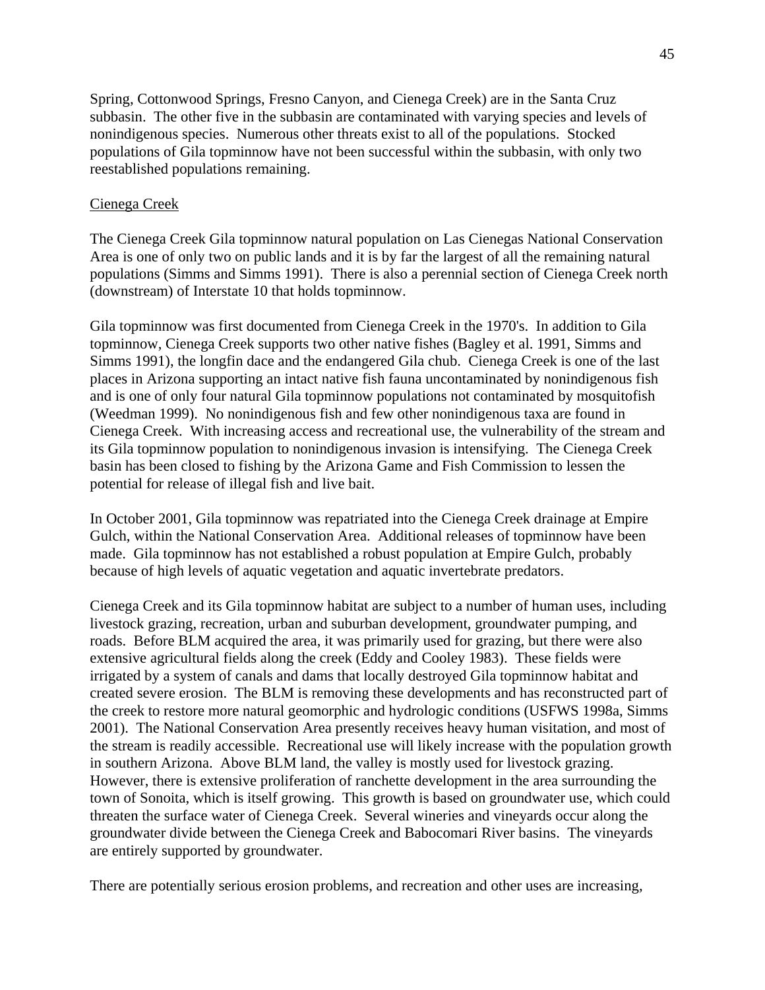Spring, Cottonwood Springs, Fresno Canyon, and Cienega Creek) are in the Santa Cruz subbasin. The other five in the subbasin are contaminated with varying species and levels of nonindigenous species. Numerous other threats exist to all of the populations. Stocked populations of Gila topminnow have not been successful within the subbasin, with only two reestablished populations remaining.

### Cienega Creek

The Cienega Creek Gila topminnow natural population on Las Cienegas National Conservation Area is one of only two on public lands and it is by far the largest of all the remaining natural populations (Simms and Simms 1991). There is also a perennial section of Cienega Creek north (downstream) of Interstate 10 that holds topminnow.

Gila topminnow was first documented from Cienega Creek in the 1970's. In addition to Gila topminnow, Cienega Creek supports two other native fishes (Bagley et al. 1991, Simms and Simms 1991), the longfin dace and the endangered Gila chub. Cienega Creek is one of the last places in Arizona supporting an intact native fish fauna uncontaminated by nonindigenous fish and is one of only four natural Gila topminnow populations not contaminated by mosquitofish (Weedman 1999). No nonindigenous fish and few other nonindigenous taxa are found in Cienega Creek. With increasing access and recreational use, the vulnerability of the stream and its Gila topminnow population to nonindigenous invasion is intensifying. The Cienega Creek basin has been closed to fishing by the Arizona Game and Fish Commission to lessen the potential for release of illegal fish and live bait.

In October 2001, Gila topminnow was repatriated into the Cienega Creek drainage at Empire Gulch, within the National Conservation Area. Additional releases of topminnow have been made. Gila topminnow has not established a robust population at Empire Gulch, probably because of high levels of aquatic vegetation and aquatic invertebrate predators.

Cienega Creek and its Gila topminnow habitat are subject to a number of human uses, including livestock grazing, recreation, urban and suburban development, groundwater pumping, and roads. Before BLM acquired the area, it was primarily used for grazing, but there were also extensive agricultural fields along the creek (Eddy and Cooley 1983). These fields were irrigated by a system of canals and dams that locally destroyed Gila topminnow habitat and created severe erosion. The BLM is removing these developments and has reconstructed part of the creek to restore more natural geomorphic and hydrologic conditions (USFWS 1998a, Simms 2001). The National Conservation Area presently receives heavy human visitation, and most of the stream is readily accessible. Recreational use will likely increase with the population growth in southern Arizona. Above BLM land, the valley is mostly used for livestock grazing. However, there is extensive proliferation of ranchette development in the area surrounding the town of Sonoita, which is itself growing. This growth is based on groundwater use, which could threaten the surface water of Cienega Creek. Several wineries and vineyards occur along the groundwater divide between the Cienega Creek and Babocomari River basins. The vineyards are entirely supported by groundwater.

There are potentially serious erosion problems, and recreation and other uses are increasing,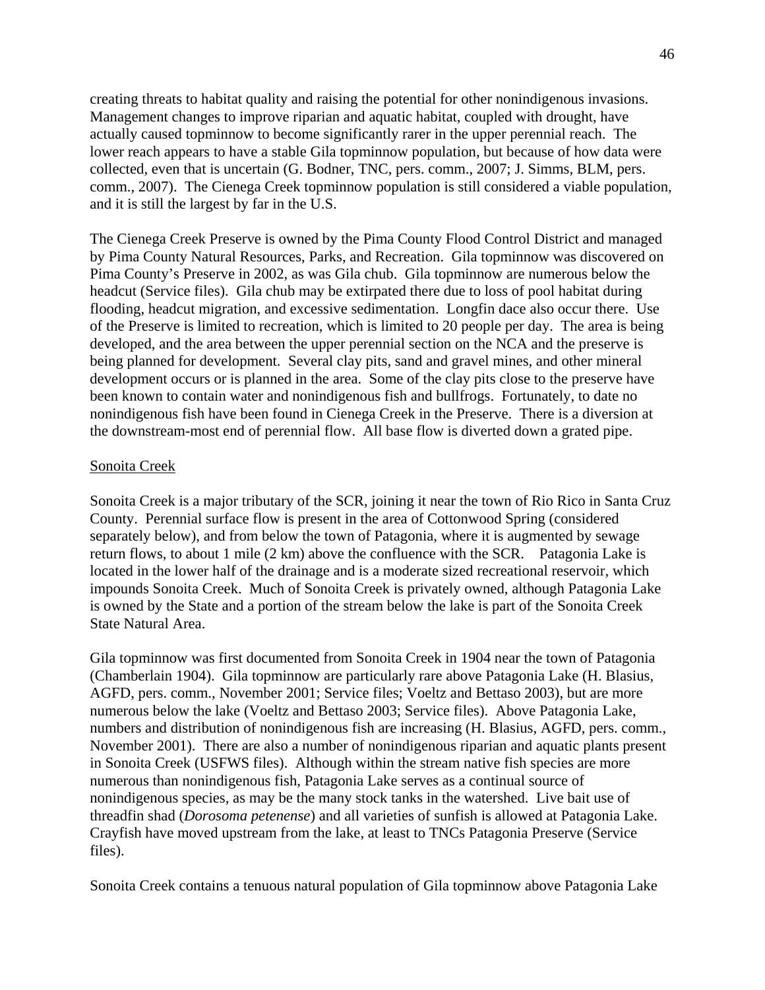creating threats to habitat quality and raising the potential for other nonindigenous invasions. Management changes to improve riparian and aquatic habitat, coupled with drought, have actually caused topminnow to become significantly rarer in the upper perennial reach. The lower reach appears to have a stable Gila topminnow population, but because of how data were collected, even that is uncertain (G. Bodner, TNC, pers. comm., 2007; J. Simms, BLM, pers. comm., 2007). The Cienega Creek topminnow population is still considered a viable population, and it is still the largest by far in the U.S.

The Cienega Creek Preserve is owned by the Pima County Flood Control District and managed by Pima County Natural Resources, Parks, and Recreation. Gila topminnow was discovered on Pima County's Preserve in 2002, as was Gila chub. Gila topminnow are numerous below the headcut (Service files). Gila chub may be extirpated there due to loss of pool habitat during flooding, headcut migration, and excessive sedimentation. Longfin dace also occur there. Use of the Preserve is limited to recreation, which is limited to 20 people per day. The area is being developed, and the area between the upper perennial section on the NCA and the preserve is being planned for development. Several clay pits, sand and gravel mines, and other mineral development occurs or is planned in the area. Some of the clay pits close to the preserve have been known to contain water and nonindigenous fish and bullfrogs. Fortunately, to date no nonindigenous fish have been found in Cienega Creek in the Preserve. There is a diversion at the downstream-most end of perennial flow. All base flow is diverted down a grated pipe.

#### Sonoita Creek

Sonoita Creek is a major tributary of the SCR, joining it near the town of Rio Rico in Santa Cruz County. Perennial surface flow is present in the area of Cottonwood Spring (considered separately below), and from below the town of Patagonia, where it is augmented by sewage return flows, to about 1 mile (2 km) above the confluence with the SCR. Patagonia Lake is located in the lower half of the drainage and is a moderate sized recreational reservoir, which impounds Sonoita Creek. Much of Sonoita Creek is privately owned, although Patagonia Lake is owned by the State and a portion of the stream below the lake is part of the Sonoita Creek State Natural Area.

Gila topminnow was first documented from Sonoita Creek in 1904 near the town of Patagonia (Chamberlain 1904). Gila topminnow are particularly rare above Patagonia Lake (H. Blasius, AGFD, pers. comm., November 2001; Service files; Voeltz and Bettaso 2003), but are more numerous below the lake (Voeltz and Bettaso 2003; Service files). Above Patagonia Lake, numbers and distribution of nonindigenous fish are increasing (H. Blasius, AGFD, pers. comm., November 2001). There are also a number of nonindigenous riparian and aquatic plants present in Sonoita Creek (USFWS files). Although within the stream native fish species are more numerous than nonindigenous fish, Patagonia Lake serves as a continual source of nonindigenous species, as may be the many stock tanks in the watershed. Live bait use of threadfin shad (*Dorosoma petenense*) and all varieties of sunfish is allowed at Patagonia Lake. Crayfish have moved upstream from the lake, at least to TNCs Patagonia Preserve (Service files).

Sonoita Creek contains a tenuous natural population of Gila topminnow above Patagonia Lake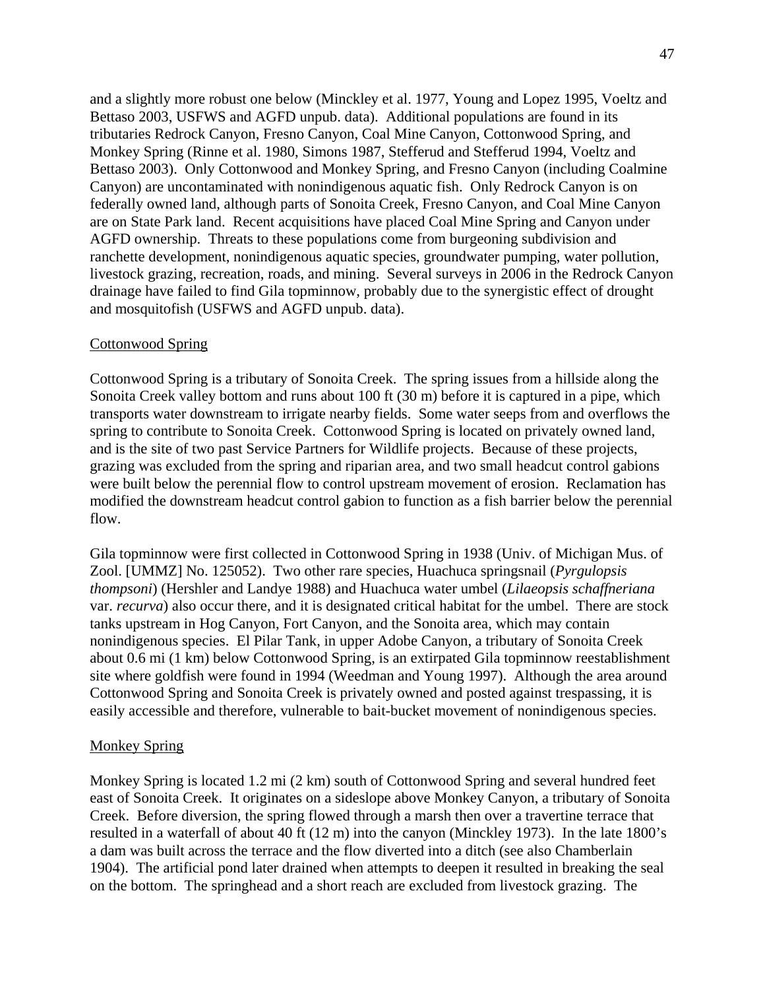and a slightly more robust one below (Minckley et al. 1977, Young and Lopez 1995, Voeltz and Bettaso 2003, USFWS and AGFD unpub. data). Additional populations are found in its tributaries Redrock Canyon, Fresno Canyon, Coal Mine Canyon, Cottonwood Spring, and Monkey Spring (Rinne et al. 1980, Simons 1987, Stefferud and Stefferud 1994, Voeltz and Bettaso 2003). Only Cottonwood and Monkey Spring, and Fresno Canyon (including Coalmine Canyon) are uncontaminated with nonindigenous aquatic fish. Only Redrock Canyon is on federally owned land, although parts of Sonoita Creek, Fresno Canyon, and Coal Mine Canyon are on State Park land. Recent acquisitions have placed Coal Mine Spring and Canyon under AGFD ownership. Threats to these populations come from burgeoning subdivision and ranchette development, nonindigenous aquatic species, groundwater pumping, water pollution, livestock grazing, recreation, roads, and mining. Several surveys in 2006 in the Redrock Canyon drainage have failed to find Gila topminnow, probably due to the synergistic effect of drought and mosquitofish (USFWS and AGFD unpub. data).

### Cottonwood Spring

Cottonwood Spring is a tributary of Sonoita Creek. The spring issues from a hillside along the Sonoita Creek valley bottom and runs about 100 ft (30 m) before it is captured in a pipe, which transports water downstream to irrigate nearby fields. Some water seeps from and overflows the spring to contribute to Sonoita Creek. Cottonwood Spring is located on privately owned land, and is the site of two past Service Partners for Wildlife projects. Because of these projects, grazing was excluded from the spring and riparian area, and two small headcut control gabions were built below the perennial flow to control upstream movement of erosion. Reclamation has modified the downstream headcut control gabion to function as a fish barrier below the perennial flow.

Gila topminnow were first collected in Cottonwood Spring in 1938 (Univ. of Michigan Mus. of Zool. [UMMZ] No. 125052). Two other rare species, Huachuca springsnail (*Pyrgulopsis thompsoni*) (Hershler and Landye 1988) and Huachuca water umbel (*Lilaeopsis schaffneriana* var. *recurva*) also occur there, and it is designated critical habitat for the umbel. There are stock tanks upstream in Hog Canyon, Fort Canyon, and the Sonoita area, which may contain nonindigenous species. El Pilar Tank, in upper Adobe Canyon, a tributary of Sonoita Creek about 0.6 mi (1 km) below Cottonwood Spring, is an extirpated Gila topminnow reestablishment site where goldfish were found in 1994 (Weedman and Young 1997). Although the area around Cottonwood Spring and Sonoita Creek is privately owned and posted against trespassing, it is easily accessible and therefore, vulnerable to bait-bucket movement of nonindigenous species.

### Monkey Spring

Monkey Spring is located 1.2 mi (2 km) south of Cottonwood Spring and several hundred feet east of Sonoita Creek. It originates on a sideslope above Monkey Canyon, a tributary of Sonoita Creek. Before diversion, the spring flowed through a marsh then over a travertine terrace that resulted in a waterfall of about 40 ft (12 m) into the canyon (Minckley 1973). In the late 1800's a dam was built across the terrace and the flow diverted into a ditch (see also Chamberlain 1904). The artificial pond later drained when attempts to deepen it resulted in breaking the seal on the bottom. The springhead and a short reach are excluded from livestock grazing. The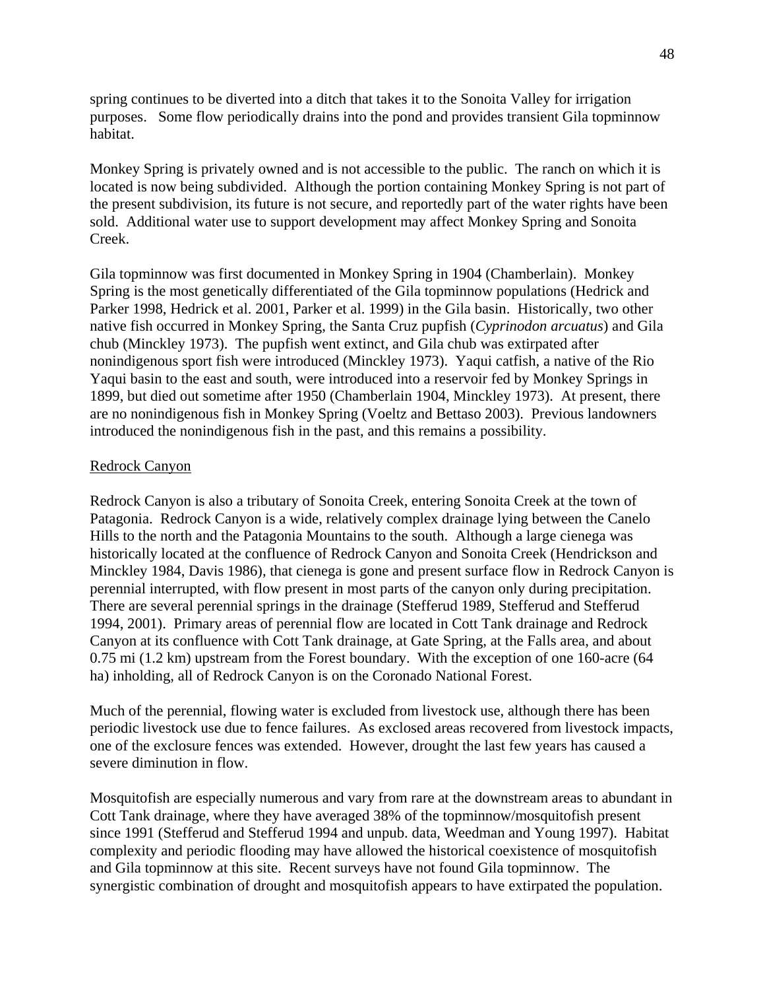spring continues to be diverted into a ditch that takes it to the Sonoita Valley for irrigation purposes. Some flow periodically drains into the pond and provides transient Gila topminnow habitat.

Monkey Spring is privately owned and is not accessible to the public. The ranch on which it is located is now being subdivided. Although the portion containing Monkey Spring is not part of the present subdivision, its future is not secure, and reportedly part of the water rights have been sold. Additional water use to support development may affect Monkey Spring and Sonoita Creek.

Gila topminnow was first documented in Monkey Spring in 1904 (Chamberlain). Monkey Spring is the most genetically differentiated of the Gila topminnow populations (Hedrick and Parker 1998, Hedrick et al. 2001, Parker et al. 1999) in the Gila basin. Historically, two other native fish occurred in Monkey Spring, the Santa Cruz pupfish (*Cyprinodon arcuatus*) and Gila chub (Minckley 1973). The pupfish went extinct, and Gila chub was extirpated after nonindigenous sport fish were introduced (Minckley 1973). Yaqui catfish, a native of the Rio Yaqui basin to the east and south, were introduced into a reservoir fed by Monkey Springs in 1899, but died out sometime after 1950 (Chamberlain 1904, Minckley 1973). At present, there are no nonindigenous fish in Monkey Spring (Voeltz and Bettaso 2003). Previous landowners introduced the nonindigenous fish in the past, and this remains a possibility.

### Redrock Canyon

Redrock Canyon is also a tributary of Sonoita Creek, entering Sonoita Creek at the town of Patagonia. Redrock Canyon is a wide, relatively complex drainage lying between the Canelo Hills to the north and the Patagonia Mountains to the south. Although a large cienega was historically located at the confluence of Redrock Canyon and Sonoita Creek (Hendrickson and Minckley 1984, Davis 1986), that cienega is gone and present surface flow in Redrock Canyon is perennial interrupted, with flow present in most parts of the canyon only during precipitation. There are several perennial springs in the drainage (Stefferud 1989, Stefferud and Stefferud 1994, 2001). Primary areas of perennial flow are located in Cott Tank drainage and Redrock Canyon at its confluence with Cott Tank drainage, at Gate Spring, at the Falls area, and about 0.75 mi (1.2 km) upstream from the Forest boundary. With the exception of one 160-acre (64 ha) inholding, all of Redrock Canyon is on the Coronado National Forest.

Much of the perennial, flowing water is excluded from livestock use, although there has been periodic livestock use due to fence failures. As exclosed areas recovered from livestock impacts, one of the exclosure fences was extended. However, drought the last few years has caused a severe diminution in flow.

Mosquitofish are especially numerous and vary from rare at the downstream areas to abundant in Cott Tank drainage, where they have averaged 38% of the topminnow/mosquitofish present since 1991 (Stefferud and Stefferud 1994 and unpub. data, Weedman and Young 1997). Habitat complexity and periodic flooding may have allowed the historical coexistence of mosquitofish and Gila topminnow at this site. Recent surveys have not found Gila topminnow. The synergistic combination of drought and mosquitofish appears to have extirpated the population.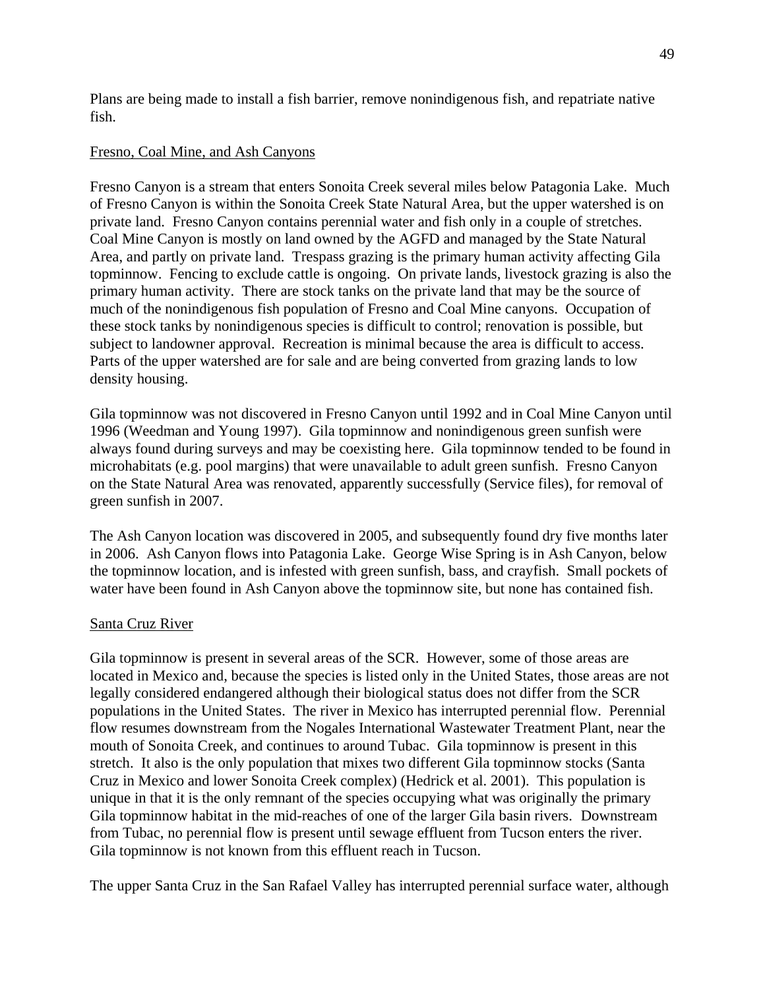Plans are being made to install a fish barrier, remove nonindigenous fish, and repatriate native fish.

## Fresno, Coal Mine, and Ash Canyons

Fresno Canyon is a stream that enters Sonoita Creek several miles below Patagonia Lake. Much of Fresno Canyon is within the Sonoita Creek State Natural Area, but the upper watershed is on private land. Fresno Canyon contains perennial water and fish only in a couple of stretches. Coal Mine Canyon is mostly on land owned by the AGFD and managed by the State Natural Area, and partly on private land. Trespass grazing is the primary human activity affecting Gila topminnow. Fencing to exclude cattle is ongoing. On private lands, livestock grazing is also the primary human activity. There are stock tanks on the private land that may be the source of much of the nonindigenous fish population of Fresno and Coal Mine canyons. Occupation of these stock tanks by nonindigenous species is difficult to control; renovation is possible, but subject to landowner approval. Recreation is minimal because the area is difficult to access. Parts of the upper watershed are for sale and are being converted from grazing lands to low density housing.

Gila topminnow was not discovered in Fresno Canyon until 1992 and in Coal Mine Canyon until 1996 (Weedman and Young 1997). Gila topminnow and nonindigenous green sunfish were always found during surveys and may be coexisting here. Gila topminnow tended to be found in microhabitats (e.g. pool margins) that were unavailable to adult green sunfish. Fresno Canyon on the State Natural Area was renovated, apparently successfully (Service files), for removal of green sunfish in 2007.

The Ash Canyon location was discovered in 2005, and subsequently found dry five months later in 2006. Ash Canyon flows into Patagonia Lake. George Wise Spring is in Ash Canyon, below the topminnow location, and is infested with green sunfish, bass, and crayfish. Small pockets of water have been found in Ash Canyon above the topminnow site, but none has contained fish.

## Santa Cruz River

Gila topminnow is present in several areas of the SCR. However, some of those areas are located in Mexico and, because the species is listed only in the United States, those areas are not legally considered endangered although their biological status does not differ from the SCR populations in the United States. The river in Mexico has interrupted perennial flow. Perennial flow resumes downstream from the Nogales International Wastewater Treatment Plant, near the mouth of Sonoita Creek, and continues to around Tubac. Gila topminnow is present in this stretch. It also is the only population that mixes two different Gila topminnow stocks (Santa Cruz in Mexico and lower Sonoita Creek complex) (Hedrick et al. 2001). This population is unique in that it is the only remnant of the species occupying what was originally the primary Gila topminnow habitat in the mid-reaches of one of the larger Gila basin rivers. Downstream from Tubac, no perennial flow is present until sewage effluent from Tucson enters the river. Gila topminnow is not known from this effluent reach in Tucson.

The upper Santa Cruz in the San Rafael Valley has interrupted perennial surface water, although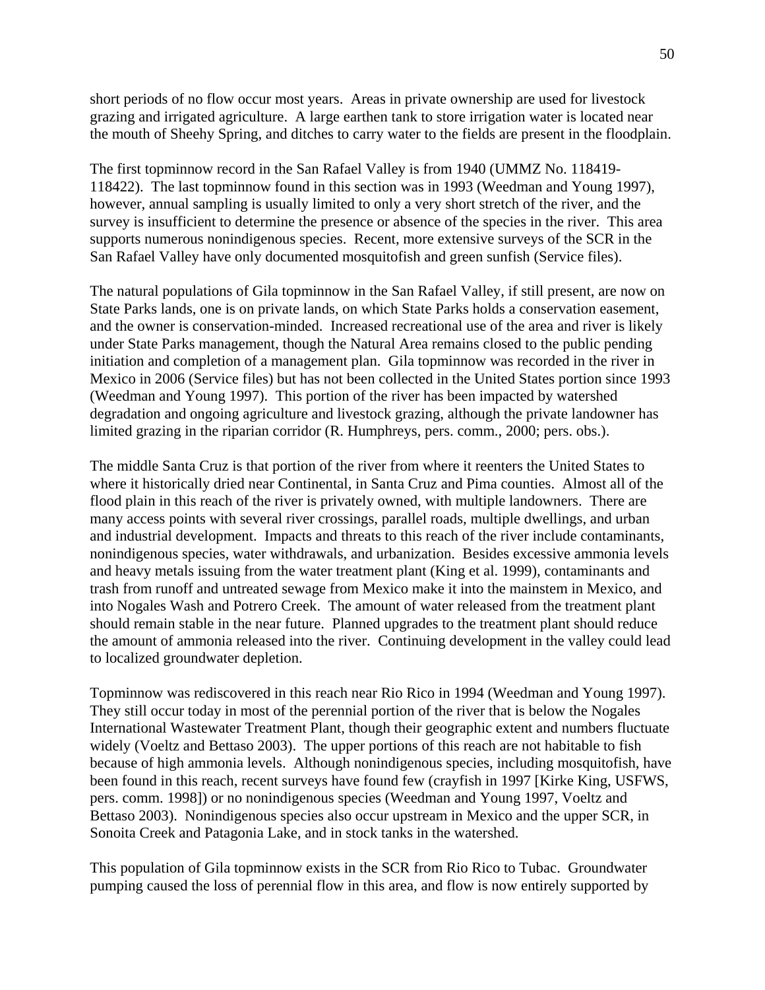short periods of no flow occur most years. Areas in private ownership are used for livestock grazing and irrigated agriculture. A large earthen tank to store irrigation water is located near the mouth of Sheehy Spring, and ditches to carry water to the fields are present in the floodplain.

The first topminnow record in the San Rafael Valley is from 1940 (UMMZ No. 118419- 118422). The last topminnow found in this section was in 1993 (Weedman and Young 1997), however, annual sampling is usually limited to only a very short stretch of the river, and the survey is insufficient to determine the presence or absence of the species in the river. This area supports numerous nonindigenous species. Recent, more extensive surveys of the SCR in the San Rafael Valley have only documented mosquitofish and green sunfish (Service files).

The natural populations of Gila topminnow in the San Rafael Valley, if still present, are now on State Parks lands, one is on private lands, on which State Parks holds a conservation easement, and the owner is conservation-minded. Increased recreational use of the area and river is likely under State Parks management, though the Natural Area remains closed to the public pending initiation and completion of a management plan. Gila topminnow was recorded in the river in Mexico in 2006 (Service files) but has not been collected in the United States portion since 1993 (Weedman and Young 1997). This portion of the river has been impacted by watershed degradation and ongoing agriculture and livestock grazing, although the private landowner has limited grazing in the riparian corridor (R. Humphreys, pers. comm., 2000; pers. obs.).

The middle Santa Cruz is that portion of the river from where it reenters the United States to where it historically dried near Continental, in Santa Cruz and Pima counties. Almost all of the flood plain in this reach of the river is privately owned, with multiple landowners. There are many access points with several river crossings, parallel roads, multiple dwellings, and urban and industrial development. Impacts and threats to this reach of the river include contaminants, nonindigenous species, water withdrawals, and urbanization. Besides excessive ammonia levels and heavy metals issuing from the water treatment plant (King et al. 1999), contaminants and trash from runoff and untreated sewage from Mexico make it into the mainstem in Mexico, and into Nogales Wash and Potrero Creek. The amount of water released from the treatment plant should remain stable in the near future. Planned upgrades to the treatment plant should reduce the amount of ammonia released into the river. Continuing development in the valley could lead to localized groundwater depletion.

Topminnow was rediscovered in this reach near Rio Rico in 1994 (Weedman and Young 1997). They still occur today in most of the perennial portion of the river that is below the Nogales International Wastewater Treatment Plant, though their geographic extent and numbers fluctuate widely (Voeltz and Bettaso 2003). The upper portions of this reach are not habitable to fish because of high ammonia levels. Although nonindigenous species, including mosquitofish, have been found in this reach, recent surveys have found few (crayfish in 1997 [Kirke King, USFWS, pers. comm. 1998]) or no nonindigenous species (Weedman and Young 1997, Voeltz and Bettaso 2003). Nonindigenous species also occur upstream in Mexico and the upper SCR, in Sonoita Creek and Patagonia Lake, and in stock tanks in the watershed.

This population of Gila topminnow exists in the SCR from Rio Rico to Tubac. Groundwater pumping caused the loss of perennial flow in this area, and flow is now entirely supported by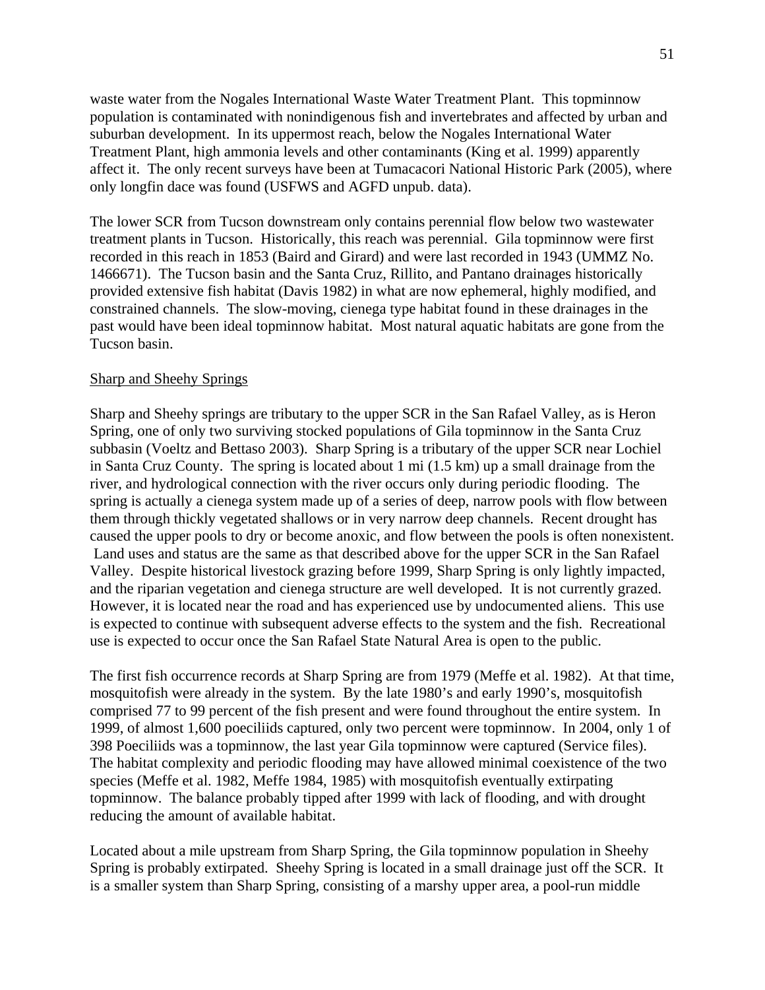waste water from the Nogales International Waste Water Treatment Plant. This topminnow population is contaminated with nonindigenous fish and invertebrates and affected by urban and suburban development. In its uppermost reach, below the Nogales International Water Treatment Plant, high ammonia levels and other contaminants (King et al. 1999) apparently affect it. The only recent surveys have been at Tumacacori National Historic Park (2005), where only longfin dace was found (USFWS and AGFD unpub. data).

The lower SCR from Tucson downstream only contains perennial flow below two wastewater treatment plants in Tucson. Historically, this reach was perennial. Gila topminnow were first recorded in this reach in 1853 (Baird and Girard) and were last recorded in 1943 (UMMZ No. 1466671). The Tucson basin and the Santa Cruz, Rillito, and Pantano drainages historically provided extensive fish habitat (Davis 1982) in what are now ephemeral, highly modified, and constrained channels. The slow-moving, cienega type habitat found in these drainages in the past would have been ideal topminnow habitat. Most natural aquatic habitats are gone from the Tucson basin.

#### Sharp and Sheehy Springs

Sharp and Sheehy springs are tributary to the upper SCR in the San Rafael Valley, as is Heron Spring, one of only two surviving stocked populations of Gila topminnow in the Santa Cruz subbasin (Voeltz and Bettaso 2003). Sharp Spring is a tributary of the upper SCR near Lochiel in Santa Cruz County. The spring is located about 1 mi (1.5 km) up a small drainage from the river, and hydrological connection with the river occurs only during periodic flooding. The spring is actually a cienega system made up of a series of deep, narrow pools with flow between them through thickly vegetated shallows or in very narrow deep channels. Recent drought has caused the upper pools to dry or become anoxic, and flow between the pools is often nonexistent. Land uses and status are the same as that described above for the upper SCR in the San Rafael Valley. Despite historical livestock grazing before 1999, Sharp Spring is only lightly impacted, and the riparian vegetation and cienega structure are well developed. It is not currently grazed. However, it is located near the road and has experienced use by undocumented aliens. This use is expected to continue with subsequent adverse effects to the system and the fish. Recreational use is expected to occur once the San Rafael State Natural Area is open to the public.

The first fish occurrence records at Sharp Spring are from 1979 (Meffe et al. 1982). At that time, mosquitofish were already in the system. By the late 1980's and early 1990's, mosquitofish comprised 77 to 99 percent of the fish present and were found throughout the entire system. In 1999, of almost 1,600 poeciliids captured, only two percent were topminnow. In 2004, only 1 of 398 Poeciliids was a topminnow, the last year Gila topminnow were captured (Service files). The habitat complexity and periodic flooding may have allowed minimal coexistence of the two species (Meffe et al. 1982, Meffe 1984, 1985) with mosquitofish eventually extirpating topminnow. The balance probably tipped after 1999 with lack of flooding, and with drought reducing the amount of available habitat.

Located about a mile upstream from Sharp Spring, the Gila topminnow population in Sheehy Spring is probably extirpated. Sheehy Spring is located in a small drainage just off the SCR. It is a smaller system than Sharp Spring, consisting of a marshy upper area, a pool-run middle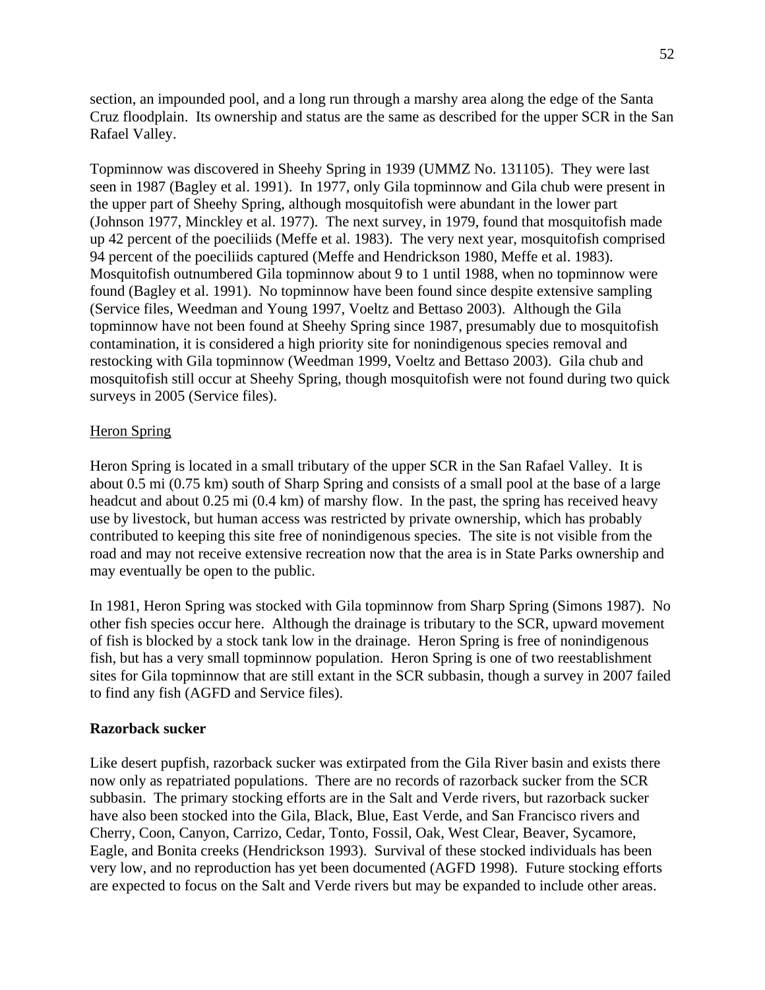section, an impounded pool, and a long run through a marshy area along the edge of the Santa Cruz floodplain. Its ownership and status are the same as described for the upper SCR in the San Rafael Valley.

Topminnow was discovered in Sheehy Spring in 1939 (UMMZ No. 131105). They were last seen in 1987 (Bagley et al. 1991). In 1977, only Gila topminnow and Gila chub were present in the upper part of Sheehy Spring, although mosquitofish were abundant in the lower part (Johnson 1977, Minckley et al. 1977). The next survey, in 1979, found that mosquitofish made up 42 percent of the poeciliids (Meffe et al. 1983). The very next year, mosquitofish comprised 94 percent of the poeciliids captured (Meffe and Hendrickson 1980, Meffe et al. 1983). Mosquitofish outnumbered Gila topminnow about 9 to 1 until 1988, when no topminnow were found (Bagley et al. 1991). No topminnow have been found since despite extensive sampling (Service files, Weedman and Young 1997, Voeltz and Bettaso 2003). Although the Gila topminnow have not been found at Sheehy Spring since 1987, presumably due to mosquitofish contamination, it is considered a high priority site for nonindigenous species removal and restocking with Gila topminnow (Weedman 1999, Voeltz and Bettaso 2003). Gila chub and mosquitofish still occur at Sheehy Spring, though mosquitofish were not found during two quick surveys in 2005 (Service files).

## Heron Spring

Heron Spring is located in a small tributary of the upper SCR in the San Rafael Valley. It is about 0.5 mi (0.75 km) south of Sharp Spring and consists of a small pool at the base of a large headcut and about 0.25 mi (0.4 km) of marshy flow. In the past, the spring has received heavy use by livestock, but human access was restricted by private ownership, which has probably contributed to keeping this site free of nonindigenous species. The site is not visible from the road and may not receive extensive recreation now that the area is in State Parks ownership and may eventually be open to the public.

In 1981, Heron Spring was stocked with Gila topminnow from Sharp Spring (Simons 1987). No other fish species occur here. Although the drainage is tributary to the SCR, upward movement of fish is blocked by a stock tank low in the drainage. Heron Spring is free of nonindigenous fish, but has a very small topminnow population. Heron Spring is one of two reestablishment sites for Gila topminnow that are still extant in the SCR subbasin, though a survey in 2007 failed to find any fish (AGFD and Service files).

### **Razorback sucker**

Like desert pupfish, razorback sucker was extirpated from the Gila River basin and exists there now only as repatriated populations. There are no records of razorback sucker from the SCR subbasin. The primary stocking efforts are in the Salt and Verde rivers, but razorback sucker have also been stocked into the Gila, Black, Blue, East Verde, and San Francisco rivers and Cherry, Coon, Canyon, Carrizo, Cedar, Tonto, Fossil, Oak, West Clear, Beaver, Sycamore, Eagle, and Bonita creeks (Hendrickson 1993). Survival of these stocked individuals has been very low, and no reproduction has yet been documented (AGFD 1998). Future stocking efforts are expected to focus on the Salt and Verde rivers but may be expanded to include other areas.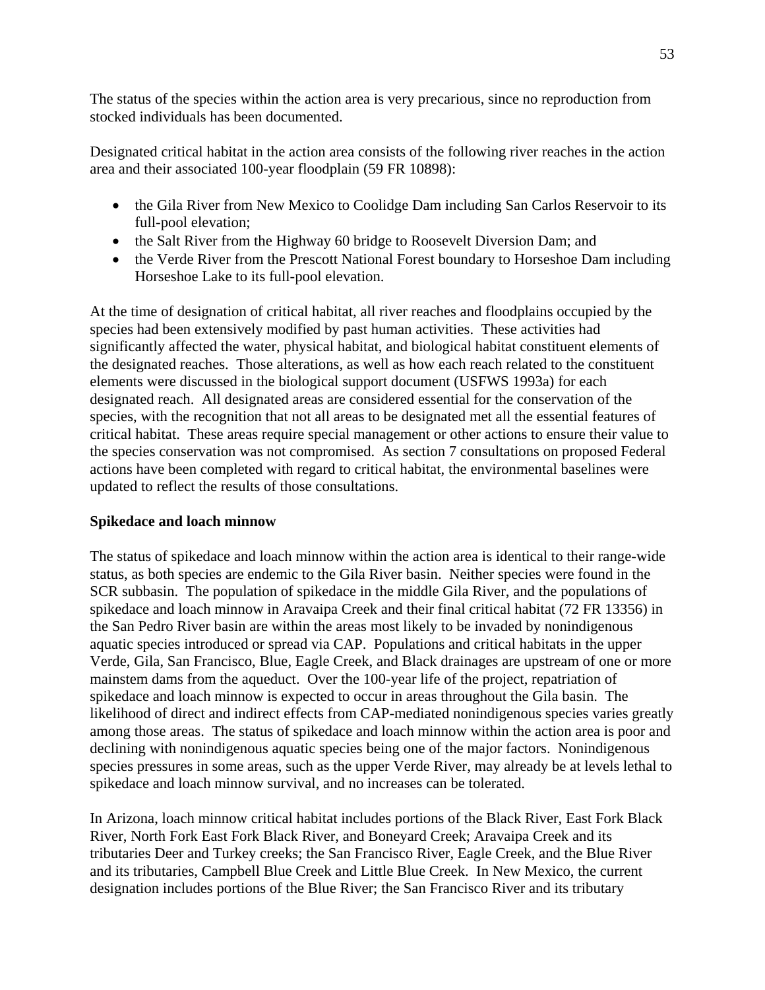The status of the species within the action area is very precarious, since no reproduction from stocked individuals has been documented.

Designated critical habitat in the action area consists of the following river reaches in the action area and their associated 100-year floodplain (59 FR 10898):

- the Gila River from New Mexico to Coolidge Dam including San Carlos Reservoir to its full-pool elevation;
- the Salt River from the Highway 60 bridge to Roosevelt Diversion Dam; and
- the Verde River from the Prescott National Forest boundary to Horseshoe Dam including Horseshoe Lake to its full-pool elevation.

At the time of designation of critical habitat, all river reaches and floodplains occupied by the species had been extensively modified by past human activities. These activities had significantly affected the water, physical habitat, and biological habitat constituent elements of the designated reaches. Those alterations, as well as how each reach related to the constituent elements were discussed in the biological support document (USFWS 1993a) for each designated reach. All designated areas are considered essential for the conservation of the species, with the recognition that not all areas to be designated met all the essential features of critical habitat. These areas require special management or other actions to ensure their value to the species conservation was not compromised. As section 7 consultations on proposed Federal actions have been completed with regard to critical habitat, the environmental baselines were updated to reflect the results of those consultations.

## **Spikedace and loach minnow**

The status of spikedace and loach minnow within the action area is identical to their range-wide status, as both species are endemic to the Gila River basin. Neither species were found in the SCR subbasin. The population of spikedace in the middle Gila River, and the populations of spikedace and loach minnow in Aravaipa Creek and their final critical habitat (72 FR 13356) in the San Pedro River basin are within the areas most likely to be invaded by nonindigenous aquatic species introduced or spread via CAP. Populations and critical habitats in the upper Verde, Gila, San Francisco, Blue, Eagle Creek, and Black drainages are upstream of one or more mainstem dams from the aqueduct. Over the 100-year life of the project, repatriation of spikedace and loach minnow is expected to occur in areas throughout the Gila basin. The likelihood of direct and indirect effects from CAP-mediated nonindigenous species varies greatly among those areas. The status of spikedace and loach minnow within the action area is poor and declining with nonindigenous aquatic species being one of the major factors. Nonindigenous species pressures in some areas, such as the upper Verde River, may already be at levels lethal to spikedace and loach minnow survival, and no increases can be tolerated.

In Arizona, loach minnow critical habitat includes portions of the Black River, East Fork Black River, North Fork East Fork Black River, and Boneyard Creek; Aravaipa Creek and its tributaries Deer and Turkey creeks; the San Francisco River, Eagle Creek, and the Blue River and its tributaries, Campbell Blue Creek and Little Blue Creek. In New Mexico, the current designation includes portions of the Blue River; the San Francisco River and its tributary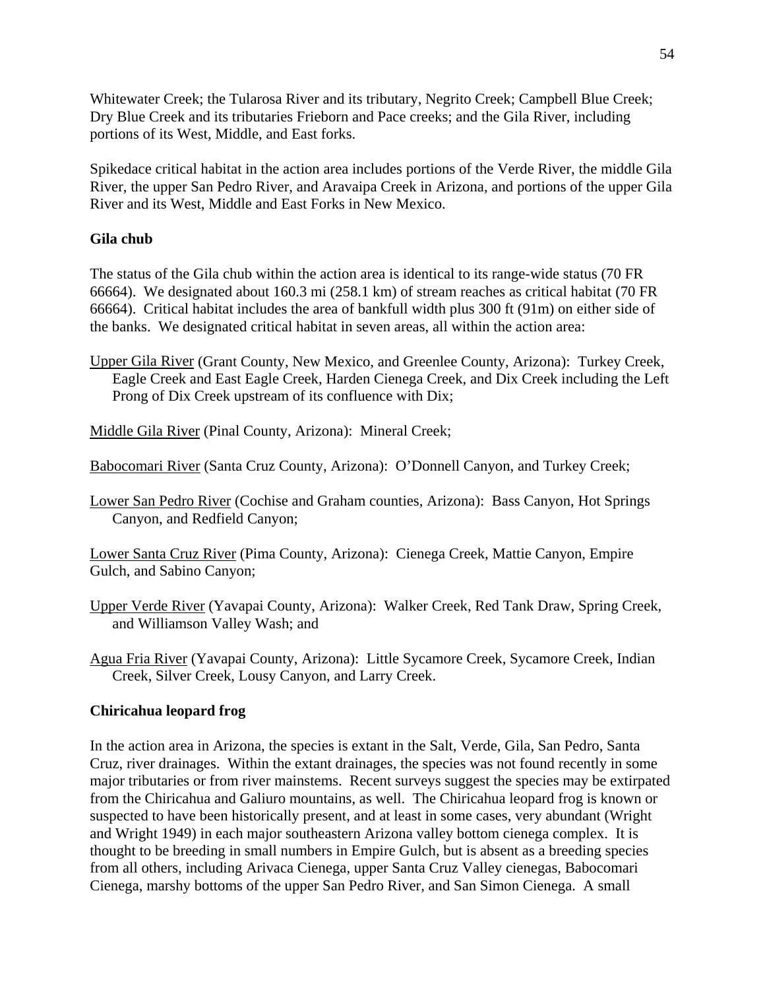Whitewater Creek; the Tularosa River and its tributary, Negrito Creek; Campbell Blue Creek; Dry Blue Creek and its tributaries Frieborn and Pace creeks; and the Gila River, including portions of its West, Middle, and East forks.

Spikedace critical habitat in the action area includes portions of the Verde River, the middle Gila River, the upper San Pedro River, and Aravaipa Creek in Arizona, and portions of the upper Gila River and its West, Middle and East Forks in New Mexico.

# **Gila chub**

The status of the Gila chub within the action area is identical to its range-wide status (70 FR 66664). We designated about 160.3 mi (258.1 km) of stream reaches as critical habitat (70 FR 66664). Critical habitat includes the area of bankfull width plus 300 ft (91m) on either side of the banks. We designated critical habitat in seven areas, all within the action area:

Upper Gila River (Grant County, New Mexico, and Greenlee County, Arizona): Turkey Creek, Eagle Creek and East Eagle Creek, Harden Cienega Creek, and Dix Creek including the Left Prong of Dix Creek upstream of its confluence with Dix;

Middle Gila River (Pinal County, Arizona): Mineral Creek;

Babocomari River (Santa Cruz County, Arizona): O'Donnell Canyon, and Turkey Creek;

Lower San Pedro River (Cochise and Graham counties, Arizona): Bass Canyon, Hot Springs Canyon, and Redfield Canyon;

Lower Santa Cruz River (Pima County, Arizona): Cienega Creek, Mattie Canyon, Empire Gulch, and Sabino Canyon;

- Upper Verde River (Yavapai County, Arizona): Walker Creek, Red Tank Draw, Spring Creek, and Williamson Valley Wash; and
- Agua Fria River (Yavapai County, Arizona): Little Sycamore Creek, Sycamore Creek, Indian Creek, Silver Creek, Lousy Canyon, and Larry Creek.

## **Chiricahua leopard frog**

In the action area in Arizona, the species is extant in the Salt, Verde, Gila, San Pedro, Santa Cruz, river drainages. Within the extant drainages, the species was not found recently in some major tributaries or from river mainstems. Recent surveys suggest the species may be extirpated from the Chiricahua and Galiuro mountains, as well. The Chiricahua leopard frog is known or suspected to have been historically present, and at least in some cases, very abundant (Wright and Wright 1949) in each major southeastern Arizona valley bottom cienega complex. It is thought to be breeding in small numbers in Empire Gulch, but is absent as a breeding species from all others, including Arivaca Cienega, upper Santa Cruz Valley cienegas, Babocomari Cienega, marshy bottoms of the upper San Pedro River, and San Simon Cienega. A small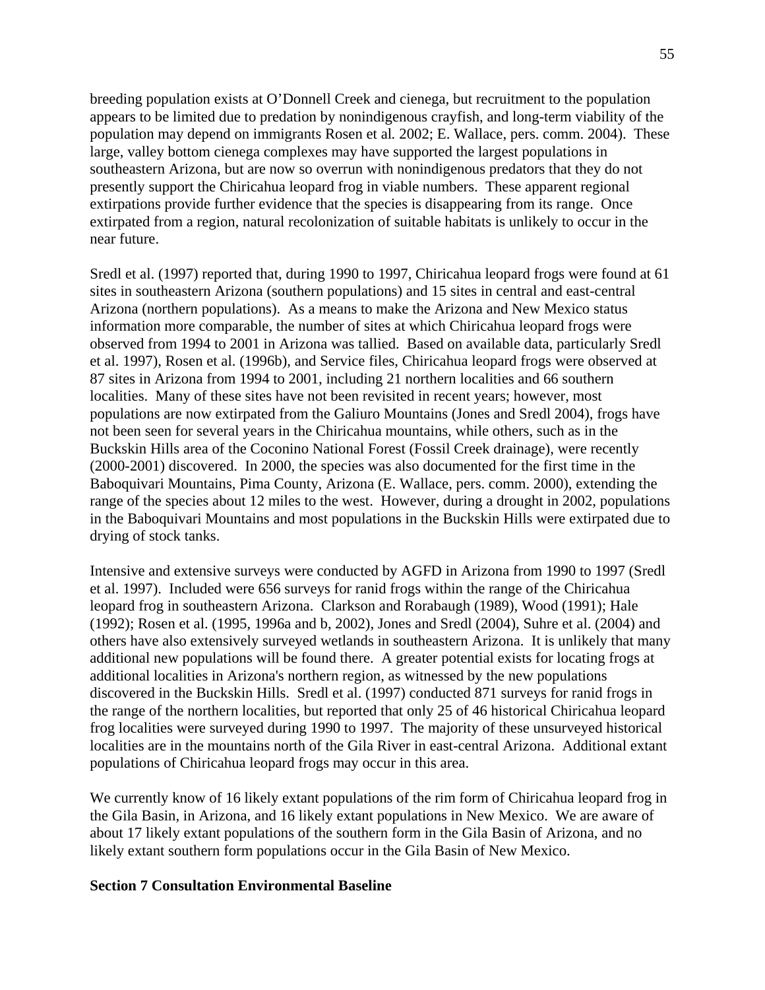breeding population exists at O'Donnell Creek and cienega, but recruitment to the population appears to be limited due to predation by nonindigenous crayfish, and long-term viability of the population may depend on immigrants Rosen et al*.* 2002; E. Wallace, pers. comm. 2004). These large, valley bottom cienega complexes may have supported the largest populations in southeastern Arizona, but are now so overrun with nonindigenous predators that they do not presently support the Chiricahua leopard frog in viable numbers. These apparent regional extirpations provide further evidence that the species is disappearing from its range. Once extirpated from a region, natural recolonization of suitable habitats is unlikely to occur in the near future.

Sredl et al. (1997) reported that, during 1990 to 1997, Chiricahua leopard frogs were found at 61 sites in southeastern Arizona (southern populations) and 15 sites in central and east-central Arizona (northern populations). As a means to make the Arizona and New Mexico status information more comparable, the number of sites at which Chiricahua leopard frogs were observed from 1994 to 2001 in Arizona was tallied. Based on available data, particularly Sredl et al. 1997), Rosen et al. (1996b), and Service files, Chiricahua leopard frogs were observed at 87 sites in Arizona from 1994 to 2001, including 21 northern localities and 66 southern localities. Many of these sites have not been revisited in recent years; however, most populations are now extirpated from the Galiuro Mountains (Jones and Sredl 2004), frogs have not been seen for several years in the Chiricahua mountains, while others, such as in the Buckskin Hills area of the Coconino National Forest (Fossil Creek drainage), were recently (2000-2001) discovered. In 2000, the species was also documented for the first time in the Baboquivari Mountains, Pima County, Arizona (E. Wallace, pers. comm. 2000), extending the range of the species about 12 miles to the west. However, during a drought in 2002, populations in the Baboquivari Mountains and most populations in the Buckskin Hills were extirpated due to drying of stock tanks.

Intensive and extensive surveys were conducted by AGFD in Arizona from 1990 to 1997 (Sredl et al. 1997). Included were 656 surveys for ranid frogs within the range of the Chiricahua leopard frog in southeastern Arizona. Clarkson and Rorabaugh (1989), Wood (1991); Hale (1992); Rosen et al. (1995, 1996a and b, 2002), Jones and Sredl (2004), Suhre et al. (2004) and others have also extensively surveyed wetlands in southeastern Arizona. It is unlikely that many additional new populations will be found there. A greater potential exists for locating frogs at additional localities in Arizona's northern region, as witnessed by the new populations discovered in the Buckskin Hills. Sredl et al. (1997) conducted 871 surveys for ranid frogs in the range of the northern localities, but reported that only 25 of 46 historical Chiricahua leopard frog localities were surveyed during 1990 to 1997. The majority of these unsurveyed historical localities are in the mountains north of the Gila River in east-central Arizona. Additional extant populations of Chiricahua leopard frogs may occur in this area.

We currently know of 16 likely extant populations of the rim form of Chiricahua leopard frog in the Gila Basin, in Arizona, and 16 likely extant populations in New Mexico. We are aware of about 17 likely extant populations of the southern form in the Gila Basin of Arizona, and no likely extant southern form populations occur in the Gila Basin of New Mexico.

### **Section 7 Consultation Environmental Baseline**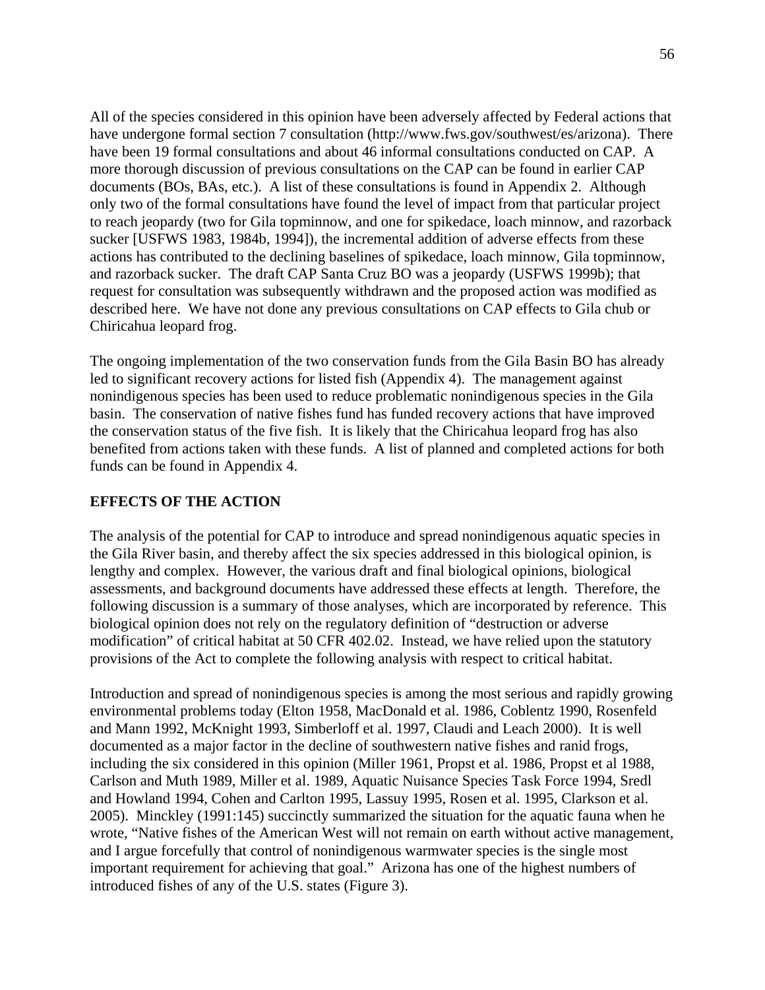All of the species considered in this opinion have been adversely affected by Federal actions that have undergone formal section 7 consultation (http://www.fws.gov/southwest/es/arizona). There have been 19 formal consultations and about 46 informal consultations conducted on CAP. A more thorough discussion of previous consultations on the CAP can be found in earlier CAP documents (BOs, BAs, etc.). A list of these consultations is found in Appendix 2. Although only two of the formal consultations have found the level of impact from that particular project to reach jeopardy (two for Gila topminnow, and one for spikedace, loach minnow, and razorback sucker [USFWS 1983, 1984b, 1994]), the incremental addition of adverse effects from these actions has contributed to the declining baselines of spikedace, loach minnow, Gila topminnow, and razorback sucker. The draft CAP Santa Cruz BO was a jeopardy (USFWS 1999b); that request for consultation was subsequently withdrawn and the proposed action was modified as described here. We have not done any previous consultations on CAP effects to Gila chub or Chiricahua leopard frog.

The ongoing implementation of the two conservation funds from the Gila Basin BO has already led to significant recovery actions for listed fish (Appendix 4). The management against nonindigenous species has been used to reduce problematic nonindigenous species in the Gila basin. The conservation of native fishes fund has funded recovery actions that have improved the conservation status of the five fish. It is likely that the Chiricahua leopard frog has also benefited from actions taken with these funds. A list of planned and completed actions for both funds can be found in Appendix 4.

# **EFFECTS OF THE ACTION**

The analysis of the potential for CAP to introduce and spread nonindigenous aquatic species in the Gila River basin, and thereby affect the six species addressed in this biological opinion, is lengthy and complex. However, the various draft and final biological opinions, biological assessments, and background documents have addressed these effects at length. Therefore, the following discussion is a summary of those analyses, which are incorporated by reference. This biological opinion does not rely on the regulatory definition of "destruction or adverse modification" of critical habitat at 50 CFR 402.02. Instead, we have relied upon the statutory provisions of the Act to complete the following analysis with respect to critical habitat.

Introduction and spread of nonindigenous species is among the most serious and rapidly growing environmental problems today (Elton 1958, MacDonald et al. 1986, Coblentz 1990, Rosenfeld and Mann 1992, McKnight 1993, Simberloff et al. 1997, Claudi and Leach 2000). It is well documented as a major factor in the decline of southwestern native fishes and ranid frogs, including the six considered in this opinion (Miller 1961, Propst et al. 1986, Propst et al 1988, Carlson and Muth 1989, Miller et al. 1989, Aquatic Nuisance Species Task Force 1994, Sredl and Howland 1994, Cohen and Carlton 1995, Lassuy 1995, Rosen et al. 1995, Clarkson et al. 2005). Minckley (1991:145) succinctly summarized the situation for the aquatic fauna when he wrote, "Native fishes of the American West will not remain on earth without active management, and I argue forcefully that control of nonindigenous warmwater species is the single most important requirement for achieving that goal." Arizona has one of the highest numbers of introduced fishes of any of the U.S. states (Figure 3).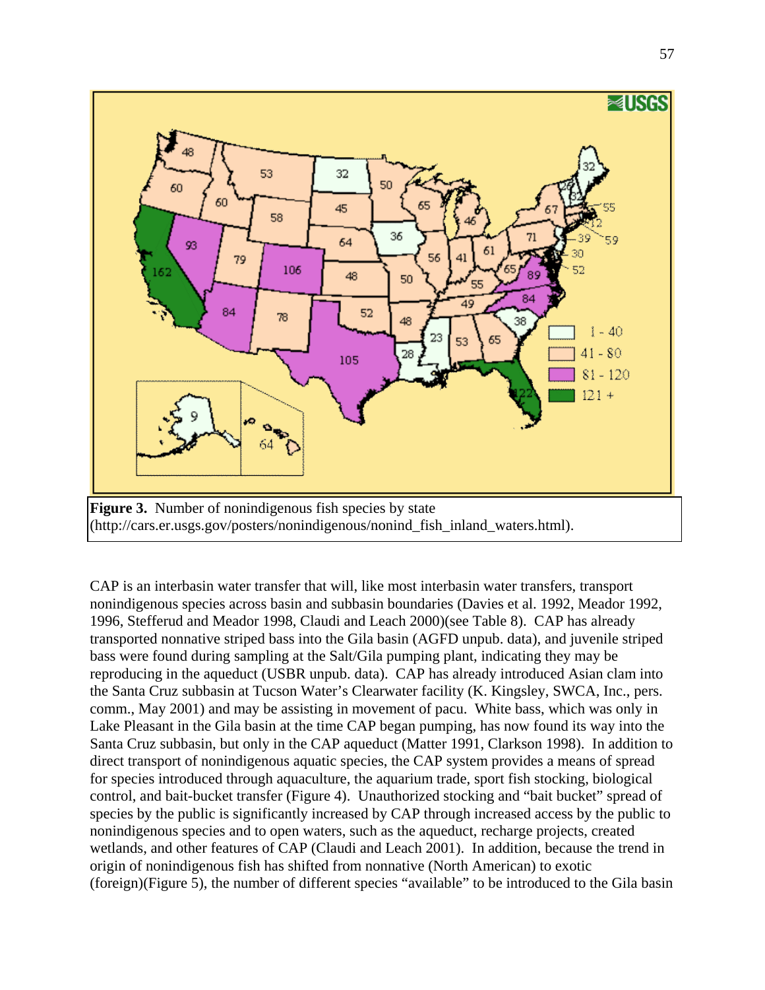

CAP is an interbasin water transfer that will, like most interbasin water transfers, transport nonindigenous species across basin and subbasin boundaries (Davies et al. 1992, Meador 1992, 1996, Stefferud and Meador 1998, Claudi and Leach 2000)(see Table 8). CAP has already transported nonnative striped bass into the Gila basin (AGFD unpub. data), and juvenile striped bass were found during sampling at the Salt/Gila pumping plant, indicating they may be reproducing in the aqueduct (USBR unpub. data). CAP has already introduced Asian clam into the Santa Cruz subbasin at Tucson Water's Clearwater facility (K. Kingsley, SWCA, Inc., pers. comm., May 2001) and may be assisting in movement of pacu. White bass, which was only in Lake Pleasant in the Gila basin at the time CAP began pumping, has now found its way into the Santa Cruz subbasin, but only in the CAP aqueduct (Matter 1991, Clarkson 1998). In addition to direct transport of nonindigenous aquatic species, the CAP system provides a means of spread for species introduced through aquaculture, the aquarium trade, sport fish stocking, biological control, and bait-bucket transfer (Figure 4). Unauthorized stocking and "bait bucket" spread of species by the public is significantly increased by CAP through increased access by the public to nonindigenous species and to open waters, such as the aqueduct, recharge projects, created wetlands, and other features of CAP (Claudi and Leach 2001). In addition, because the trend in origin of nonindigenous fish has shifted from nonnative (North American) to exotic (foreign)(Figure 5), the number of different species "available" to be introduced to the Gila basin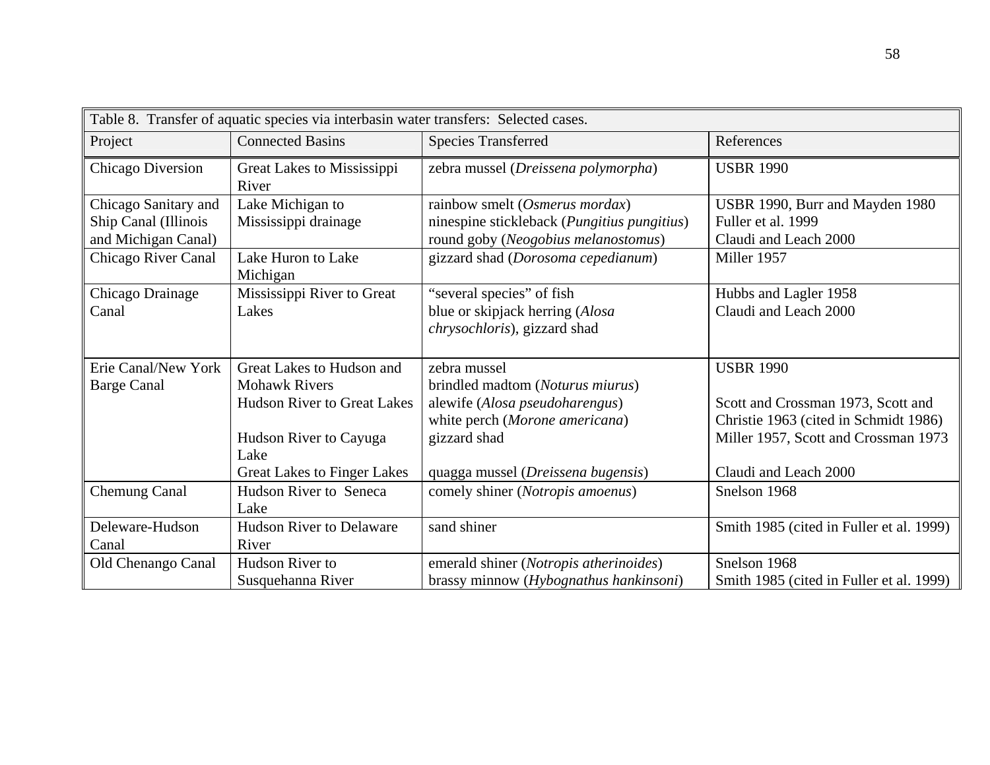| Table 8. Transfer of aquatic species via interbasin water transfers: Selected cases. |                                     |                                                                 |                                          |  |  |
|--------------------------------------------------------------------------------------|-------------------------------------|-----------------------------------------------------------------|------------------------------------------|--|--|
| Project                                                                              | <b>Connected Basins</b>             | <b>Species Transferred</b>                                      | References                               |  |  |
| Chicago Diversion                                                                    | Great Lakes to Mississippi<br>River | zebra mussel (Dreissena polymorpha)                             | <b>USBR 1990</b>                         |  |  |
| Chicago Sanitary and                                                                 | Lake Michigan to                    | rainbow smelt (Osmerus mordax)                                  | USBR 1990, Burr and Mayden 1980          |  |  |
| Ship Canal (Illinois                                                                 | Mississippi drainage                | ninespine stickleback (Pungitius pungitius)                     | Fuller et al. 1999                       |  |  |
| and Michigan Canal)                                                                  |                                     | round goby (Neogobius melanostomus)                             | Claudi and Leach 2000                    |  |  |
| Chicago River Canal                                                                  | Lake Huron to Lake<br>Michigan      | gizzard shad (Dorosoma cepedianum)                              | Miller 1957                              |  |  |
| Chicago Drainage                                                                     | Mississippi River to Great          | "several species" of fish                                       | Hubbs and Lagler 1958                    |  |  |
| Canal                                                                                | Lakes                               | blue or skipjack herring (Alosa<br>chrysochloris), gizzard shad | Claudi and Leach 2000                    |  |  |
| Erie Canal/New York                                                                  | Great Lakes to Hudson and           | zebra mussel                                                    | <b>USBR 1990</b>                         |  |  |
| <b>Barge Canal</b>                                                                   | <b>Mohawk Rivers</b>                | brindled madtom (Noturus miurus)                                |                                          |  |  |
|                                                                                      | <b>Hudson River to Great Lakes</b>  | alewife (Alosa pseudoharengus)                                  | Scott and Crossman 1973, Scott and       |  |  |
|                                                                                      |                                     | white perch (Morone americana)                                  | Christie 1963 (cited in Schmidt 1986)    |  |  |
|                                                                                      | Hudson River to Cayuga<br>Lake      | gizzard shad                                                    | Miller 1957, Scott and Crossman 1973     |  |  |
|                                                                                      | <b>Great Lakes to Finger Lakes</b>  | quagga mussel (Dreissena bugensis)                              | Claudi and Leach 2000                    |  |  |
| Chemung Canal                                                                        | Hudson River to Seneca<br>Lake      | comely shiner (Notropis amoenus)                                | Snelson 1968                             |  |  |
| Deleware-Hudson                                                                      | <b>Hudson River to Delaware</b>     | sand shiner                                                     | Smith 1985 (cited in Fuller et al. 1999) |  |  |
| Canal                                                                                | River                               |                                                                 |                                          |  |  |
| Old Chenango Canal                                                                   | Hudson River to                     | emerald shiner (Notropis atherinoides)                          | Snelson 1968                             |  |  |
|                                                                                      | Susquehanna River                   | brassy minnow (Hybognathus hankinsoni)                          | Smith 1985 (cited in Fuller et al. 1999) |  |  |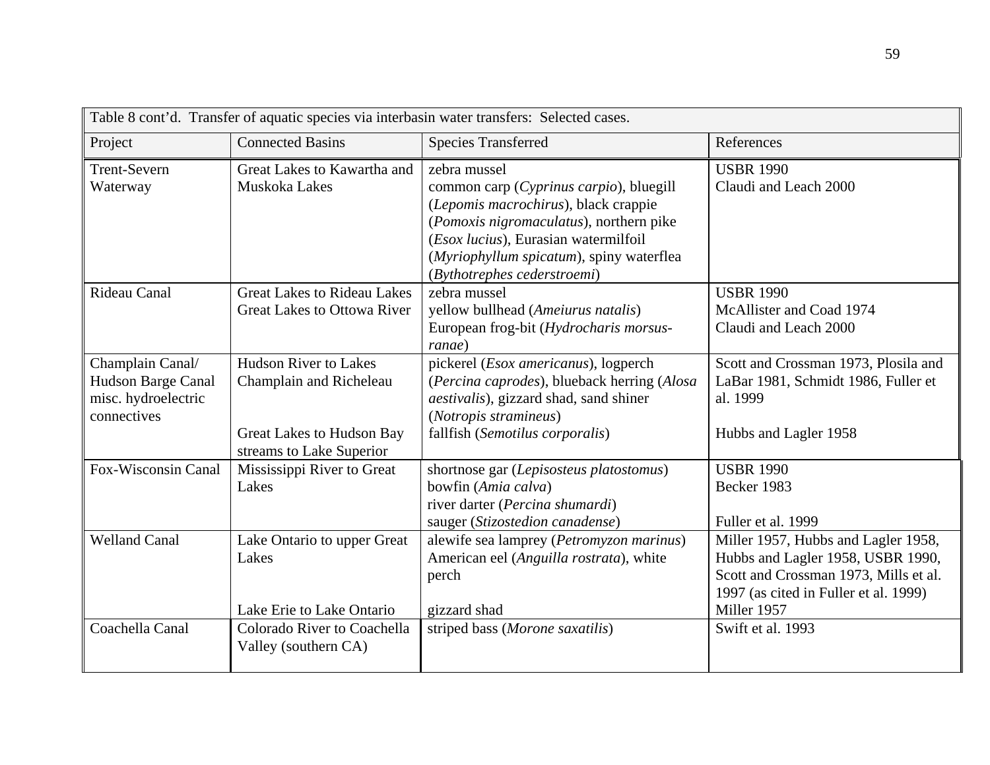| Project                                                                      | <b>Connected Basins</b>                                                                                          | <b>Species Transferred</b>                                                                                                                                                                                                                                    | References                                                                                                                                                                |
|------------------------------------------------------------------------------|------------------------------------------------------------------------------------------------------------------|---------------------------------------------------------------------------------------------------------------------------------------------------------------------------------------------------------------------------------------------------------------|---------------------------------------------------------------------------------------------------------------------------------------------------------------------------|
| <b>Trent-Severn</b><br>Waterway                                              | Great Lakes to Kawartha and<br>Muskoka Lakes                                                                     | zebra mussel<br>common carp (Cyprinus carpio), bluegill<br>(Lepomis macrochirus), black crappie<br>(Pomoxis nigromaculatus), northern pike<br>(Esox lucius), Eurasian watermilfoil<br>(Myriophyllum spicatum), spiny waterflea<br>(Bythotrephes cederstroemi) | <b>USBR 1990</b><br>Claudi and Leach 2000                                                                                                                                 |
| Rideau Canal                                                                 | <b>Great Lakes to Rideau Lakes</b><br><b>Great Lakes to Ottowa River</b>                                         | zebra mussel<br>yellow bullhead (Ameiurus natalis)<br>European frog-bit (Hydrocharis morsus-<br>ranae)                                                                                                                                                        | <b>USBR 1990</b><br>McAllister and Coad 1974<br>Claudi and Leach 2000                                                                                                     |
| Champlain Canal/<br>Hudson Barge Canal<br>misc. hydroelectric<br>connectives | <b>Hudson River to Lakes</b><br>Champlain and Richeleau<br>Great Lakes to Hudson Bay<br>streams to Lake Superior | pickerel (Esox americanus), logperch<br>(Percina caprodes), blueback herring (Alosa<br><i>aestivalis</i> ), gizzard shad, sand shiner<br>(Notropis stramineus)<br>fallfish (Semotilus corporalis)                                                             | Scott and Crossman 1973, Plosila and<br>LaBar 1981, Schmidt 1986, Fuller et<br>al. 1999<br>Hubbs and Lagler 1958                                                          |
| Fox-Wisconsin Canal                                                          | Mississippi River to Great<br>Lakes                                                                              | shortnose gar (Lepisosteus platostomus)<br>bowfin (Amia calva)<br>river darter (Percina shumardi)<br>sauger (Stizostedion canadense)                                                                                                                          | <b>USBR 1990</b><br>Becker 1983<br>Fuller et al. 1999                                                                                                                     |
| <b>Welland Canal</b>                                                         | Lake Ontario to upper Great<br>Lakes<br>Lake Erie to Lake Ontario                                                | alewife sea lamprey (Petromyzon marinus)<br>American eel (Anguilla rostrata), white<br>perch<br>gizzard shad                                                                                                                                                  | Miller 1957, Hubbs and Lagler 1958,<br>Hubbs and Lagler 1958, USBR 1990,<br>Scott and Crossman 1973, Mills et al.<br>1997 (as cited in Fuller et al. 1999)<br>Miller 1957 |
| Coachella Canal                                                              | Colorado River to Coachella<br>Valley (southern CA)                                                              | striped bass (Morone saxatilis)                                                                                                                                                                                                                               | Swift et al. 1993                                                                                                                                                         |

Table 8 cont'd. Transfer of aquatic species via interbasin water transfers: Selected cases.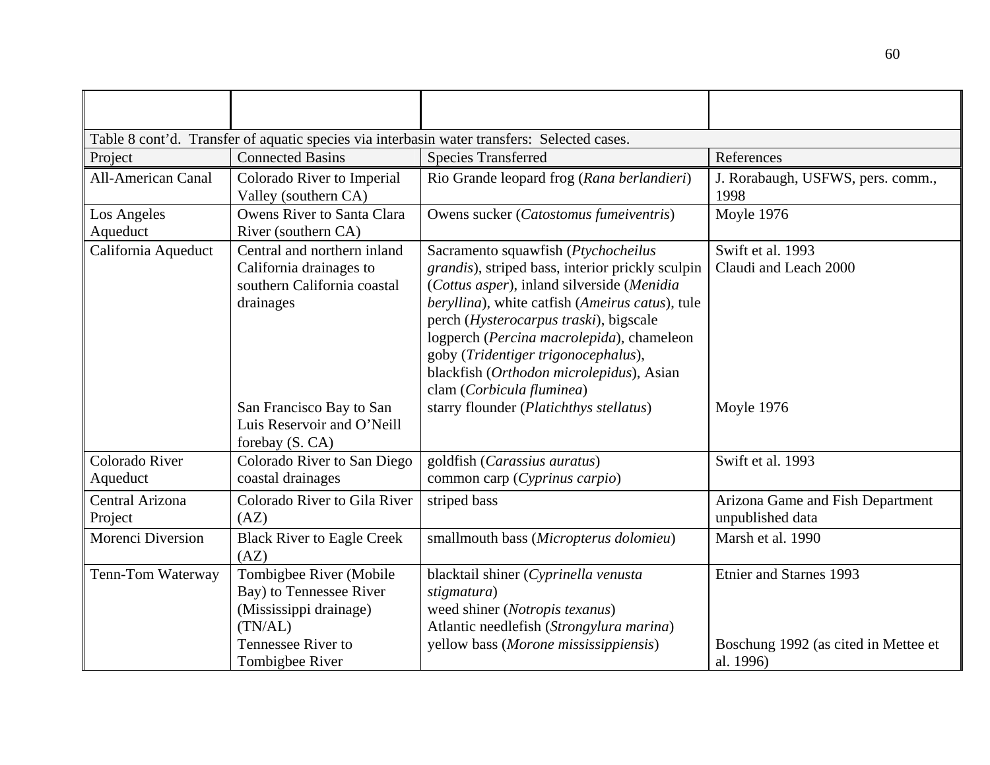| Table 8 cont'd. Transfer of aquatic species via interbasin water transfers: Selected cases. |                                                                                                                                  |                                                                                                                                                                                                                                                                                                                                                                                                 |                                                                              |  |  |  |  |
|---------------------------------------------------------------------------------------------|----------------------------------------------------------------------------------------------------------------------------------|-------------------------------------------------------------------------------------------------------------------------------------------------------------------------------------------------------------------------------------------------------------------------------------------------------------------------------------------------------------------------------------------------|------------------------------------------------------------------------------|--|--|--|--|
| Project                                                                                     | <b>Connected Basins</b>                                                                                                          | <b>Species Transferred</b>                                                                                                                                                                                                                                                                                                                                                                      | References                                                                   |  |  |  |  |
| <b>All-American Canal</b>                                                                   | Colorado River to Imperial<br>Valley (southern CA)                                                                               | Rio Grande leopard frog (Rana berlandieri)                                                                                                                                                                                                                                                                                                                                                      | J. Rorabaugh, USFWS, pers. comm.,<br>1998                                    |  |  |  |  |
| Los Angeles<br>Aqueduct                                                                     | Owens River to Santa Clara<br>River (southern CA)                                                                                | Owens sucker (Catostomus fumeiventris)                                                                                                                                                                                                                                                                                                                                                          | Moyle 1976                                                                   |  |  |  |  |
| California Aqueduct                                                                         | Central and northern inland<br>California drainages to<br>southern California coastal<br>drainages                               | Sacramento squawfish (Ptychocheilus<br>grandis), striped bass, interior prickly sculpin<br>(Cottus asper), inland silverside (Menidia<br>beryllina), white catfish (Ameirus catus), tule<br>perch (Hysterocarpus traski), bigscale<br>logperch (Percina macrolepida), chameleon<br>goby (Tridentiger trigonocephalus),<br>blackfish (Orthodon microlepidus), Asian<br>clam (Corbicula fluminea) | Swift et al. 1993<br>Claudi and Leach 2000                                   |  |  |  |  |
|                                                                                             | San Francisco Bay to San<br>Luis Reservoir and O'Neill<br>forebay (S. CA)                                                        | starry flounder (Platichthys stellatus)                                                                                                                                                                                                                                                                                                                                                         | Moyle 1976                                                                   |  |  |  |  |
| Colorado River<br>Aqueduct                                                                  | Colorado River to San Diego<br>coastal drainages                                                                                 | goldfish (Carassius auratus)<br>common carp (Cyprinus carpio)                                                                                                                                                                                                                                                                                                                                   | Swift et al. 1993                                                            |  |  |  |  |
| Central Arizona<br>Project                                                                  | Colorado River to Gila River<br>(AZ)                                                                                             | striped bass                                                                                                                                                                                                                                                                                                                                                                                    | Arizona Game and Fish Department<br>unpublished data                         |  |  |  |  |
| Morenci Diversion                                                                           | <b>Black River to Eagle Creek</b><br>(AZ)                                                                                        | smallmouth bass (Micropterus dolomieu)                                                                                                                                                                                                                                                                                                                                                          | Marsh et al. 1990                                                            |  |  |  |  |
| Tenn-Tom Waterway                                                                           | Tombigbee River (Mobile<br>Bay) to Tennessee River<br>(Mississippi drainage)<br>(TN/AL)<br>Tennessee River to<br>Tombigbee River | blacktail shiner (Cyprinella venusta<br>stigmatura)<br>weed shiner (Notropis texanus)<br>Atlantic needlefish (Strongylura marina)<br>yellow bass (Morone mississippiensis)                                                                                                                                                                                                                      | Etnier and Starnes 1993<br>Boschung 1992 (as cited in Mettee et<br>al. 1996) |  |  |  |  |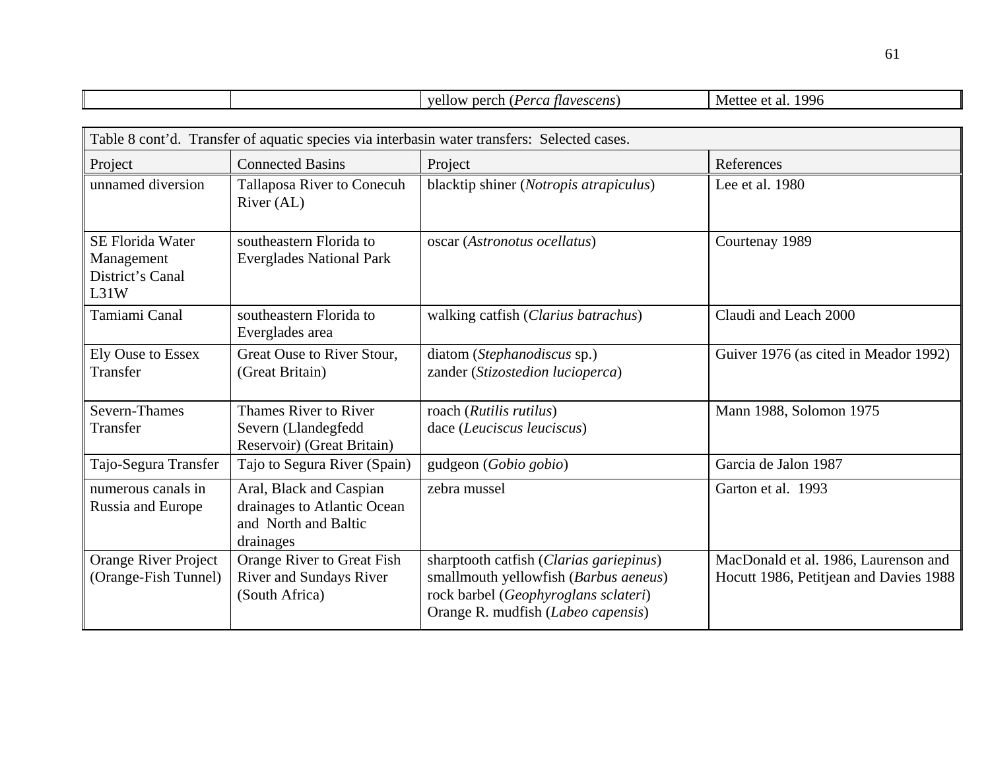|                                                                   |                                                                                             | yellow perch (Perca flavescens)                                                                                                                                | Mettee et al. 1996                                                             |  |  |  |  |  |
|-------------------------------------------------------------------|---------------------------------------------------------------------------------------------|----------------------------------------------------------------------------------------------------------------------------------------------------------------|--------------------------------------------------------------------------------|--|--|--|--|--|
|                                                                   |                                                                                             |                                                                                                                                                                |                                                                                |  |  |  |  |  |
|                                                                   | Table 8 cont'd. Transfer of aquatic species via interbasin water transfers: Selected cases. |                                                                                                                                                                |                                                                                |  |  |  |  |  |
| Project                                                           | <b>Connected Basins</b>                                                                     | Project                                                                                                                                                        | References                                                                     |  |  |  |  |  |
| unnamed diversion                                                 | Tallaposa River to Conecuh<br>River (AL)                                                    | blacktip shiner (Notropis atrapiculus)                                                                                                                         | Lee et al. 1980                                                                |  |  |  |  |  |
| <b>SE Florida Water</b><br>Management<br>District's Canal<br>L31W | southeastern Florida to<br><b>Everglades National Park</b>                                  | oscar (Astronotus ocellatus)                                                                                                                                   | Courtenay 1989                                                                 |  |  |  |  |  |
| Tamiami Canal                                                     | southeastern Florida to<br>Everglades area                                                  | walking catfish (Clarius batrachus)                                                                                                                            | Claudi and Leach 2000                                                          |  |  |  |  |  |
| <b>Ely Ouse to Essex</b><br>Transfer                              | Great Ouse to River Stour,<br>(Great Britain)                                               | diatom (Stephanodiscus sp.)<br>zander (Stizostedion lucioperca)                                                                                                | Guiver 1976 (as cited in Meador 1992)                                          |  |  |  |  |  |
| Severn-Thames<br>Transfer                                         | Thames River to River<br>Severn (Llandegfedd<br>Reservoir) (Great Britain)                  | roach (Rutilis rutilus)<br>dace (Leuciscus leuciscus)                                                                                                          | Mann 1988, Solomon 1975                                                        |  |  |  |  |  |
| Tajo-Segura Transfer                                              | Tajo to Segura River (Spain)                                                                | gudgeon (Gobio gobio)                                                                                                                                          | Garcia de Jalon 1987                                                           |  |  |  |  |  |
| numerous canals in<br>Russia and Europe                           | Aral, Black and Caspian<br>drainages to Atlantic Ocean<br>and North and Baltic<br>drainages | zebra mussel                                                                                                                                                   | Garton et al. 1993                                                             |  |  |  |  |  |
| <b>Orange River Project</b><br>(Orange-Fish Tunnel)               | Orange River to Great Fish<br><b>River and Sundays River</b><br>(South Africa)              | sharptooth catfish (Clarias gariepinus)<br>smallmouth yellowfish (Barbus aeneus)<br>rock barbel (Geophyroglans sclateri)<br>Orange R. mudfish (Labeo capensis) | MacDonald et al. 1986, Laurenson and<br>Hocutt 1986, Petitjean and Davies 1988 |  |  |  |  |  |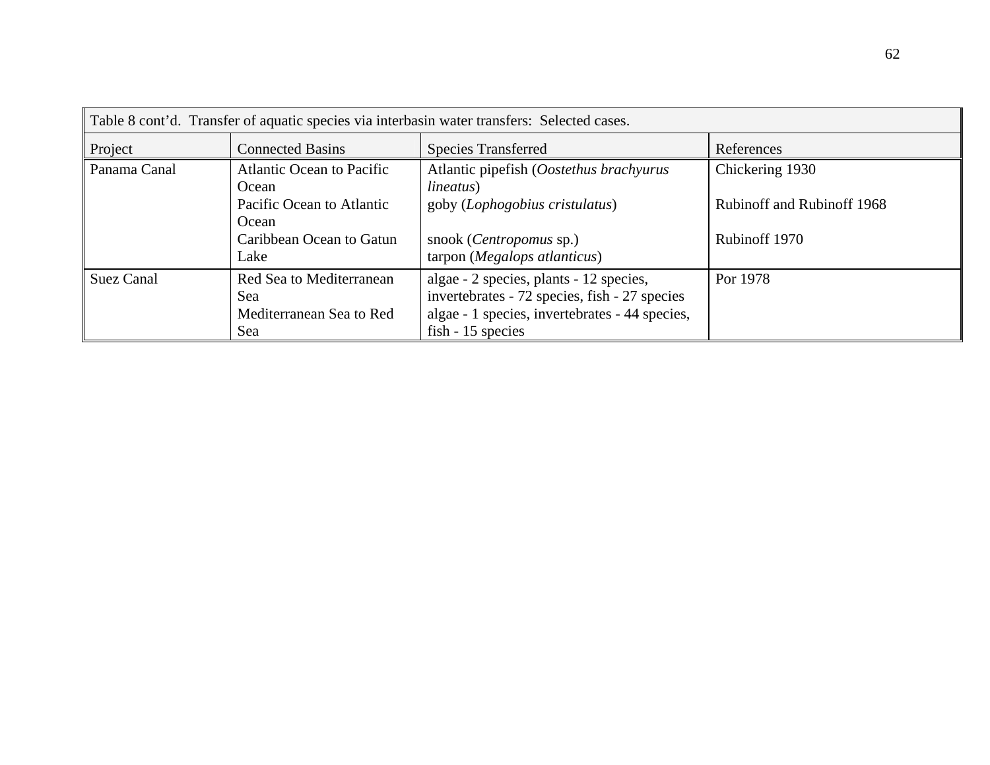| Table 8 cont'd. Transfer of aquatic species via interbasin water transfers: Selected cases. |                                                                    |                                                                                                                                                                 |                                   |  |  |  |
|---------------------------------------------------------------------------------------------|--------------------------------------------------------------------|-----------------------------------------------------------------------------------------------------------------------------------------------------------------|-----------------------------------|--|--|--|
| Project                                                                                     | <b>Connected Basins</b>                                            | References<br><b>Species Transferred</b>                                                                                                                        |                                   |  |  |  |
| Panama Canal                                                                                | <b>Atlantic Ocean to Pacific</b><br>Ocean                          | Atlantic pipefish (Oostethus brachyurus<br><i>lineatus</i> )                                                                                                    | Chickering 1930                   |  |  |  |
|                                                                                             | Pacific Ocean to Atlantic<br>Ocean                                 | goby (Lophogobius cristulatus)                                                                                                                                  | <b>Rubinoff and Rubinoff 1968</b> |  |  |  |
|                                                                                             | Caribbean Ocean to Gatun<br>Lake                                   | snook ( <i>Centropomus</i> sp.)<br>tarpon (Megalops atlanticus)                                                                                                 | Rubinoff 1970                     |  |  |  |
| <b>Suez Canal</b>                                                                           | Red Sea to Mediterranean<br>Sea<br>Mediterranean Sea to Red<br>Sea | algae - 2 species, plants - 12 species,<br>invertebrates - 72 species, fish - 27 species<br>algae - 1 species, invertebrates - 44 species,<br>fish - 15 species | Por 1978                          |  |  |  |

62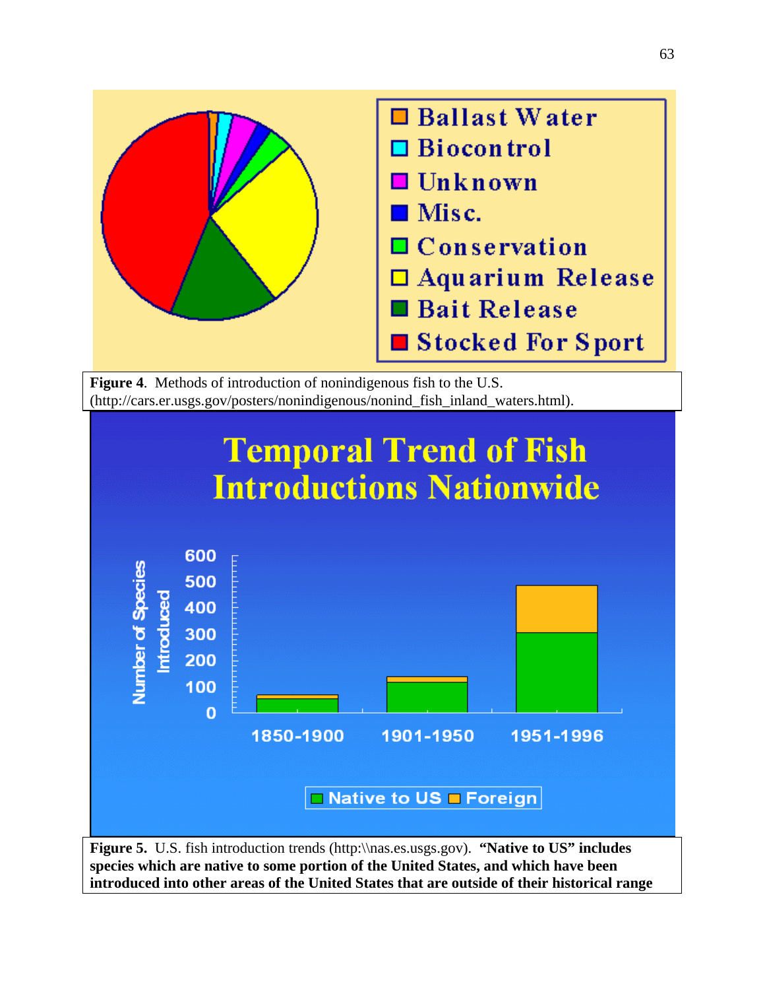

**Figure 5.** U.S. fish introduction trends ([http:\\nas.es.usgs.gov\)](http://nas.es.usgs.gov/). **"Native to US" includes species which are native to some portion of the United States, and which have been introduced into other areas of the United States that are outside of their historical range**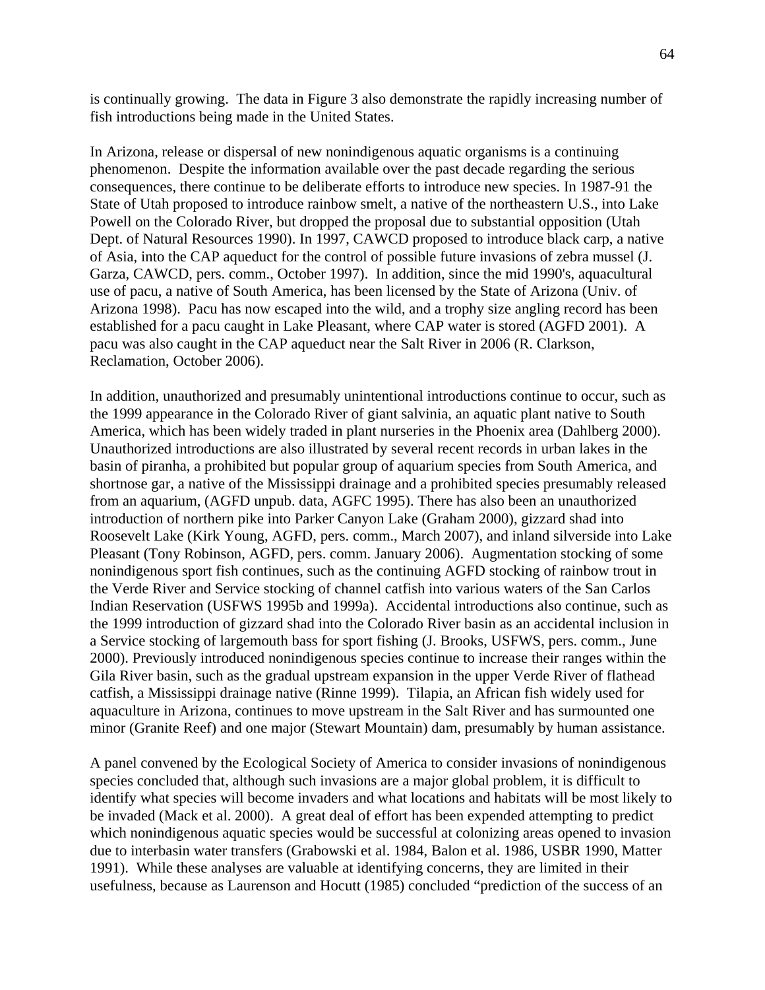is continually growing. The data in Figure 3 also demonstrate the rapidly increasing number of fish introductions being made in the United States.

In Arizona, release or dispersal of new nonindigenous aquatic organisms is a continuing phenomenon. Despite the information available over the past decade regarding the serious consequences, there continue to be deliberate efforts to introduce new species. In 1987-91 the State of Utah proposed to introduce rainbow smelt, a native of the northeastern U.S., into Lake Powell on the Colorado River, but dropped the proposal due to substantial opposition (Utah Dept. of Natural Resources 1990). In 1997, CAWCD proposed to introduce black carp, a native of Asia, into the CAP aqueduct for the control of possible future invasions of zebra mussel (J. Garza, CAWCD, pers. comm., October 1997). In addition, since the mid 1990's, aquacultural use of pacu, a native of South America, has been licensed by the State of Arizona (Univ. of Arizona 1998). Pacu has now escaped into the wild, and a trophy size angling record has been established for a pacu caught in Lake Pleasant, where CAP water is stored (AGFD 2001). A pacu was also caught in the CAP aqueduct near the Salt River in 2006 (R. Clarkson, Reclamation, October 2006).

In addition, unauthorized and presumably unintentional introductions continue to occur, such as the 1999 appearance in the Colorado River of giant salvinia, an aquatic plant native to South America, which has been widely traded in plant nurseries in the Phoenix area (Dahlberg 2000). Unauthorized introductions are also illustrated by several recent records in urban lakes in the basin of piranha, a prohibited but popular group of aquarium species from South America, and shortnose gar, a native of the Mississippi drainage and a prohibited species presumably released from an aquarium, (AGFD unpub. data, AGFC 1995). There has also been an unauthorized introduction of northern pike into Parker Canyon Lake (Graham 2000), gizzard shad into Roosevelt Lake (Kirk Young, AGFD, pers. comm., March 2007), and inland silverside into Lake Pleasant (Tony Robinson, AGFD, pers. comm. January 2006). Augmentation stocking of some nonindigenous sport fish continues, such as the continuing AGFD stocking of rainbow trout in the Verde River and Service stocking of channel catfish into various waters of the San Carlos Indian Reservation (USFWS 1995b and 1999a). Accidental introductions also continue, such as the 1999 introduction of gizzard shad into the Colorado River basin as an accidental inclusion in a Service stocking of largemouth bass for sport fishing (J. Brooks, USFWS, pers. comm., June 2000). Previously introduced nonindigenous species continue to increase their ranges within the Gila River basin, such as the gradual upstream expansion in the upper Verde River of flathead catfish, a Mississippi drainage native (Rinne 1999). Tilapia, an African fish widely used for aquaculture in Arizona, continues to move upstream in the Salt River and has surmounted one minor (Granite Reef) and one major (Stewart Mountain) dam, presumably by human assistance.

A panel convened by the Ecological Society of America to consider invasions of nonindigenous species concluded that, although such invasions are a major global problem, it is difficult to identify what species will become invaders and what locations and habitats will be most likely to be invaded (Mack et al. 2000). A great deal of effort has been expended attempting to predict which nonindigenous aquatic species would be successful at colonizing areas opened to invasion due to interbasin water transfers (Grabowski et al. 1984, Balon et al. 1986, USBR 1990, Matter 1991). While these analyses are valuable at identifying concerns, they are limited in their usefulness, because as Laurenson and Hocutt (1985) concluded "prediction of the success of an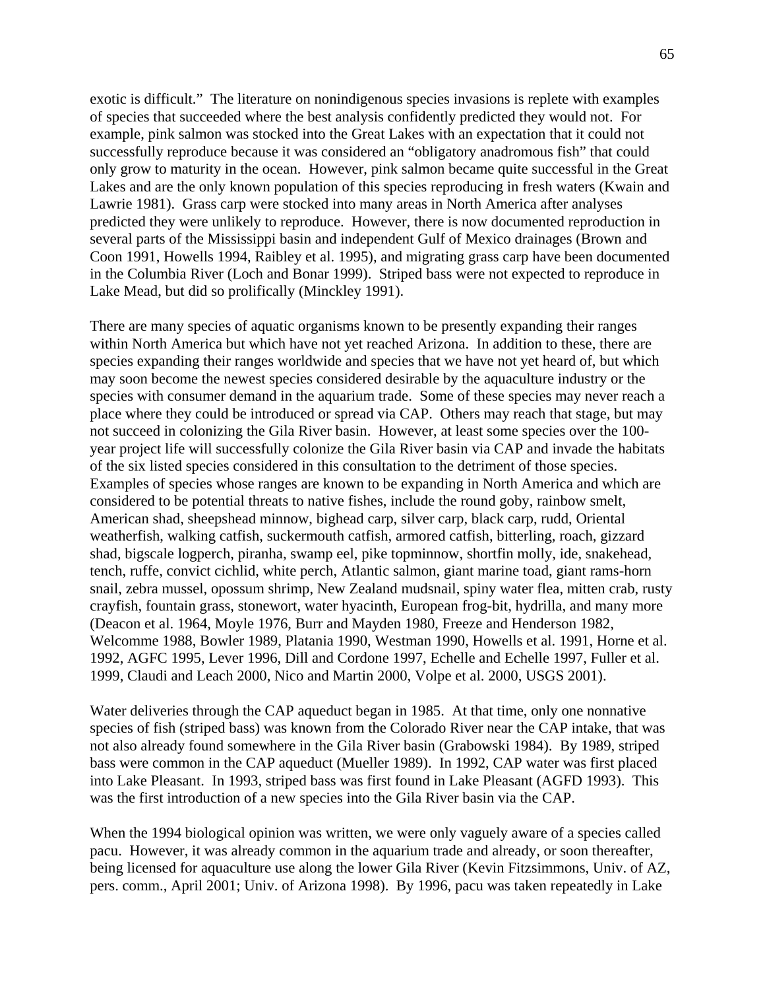exotic is difficult." The literature on nonindigenous species invasions is replete with examples of species that succeeded where the best analysis confidently predicted they would not. For example, pink salmon was stocked into the Great Lakes with an expectation that it could not successfully reproduce because it was considered an "obligatory anadromous fish" that could only grow to maturity in the ocean. However, pink salmon became quite successful in the Great Lakes and are the only known population of this species reproducing in fresh waters (Kwain and Lawrie 1981). Grass carp were stocked into many areas in North America after analyses predicted they were unlikely to reproduce. However, there is now documented reproduction in several parts of the Mississippi basin and independent Gulf of Mexico drainages (Brown and Coon 1991, Howells 1994, Raibley et al. 1995), and migrating grass carp have been documented in the Columbia River (Loch and Bonar 1999). Striped bass were not expected to reproduce in Lake Mead, but did so prolifically (Minckley 1991).

There are many species of aquatic organisms known to be presently expanding their ranges within North America but which have not yet reached Arizona. In addition to these, there are species expanding their ranges worldwide and species that we have not yet heard of, but which may soon become the newest species considered desirable by the aquaculture industry or the species with consumer demand in the aquarium trade. Some of these species may never reach a place where they could be introduced or spread via CAP. Others may reach that stage, but may not succeed in colonizing the Gila River basin. However, at least some species over the 100 year project life will successfully colonize the Gila River basin via CAP and invade the habitats of the six listed species considered in this consultation to the detriment of those species. Examples of species whose ranges are known to be expanding in North America and which are considered to be potential threats to native fishes, include the round goby, rainbow smelt, American shad, sheepshead minnow, bighead carp, silver carp, black carp, rudd, Oriental weatherfish, walking catfish, suckermouth catfish, armored catfish, bitterling, roach, gizzard shad, bigscale logperch, piranha, swamp eel, pike topminnow, shortfin molly, ide, snakehead, tench, ruffe, convict cichlid, white perch, Atlantic salmon, giant marine toad, giant rams-horn snail, zebra mussel, opossum shrimp, New Zealand mudsnail, spiny water flea, mitten crab, rusty crayfish, fountain grass, stonewort, water hyacinth, European frog-bit, hydrilla, and many more (Deacon et al. 1964, Moyle 1976, Burr and Mayden 1980, Freeze and Henderson 1982, Welcomme 1988, Bowler 1989, Platania 1990, Westman 1990, Howells et al. 1991, Horne et al. 1992, AGFC 1995, Lever 1996, Dill and Cordone 1997, Echelle and Echelle 1997, Fuller et al. 1999, Claudi and Leach 2000, Nico and Martin 2000, Volpe et al. 2000, USGS 2001).

Water deliveries through the CAP aqueduct began in 1985. At that time, only one nonnative species of fish (striped bass) was known from the Colorado River near the CAP intake, that was not also already found somewhere in the Gila River basin (Grabowski 1984). By 1989, striped bass were common in the CAP aqueduct (Mueller 1989). In 1992, CAP water was first placed into Lake Pleasant. In 1993, striped bass was first found in Lake Pleasant (AGFD 1993). This was the first introduction of a new species into the Gila River basin via the CAP.

When the 1994 biological opinion was written, we were only vaguely aware of a species called pacu. However, it was already common in the aquarium trade and already, or soon thereafter, being licensed for aquaculture use along the lower Gila River (Kevin Fitzsimmons, Univ. of AZ, pers. comm., April 2001; Univ. of Arizona 1998). By 1996, pacu was taken repeatedly in Lake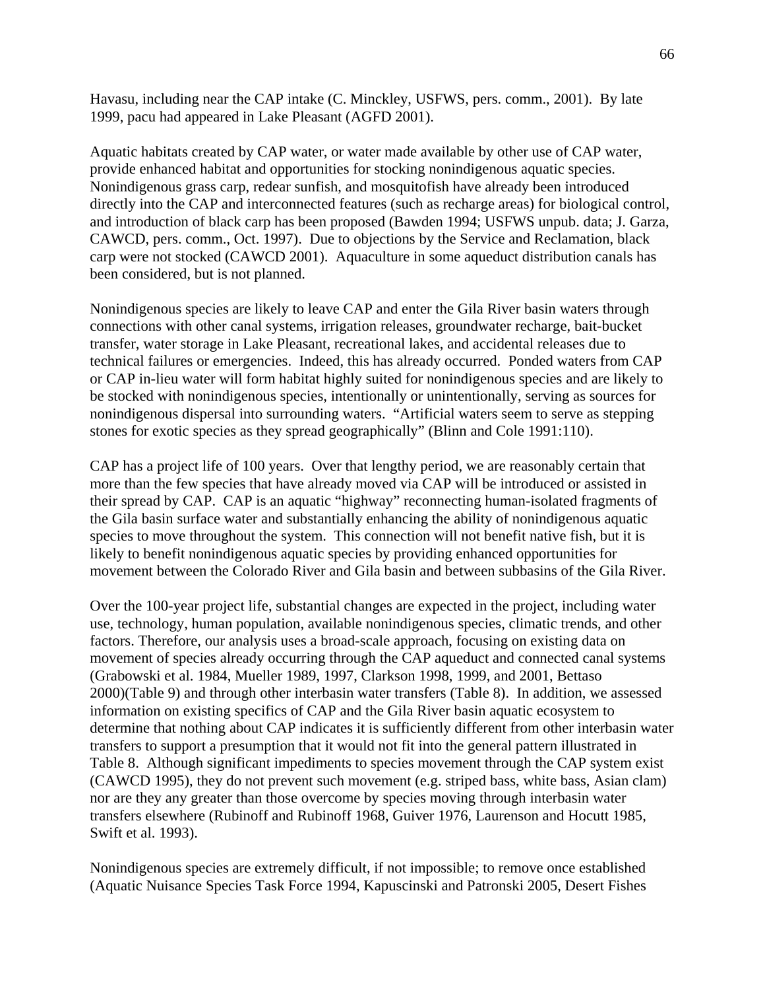Havasu, including near the CAP intake (C. Minckley, USFWS, pers. comm., 2001). By late 1999, pacu had appeared in Lake Pleasant (AGFD 2001).

Aquatic habitats created by CAP water, or water made available by other use of CAP water, provide enhanced habitat and opportunities for stocking nonindigenous aquatic species. Nonindigenous grass carp, redear sunfish, and mosquitofish have already been introduced directly into the CAP and interconnected features (such as recharge areas) for biological control, and introduction of black carp has been proposed (Bawden 1994; USFWS unpub. data; J. Garza, CAWCD, pers. comm., Oct. 1997). Due to objections by the Service and Reclamation, black carp were not stocked (CAWCD 2001). Aquaculture in some aqueduct distribution canals has been considered, but is not planned.

Nonindigenous species are likely to leave CAP and enter the Gila River basin waters through connections with other canal systems, irrigation releases, groundwater recharge, bait-bucket transfer, water storage in Lake Pleasant, recreational lakes, and accidental releases due to technical failures or emergencies. Indeed, this has already occurred. Ponded waters from CAP or CAP in-lieu water will form habitat highly suited for nonindigenous species and are likely to be stocked with nonindigenous species, intentionally or unintentionally, serving as sources for nonindigenous dispersal into surrounding waters. "Artificial waters seem to serve as stepping stones for exotic species as they spread geographically" (Blinn and Cole 1991:110).

CAP has a project life of 100 years. Over that lengthy period, we are reasonably certain that more than the few species that have already moved via CAP will be introduced or assisted in their spread by CAP. CAP is an aquatic "highway" reconnecting human-isolated fragments of the Gila basin surface water and substantially enhancing the ability of nonindigenous aquatic species to move throughout the system. This connection will not benefit native fish, but it is likely to benefit nonindigenous aquatic species by providing enhanced opportunities for movement between the Colorado River and Gila basin and between subbasins of the Gila River.

Over the 100-year project life, substantial changes are expected in the project, including water use, technology, human population, available nonindigenous species, climatic trends, and other factors. Therefore, our analysis uses a broad-scale approach, focusing on existing data on movement of species already occurring through the CAP aqueduct and connected canal systems (Grabowski et al. 1984, Mueller 1989, 1997, Clarkson 1998, 1999, and 2001, Bettaso 2000)(Table 9) and through other interbasin water transfers (Table 8). In addition, we assessed information on existing specifics of CAP and the Gila River basin aquatic ecosystem to determine that nothing about CAP indicates it is sufficiently different from other interbasin water transfers to support a presumption that it would not fit into the general pattern illustrated in Table 8. Although significant impediments to species movement through the CAP system exist (CAWCD 1995), they do not prevent such movement (e.g. striped bass, white bass, Asian clam) nor are they any greater than those overcome by species moving through interbasin water transfers elsewhere (Rubinoff and Rubinoff 1968, Guiver 1976, Laurenson and Hocutt 1985, Swift et al. 1993).

Nonindigenous species are extremely difficult, if not impossible; to remove once established (Aquatic Nuisance Species Task Force 1994, Kapuscinski and Patronski 2005, Desert Fishes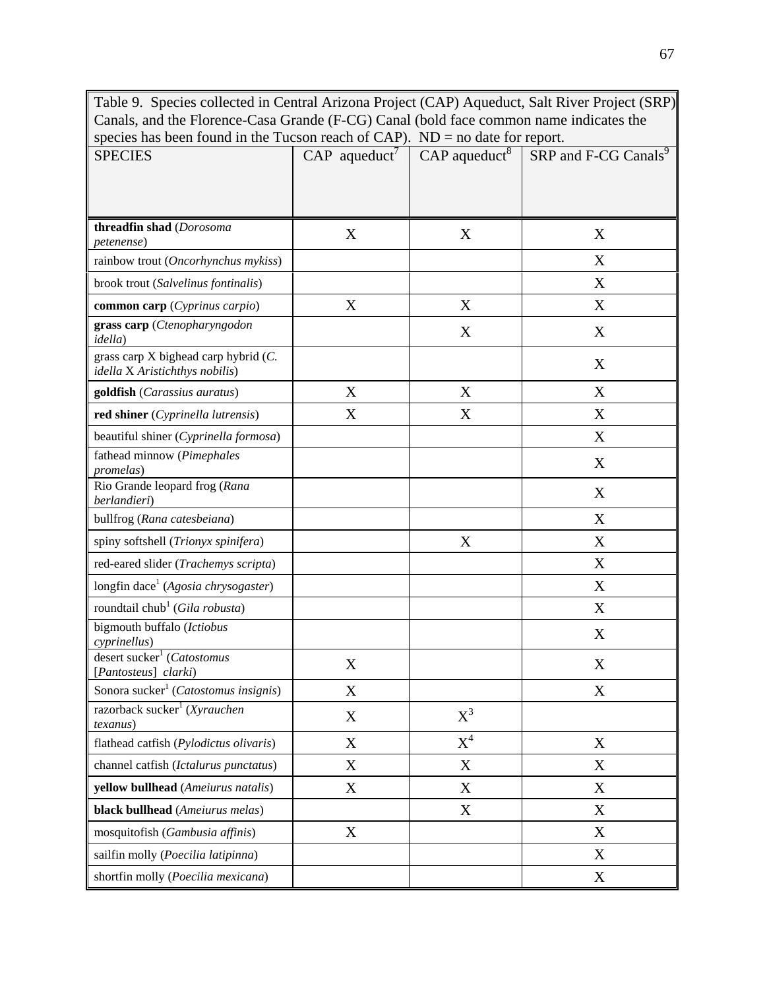Table 9. Species collected in Central Arizona Project (CAP) Aqueduct, Salt River Project (SRP) Canals, and the Florence-Casa Grande (F-CG) Canal (bold face common name indicates the species has been found in the Tucson reach of CAP). ND = no date for report.

| <b>SPECIES</b>                                                         | $CAP$ aqueduct <sup>7</sup> | $CAP$ aqueduct <sup>8</sup> | SRP and F-CG Canals <sup>9</sup> |
|------------------------------------------------------------------------|-----------------------------|-----------------------------|----------------------------------|
|                                                                        |                             |                             |                                  |
|                                                                        |                             |                             |                                  |
| threadfin shad (Dorosoma<br>petenense)                                 | X                           | X                           | X                                |
| rainbow trout (Oncorhynchus mykiss)                                    |                             |                             | X                                |
| brook trout (Salvelinus fontinalis)                                    |                             |                             | X                                |
| common carp (Cyprinus carpio)                                          | X                           | X                           | X                                |
| grass carp (Ctenopharyngodon<br><i>idella</i> )                        |                             | X                           | X                                |
| grass carp X bighead carp hybrid (C.<br>idella X Aristichthys nobilis) |                             |                             | X                                |
| goldfish (Carassius auratus)                                           | X                           | X                           | X                                |
| red shiner (Cyprinella lutrensis)                                      | X                           | X                           | X                                |
| beautiful shiner (Cyprinella formosa)                                  |                             |                             | X                                |
| fathead minnow (Pimephales<br>promelas)                                |                             |                             | X                                |
| Rio Grande leopard frog (Rana<br>berlandieri)                          |                             |                             | X                                |
| bullfrog (Rana catesbeiana)                                            |                             |                             | X                                |
| spiny softshell (Trionyx spinifera)                                    |                             | X                           | X                                |
| red-eared slider (Trachemys scripta)                                   |                             |                             | X                                |
| longfin dace <sup>1</sup> (Agosia chrysogaster)                        |                             |                             | X                                |
| roundtail chub <sup>1</sup> (Gila robusta)                             |                             |                             | X                                |
| bigmouth buffalo (Ictiobus<br>cyprinellus)                             |                             |                             | X                                |
| desert sucker <sup>1</sup> (Catostomus<br>[Pantosteus] clarki)         | X                           |                             | X                                |
| Sonora sucker <sup>1</sup> (Catostomus insignis)                       | X                           |                             | X                                |
| razorback sucker <sup>1</sup> (Xyrauchen<br><i>texanus</i> )           | X                           | $X^3$                       |                                  |
| flathead catfish (Pylodictus olivaris)                                 | X                           | $X^4$                       | X                                |
| channel catfish (Ictalurus punctatus)                                  | X                           | X                           | X                                |
| yellow bullhead (Ameiurus natalis)                                     | X                           | X                           | X                                |
| black bullhead (Ameiurus melas)                                        |                             | X                           | X                                |
| mosquitofish (Gambusia affinis)                                        | $\mathbf X$                 |                             | X                                |
| sailfin molly (Poecilia latipinna)                                     |                             |                             | X                                |
| shortfin molly (Poecilia mexicana)                                     |                             |                             | X                                |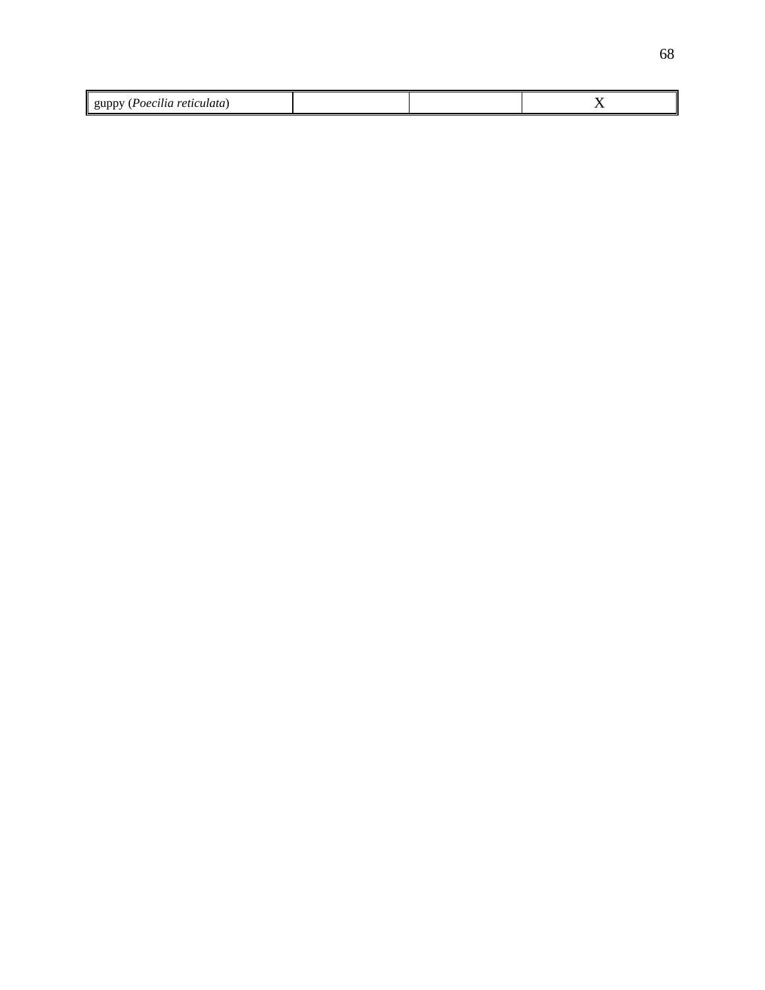| retu.<br>$\theta$<br>ատ |  | $\overline{\phantom{0}}$ |
|-------------------------|--|--------------------------|
| $\mathbf{I}$<br>ши      |  | . .                      |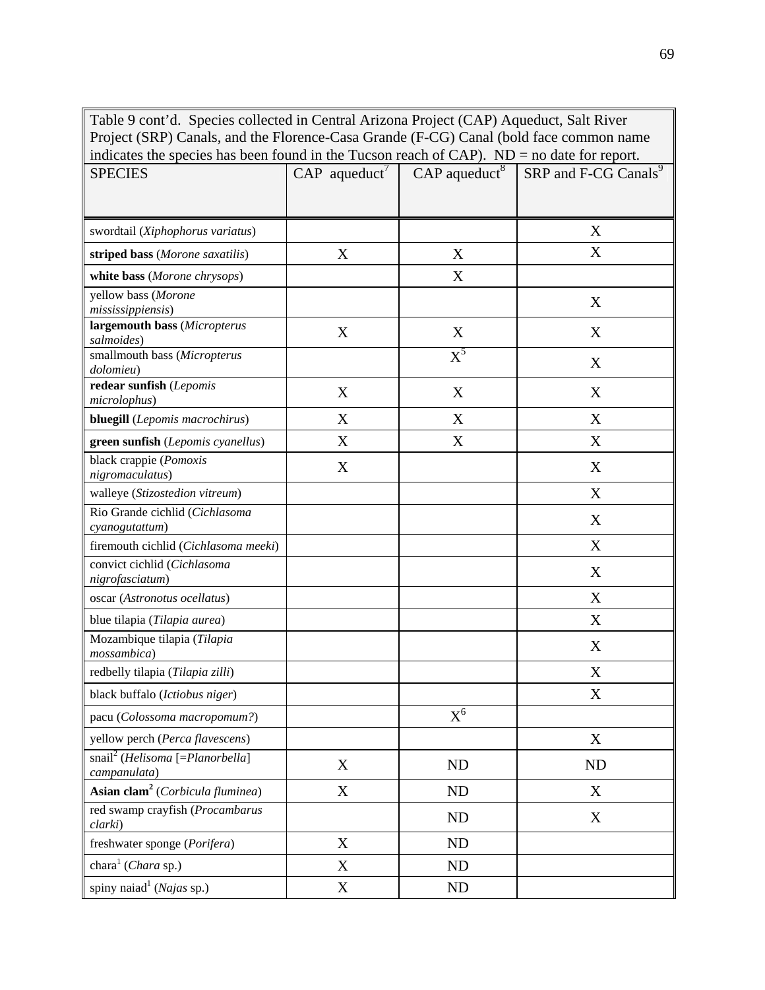Table 9 cont'd. Species collected in Central Arizona Project (CAP) Aqueduct, Salt River Project (SRP) Canals, and the Florence-Casa Grande (F-CG) Canal (bold face common name indicates the species has been found in the Tucson reach of CAP). ND = no date for report. SPECIES  $\qquad \qquad \qquad$  CAP aqueduct<sup>7</sup>  $\qquad$  CAP aqueduct<sup>8</sup>  $\qquad$  SRP and F-CG Canals<sup>9</sup> swordtail (*Xiphophorus variatus*) X **striped bass** (*Morone saxatilis*)  $X$   $X$   $X$   $X$ **white bass** (*Morone chrysops*) X yellow bass (*Morone mississippiensis*) X **largemouth bass** (*Micropterus salmoides*) X<br>*salmoides*) X X X smallmouth bass (*Micropterus dolomieu*)  $X^5$ X **redear sunfish** (*Lepomis*  **redear suitisti** (*Lepomis*<br>*microlophus*)  $X$   $X$   $X$ **bluegill** (*Lepomis macrochirus*)  $\begin{array}{ccc} \n & X & \n\end{array}$  X X X **green sunfish** (*Lepomis cyanellus*) X X X black crappie (*Pomoxis nigromaculatus*) X X walleye (*Stizostedion vitreum*) and the set of the set of the set of the set of the set of the set of the set of the set of the set of the set of the set of the set of the set of the set of the set of the set of the set o Rio Grande cichlid (*Cichlasoma cyanogutattum*) X firemouth cichlid (*Cichlasoma meeki*) X convict cichlid (*Cichlasoma nigrofasciatum*) X

oscar (*Astronotus ocellatus*) X blue tilapia (*Tilapia aurea*)  $X$ 

*mossambica*) X<br>*mossambica*) X redbelly tilapia (*Tilapia zilli*)  $\qquad \qquad$   $\qquad \qquad$  X black buffalo (*Ictiobus niger*)  $X$ 

yellow perch (*Perca flavescens*) X

*campanulata*) X ND ND ND **Asian clam<sup>2</sup>** (*Corbicula fluminea*) X ND X

rea swamp craynsn (*Frocumburus* and a set of the ND ND X X of the N

pacu (*Colossoma macropomum?*)  $X^6$ 

freshwater sponge (*Porifera*)  $X$  ND chara<sup>1</sup> (*Chara* sp.)  $X$  ND spiny naiad<sup>1</sup> (*Najas* sp.)  $X$  ND

Mozambique tilapia (*Tilapia* 

snail2 (*Helisoma* [=*Planorbella*]

red swamp crayfish (*Procambarus*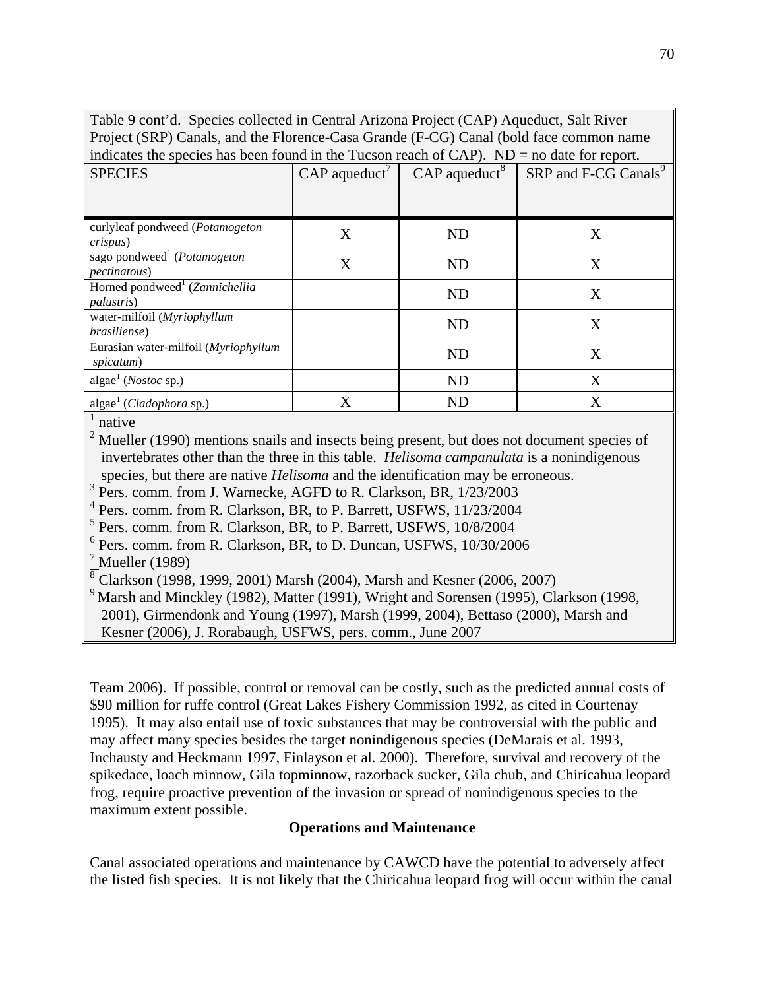Table 9 cont'd. Species collected in Central Arizona Project (CAP) Aqueduct, Salt River Project (SRP) Canals, and the Florence-Casa Grande (F-CG) Canal (bold face common name indicates the species has been found in the Tucson reach of  $\mathbb{C}AP$ ).  $ND =$  no date for report.

| marcules the species has occur found in the Tueson feach of CTM 7. The<br>no quie for report. |                             |                             |                                  |  |  |  |
|-----------------------------------------------------------------------------------------------|-----------------------------|-----------------------------|----------------------------------|--|--|--|
| <b>SPECIES</b>                                                                                | $CAP$ aqueduct <sup>7</sup> | $CAP$ aqueduct <sup>8</sup> | SRP and F-CG Canals <sup>9</sup> |  |  |  |
|                                                                                               |                             |                             |                                  |  |  |  |
| curlyleaf pondweed (Potamogeton<br>crispus)                                                   | X                           | <b>ND</b>                   | X                                |  |  |  |
| sago pondweed <sup>1</sup> ( <i>Potamogeton</i><br><i>pectinatous</i> )                       | X                           | <b>ND</b>                   | X                                |  |  |  |
| Horned pondweed <sup>1</sup> (Zannichellia<br><i>palustris</i> )                              |                             | <b>ND</b>                   | X                                |  |  |  |
| water-milfoil (Myriophyllum<br>brasiliense)                                                   |                             | <b>ND</b>                   | X                                |  |  |  |
| Eurasian water-milfoil (Myriophyllum<br>spicatum)                                             |                             | <b>ND</b>                   | X                                |  |  |  |
| algae <sup>1</sup> ( <i>Nostoc</i> sp.)                                                       |                             | <b>ND</b>                   | X                                |  |  |  |
| algae <sup>1</sup> (Cladophora sp.)                                                           | $\rm\overline{X}$           | <b>ND</b>                   | X                                |  |  |  |

 $<sup>1</sup>$  native</sup>

 $2^2$  Mueller (1990) mentions snails and insects being present, but does not document species of invertebrates other than the three in this table. *Helisoma campanulata* is a nonindigenous species, but there are native *Helisoma* and the identification may be erroneous.

<sup>3</sup> Pers. comm. from J. Warnecke, AGFD to R. Clarkson, BR, 1/23/2003

<sup>4</sup> Pers. comm. from R. Clarkson, BR, to P. Barrett, USFWS, 11/23/2004

<sup>5</sup> Pers. comm. from R. Clarkson, BR, to P. Barrett, USFWS, 10/8/2004

6 Pers. comm. from R. Clarkson, BR, to D. Duncan, USFWS, 10/30/2006

 $<sup>7</sup>$  Mueller (1989)</sup>

 $\sqrt[8]{8}$  Clarkson (1998, 1999, 2001) Marsh (2004), Marsh and Kesner (2006, 2007)

 $\frac{9}{2}$ Marsh and Minckley (1982), Matter (1991), Wright and Sorensen (1995), Clarkson (1998, 2001), Girmendonk and Young (1997), Marsh (1999, 2004), Bettaso (2000), Marsh and

Kesner (2006), J. Rorabaugh, USFWS, pers. comm., June 2007

Team 2006). If possible, control or removal can be costly, such as the predicted annual costs of \$90 million for ruffe control (Great Lakes Fishery Commission 1992, as cited in Courtenay 1995). It may also entail use of toxic substances that may be controversial with the public and may affect many species besides the target nonindigenous species (DeMarais et al. 1993, Inchausty and Heckmann 1997, Finlayson et al. 2000). Therefore, survival and recovery of the spikedace, loach minnow, Gila topminnow, razorback sucker, Gila chub, and Chiricahua leopard frog, require proactive prevention of the invasion or spread of nonindigenous species to the maximum extent possible.

# **Operations and Maintenance**

Canal associated operations and maintenance by CAWCD have the potential to adversely affect the listed fish species. It is not likely that the Chiricahua leopard frog will occur within the canal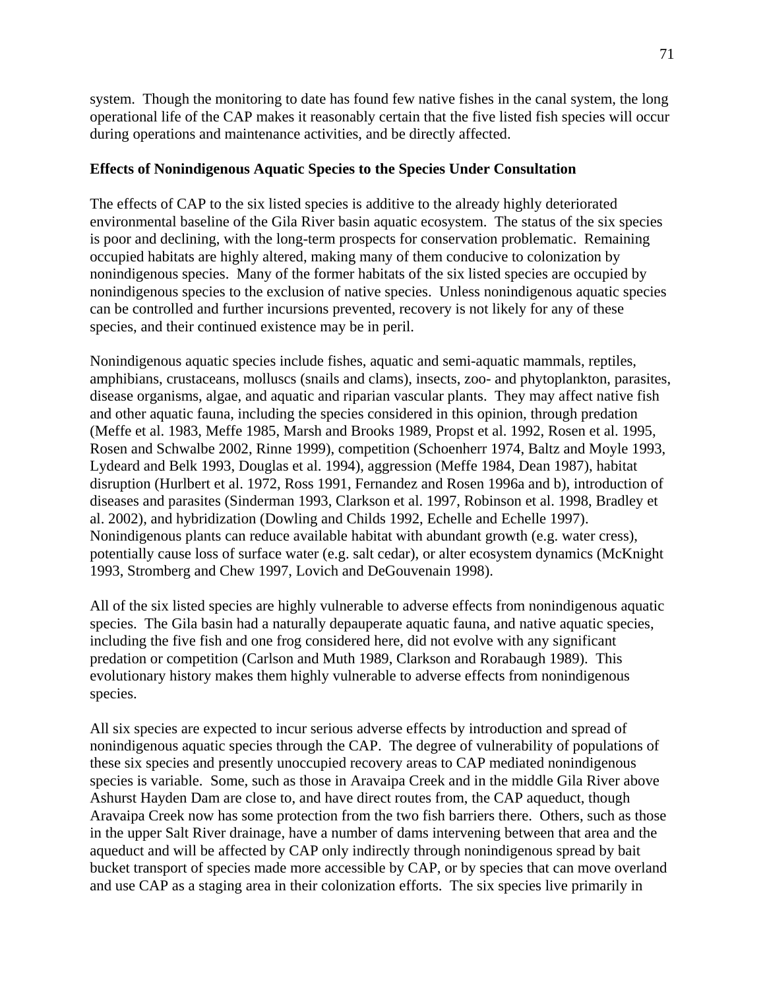71

system. Though the monitoring to date has found few native fishes in the canal system, the long operational life of the CAP makes it reasonably certain that the five listed fish species will occur during operations and maintenance activities, and be directly affected.

# **Effects of Nonindigenous Aquatic Species to the Species Under Consultation**

The effects of CAP to the six listed species is additive to the already highly deteriorated environmental baseline of the Gila River basin aquatic ecosystem. The status of the six species is poor and declining, with the long-term prospects for conservation problematic. Remaining occupied habitats are highly altered, making many of them conducive to colonization by nonindigenous species. Many of the former habitats of the six listed species are occupied by nonindigenous species to the exclusion of native species. Unless nonindigenous aquatic species can be controlled and further incursions prevented, recovery is not likely for any of these species, and their continued existence may be in peril.

Nonindigenous aquatic species include fishes, aquatic and semi-aquatic mammals, reptiles, amphibians, crustaceans, molluscs (snails and clams), insects, zoo- and phytoplankton, parasites, disease organisms, algae, and aquatic and riparian vascular plants. They may affect native fish and other aquatic fauna, including the species considered in this opinion, through predation (Meffe et al. 1983, Meffe 1985, Marsh and Brooks 1989, Propst et al. 1992, Rosen et al. 1995, Rosen and Schwalbe 2002, Rinne 1999), competition (Schoenherr 1974, Baltz and Moyle 1993, Lydeard and Belk 1993, Douglas et al. 1994), aggression (Meffe 1984, Dean 1987), habitat disruption (Hurlbert et al. 1972, Ross 1991, Fernandez and Rosen 1996a and b), introduction of diseases and parasites (Sinderman 1993, Clarkson et al. 1997, Robinson et al. 1998, Bradley et al. 2002), and hybridization (Dowling and Childs 1992, Echelle and Echelle 1997). Nonindigenous plants can reduce available habitat with abundant growth (e.g. water cress), potentially cause loss of surface water (e.g. salt cedar), or alter ecosystem dynamics (McKnight 1993, Stromberg and Chew 1997, Lovich and DeGouvenain 1998).

All of the six listed species are highly vulnerable to adverse effects from nonindigenous aquatic species. The Gila basin had a naturally depauperate aquatic fauna, and native aquatic species, including the five fish and one frog considered here, did not evolve with any significant predation or competition (Carlson and Muth 1989, Clarkson and Rorabaugh 1989). This evolutionary history makes them highly vulnerable to adverse effects from nonindigenous species.

All six species are expected to incur serious adverse effects by introduction and spread of nonindigenous aquatic species through the CAP. The degree of vulnerability of populations of these six species and presently unoccupied recovery areas to CAP mediated nonindigenous species is variable. Some, such as those in Aravaipa Creek and in the middle Gila River above Ashurst Hayden Dam are close to, and have direct routes from, the CAP aqueduct, though Aravaipa Creek now has some protection from the two fish barriers there. Others, such as those in the upper Salt River drainage, have a number of dams intervening between that area and the aqueduct and will be affected by CAP only indirectly through nonindigenous spread by bait bucket transport of species made more accessible by CAP, or by species that can move overland and use CAP as a staging area in their colonization efforts. The six species live primarily in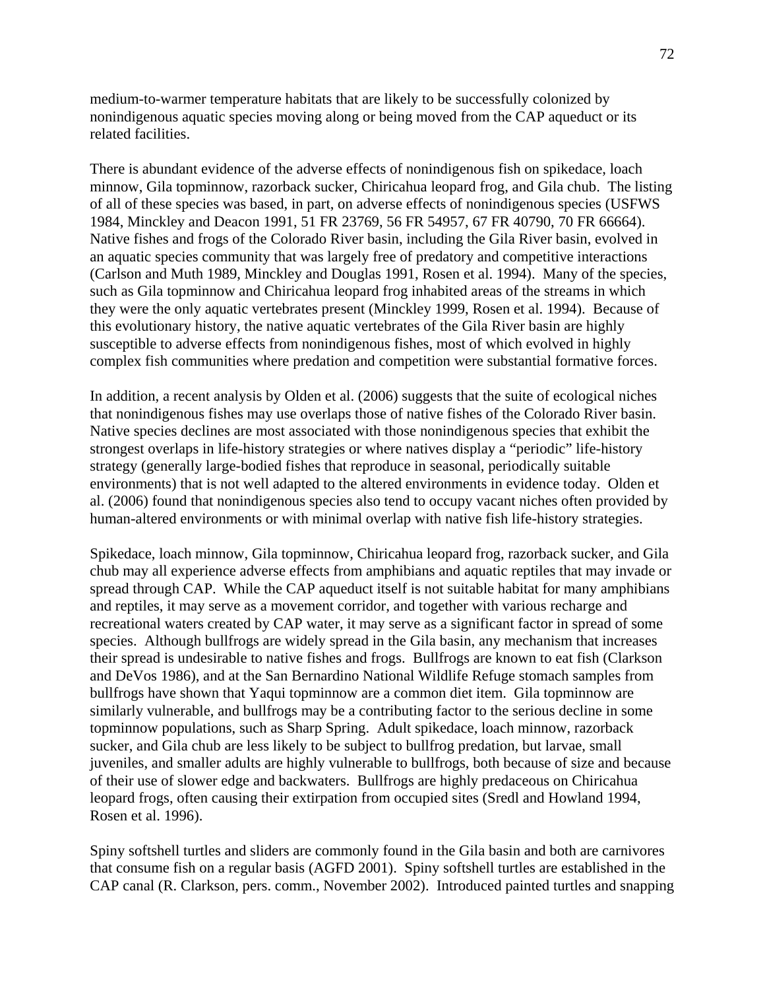medium-to-warmer temperature habitats that are likely to be successfully colonized by nonindigenous aquatic species moving along or being moved from the CAP aqueduct or its related facilities.

There is abundant evidence of the adverse effects of nonindigenous fish on spikedace, loach minnow, Gila topminnow, razorback sucker, Chiricahua leopard frog, and Gila chub. The listing of all of these species was based, in part, on adverse effects of nonindigenous species (USFWS 1984, Minckley and Deacon 1991, 51 FR 23769, 56 FR 54957, 67 FR 40790, 70 FR 66664). Native fishes and frogs of the Colorado River basin, including the Gila River basin, evolved in an aquatic species community that was largely free of predatory and competitive interactions (Carlson and Muth 1989, Minckley and Douglas 1991, Rosen et al. 1994). Many of the species, such as Gila topminnow and Chiricahua leopard frog inhabited areas of the streams in which they were the only aquatic vertebrates present (Minckley 1999, Rosen et al. 1994). Because of this evolutionary history, the native aquatic vertebrates of the Gila River basin are highly susceptible to adverse effects from nonindigenous fishes, most of which evolved in highly complex fish communities where predation and competition were substantial formative forces.

In addition, a recent analysis by Olden et al. (2006) suggests that the suite of ecological niches that nonindigenous fishes may use overlaps those of native fishes of the Colorado River basin. Native species declines are most associated with those nonindigenous species that exhibit the strongest overlaps in life-history strategies or where natives display a "periodic" life-history strategy (generally large-bodied fishes that reproduce in seasonal, periodically suitable environments) that is not well adapted to the altered environments in evidence today. Olden et al. (2006) found that nonindigenous species also tend to occupy vacant niches often provided by human-altered environments or with minimal overlap with native fish life-history strategies.

Spikedace, loach minnow, Gila topminnow, Chiricahua leopard frog, razorback sucker, and Gila chub may all experience adverse effects from amphibians and aquatic reptiles that may invade or spread through CAP. While the CAP aqueduct itself is not suitable habitat for many amphibians and reptiles, it may serve as a movement corridor, and together with various recharge and recreational waters created by CAP water, it may serve as a significant factor in spread of some species. Although bullfrogs are widely spread in the Gila basin, any mechanism that increases their spread is undesirable to native fishes and frogs. Bullfrogs are known to eat fish (Clarkson and DeVos 1986), and at the San Bernardino National Wildlife Refuge stomach samples from bullfrogs have shown that Yaqui topminnow are a common diet item. Gila topminnow are similarly vulnerable, and bullfrogs may be a contributing factor to the serious decline in some topminnow populations, such as Sharp Spring. Adult spikedace, loach minnow, razorback sucker, and Gila chub are less likely to be subject to bullfrog predation, but larvae, small juveniles, and smaller adults are highly vulnerable to bullfrogs, both because of size and because of their use of slower edge and backwaters. Bullfrogs are highly predaceous on Chiricahua leopard frogs, often causing their extirpation from occupied sites (Sredl and Howland 1994, Rosen et al. 1996).

Spiny softshell turtles and sliders are commonly found in the Gila basin and both are carnivores that consume fish on a regular basis (AGFD 2001). Spiny softshell turtles are established in the CAP canal (R. Clarkson, pers. comm., November 2002). Introduced painted turtles and snapping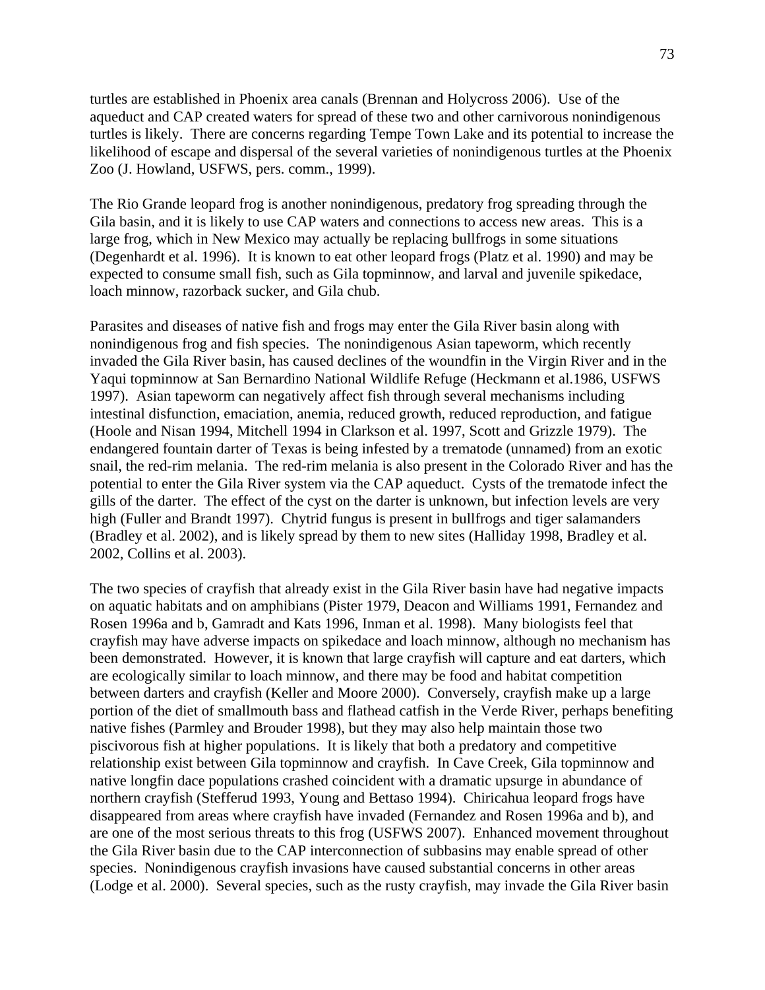turtles are established in Phoenix area canals (Brennan and Holycross 2006). Use of the aqueduct and CAP created waters for spread of these two and other carnivorous nonindigenous turtles is likely. There are concerns regarding Tempe Town Lake and its potential to increase the likelihood of escape and dispersal of the several varieties of nonindigenous turtles at the Phoenix Zoo (J. Howland, USFWS, pers. comm., 1999).

The Rio Grande leopard frog is another nonindigenous, predatory frog spreading through the Gila basin, and it is likely to use CAP waters and connections to access new areas. This is a large frog, which in New Mexico may actually be replacing bullfrogs in some situations (Degenhardt et al. 1996). It is known to eat other leopard frogs (Platz et al. 1990) and may be expected to consume small fish, such as Gila topminnow, and larval and juvenile spikedace, loach minnow, razorback sucker, and Gila chub.

Parasites and diseases of native fish and frogs may enter the Gila River basin along with nonindigenous frog and fish species. The nonindigenous Asian tapeworm, which recently invaded the Gila River basin, has caused declines of the woundfin in the Virgin River and in the Yaqui topminnow at San Bernardino National Wildlife Refuge (Heckmann et al.1986, USFWS 1997). Asian tapeworm can negatively affect fish through several mechanisms including intestinal disfunction, emaciation, anemia, reduced growth, reduced reproduction, and fatigue (Hoole and Nisan 1994, Mitchell 1994 in Clarkson et al. 1997, Scott and Grizzle 1979). The endangered fountain darter of Texas is being infested by a trematode (unnamed) from an exotic snail, the red-rim melania. The red-rim melania is also present in the Colorado River and has the potential to enter the Gila River system via the CAP aqueduct. Cysts of the trematode infect the gills of the darter. The effect of the cyst on the darter is unknown, but infection levels are very high (Fuller and Brandt 1997). Chytrid fungus is present in bullfrogs and tiger salamanders (Bradley et al. 2002), and is likely spread by them to new sites (Halliday 1998, Bradley et al. 2002, Collins et al. 2003).

The two species of crayfish that already exist in the Gila River basin have had negative impacts on aquatic habitats and on amphibians (Pister 1979, Deacon and Williams 1991, Fernandez and Rosen 1996a and b, Gamradt and Kats 1996, Inman et al. 1998). Many biologists feel that crayfish may have adverse impacts on spikedace and loach minnow, although no mechanism has been demonstrated. However, it is known that large crayfish will capture and eat darters, which are ecologically similar to loach minnow, and there may be food and habitat competition between darters and crayfish (Keller and Moore 2000). Conversely, crayfish make up a large portion of the diet of smallmouth bass and flathead catfish in the Verde River, perhaps benefiting native fishes (Parmley and Brouder 1998), but they may also help maintain those two piscivorous fish at higher populations. It is likely that both a predatory and competitive relationship exist between Gila topminnow and crayfish. In Cave Creek, Gila topminnow and native longfin dace populations crashed coincident with a dramatic upsurge in abundance of northern crayfish (Stefferud 1993, Young and Bettaso 1994). Chiricahua leopard frogs have disappeared from areas where crayfish have invaded (Fernandez and Rosen 1996a and b), and are one of the most serious threats to this frog (USFWS 2007). Enhanced movement throughout the Gila River basin due to the CAP interconnection of subbasins may enable spread of other species. Nonindigenous crayfish invasions have caused substantial concerns in other areas (Lodge et al. 2000). Several species, such as the rusty crayfish, may invade the Gila River basin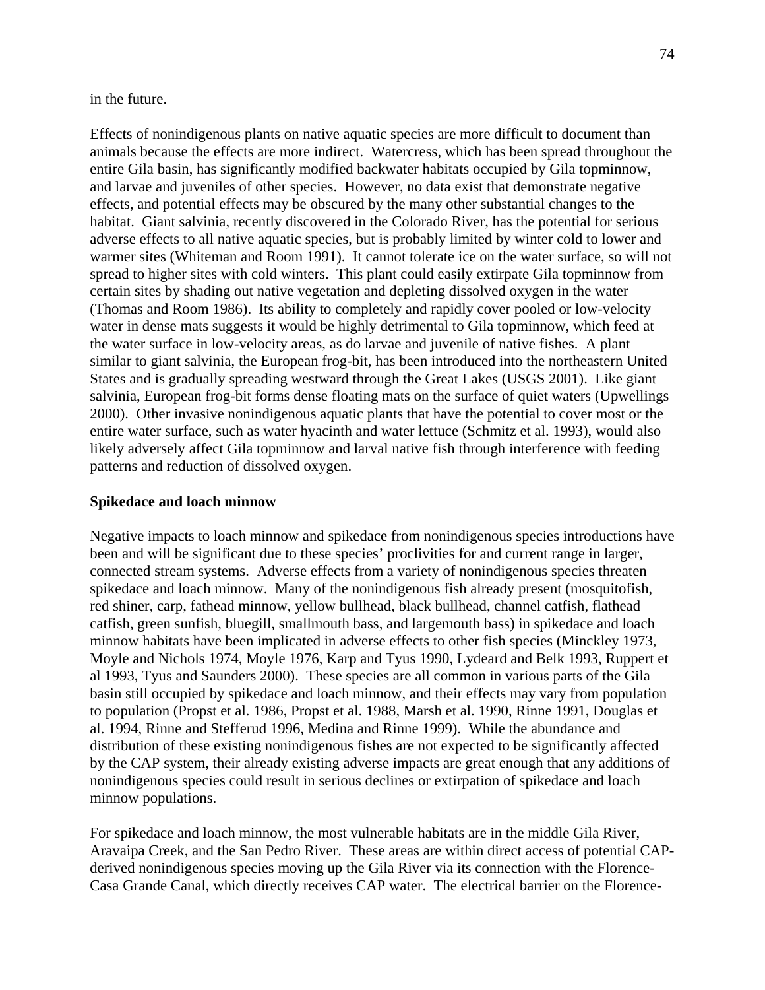in the future.

Effects of nonindigenous plants on native aquatic species are more difficult to document than animals because the effects are more indirect. Watercress, which has been spread throughout the entire Gila basin, has significantly modified backwater habitats occupied by Gila topminnow, and larvae and juveniles of other species. However, no data exist that demonstrate negative effects, and potential effects may be obscured by the many other substantial changes to the habitat. Giant salvinia, recently discovered in the Colorado River, has the potential for serious adverse effects to all native aquatic species, but is probably limited by winter cold to lower and warmer sites (Whiteman and Room 1991). It cannot tolerate ice on the water surface, so will not spread to higher sites with cold winters. This plant could easily extirpate Gila topminnow from certain sites by shading out native vegetation and depleting dissolved oxygen in the water (Thomas and Room 1986). Its ability to completely and rapidly cover pooled or low-velocity water in dense mats suggests it would be highly detrimental to Gila topminnow, which feed at the water surface in low-velocity areas, as do larvae and juvenile of native fishes. A plant similar to giant salvinia, the European frog-bit, has been introduced into the northeastern United States and is gradually spreading westward through the Great Lakes (USGS 2001). Like giant salvinia, European frog-bit forms dense floating mats on the surface of quiet waters (Upwellings 2000). Other invasive nonindigenous aquatic plants that have the potential to cover most or the entire water surface, such as water hyacinth and water lettuce (Schmitz et al. 1993), would also likely adversely affect Gila topminnow and larval native fish through interference with feeding patterns and reduction of dissolved oxygen.

## **Spikedace and loach minnow**

Negative impacts to loach minnow and spikedace from nonindigenous species introductions have been and will be significant due to these species' proclivities for and current range in larger, connected stream systems. Adverse effects from a variety of nonindigenous species threaten spikedace and loach minnow. Many of the nonindigenous fish already present (mosquitofish, red shiner, carp, fathead minnow, yellow bullhead, black bullhead, channel catfish, flathead catfish, green sunfish, bluegill, smallmouth bass, and largemouth bass) in spikedace and loach minnow habitats have been implicated in adverse effects to other fish species (Minckley 1973, Moyle and Nichols 1974, Moyle 1976, Karp and Tyus 1990, Lydeard and Belk 1993, Ruppert et al 1993, Tyus and Saunders 2000). These species are all common in various parts of the Gila basin still occupied by spikedace and loach minnow, and their effects may vary from population to population (Propst et al. 1986, Propst et al. 1988, Marsh et al. 1990, Rinne 1991, Douglas et al. 1994, Rinne and Stefferud 1996, Medina and Rinne 1999). While the abundance and distribution of these existing nonindigenous fishes are not expected to be significantly affected by the CAP system, their already existing adverse impacts are great enough that any additions of nonindigenous species could result in serious declines or extirpation of spikedace and loach minnow populations.

For spikedace and loach minnow, the most vulnerable habitats are in the middle Gila River, Aravaipa Creek, and the San Pedro River. These areas are within direct access of potential CAPderived nonindigenous species moving up the Gila River via its connection with the Florence-Casa Grande Canal, which directly receives CAP water. The electrical barrier on the Florence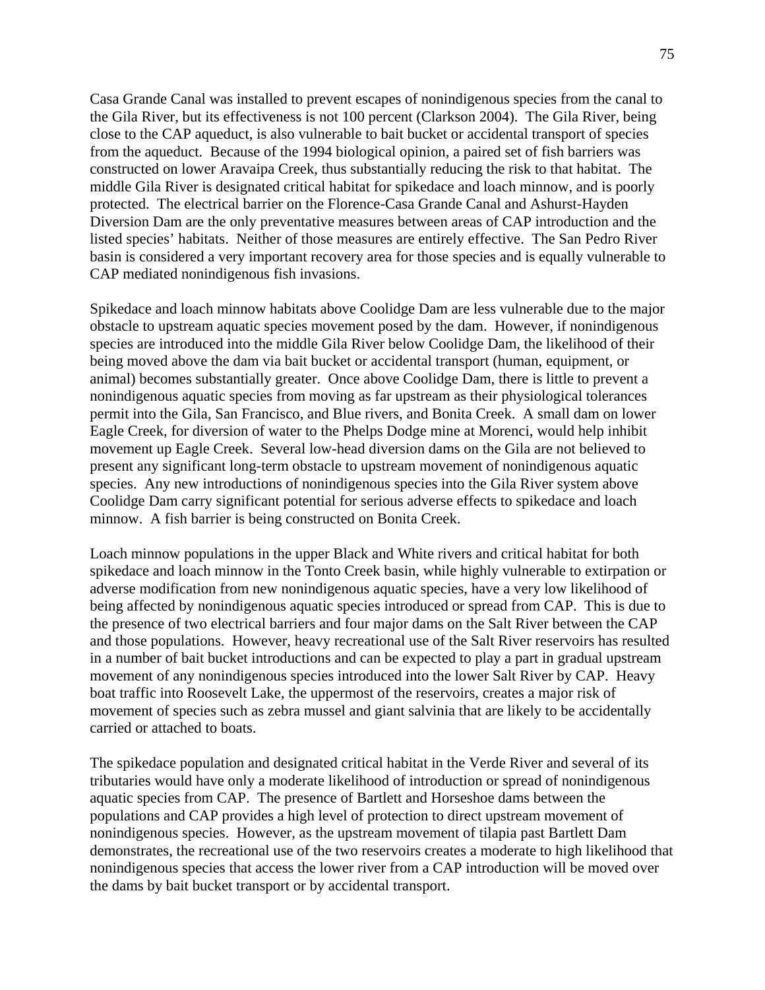Casa Grande Canal was installed to prevent escapes of nonindigenous species from the canal to the Gila River, but its effectiveness is not 100 percent (Clarkson 2004). The Gila River, being close to the CAP aqueduct, is also vulnerable to bait bucket or accidental transport of species from the aqueduct. Because of the 1994 biological opinion, a paired set of fish barriers was constructed on lower Aravaipa Creek, thus substantially reducing the risk to that habitat. The middle Gila River is designated critical habitat for spikedace and loach minnow, and is poorly protected. The electrical barrier on the Florence-Casa Grande Canal and Ashurst-Hayden Diversion Dam are the only preventative measures between areas of CAP introduction and the listed species' habitats. Neither of those measures are entirely effective. The San Pedro River basin is considered a very important recovery area for those species and is equally vulnerable to CAP mediated nonindigenous fish invasions.

Spikedace and loach minnow habitats above Coolidge Dam are less vulnerable due to the major obstacle to upstream aquatic species movement posed by the dam. However, if nonindigenous species are introduced into the middle Gila River below Coolidge Dam, the likelihood of their being moved above the dam via bait bucket or accidental transport (human, equipment, or animal) becomes substantially greater. Once above Coolidge Dam, there is little to prevent a nonindigenous aquatic species from moving as far upstream as their physiological tolerances permit into the Gila, San Francisco, and Blue rivers, and Bonita Creek. A small dam on lower Eagle Creek, for diversion of water to the Phelps Dodge mine at Morenci, would help inhibit movement up Eagle Creek. Several low-head diversion dams on the Gila are not believed to present any significant long-term obstacle to upstream movement of nonindigenous aquatic species. Any new introductions of nonindigenous species into the Gila River system above Coolidge Dam carry significant potential for serious adverse effects to spikedace and loach minnow. A fish barrier is being constructed on Bonita Creek.

Loach minnow populations in the upper Black and White rivers and critical habitat for both spikedace and loach minnow in the Tonto Creek basin, while highly vulnerable to extirpation or adverse modification from new nonindigenous aquatic species, have a very low likelihood of being affected by nonindigenous aquatic species introduced or spread from CAP. This is due to the presence of two electrical barriers and four major dams on the Salt River between the CAP and those populations. However, heavy recreational use of the Salt River reservoirs has resulted in a number of bait bucket introductions and can be expected to play a part in gradual upstream movement of any nonindigenous species introduced into the lower Salt River by CAP. Heavy boat traffic into Roosevelt Lake, the uppermost of the reservoirs, creates a major risk of movement of species such as zebra mussel and giant salvinia that are likely to be accidentally carried or attached to boats.

The spikedace population and designated critical habitat in the Verde River and several of its tributaries would have only a moderate likelihood of introduction or spread of nonindigenous aquatic species from CAP. The presence of Bartlett and Horseshoe dams between the populations and CAP provides a high level of protection to direct upstream movement of nonindigenous species. However, as the upstream movement of tilapia past Bartlett Dam demonstrates, the recreational use of the two reservoirs creates a moderate to high likelihood that nonindigenous species that access the lower river from a CAP introduction will be moved over the dams by bait bucket transport or by accidental transport.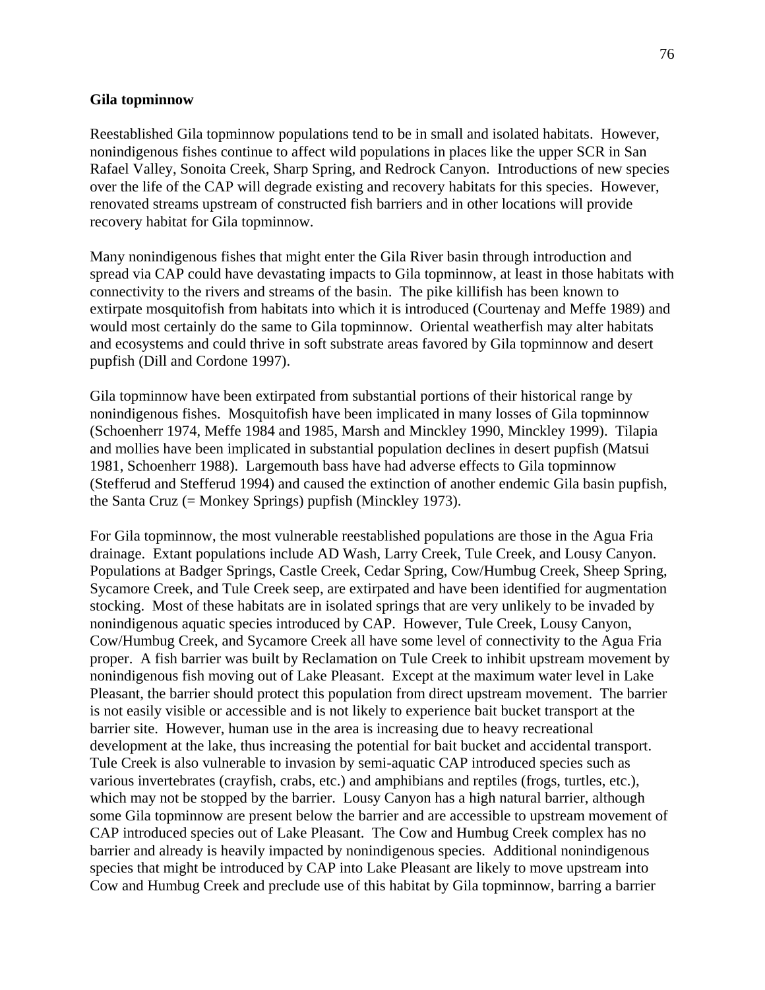#### **Gila topminnow**

Reestablished Gila topminnow populations tend to be in small and isolated habitats. However, nonindigenous fishes continue to affect wild populations in places like the upper SCR in San Rafael Valley, Sonoita Creek, Sharp Spring, and Redrock Canyon. Introductions of new species over the life of the CAP will degrade existing and recovery habitats for this species. However, renovated streams upstream of constructed fish barriers and in other locations will provide recovery habitat for Gila topminnow.

Many nonindigenous fishes that might enter the Gila River basin through introduction and spread via CAP could have devastating impacts to Gila topminnow, at least in those habitats with connectivity to the rivers and streams of the basin. The pike killifish has been known to extirpate mosquitofish from habitats into which it is introduced (Courtenay and Meffe 1989) and would most certainly do the same to Gila topminnow. Oriental weatherfish may alter habitats and ecosystems and could thrive in soft substrate areas favored by Gila topminnow and desert pupfish (Dill and Cordone 1997).

Gila topminnow have been extirpated from substantial portions of their historical range by nonindigenous fishes. Mosquitofish have been implicated in many losses of Gila topminnow (Schoenherr 1974, Meffe 1984 and 1985, Marsh and Minckley 1990, Minckley 1999). Tilapia and mollies have been implicated in substantial population declines in desert pupfish (Matsui 1981, Schoenherr 1988). Largemouth bass have had adverse effects to Gila topminnow (Stefferud and Stefferud 1994) and caused the extinction of another endemic Gila basin pupfish, the Santa Cruz (= Monkey Springs) pupfish (Minckley 1973).

For Gila topminnow, the most vulnerable reestablished populations are those in the Agua Fria drainage. Extant populations include AD Wash, Larry Creek, Tule Creek, and Lousy Canyon. Populations at Badger Springs, Castle Creek, Cedar Spring, Cow/Humbug Creek, Sheep Spring, Sycamore Creek, and Tule Creek seep, are extirpated and have been identified for augmentation stocking. Most of these habitats are in isolated springs that are very unlikely to be invaded by nonindigenous aquatic species introduced by CAP. However, Tule Creek, Lousy Canyon, Cow/Humbug Creek, and Sycamore Creek all have some level of connectivity to the Agua Fria proper. A fish barrier was built by Reclamation on Tule Creek to inhibit upstream movement by nonindigenous fish moving out of Lake Pleasant. Except at the maximum water level in Lake Pleasant, the barrier should protect this population from direct upstream movement. The barrier is not easily visible or accessible and is not likely to experience bait bucket transport at the barrier site. However, human use in the area is increasing due to heavy recreational development at the lake, thus increasing the potential for bait bucket and accidental transport. Tule Creek is also vulnerable to invasion by semi-aquatic CAP introduced species such as various invertebrates (crayfish, crabs, etc.) and amphibians and reptiles (frogs, turtles, etc.), which may not be stopped by the barrier. Lousy Canyon has a high natural barrier, although some Gila topminnow are present below the barrier and are accessible to upstream movement of CAP introduced species out of Lake Pleasant. The Cow and Humbug Creek complex has no barrier and already is heavily impacted by nonindigenous species. Additional nonindigenous species that might be introduced by CAP into Lake Pleasant are likely to move upstream into Cow and Humbug Creek and preclude use of this habitat by Gila topminnow, barring a barrier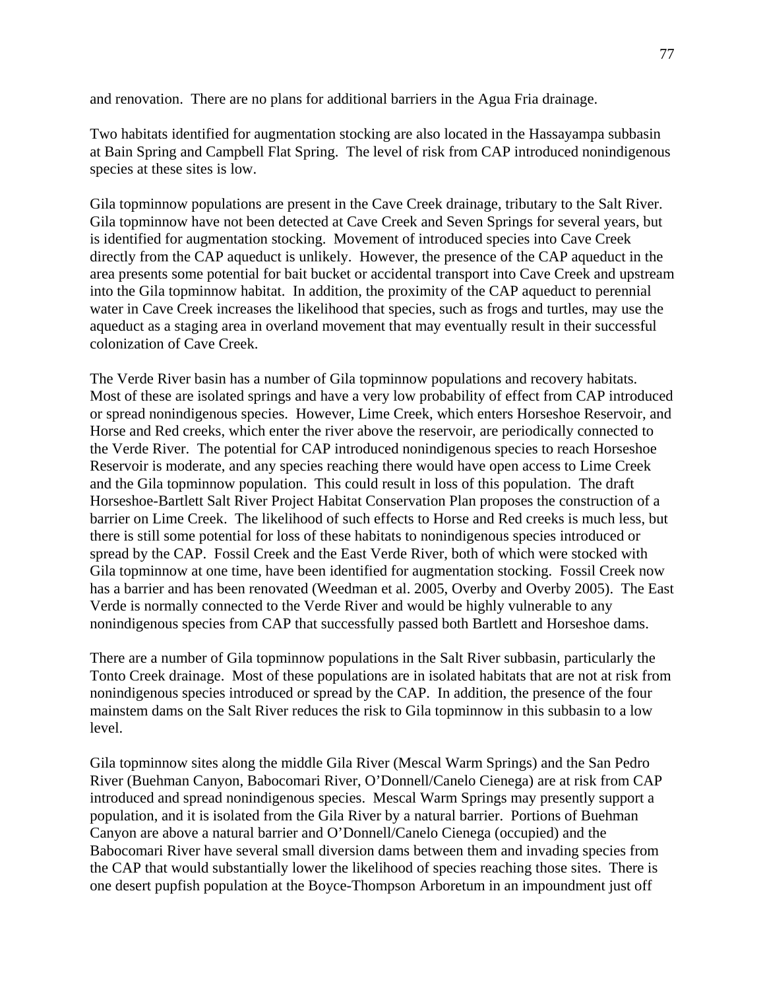and renovation. There are no plans for additional barriers in the Agua Fria drainage.

Two habitats identified for augmentation stocking are also located in the Hassayampa subbasin at Bain Spring and Campbell Flat Spring. The level of risk from CAP introduced nonindigenous species at these sites is low.

Gila topminnow populations are present in the Cave Creek drainage, tributary to the Salt River. Gila topminnow have not been detected at Cave Creek and Seven Springs for several years, but is identified for augmentation stocking. Movement of introduced species into Cave Creek directly from the CAP aqueduct is unlikely. However, the presence of the CAP aqueduct in the area presents some potential for bait bucket or accidental transport into Cave Creek and upstream into the Gila topminnow habitat. In addition, the proximity of the CAP aqueduct to perennial water in Cave Creek increases the likelihood that species, such as frogs and turtles, may use the aqueduct as a staging area in overland movement that may eventually result in their successful colonization of Cave Creek.

The Verde River basin has a number of Gila topminnow populations and recovery habitats. Most of these are isolated springs and have a very low probability of effect from CAP introduced or spread nonindigenous species. However, Lime Creek, which enters Horseshoe Reservoir, and Horse and Red creeks, which enter the river above the reservoir, are periodically connected to the Verde River. The potential for CAP introduced nonindigenous species to reach Horseshoe Reservoir is moderate, and any species reaching there would have open access to Lime Creek and the Gila topminnow population. This could result in loss of this population. The draft Horseshoe-Bartlett Salt River Project Habitat Conservation Plan proposes the construction of a barrier on Lime Creek. The likelihood of such effects to Horse and Red creeks is much less, but there is still some potential for loss of these habitats to nonindigenous species introduced or spread by the CAP. Fossil Creek and the East Verde River, both of which were stocked with Gila topminnow at one time, have been identified for augmentation stocking. Fossil Creek now has a barrier and has been renovated (Weedman et al. 2005, Overby and Overby 2005). The East Verde is normally connected to the Verde River and would be highly vulnerable to any nonindigenous species from CAP that successfully passed both Bartlett and Horseshoe dams.

There are a number of Gila topminnow populations in the Salt River subbasin, particularly the Tonto Creek drainage. Most of these populations are in isolated habitats that are not at risk from nonindigenous species introduced or spread by the CAP. In addition, the presence of the four mainstem dams on the Salt River reduces the risk to Gila topminnow in this subbasin to a low level.

Gila topminnow sites along the middle Gila River (Mescal Warm Springs) and the San Pedro River (Buehman Canyon, Babocomari River, O'Donnell/Canelo Cienega) are at risk from CAP introduced and spread nonindigenous species. Mescal Warm Springs may presently support a population, and it is isolated from the Gila River by a natural barrier. Portions of Buehman Canyon are above a natural barrier and O'Donnell/Canelo Cienega (occupied) and the Babocomari River have several small diversion dams between them and invading species from the CAP that would substantially lower the likelihood of species reaching those sites. There is one desert pupfish population at the Boyce-Thompson Arboretum in an impoundment just off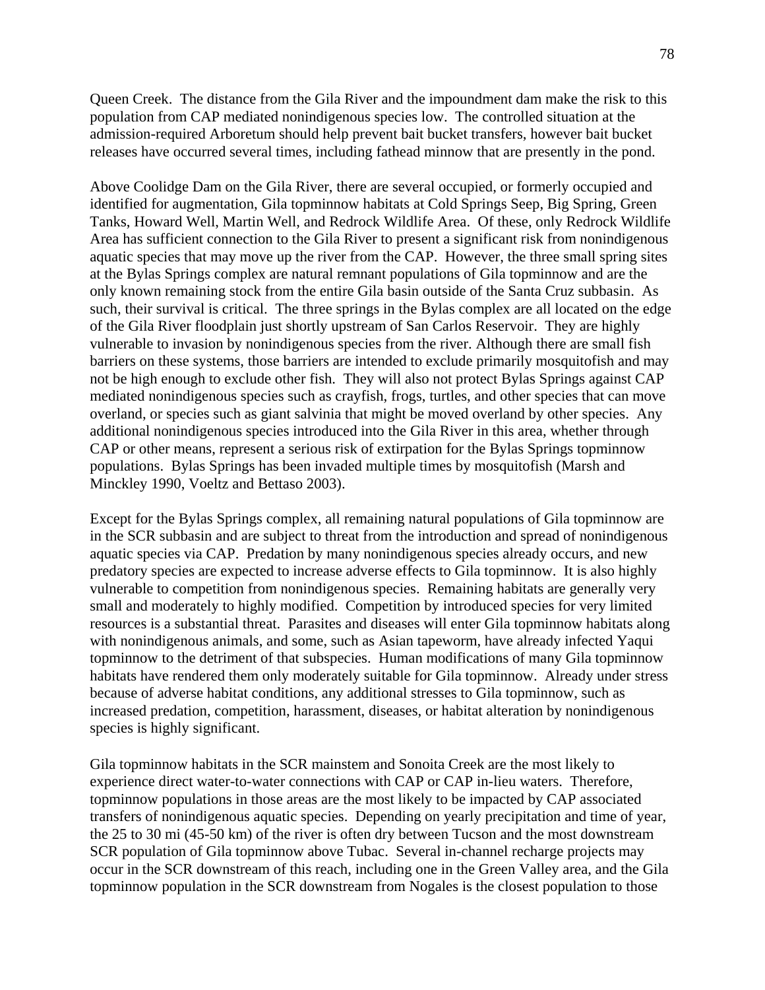Queen Creek. The distance from the Gila River and the impoundment dam make the risk to this population from CAP mediated nonindigenous species low. The controlled situation at the admission-required Arboretum should help prevent bait bucket transfers, however bait bucket releases have occurred several times, including fathead minnow that are presently in the pond.

Above Coolidge Dam on the Gila River, there are several occupied, or formerly occupied and identified for augmentation, Gila topminnow habitats at Cold Springs Seep, Big Spring, Green Tanks, Howard Well, Martin Well, and Redrock Wildlife Area. Of these, only Redrock Wildlife Area has sufficient connection to the Gila River to present a significant risk from nonindigenous aquatic species that may move up the river from the CAP. However, the three small spring sites at the Bylas Springs complex are natural remnant populations of Gila topminnow and are the only known remaining stock from the entire Gila basin outside of the Santa Cruz subbasin. As such, their survival is critical. The three springs in the Bylas complex are all located on the edge of the Gila River floodplain just shortly upstream of San Carlos Reservoir. They are highly vulnerable to invasion by nonindigenous species from the river. Although there are small fish barriers on these systems, those barriers are intended to exclude primarily mosquitofish and may not be high enough to exclude other fish. They will also not protect Bylas Springs against CAP mediated nonindigenous species such as crayfish, frogs, turtles, and other species that can move overland, or species such as giant salvinia that might be moved overland by other species. Any additional nonindigenous species introduced into the Gila River in this area, whether through CAP or other means, represent a serious risk of extirpation for the Bylas Springs topminnow populations. Bylas Springs has been invaded multiple times by mosquitofish (Marsh and Minckley 1990, Voeltz and Bettaso 2003).

Except for the Bylas Springs complex, all remaining natural populations of Gila topminnow are in the SCR subbasin and are subject to threat from the introduction and spread of nonindigenous aquatic species via CAP. Predation by many nonindigenous species already occurs, and new predatory species are expected to increase adverse effects to Gila topminnow. It is also highly vulnerable to competition from nonindigenous species. Remaining habitats are generally very small and moderately to highly modified. Competition by introduced species for very limited resources is a substantial threat. Parasites and diseases will enter Gila topminnow habitats along with nonindigenous animals, and some, such as Asian tapeworm, have already infected Yaqui topminnow to the detriment of that subspecies. Human modifications of many Gila topminnow habitats have rendered them only moderately suitable for Gila topminnow. Already under stress because of adverse habitat conditions, any additional stresses to Gila topminnow, such as increased predation, competition, harassment, diseases, or habitat alteration by nonindigenous species is highly significant.

Gila topminnow habitats in the SCR mainstem and Sonoita Creek are the most likely to experience direct water-to-water connections with CAP or CAP in-lieu waters. Therefore, topminnow populations in those areas are the most likely to be impacted by CAP associated transfers of nonindigenous aquatic species. Depending on yearly precipitation and time of year, the 25 to 30 mi (45-50 km) of the river is often dry between Tucson and the most downstream SCR population of Gila topminnow above Tubac. Several in-channel recharge projects may occur in the SCR downstream of this reach, including one in the Green Valley area, and the Gila topminnow population in the SCR downstream from Nogales is the closest population to those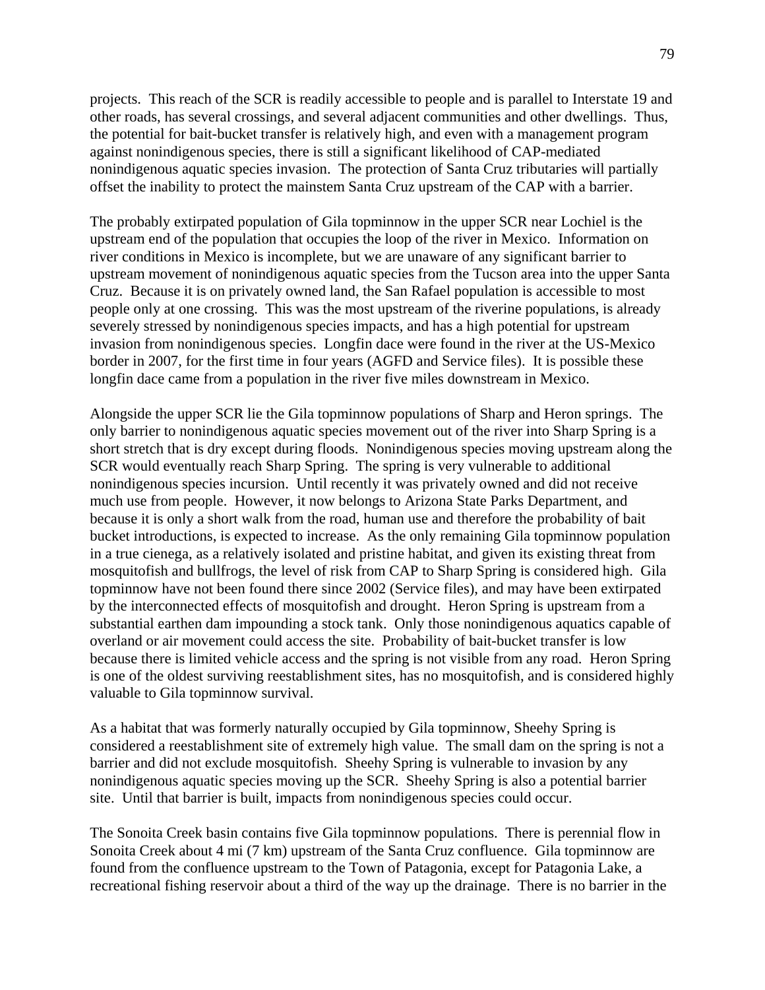projects. This reach of the SCR is readily accessible to people and is parallel to Interstate 19 and other roads, has several crossings, and several adjacent communities and other dwellings. Thus, the potential for bait-bucket transfer is relatively high, and even with a management program against nonindigenous species, there is still a significant likelihood of CAP-mediated nonindigenous aquatic species invasion. The protection of Santa Cruz tributaries will partially offset the inability to protect the mainstem Santa Cruz upstream of the CAP with a barrier.

The probably extirpated population of Gila topminnow in the upper SCR near Lochiel is the upstream end of the population that occupies the loop of the river in Mexico. Information on river conditions in Mexico is incomplete, but we are unaware of any significant barrier to upstream movement of nonindigenous aquatic species from the Tucson area into the upper Santa Cruz. Because it is on privately owned land, the San Rafael population is accessible to most people only at one crossing. This was the most upstream of the riverine populations, is already severely stressed by nonindigenous species impacts, and has a high potential for upstream invasion from nonindigenous species. Longfin dace were found in the river at the US-Mexico border in 2007, for the first time in four years (AGFD and Service files). It is possible these longfin dace came from a population in the river five miles downstream in Mexico.

Alongside the upper SCR lie the Gila topminnow populations of Sharp and Heron springs. The only barrier to nonindigenous aquatic species movement out of the river into Sharp Spring is a short stretch that is dry except during floods. Nonindigenous species moving upstream along the SCR would eventually reach Sharp Spring. The spring is very vulnerable to additional nonindigenous species incursion. Until recently it was privately owned and did not receive much use from people. However, it now belongs to Arizona State Parks Department, and because it is only a short walk from the road, human use and therefore the probability of bait bucket introductions, is expected to increase. As the only remaining Gila topminnow population in a true cienega, as a relatively isolated and pristine habitat, and given its existing threat from mosquitofish and bullfrogs, the level of risk from CAP to Sharp Spring is considered high. Gila topminnow have not been found there since 2002 (Service files), and may have been extirpated by the interconnected effects of mosquitofish and drought. Heron Spring is upstream from a substantial earthen dam impounding a stock tank. Only those nonindigenous aquatics capable of overland or air movement could access the site. Probability of bait-bucket transfer is low because there is limited vehicle access and the spring is not visible from any road. Heron Spring is one of the oldest surviving reestablishment sites, has no mosquitofish, and is considered highly valuable to Gila topminnow survival.

As a habitat that was formerly naturally occupied by Gila topminnow, Sheehy Spring is considered a reestablishment site of extremely high value. The small dam on the spring is not a barrier and did not exclude mosquitofish. Sheehy Spring is vulnerable to invasion by any nonindigenous aquatic species moving up the SCR. Sheehy Spring is also a potential barrier site. Until that barrier is built, impacts from nonindigenous species could occur.

The Sonoita Creek basin contains five Gila topminnow populations. There is perennial flow in Sonoita Creek about 4 mi (7 km) upstream of the Santa Cruz confluence. Gila topminnow are found from the confluence upstream to the Town of Patagonia, except for Patagonia Lake, a recreational fishing reservoir about a third of the way up the drainage. There is no barrier in the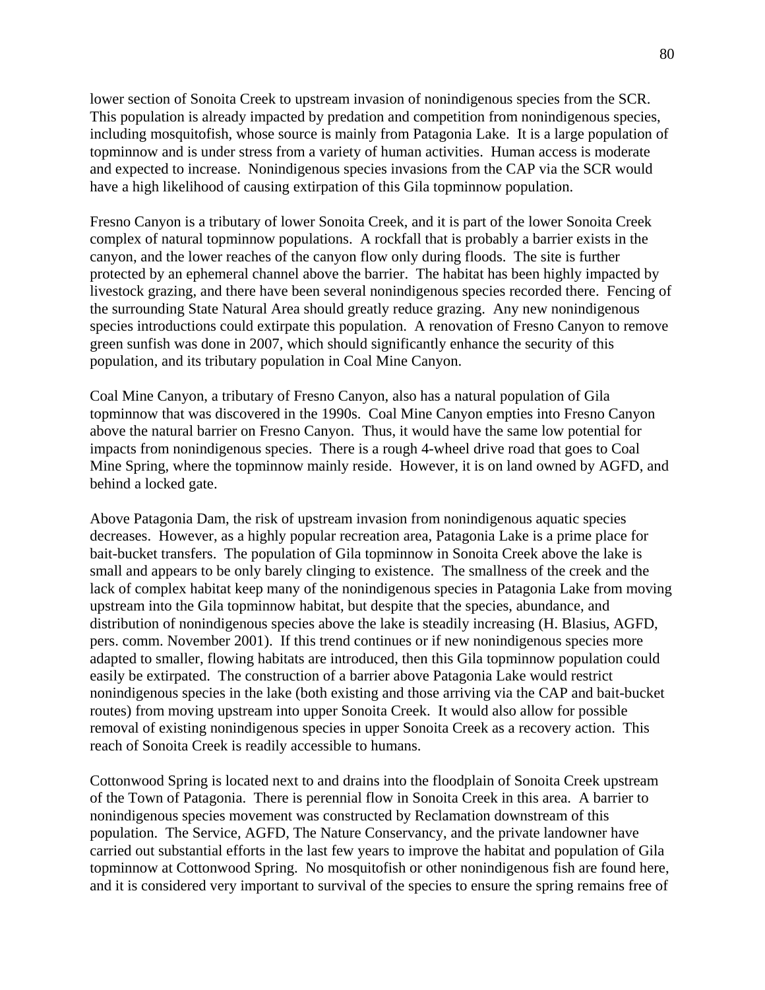lower section of Sonoita Creek to upstream invasion of nonindigenous species from the SCR. This population is already impacted by predation and competition from nonindigenous species, including mosquitofish, whose source is mainly from Patagonia Lake. It is a large population of topminnow and is under stress from a variety of human activities. Human access is moderate and expected to increase. Nonindigenous species invasions from the CAP via the SCR would have a high likelihood of causing extirpation of this Gila topminnow population.

Fresno Canyon is a tributary of lower Sonoita Creek, and it is part of the lower Sonoita Creek complex of natural topminnow populations. A rockfall that is probably a barrier exists in the canyon, and the lower reaches of the canyon flow only during floods. The site is further protected by an ephemeral channel above the barrier. The habitat has been highly impacted by livestock grazing, and there have been several nonindigenous species recorded there. Fencing of the surrounding State Natural Area should greatly reduce grazing. Any new nonindigenous species introductions could extirpate this population. A renovation of Fresno Canyon to remove green sunfish was done in 2007, which should significantly enhance the security of this population, and its tributary population in Coal Mine Canyon.

Coal Mine Canyon, a tributary of Fresno Canyon, also has a natural population of Gila topminnow that was discovered in the 1990s. Coal Mine Canyon empties into Fresno Canyon above the natural barrier on Fresno Canyon. Thus, it would have the same low potential for impacts from nonindigenous species. There is a rough 4-wheel drive road that goes to Coal Mine Spring, where the topminnow mainly reside. However, it is on land owned by AGFD, and behind a locked gate.

Above Patagonia Dam, the risk of upstream invasion from nonindigenous aquatic species decreases. However, as a highly popular recreation area, Patagonia Lake is a prime place for bait-bucket transfers. The population of Gila topminnow in Sonoita Creek above the lake is small and appears to be only barely clinging to existence. The smallness of the creek and the lack of complex habitat keep many of the nonindigenous species in Patagonia Lake from moving upstream into the Gila topminnow habitat, but despite that the species, abundance, and distribution of nonindigenous species above the lake is steadily increasing (H. Blasius, AGFD, pers. comm. November 2001). If this trend continues or if new nonindigenous species more adapted to smaller, flowing habitats are introduced, then this Gila topminnow population could easily be extirpated. The construction of a barrier above Patagonia Lake would restrict nonindigenous species in the lake (both existing and those arriving via the CAP and bait-bucket routes) from moving upstream into upper Sonoita Creek. It would also allow for possible removal of existing nonindigenous species in upper Sonoita Creek as a recovery action. This reach of Sonoita Creek is readily accessible to humans.

Cottonwood Spring is located next to and drains into the floodplain of Sonoita Creek upstream of the Town of Patagonia. There is perennial flow in Sonoita Creek in this area. A barrier to nonindigenous species movement was constructed by Reclamation downstream of this population. The Service, AGFD, The Nature Conservancy, and the private landowner have carried out substantial efforts in the last few years to improve the habitat and population of Gila topminnow at Cottonwood Spring. No mosquitofish or other nonindigenous fish are found here, and it is considered very important to survival of the species to ensure the spring remains free of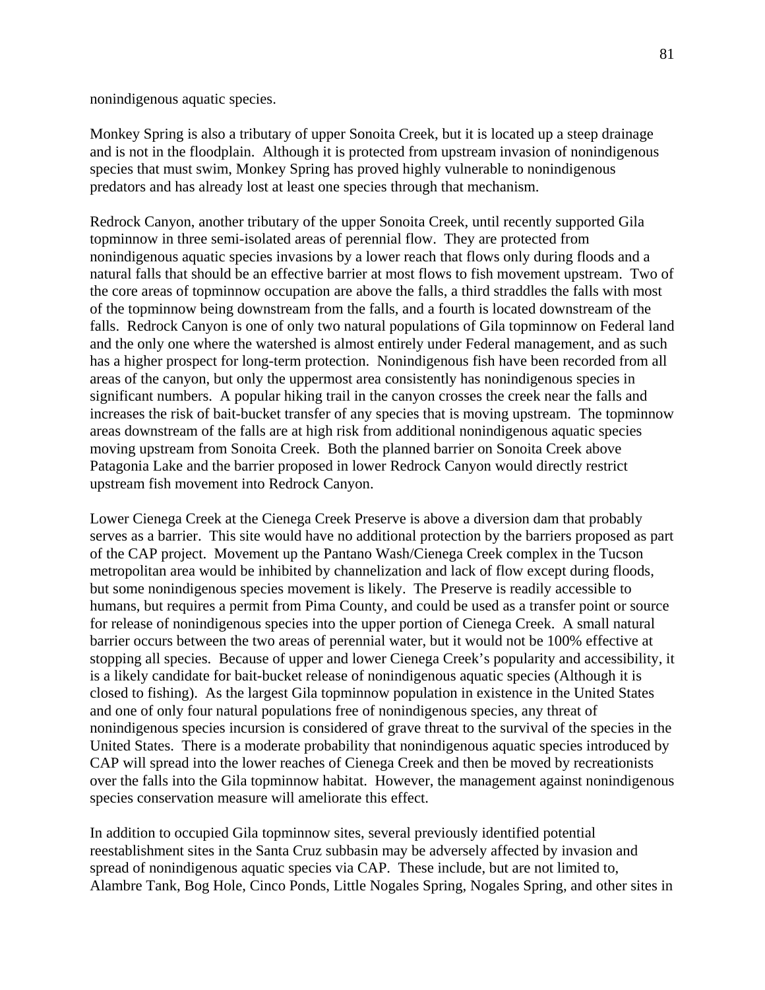nonindigenous aquatic species.

Monkey Spring is also a tributary of upper Sonoita Creek, but it is located up a steep drainage and is not in the floodplain. Although it is protected from upstream invasion of nonindigenous species that must swim, Monkey Spring has proved highly vulnerable to nonindigenous predators and has already lost at least one species through that mechanism.

Redrock Canyon, another tributary of the upper Sonoita Creek, until recently supported Gila topminnow in three semi-isolated areas of perennial flow. They are protected from nonindigenous aquatic species invasions by a lower reach that flows only during floods and a natural falls that should be an effective barrier at most flows to fish movement upstream. Two of the core areas of topminnow occupation are above the falls, a third straddles the falls with most of the topminnow being downstream from the falls, and a fourth is located downstream of the falls. Redrock Canyon is one of only two natural populations of Gila topminnow on Federal land and the only one where the watershed is almost entirely under Federal management, and as such has a higher prospect for long-term protection. Nonindigenous fish have been recorded from all areas of the canyon, but only the uppermost area consistently has nonindigenous species in significant numbers. A popular hiking trail in the canyon crosses the creek near the falls and increases the risk of bait-bucket transfer of any species that is moving upstream. The topminnow areas downstream of the falls are at high risk from additional nonindigenous aquatic species moving upstream from Sonoita Creek. Both the planned barrier on Sonoita Creek above Patagonia Lake and the barrier proposed in lower Redrock Canyon would directly restrict upstream fish movement into Redrock Canyon.

Lower Cienega Creek at the Cienega Creek Preserve is above a diversion dam that probably serves as a barrier. This site would have no additional protection by the barriers proposed as part of the CAP project. Movement up the Pantano Wash/Cienega Creek complex in the Tucson metropolitan area would be inhibited by channelization and lack of flow except during floods, but some nonindigenous species movement is likely. The Preserve is readily accessible to humans, but requires a permit from Pima County, and could be used as a transfer point or source for release of nonindigenous species into the upper portion of Cienega Creek. A small natural barrier occurs between the two areas of perennial water, but it would not be 100% effective at stopping all species. Because of upper and lower Cienega Creek's popularity and accessibility, it is a likely candidate for bait-bucket release of nonindigenous aquatic species (Although it is closed to fishing). As the largest Gila topminnow population in existence in the United States and one of only four natural populations free of nonindigenous species, any threat of nonindigenous species incursion is considered of grave threat to the survival of the species in the United States. There is a moderate probability that nonindigenous aquatic species introduced by CAP will spread into the lower reaches of Cienega Creek and then be moved by recreationists over the falls into the Gila topminnow habitat. However, the management against nonindigenous species conservation measure will ameliorate this effect.

In addition to occupied Gila topminnow sites, several previously identified potential reestablishment sites in the Santa Cruz subbasin may be adversely affected by invasion and spread of nonindigenous aquatic species via CAP. These include, but are not limited to, Alambre Tank, Bog Hole, Cinco Ponds, Little Nogales Spring, Nogales Spring, and other sites in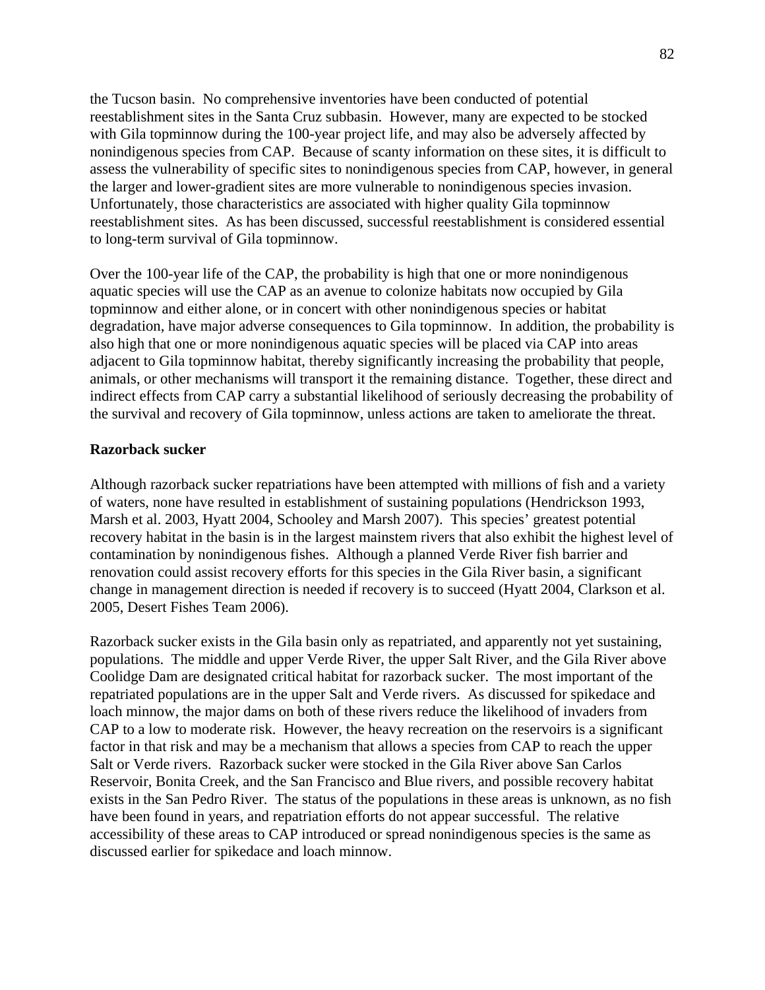the Tucson basin. No comprehensive inventories have been conducted of potential reestablishment sites in the Santa Cruz subbasin. However, many are expected to be stocked with Gila topminnow during the 100-year project life, and may also be adversely affected by nonindigenous species from CAP. Because of scanty information on these sites, it is difficult to assess the vulnerability of specific sites to nonindigenous species from CAP, however, in general the larger and lower-gradient sites are more vulnerable to nonindigenous species invasion. Unfortunately, those characteristics are associated with higher quality Gila topminnow reestablishment sites. As has been discussed, successful reestablishment is considered essential to long-term survival of Gila topminnow.

Over the 100-year life of the CAP, the probability is high that one or more nonindigenous aquatic species will use the CAP as an avenue to colonize habitats now occupied by Gila topminnow and either alone, or in concert with other nonindigenous species or habitat degradation, have major adverse consequences to Gila topminnow. In addition, the probability is also high that one or more nonindigenous aquatic species will be placed via CAP into areas adjacent to Gila topminnow habitat, thereby significantly increasing the probability that people, animals, or other mechanisms will transport it the remaining distance. Together, these direct and indirect effects from CAP carry a substantial likelihood of seriously decreasing the probability of the survival and recovery of Gila topminnow, unless actions are taken to ameliorate the threat.

## **Razorback sucker**

Although razorback sucker repatriations have been attempted with millions of fish and a variety of waters, none have resulted in establishment of sustaining populations (Hendrickson 1993, Marsh et al. 2003, Hyatt 2004, Schooley and Marsh 2007). This species' greatest potential recovery habitat in the basin is in the largest mainstem rivers that also exhibit the highest level of contamination by nonindigenous fishes. Although a planned Verde River fish barrier and renovation could assist recovery efforts for this species in the Gila River basin, a significant change in management direction is needed if recovery is to succeed (Hyatt 2004, Clarkson et al. 2005, Desert Fishes Team 2006).

Razorback sucker exists in the Gila basin only as repatriated, and apparently not yet sustaining, populations. The middle and upper Verde River, the upper Salt River, and the Gila River above Coolidge Dam are designated critical habitat for razorback sucker. The most important of the repatriated populations are in the upper Salt and Verde rivers. As discussed for spikedace and loach minnow, the major dams on both of these rivers reduce the likelihood of invaders from CAP to a low to moderate risk. However, the heavy recreation on the reservoirs is a significant factor in that risk and may be a mechanism that allows a species from CAP to reach the upper Salt or Verde rivers. Razorback sucker were stocked in the Gila River above San Carlos Reservoir, Bonita Creek, and the San Francisco and Blue rivers, and possible recovery habitat exists in the San Pedro River. The status of the populations in these areas is unknown, as no fish have been found in years, and repatriation efforts do not appear successful. The relative accessibility of these areas to CAP introduced or spread nonindigenous species is the same as discussed earlier for spikedace and loach minnow.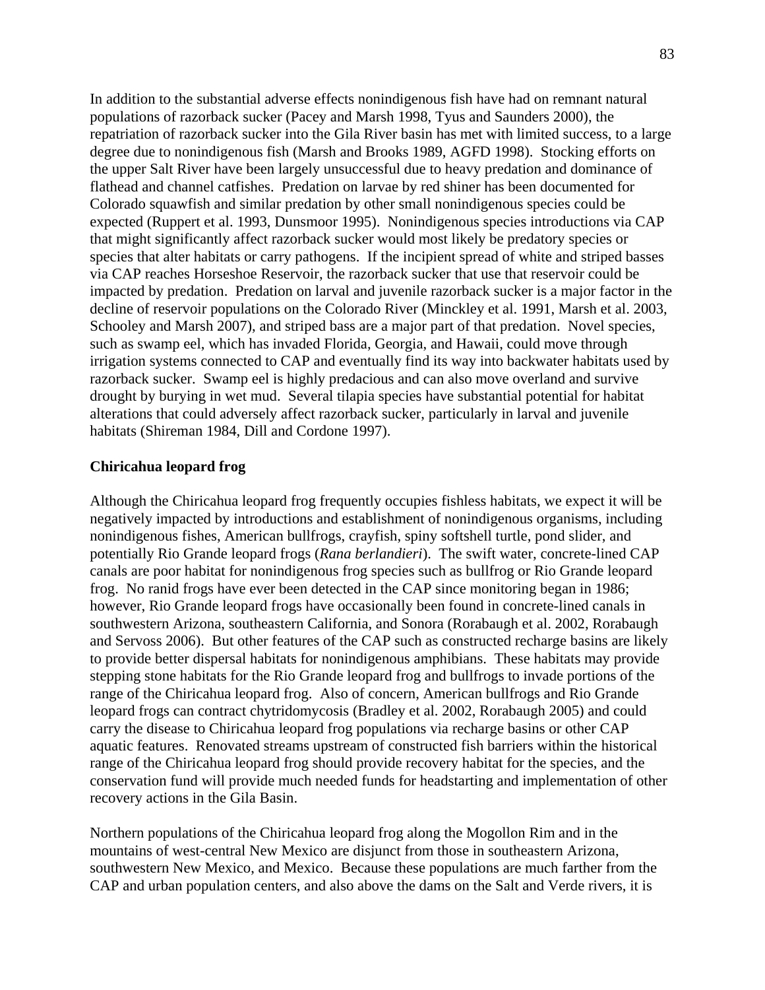In addition to the substantial adverse effects nonindigenous fish have had on remnant natural populations of razorback sucker (Pacey and Marsh 1998, Tyus and Saunders 2000), the repatriation of razorback sucker into the Gila River basin has met with limited success, to a large degree due to nonindigenous fish (Marsh and Brooks 1989, AGFD 1998). Stocking efforts on the upper Salt River have been largely unsuccessful due to heavy predation and dominance of flathead and channel catfishes. Predation on larvae by red shiner has been documented for Colorado squawfish and similar predation by other small nonindigenous species could be expected (Ruppert et al. 1993, Dunsmoor 1995). Nonindigenous species introductions via CAP that might significantly affect razorback sucker would most likely be predatory species or species that alter habitats or carry pathogens. If the incipient spread of white and striped basses via CAP reaches Horseshoe Reservoir, the razorback sucker that use that reservoir could be impacted by predation. Predation on larval and juvenile razorback sucker is a major factor in the decline of reservoir populations on the Colorado River (Minckley et al. 1991, Marsh et al. 2003, Schooley and Marsh 2007), and striped bass are a major part of that predation. Novel species, such as swamp eel, which has invaded Florida, Georgia, and Hawaii, could move through irrigation systems connected to CAP and eventually find its way into backwater habitats used by razorback sucker. Swamp eel is highly predacious and can also move overland and survive drought by burying in wet mud. Several tilapia species have substantial potential for habitat alterations that could adversely affect razorback sucker, particularly in larval and juvenile habitats (Shireman 1984, Dill and Cordone 1997).

## **Chiricahua leopard frog**

Although the Chiricahua leopard frog frequently occupies fishless habitats, we expect it will be negatively impacted by introductions and establishment of nonindigenous organisms, including nonindigenous fishes, American bullfrogs, crayfish, spiny softshell turtle, pond slider, and potentially Rio Grande leopard frogs (*Rana berlandieri*). The swift water, concrete-lined CAP canals are poor habitat for nonindigenous frog species such as bullfrog or Rio Grande leopard frog. No ranid frogs have ever been detected in the CAP since monitoring began in 1986; however, Rio Grande leopard frogs have occasionally been found in concrete-lined canals in southwestern Arizona, southeastern California, and Sonora (Rorabaugh et al. 2002, Rorabaugh and Servoss 2006). But other features of the CAP such as constructed recharge basins are likely to provide better dispersal habitats for nonindigenous amphibians. These habitats may provide stepping stone habitats for the Rio Grande leopard frog and bullfrogs to invade portions of the range of the Chiricahua leopard frog. Also of concern, American bullfrogs and Rio Grande leopard frogs can contract chytridomycosis (Bradley et al. 2002, Rorabaugh 2005) and could carry the disease to Chiricahua leopard frog populations via recharge basins or other CAP aquatic features. Renovated streams upstream of constructed fish barriers within the historical range of the Chiricahua leopard frog should provide recovery habitat for the species, and the conservation fund will provide much needed funds for headstarting and implementation of other recovery actions in the Gila Basin.

Northern populations of the Chiricahua leopard frog along the Mogollon Rim and in the mountains of west-central New Mexico are disjunct from those in southeastern Arizona, southwestern New Mexico, and Mexico. Because these populations are much farther from the CAP and urban population centers, and also above the dams on the Salt and Verde rivers, it is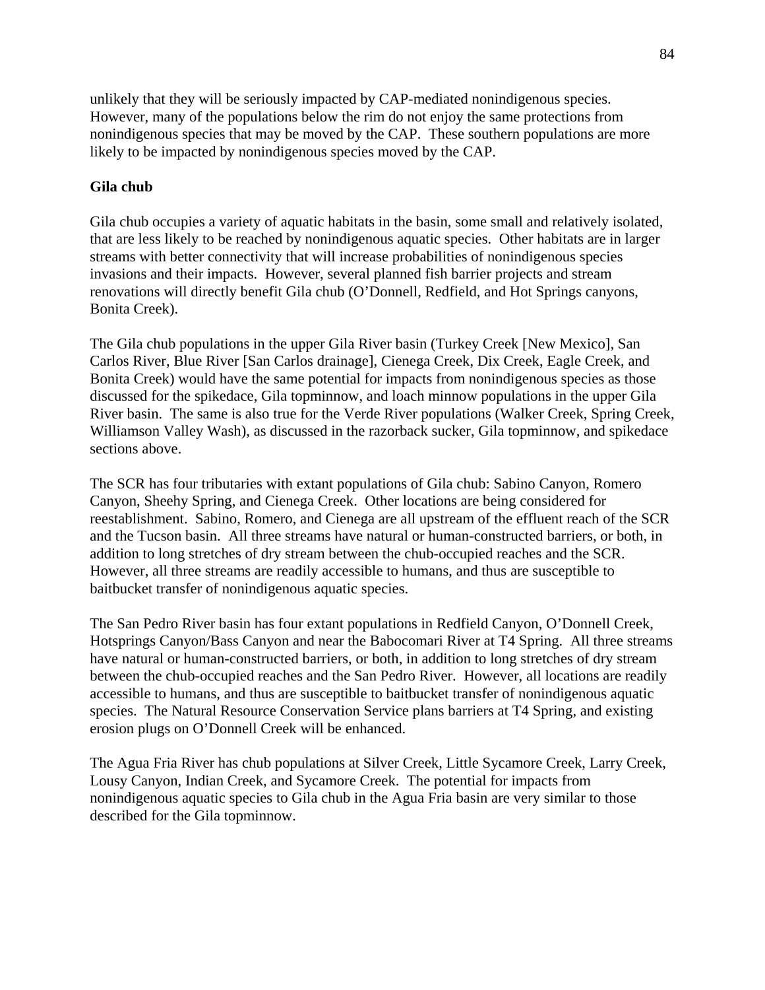unlikely that they will be seriously impacted by CAP-mediated nonindigenous species. However, many of the populations below the rim do not enjoy the same protections from nonindigenous species that may be moved by the CAP. These southern populations are more likely to be impacted by nonindigenous species moved by the CAP.

# **Gila chub**

Gila chub occupies a variety of aquatic habitats in the basin, some small and relatively isolated, that are less likely to be reached by nonindigenous aquatic species. Other habitats are in larger streams with better connectivity that will increase probabilities of nonindigenous species invasions and their impacts. However, several planned fish barrier projects and stream renovations will directly benefit Gila chub (O'Donnell, Redfield, and Hot Springs canyons, Bonita Creek).

The Gila chub populations in the upper Gila River basin (Turkey Creek [New Mexico], San Carlos River, Blue River [San Carlos drainage], Cienega Creek, Dix Creek, Eagle Creek, and Bonita Creek) would have the same potential for impacts from nonindigenous species as those discussed for the spikedace, Gila topminnow, and loach minnow populations in the upper Gila River basin. The same is also true for the Verde River populations (Walker Creek, Spring Creek, Williamson Valley Wash), as discussed in the razorback sucker, Gila topminnow, and spikedace sections above.

The SCR has four tributaries with extant populations of Gila chub: Sabino Canyon, Romero Canyon, Sheehy Spring, and Cienega Creek. Other locations are being considered for reestablishment. Sabino, Romero, and Cienega are all upstream of the effluent reach of the SCR and the Tucson basin. All three streams have natural or human-constructed barriers, or both, in addition to long stretches of dry stream between the chub-occupied reaches and the SCR. However, all three streams are readily accessible to humans, and thus are susceptible to baitbucket transfer of nonindigenous aquatic species.

The San Pedro River basin has four extant populations in Redfield Canyon, O'Donnell Creek, Hotsprings Canyon/Bass Canyon and near the Babocomari River at T4 Spring. All three streams have natural or human-constructed barriers, or both, in addition to long stretches of dry stream between the chub-occupied reaches and the San Pedro River. However, all locations are readily accessible to humans, and thus are susceptible to baitbucket transfer of nonindigenous aquatic species. The Natural Resource Conservation Service plans barriers at T4 Spring, and existing erosion plugs on O'Donnell Creek will be enhanced.

The Agua Fria River has chub populations at Silver Creek, Little Sycamore Creek, Larry Creek, Lousy Canyon, Indian Creek, and Sycamore Creek. The potential for impacts from nonindigenous aquatic species to Gila chub in the Agua Fria basin are very similar to those described for the Gila topminnow.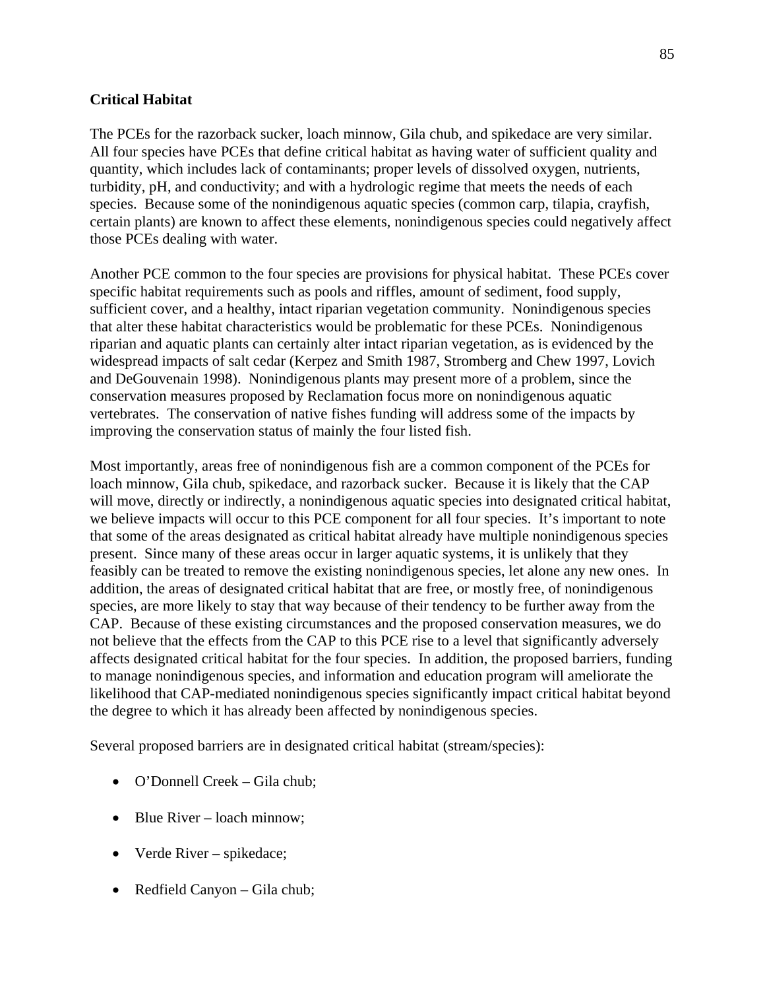# **Critical Habitat**

The PCEs for the razorback sucker, loach minnow, Gila chub, and spikedace are very similar. All four species have PCEs that define critical habitat as having water of sufficient quality and quantity, which includes lack of contaminants; proper levels of dissolved oxygen, nutrients, turbidity, pH, and conductivity; and with a hydrologic regime that meets the needs of each species. Because some of the nonindigenous aquatic species (common carp, tilapia, crayfish, certain plants) are known to affect these elements, nonindigenous species could negatively affect those PCEs dealing with water.

Another PCE common to the four species are provisions for physical habitat. These PCEs cover specific habitat requirements such as pools and riffles, amount of sediment, food supply, sufficient cover, and a healthy, intact riparian vegetation community. Nonindigenous species that alter these habitat characteristics would be problematic for these PCEs. Nonindigenous riparian and aquatic plants can certainly alter intact riparian vegetation, as is evidenced by the widespread impacts of salt cedar (Kerpez and Smith 1987, Stromberg and Chew 1997, Lovich and DeGouvenain 1998). Nonindigenous plants may present more of a problem, since the conservation measures proposed by Reclamation focus more on nonindigenous aquatic vertebrates. The conservation of native fishes funding will address some of the impacts by improving the conservation status of mainly the four listed fish.

Most importantly, areas free of nonindigenous fish are a common component of the PCEs for loach minnow, Gila chub, spikedace, and razorback sucker. Because it is likely that the CAP will move, directly or indirectly, a nonindigenous aquatic species into designated critical habitat, we believe impacts will occur to this PCE component for all four species. It's important to note that some of the areas designated as critical habitat already have multiple nonindigenous species present. Since many of these areas occur in larger aquatic systems, it is unlikely that they feasibly can be treated to remove the existing nonindigenous species, let alone any new ones. In addition, the areas of designated critical habitat that are free, or mostly free, of nonindigenous species, are more likely to stay that way because of their tendency to be further away from the CAP. Because of these existing circumstances and the proposed conservation measures, we do not believe that the effects from the CAP to this PCE rise to a level that significantly adversely affects designated critical habitat for the four species. In addition, the proposed barriers, funding to manage nonindigenous species, and information and education program will ameliorate the likelihood that CAP-mediated nonindigenous species significantly impact critical habitat beyond the degree to which it has already been affected by nonindigenous species.

Several proposed barriers are in designated critical habitat (stream/species):

- O'Donnell Creek Gila chub:
- Blue River loach minnow;
- Verde River spikedace;
- Redfield Canyon Gila chub;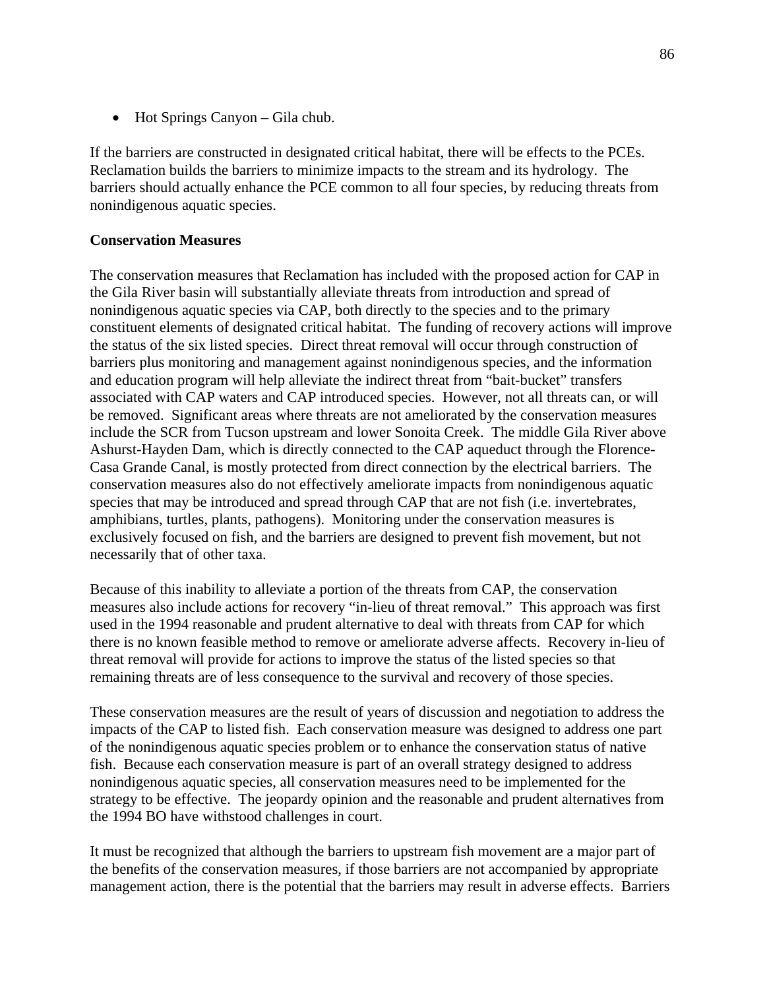• Hot Springs Canyon – Gila chub.

If the barriers are constructed in designated critical habitat, there will be effects to the PCEs. Reclamation builds the barriers to minimize impacts to the stream and its hydrology. The barriers should actually enhance the PCE common to all four species, by reducing threats from nonindigenous aquatic species.

## **Conservation Measures**

The conservation measures that Reclamation has included with the proposed action for CAP in the Gila River basin will substantially alleviate threats from introduction and spread of nonindigenous aquatic species via CAP, both directly to the species and to the primary constituent elements of designated critical habitat. The funding of recovery actions will improve the status of the six listed species. Direct threat removal will occur through construction of barriers plus monitoring and management against nonindigenous species, and the information and education program will help alleviate the indirect threat from "bait-bucket" transfers associated with CAP waters and CAP introduced species. However, not all threats can, or will be removed. Significant areas where threats are not ameliorated by the conservation measures include the SCR from Tucson upstream and lower Sonoita Creek. The middle Gila River above Ashurst-Hayden Dam, which is directly connected to the CAP aqueduct through the Florence-Casa Grande Canal, is mostly protected from direct connection by the electrical barriers. The conservation measures also do not effectively ameliorate impacts from nonindigenous aquatic species that may be introduced and spread through CAP that are not fish (i.e. invertebrates, amphibians, turtles, plants, pathogens). Monitoring under the conservation measures is exclusively focused on fish, and the barriers are designed to prevent fish movement, but not necessarily that of other taxa.

Because of this inability to alleviate a portion of the threats from CAP, the conservation measures also include actions for recovery "in-lieu of threat removal." This approach was first used in the 1994 reasonable and prudent alternative to deal with threats from CAP for which there is no known feasible method to remove or ameliorate adverse affects. Recovery in-lieu of threat removal will provide for actions to improve the status of the listed species so that remaining threats are of less consequence to the survival and recovery of those species.

These conservation measures are the result of years of discussion and negotiation to address the impacts of the CAP to listed fish. Each conservation measure was designed to address one part of the nonindigenous aquatic species problem or to enhance the conservation status of native fish. Because each conservation measure is part of an overall strategy designed to address nonindigenous aquatic species, all conservation measures need to be implemented for the strategy to be effective. The jeopardy opinion and the reasonable and prudent alternatives from the 1994 BO have withstood challenges in court.

It must be recognized that although the barriers to upstream fish movement are a major part of the benefits of the conservation measures, if those barriers are not accompanied by appropriate management action, there is the potential that the barriers may result in adverse effects. Barriers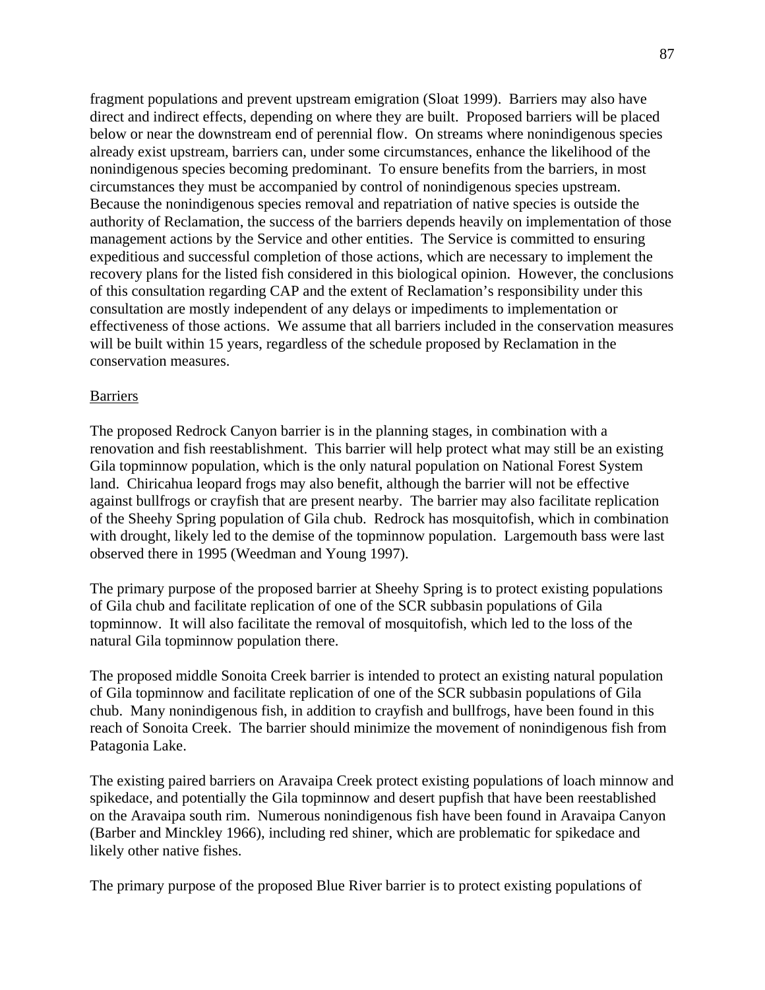fragment populations and prevent upstream emigration (Sloat 1999). Barriers may also have direct and indirect effects, depending on where they are built. Proposed barriers will be placed below or near the downstream end of perennial flow. On streams where nonindigenous species already exist upstream, barriers can, under some circumstances, enhance the likelihood of the nonindigenous species becoming predominant. To ensure benefits from the barriers, in most circumstances they must be accompanied by control of nonindigenous species upstream. Because the nonindigenous species removal and repatriation of native species is outside the authority of Reclamation, the success of the barriers depends heavily on implementation of those management actions by the Service and other entities. The Service is committed to ensuring expeditious and successful completion of those actions, which are necessary to implement the recovery plans for the listed fish considered in this biological opinion. However, the conclusions of this consultation regarding CAP and the extent of Reclamation's responsibility under this consultation are mostly independent of any delays or impediments to implementation or effectiveness of those actions. We assume that all barriers included in the conservation measures will be built within 15 years, regardless of the schedule proposed by Reclamation in the conservation measures.

### Barriers

The proposed Redrock Canyon barrier is in the planning stages, in combination with a renovation and fish reestablishment. This barrier will help protect what may still be an existing Gila topminnow population, which is the only natural population on National Forest System land. Chiricahua leopard frogs may also benefit, although the barrier will not be effective against bullfrogs or crayfish that are present nearby. The barrier may also facilitate replication of the Sheehy Spring population of Gila chub. Redrock has mosquitofish, which in combination with drought, likely led to the demise of the topminnow population. Largemouth bass were last observed there in 1995 (Weedman and Young 1997).

The primary purpose of the proposed barrier at Sheehy Spring is to protect existing populations of Gila chub and facilitate replication of one of the SCR subbasin populations of Gila topminnow. It will also facilitate the removal of mosquitofish, which led to the loss of the natural Gila topminnow population there.

The proposed middle Sonoita Creek barrier is intended to protect an existing natural population of Gila topminnow and facilitate replication of one of the SCR subbasin populations of Gila chub. Many nonindigenous fish, in addition to crayfish and bullfrogs, have been found in this reach of Sonoita Creek. The barrier should minimize the movement of nonindigenous fish from Patagonia Lake.

The existing paired barriers on Aravaipa Creek protect existing populations of loach minnow and spikedace, and potentially the Gila topminnow and desert pupfish that have been reestablished on the Aravaipa south rim. Numerous nonindigenous fish have been found in Aravaipa Canyon (Barber and Minckley 1966), including red shiner, which are problematic for spikedace and likely other native fishes.

The primary purpose of the proposed Blue River barrier is to protect existing populations of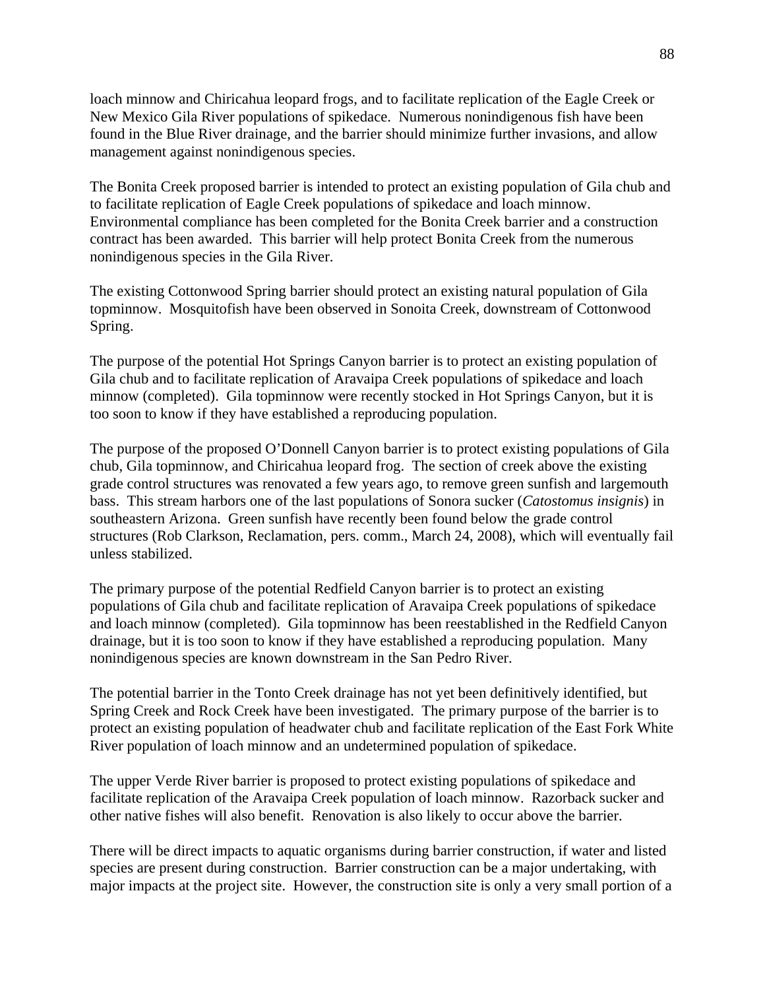loach minnow and Chiricahua leopard frogs, and to facilitate replication of the Eagle Creek or New Mexico Gila River populations of spikedace. Numerous nonindigenous fish have been found in the Blue River drainage, and the barrier should minimize further invasions, and allow management against nonindigenous species.

The Bonita Creek proposed barrier is intended to protect an existing population of Gila chub and to facilitate replication of Eagle Creek populations of spikedace and loach minnow. Environmental compliance has been completed for the Bonita Creek barrier and a construction contract has been awarded. This barrier will help protect Bonita Creek from the numerous nonindigenous species in the Gila River.

The existing Cottonwood Spring barrier should protect an existing natural population of Gila topminnow. Mosquitofish have been observed in Sonoita Creek, downstream of Cottonwood Spring.

The purpose of the potential Hot Springs Canyon barrier is to protect an existing population of Gila chub and to facilitate replication of Aravaipa Creek populations of spikedace and loach minnow (completed). Gila topminnow were recently stocked in Hot Springs Canyon, but it is too soon to know if they have established a reproducing population.

The purpose of the proposed O'Donnell Canyon barrier is to protect existing populations of Gila chub, Gila topminnow, and Chiricahua leopard frog. The section of creek above the existing grade control structures was renovated a few years ago, to remove green sunfish and largemouth bass. This stream harbors one of the last populations of Sonora sucker (*Catostomus insignis*) in southeastern Arizona. Green sunfish have recently been found below the grade control structures (Rob Clarkson, Reclamation, pers. comm., March 24, 2008), which will eventually fail unless stabilized.

The primary purpose of the potential Redfield Canyon barrier is to protect an existing populations of Gila chub and facilitate replication of Aravaipa Creek populations of spikedace and loach minnow (completed). Gila topminnow has been reestablished in the Redfield Canyon drainage, but it is too soon to know if they have established a reproducing population. Many nonindigenous species are known downstream in the San Pedro River.

The potential barrier in the Tonto Creek drainage has not yet been definitively identified, but Spring Creek and Rock Creek have been investigated. The primary purpose of the barrier is to protect an existing population of headwater chub and facilitate replication of the East Fork White River population of loach minnow and an undetermined population of spikedace.

The upper Verde River barrier is proposed to protect existing populations of spikedace and facilitate replication of the Aravaipa Creek population of loach minnow. Razorback sucker and other native fishes will also benefit. Renovation is also likely to occur above the barrier.

There will be direct impacts to aquatic organisms during barrier construction, if water and listed species are present during construction. Barrier construction can be a major undertaking, with major impacts at the project site. However, the construction site is only a very small portion of a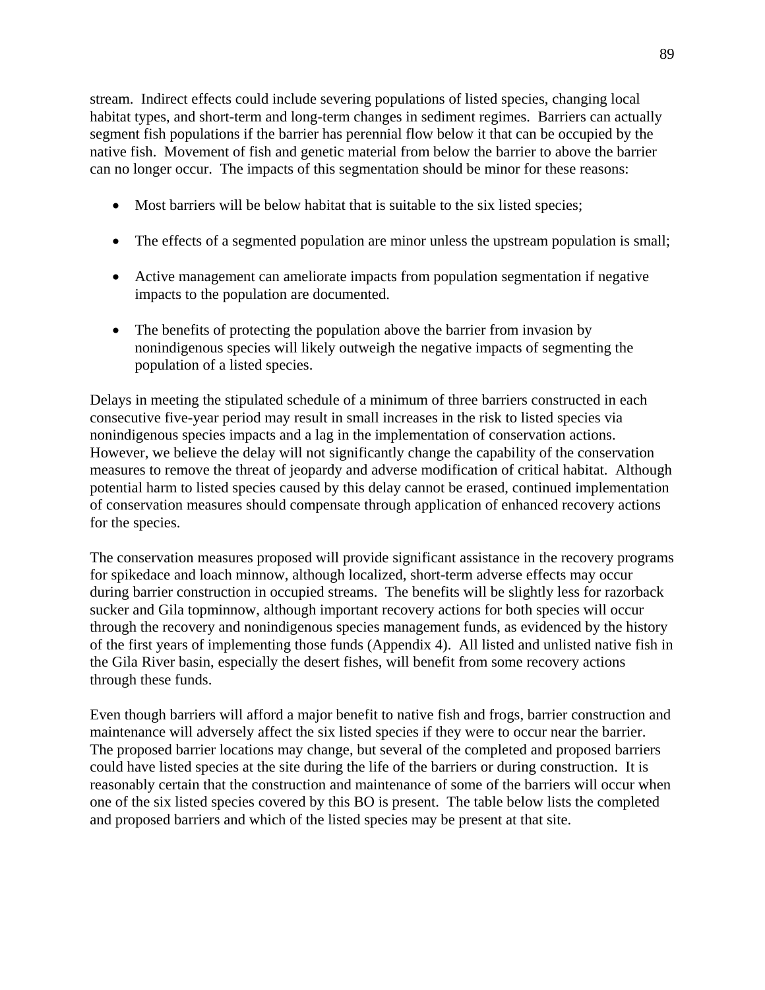stream. Indirect effects could include severing populations of listed species, changing local habitat types, and short-term and long-term changes in sediment regimes. Barriers can actually segment fish populations if the barrier has perennial flow below it that can be occupied by the native fish. Movement of fish and genetic material from below the barrier to above the barrier can no longer occur. The impacts of this segmentation should be minor for these reasons:

- Most barriers will be below habitat that is suitable to the six listed species;
- The effects of a segmented population are minor unless the upstream population is small;
- Active management can ameliorate impacts from population segmentation if negative impacts to the population are documented.
- The benefits of protecting the population above the barrier from invasion by nonindigenous species will likely outweigh the negative impacts of segmenting the population of a listed species.

Delays in meeting the stipulated schedule of a minimum of three barriers constructed in each consecutive five-year period may result in small increases in the risk to listed species via nonindigenous species impacts and a lag in the implementation of conservation actions. However, we believe the delay will not significantly change the capability of the conservation measures to remove the threat of jeopardy and adverse modification of critical habitat. Although potential harm to listed species caused by this delay cannot be erased, continued implementation of conservation measures should compensate through application of enhanced recovery actions for the species.

The conservation measures proposed will provide significant assistance in the recovery programs for spikedace and loach minnow, although localized, short-term adverse effects may occur during barrier construction in occupied streams. The benefits will be slightly less for razorback sucker and Gila topminnow, although important recovery actions for both species will occur through the recovery and nonindigenous species management funds, as evidenced by the history of the first years of implementing those funds (Appendix 4). All listed and unlisted native fish in the Gila River basin, especially the desert fishes, will benefit from some recovery actions through these funds.

Even though barriers will afford a major benefit to native fish and frogs, barrier construction and maintenance will adversely affect the six listed species if they were to occur near the barrier. The proposed barrier locations may change, but several of the completed and proposed barriers could have listed species at the site during the life of the barriers or during construction. It is reasonably certain that the construction and maintenance of some of the barriers will occur when one of the six listed species covered by this BO is present. The table below lists the completed and proposed barriers and which of the listed species may be present at that site.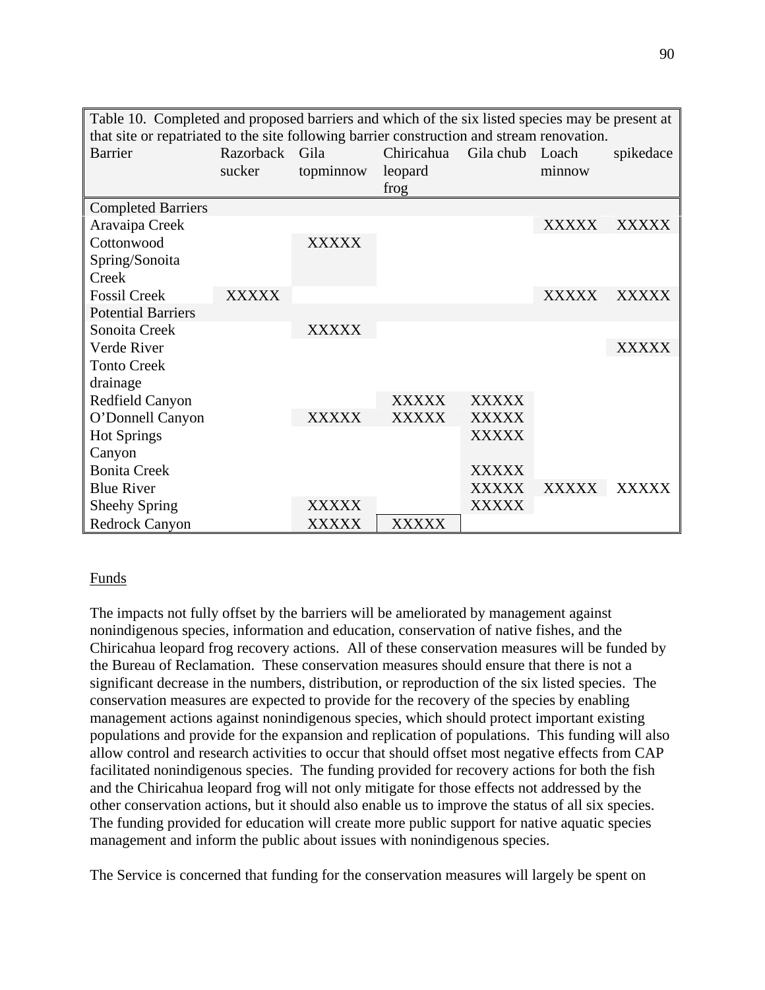| Table 10. Completed and proposed barriers and which of the six listed species may be present at |                |              |              |                 |              |              |
|-------------------------------------------------------------------------------------------------|----------------|--------------|--------------|-----------------|--------------|--------------|
| that site or repatriated to the site following barrier construction and stream renovation.      |                |              |              |                 |              |              |
| Barrier                                                                                         | Razorback Gila |              | Chiricahua   | Gila chub Loach |              | spikedace    |
|                                                                                                 | sucker         | topminnow    | leopard      |                 | minnow       |              |
|                                                                                                 |                |              | frog         |                 |              |              |
| <b>Completed Barriers</b>                                                                       |                |              |              |                 |              |              |
| Aravaipa Creek                                                                                  |                |              |              |                 | <b>XXXXX</b> | <b>XXXXX</b> |
| Cottonwood                                                                                      |                | <b>XXXXX</b> |              |                 |              |              |
| Spring/Sonoita                                                                                  |                |              |              |                 |              |              |
| Creek                                                                                           |                |              |              |                 |              |              |
| <b>Fossil Creek</b>                                                                             | XXXXX          |              |              |                 | <b>XXXXX</b> | <b>XXXXX</b> |
| <b>Potential Barriers</b>                                                                       |                |              |              |                 |              |              |
| Sonoita Creek                                                                                   |                | <b>XXXXX</b> |              |                 |              |              |
| Verde River                                                                                     |                |              |              |                 |              | <b>XXXXX</b> |
| <b>Tonto Creek</b>                                                                              |                |              |              |                 |              |              |
| drainage                                                                                        |                |              |              |                 |              |              |
| Redfield Canyon                                                                                 |                |              | <b>XXXXX</b> | <b>XXXXX</b>    |              |              |
| O'Donnell Canyon                                                                                |                | <b>XXXXX</b> | <b>XXXXX</b> | <b>XXXXX</b>    |              |              |
| <b>Hot Springs</b>                                                                              |                |              |              | <b>XXXXX</b>    |              |              |
| Canyon                                                                                          |                |              |              |                 |              |              |
| <b>Bonita Creek</b>                                                                             |                |              |              | <b>XXXXX</b>    |              |              |
| <b>Blue River</b>                                                                               |                |              |              | <b>XXXXX</b>    | <b>XXXXX</b> | <b>XXXXX</b> |
| <b>Sheehy Spring</b>                                                                            |                | XXXXX        |              | <b>XXXXX</b>    |              |              |
| Redrock Canyon                                                                                  |                | XXXXX        | XXXXX        |                 |              |              |

## Funds

The impacts not fully offset by the barriers will be ameliorated by management against nonindigenous species, information and education, conservation of native fishes, and the Chiricahua leopard frog recovery actions. All of these conservation measures will be funded by the Bureau of Reclamation. These conservation measures should ensure that there is not a significant decrease in the numbers, distribution, or reproduction of the six listed species. The conservation measures are expected to provide for the recovery of the species by enabling management actions against nonindigenous species, which should protect important existing populations and provide for the expansion and replication of populations. This funding will also allow control and research activities to occur that should offset most negative effects from CAP facilitated nonindigenous species. The funding provided for recovery actions for both the fish and the Chiricahua leopard frog will not only mitigate for those effects not addressed by the other conservation actions, but it should also enable us to improve the status of all six species. The funding provided for education will create more public support for native aquatic species management and inform the public about issues with nonindigenous species.

The Service is concerned that funding for the conservation measures will largely be spent on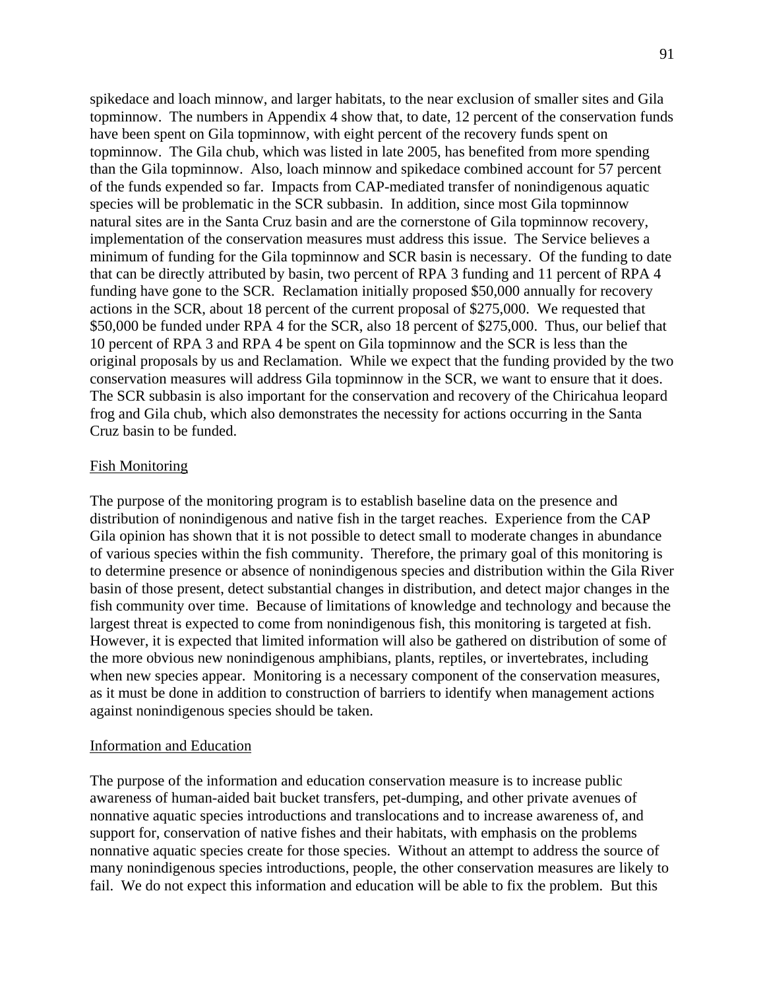spikedace and loach minnow, and larger habitats, to the near exclusion of smaller sites and Gila topminnow. The numbers in Appendix 4 show that, to date, 12 percent of the conservation funds have been spent on Gila topminnow, with eight percent of the recovery funds spent on topminnow. The Gila chub, which was listed in late 2005, has benefited from more spending than the Gila topminnow. Also, loach minnow and spikedace combined account for 57 percent of the funds expended so far. Impacts from CAP-mediated transfer of nonindigenous aquatic species will be problematic in the SCR subbasin. In addition, since most Gila topminnow natural sites are in the Santa Cruz basin and are the cornerstone of Gila topminnow recovery, implementation of the conservation measures must address this issue. The Service believes a minimum of funding for the Gila topminnow and SCR basin is necessary. Of the funding to date that can be directly attributed by basin, two percent of RPA 3 funding and 11 percent of RPA 4 funding have gone to the SCR. Reclamation initially proposed \$50,000 annually for recovery actions in the SCR, about 18 percent of the current proposal of \$275,000. We requested that \$50,000 be funded under RPA 4 for the SCR, also 18 percent of \$275,000. Thus, our belief that 10 percent of RPA 3 and RPA 4 be spent on Gila topminnow and the SCR is less than the original proposals by us and Reclamation. While we expect that the funding provided by the two conservation measures will address Gila topminnow in the SCR, we want to ensure that it does. The SCR subbasin is also important for the conservation and recovery of the Chiricahua leopard frog and Gila chub, which also demonstrates the necessity for actions occurring in the Santa Cruz basin to be funded.

### Fish Monitoring

The purpose of the monitoring program is to establish baseline data on the presence and distribution of nonindigenous and native fish in the target reaches. Experience from the CAP Gila opinion has shown that it is not possible to detect small to moderate changes in abundance of various species within the fish community. Therefore, the primary goal of this monitoring is to determine presence or absence of nonindigenous species and distribution within the Gila River basin of those present, detect substantial changes in distribution, and detect major changes in the fish community over time. Because of limitations of knowledge and technology and because the largest threat is expected to come from nonindigenous fish, this monitoring is targeted at fish. However, it is expected that limited information will also be gathered on distribution of some of the more obvious new nonindigenous amphibians, plants, reptiles, or invertebrates, including when new species appear. Monitoring is a necessary component of the conservation measures, as it must be done in addition to construction of barriers to identify when management actions against nonindigenous species should be taken.

#### Information and Education

The purpose of the information and education conservation measure is to increase public awareness of human-aided bait bucket transfers, pet-dumping, and other private avenues of nonnative aquatic species introductions and translocations and to increase awareness of, and support for, conservation of native fishes and their habitats, with emphasis on the problems nonnative aquatic species create for those species. Without an attempt to address the source of many nonindigenous species introductions, people, the other conservation measures are likely to fail. We do not expect this information and education will be able to fix the problem. But this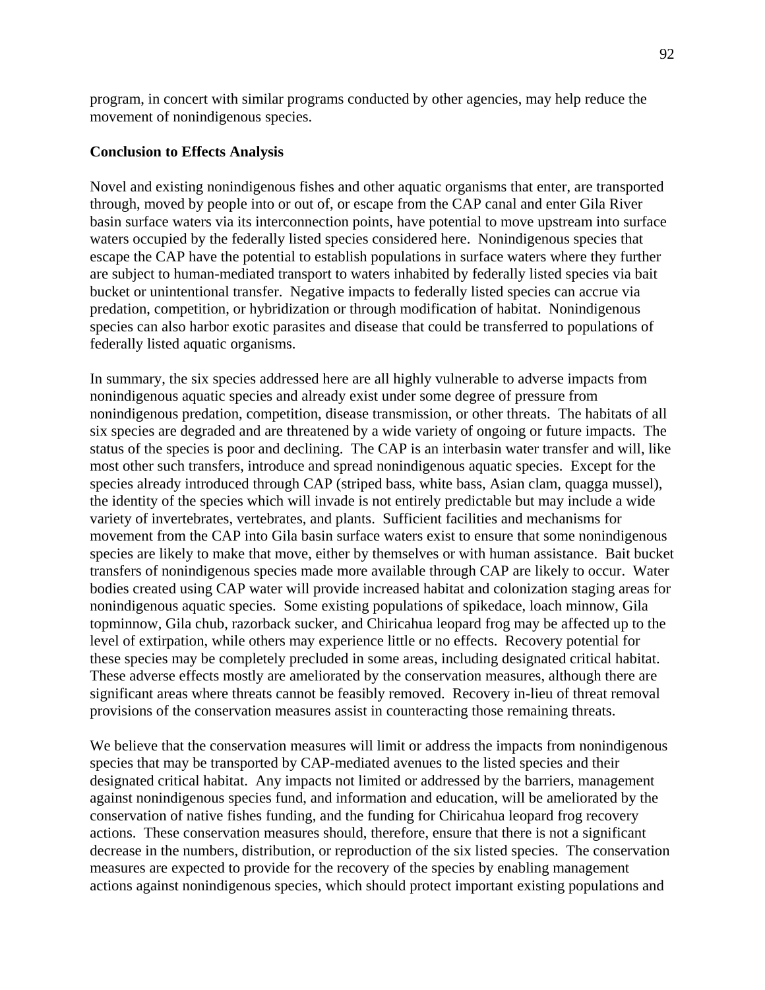program, in concert with similar programs conducted by other agencies, may help reduce the movement of nonindigenous species.

## **Conclusion to Effects Analysis**

Novel and existing nonindigenous fishes and other aquatic organisms that enter, are transported through, moved by people into or out of, or escape from the CAP canal and enter Gila River basin surface waters via its interconnection points, have potential to move upstream into surface waters occupied by the federally listed species considered here. Nonindigenous species that escape the CAP have the potential to establish populations in surface waters where they further are subject to human-mediated transport to waters inhabited by federally listed species via bait bucket or unintentional transfer. Negative impacts to federally listed species can accrue via predation, competition, or hybridization or through modification of habitat. Nonindigenous species can also harbor exotic parasites and disease that could be transferred to populations of federally listed aquatic organisms.

In summary, the six species addressed here are all highly vulnerable to adverse impacts from nonindigenous aquatic species and already exist under some degree of pressure from nonindigenous predation, competition, disease transmission, or other threats. The habitats of all six species are degraded and are threatened by a wide variety of ongoing or future impacts. The status of the species is poor and declining. The CAP is an interbasin water transfer and will, like most other such transfers, introduce and spread nonindigenous aquatic species. Except for the species already introduced through CAP (striped bass, white bass, Asian clam, quagga mussel), the identity of the species which will invade is not entirely predictable but may include a wide variety of invertebrates, vertebrates, and plants. Sufficient facilities and mechanisms for movement from the CAP into Gila basin surface waters exist to ensure that some nonindigenous species are likely to make that move, either by themselves or with human assistance. Bait bucket transfers of nonindigenous species made more available through CAP are likely to occur. Water bodies created using CAP water will provide increased habitat and colonization staging areas for nonindigenous aquatic species. Some existing populations of spikedace, loach minnow, Gila topminnow, Gila chub, razorback sucker, and Chiricahua leopard frog may be affected up to the level of extirpation, while others may experience little or no effects. Recovery potential for these species may be completely precluded in some areas, including designated critical habitat. These adverse effects mostly are ameliorated by the conservation measures, although there are significant areas where threats cannot be feasibly removed. Recovery in-lieu of threat removal provisions of the conservation measures assist in counteracting those remaining threats.

We believe that the conservation measures will limit or address the impacts from nonindigenous species that may be transported by CAP-mediated avenues to the listed species and their designated critical habitat. Any impacts not limited or addressed by the barriers, management against nonindigenous species fund, and information and education, will be ameliorated by the conservation of native fishes funding, and the funding for Chiricahua leopard frog recovery actions. These conservation measures should, therefore, ensure that there is not a significant decrease in the numbers, distribution, or reproduction of the six listed species. The conservation measures are expected to provide for the recovery of the species by enabling management actions against nonindigenous species, which should protect important existing populations and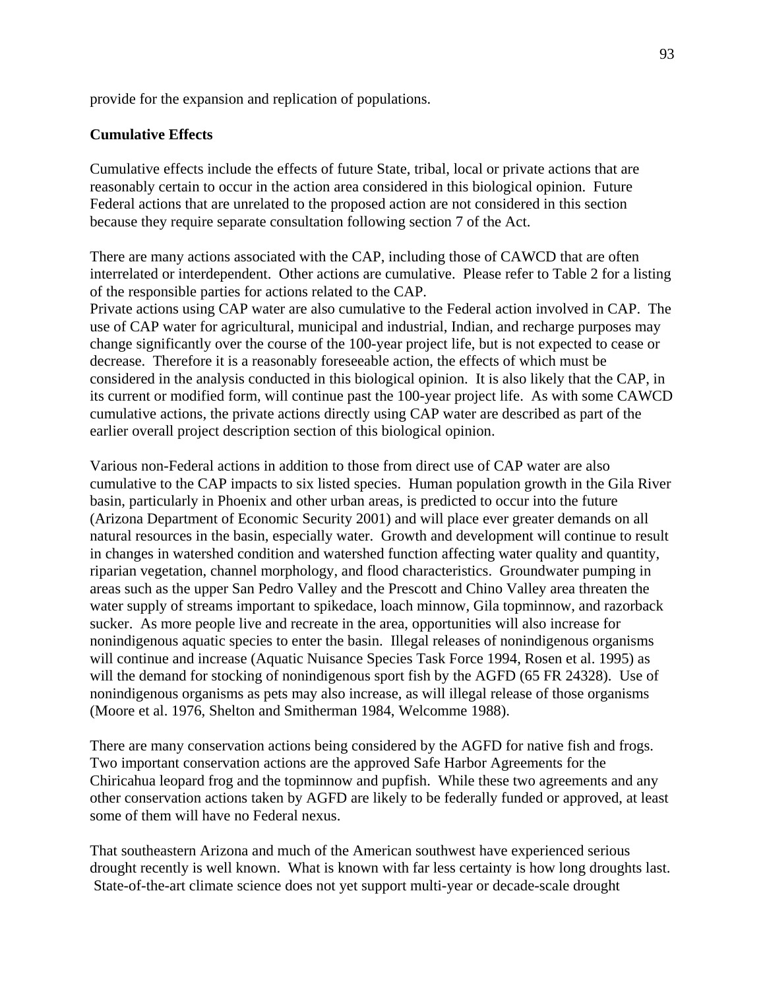provide for the expansion and replication of populations.

# **Cumulative Effects**

Cumulative effects include the effects of future State, tribal, local or private actions that are reasonably certain to occur in the action area considered in this biological opinion. Future Federal actions that are unrelated to the proposed action are not considered in this section because they require separate consultation following section 7 of the Act.

There are many actions associated with the CAP, including those of CAWCD that are often interrelated or interdependent. Other actions are cumulative. Please refer to Table 2 for a listing of the responsible parties for actions related to the CAP. Private actions using CAP water are also cumulative to the Federal action involved in CAP. The use of CAP water for agricultural, municipal and industrial, Indian, and recharge purposes may change significantly over the course of the 100-year project life, but is not expected to cease or decrease. Therefore it is a reasonably foreseeable action, the effects of which must be considered in the analysis conducted in this biological opinion. It is also likely that the CAP, in its current or modified form, will continue past the 100-year project life. As with some CAWCD cumulative actions, the private actions directly using CAP water are described as part of the earlier overall project description section of this biological opinion.

Various non-Federal actions in addition to those from direct use of CAP water are also cumulative to the CAP impacts to six listed species. Human population growth in the Gila River basin, particularly in Phoenix and other urban areas, is predicted to occur into the future (Arizona Department of Economic Security 2001) and will place ever greater demands on all natural resources in the basin, especially water. Growth and development will continue to result in changes in watershed condition and watershed function affecting water quality and quantity, riparian vegetation, channel morphology, and flood characteristics. Groundwater pumping in areas such as the upper San Pedro Valley and the Prescott and Chino Valley area threaten the water supply of streams important to spikedace, loach minnow, Gila topminnow, and razorback sucker. As more people live and recreate in the area, opportunities will also increase for nonindigenous aquatic species to enter the basin. Illegal releases of nonindigenous organisms will continue and increase (Aquatic Nuisance Species Task Force 1994, Rosen et al. 1995) as will the demand for stocking of nonindigenous sport fish by the AGFD (65 FR 24328). Use of nonindigenous organisms as pets may also increase, as will illegal release of those organisms (Moore et al. 1976, Shelton and Smitherman 1984, Welcomme 1988).

There are many conservation actions being considered by the AGFD for native fish and frogs. Two important conservation actions are the approved Safe Harbor Agreements for the Chiricahua leopard frog and the topminnow and pupfish. While these two agreements and any other conservation actions taken by AGFD are likely to be federally funded or approved, at least some of them will have no Federal nexus.

That southeastern Arizona and much of the American southwest have experienced serious drought recently is well known. What is known with far less certainty is how long droughts last. State-of-the-art climate science does not yet support multi-year or decade-scale drought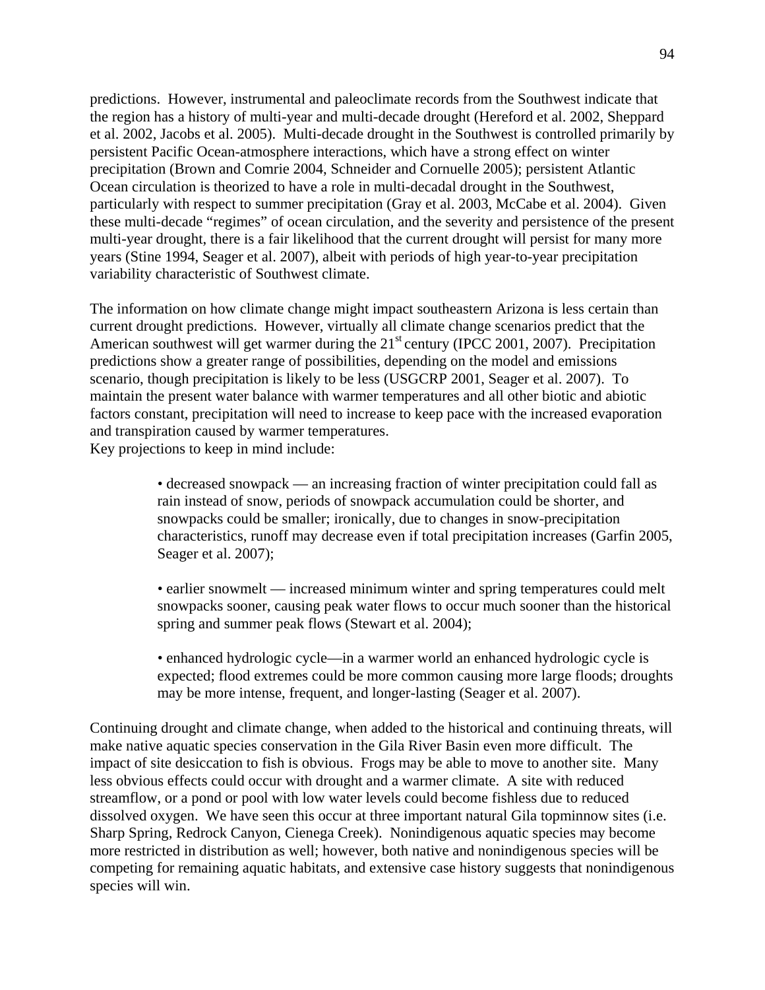predictions. However, instrumental and paleoclimate records from the Southwest indicate that the region has a history of multi-year and multi-decade drought (Hereford et al. 2002, Sheppard et al. 2002, Jacobs et al. 2005). Multi-decade drought in the Southwest is controlled primarily by persistent Pacific Ocean-atmosphere interactions, which have a strong effect on winter precipitation (Brown and Comrie 2004, Schneider and Cornuelle 2005); persistent Atlantic Ocean circulation is theorized to have a role in multi-decadal drought in the Southwest, particularly with respect to summer precipitation (Gray et al. 2003, McCabe et al. 2004). Given these multi-decade "regimes" of ocean circulation, and the severity and persistence of the present multi-year drought, there is a fair likelihood that the current drought will persist for many more years (Stine 1994, Seager et al. 2007), albeit with periods of high year-to-year precipitation variability characteristic of Southwest climate.

The information on how climate change might impact southeastern Arizona is less certain than current drought predictions. However, virtually all climate change scenarios predict that the American southwest will get warmer during the  $21<sup>st</sup>$  century (IPCC 2001, 2007). Precipitation predictions show a greater range of possibilities, depending on the model and emissions scenario, though precipitation is likely to be less (USGCRP 2001, Seager et al. 2007). To maintain the present water balance with warmer temperatures and all other biotic and abiotic factors constant, precipitation will need to increase to keep pace with the increased evaporation and transpiration caused by warmer temperatures. Key projections to keep in mind include:

> • decreased snowpack — an increasing fraction of winter precipitation could fall as rain instead of snow, periods of snowpack accumulation could be shorter, and snowpacks could be smaller; ironically, due to changes in snow-precipitation characteristics, runoff may decrease even if total precipitation increases (Garfin 2005, Seager et al. 2007);

> • earlier snowmelt — increased minimum winter and spring temperatures could melt snowpacks sooner, causing peak water flows to occur much sooner than the historical spring and summer peak flows (Stewart et al. 2004);

> • enhanced hydrologic cycle—in a warmer world an enhanced hydrologic cycle is expected; flood extremes could be more common causing more large floods; droughts may be more intense, frequent, and longer-lasting (Seager et al. 2007).

Continuing drought and climate change, when added to the historical and continuing threats, will make native aquatic species conservation in the Gila River Basin even more difficult. The impact of site desiccation to fish is obvious. Frogs may be able to move to another site. Many less obvious effects could occur with drought and a warmer climate. A site with reduced streamflow, or a pond or pool with low water levels could become fishless due to reduced dissolved oxygen. We have seen this occur at three important natural Gila topminnow sites (i.e. Sharp Spring, Redrock Canyon, Cienega Creek). Nonindigenous aquatic species may become more restricted in distribution as well; however, both native and nonindigenous species will be competing for remaining aquatic habitats, and extensive case history suggests that nonindigenous species will win.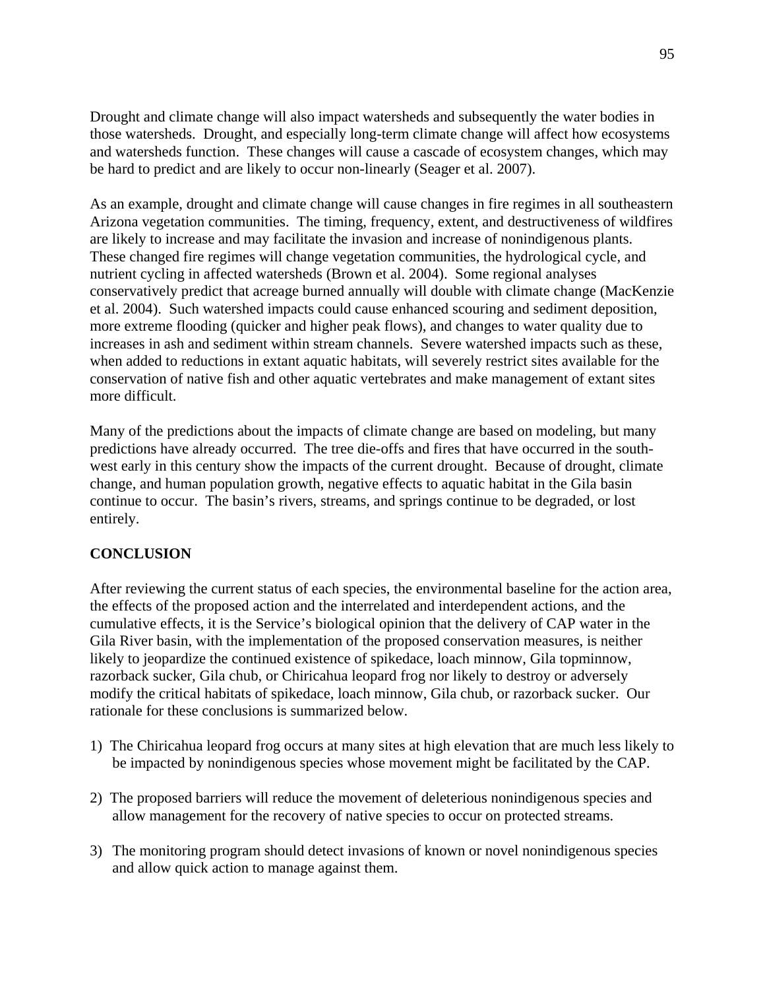Drought and climate change will also impact watersheds and subsequently the water bodies in those watersheds. Drought, and especially long-term climate change will affect how ecosystems and watersheds function. These changes will cause a cascade of ecosystem changes, which may be hard to predict and are likely to occur non-linearly (Seager et al. 2007).

As an example, drought and climate change will cause changes in fire regimes in all southeastern Arizona vegetation communities. The timing, frequency, extent, and destructiveness of wildfires are likely to increase and may facilitate the invasion and increase of nonindigenous plants. These changed fire regimes will change vegetation communities, the hydrological cycle, and nutrient cycling in affected watersheds (Brown et al. 2004). Some regional analyses conservatively predict that acreage burned annually will double with climate change (MacKenzie et al. 2004). Such watershed impacts could cause enhanced scouring and sediment deposition, more extreme flooding (quicker and higher peak flows), and changes to water quality due to increases in ash and sediment within stream channels. Severe watershed impacts such as these, when added to reductions in extant aquatic habitats, will severely restrict sites available for the conservation of native fish and other aquatic vertebrates and make management of extant sites more difficult.

Many of the predictions about the impacts of climate change are based on modeling, but many predictions have already occurred. The tree die-offs and fires that have occurred in the southwest early in this century show the impacts of the current drought. Because of drought, climate change, and human population growth, negative effects to aquatic habitat in the Gila basin continue to occur. The basin's rivers, streams, and springs continue to be degraded, or lost entirely.

# **CONCLUSION**

After reviewing the current status of each species, the environmental baseline for the action area, the effects of the proposed action and the interrelated and interdependent actions, and the cumulative effects, it is the Service's biological opinion that the delivery of CAP water in the Gila River basin, with the implementation of the proposed conservation measures, is neither likely to jeopardize the continued existence of spikedace, loach minnow, Gila topminnow, razorback sucker, Gila chub, or Chiricahua leopard frog nor likely to destroy or adversely modify the critical habitats of spikedace, loach minnow, Gila chub, or razorback sucker. Our rationale for these conclusions is summarized below.

- 1) The Chiricahua leopard frog occurs at many sites at high elevation that are much less likely to be impacted by nonindigenous species whose movement might be facilitated by the CAP.
- 2) The proposed barriers will reduce the movement of deleterious nonindigenous species and allow management for the recovery of native species to occur on protected streams.
- 3) The monitoring program should detect invasions of known or novel nonindigenous species and allow quick action to manage against them.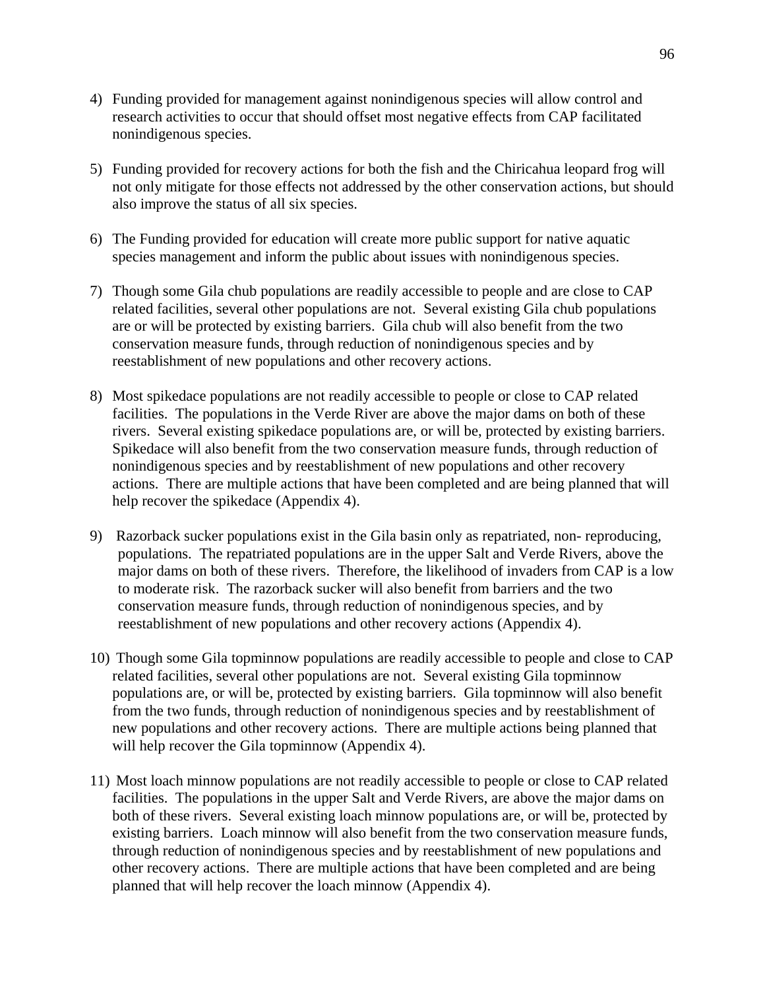- 4) Funding provided for management against nonindigenous species will allow control and research activities to occur that should offset most negative effects from CAP facilitated nonindigenous species.
- 5) Funding provided for recovery actions for both the fish and the Chiricahua leopard frog will not only mitigate for those effects not addressed by the other conservation actions, but should also improve the status of all six species.
- 6) The Funding provided for education will create more public support for native aquatic species management and inform the public about issues with nonindigenous species.
- 7) Though some Gila chub populations are readily accessible to people and are close to CAP related facilities, several other populations are not. Several existing Gila chub populations are or will be protected by existing barriers. Gila chub will also benefit from the two conservation measure funds, through reduction of nonindigenous species and by reestablishment of new populations and other recovery actions.
- 8) Most spikedace populations are not readily accessible to people or close to CAP related facilities. The populations in the Verde River are above the major dams on both of these rivers. Several existing spikedace populations are, or will be, protected by existing barriers. Spikedace will also benefit from the two conservation measure funds, through reduction of nonindigenous species and by reestablishment of new populations and other recovery actions. There are multiple actions that have been completed and are being planned that will help recover the spikedace (Appendix 4).
- 9) Razorback sucker populations exist in the Gila basin only as repatriated, non- reproducing, populations. The repatriated populations are in the upper Salt and Verde Rivers, above the major dams on both of these rivers. Therefore, the likelihood of invaders from CAP is a low to moderate risk. The razorback sucker will also benefit from barriers and the two conservation measure funds, through reduction of nonindigenous species, and by reestablishment of new populations and other recovery actions (Appendix 4).
- 10) Though some Gila topminnow populations are readily accessible to people and close to CAP related facilities, several other populations are not. Several existing Gila topminnow populations are, or will be, protected by existing barriers. Gila topminnow will also benefit from the two funds, through reduction of nonindigenous species and by reestablishment of new populations and other recovery actions. There are multiple actions being planned that will help recover the Gila topminnow (Appendix 4).
- 11) Most loach minnow populations are not readily accessible to people or close to CAP related facilities. The populations in the upper Salt and Verde Rivers, are above the major dams on both of these rivers. Several existing loach minnow populations are, or will be, protected by existing barriers. Loach minnow will also benefit from the two conservation measure funds, through reduction of nonindigenous species and by reestablishment of new populations and other recovery actions. There are multiple actions that have been completed and are being planned that will help recover the loach minnow (Appendix 4).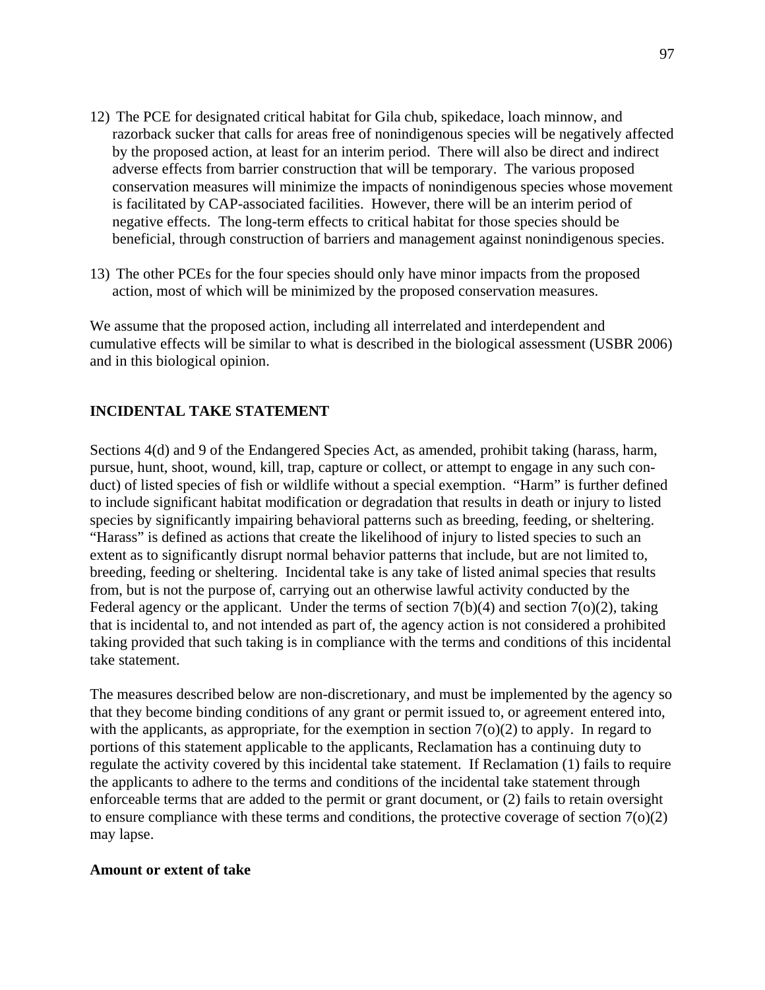- 12) The PCE for designated critical habitat for Gila chub, spikedace, loach minnow, and razorback sucker that calls for areas free of nonindigenous species will be negatively affected by the proposed action, at least for an interim period. There will also be direct and indirect adverse effects from barrier construction that will be temporary. The various proposed conservation measures will minimize the impacts of nonindigenous species whose movement is facilitated by CAP-associated facilities. However, there will be an interim period of negative effects. The long-term effects to critical habitat for those species should be beneficial, through construction of barriers and management against nonindigenous species.
- 13) The other PCEs for the four species should only have minor impacts from the proposed action, most of which will be minimized by the proposed conservation measures.

We assume that the proposed action, including all interrelated and interdependent and cumulative effects will be similar to what is described in the biological assessment (USBR 2006) and in this biological opinion.

# **INCIDENTAL TAKE STATEMENT**

Sections 4(d) and 9 of the Endangered Species Act, as amended, prohibit taking (harass, harm, pursue, hunt, shoot, wound, kill, trap, capture or collect, or attempt to engage in any such conduct) of listed species of fish or wildlife without a special exemption. "Harm" is further defined to include significant habitat modification or degradation that results in death or injury to listed species by significantly impairing behavioral patterns such as breeding, feeding, or sheltering. "Harass" is defined as actions that create the likelihood of injury to listed species to such an extent as to significantly disrupt normal behavior patterns that include, but are not limited to, breeding, feeding or sheltering. Incidental take is any take of listed animal species that results from, but is not the purpose of, carrying out an otherwise lawful activity conducted by the Federal agency or the applicant. Under the terms of section  $7(b)(4)$  and section  $7(o)(2)$ , taking that is incidental to, and not intended as part of, the agency action is not considered a prohibited taking provided that such taking is in compliance with the terms and conditions of this incidental take statement.

The measures described below are non-discretionary, and must be implemented by the agency so that they become binding conditions of any grant or permit issued to, or agreement entered into, with the applicants, as appropriate, for the exemption in section  $7(0)(2)$  to apply. In regard to portions of this statement applicable to the applicants, Reclamation has a continuing duty to regulate the activity covered by this incidental take statement. If Reclamation (1) fails to require the applicants to adhere to the terms and conditions of the incidental take statement through enforceable terms that are added to the permit or grant document, or (2) fails to retain oversight to ensure compliance with these terms and conditions, the protective coverage of section 7(o)(2) may lapse.

#### **Amount or extent of take**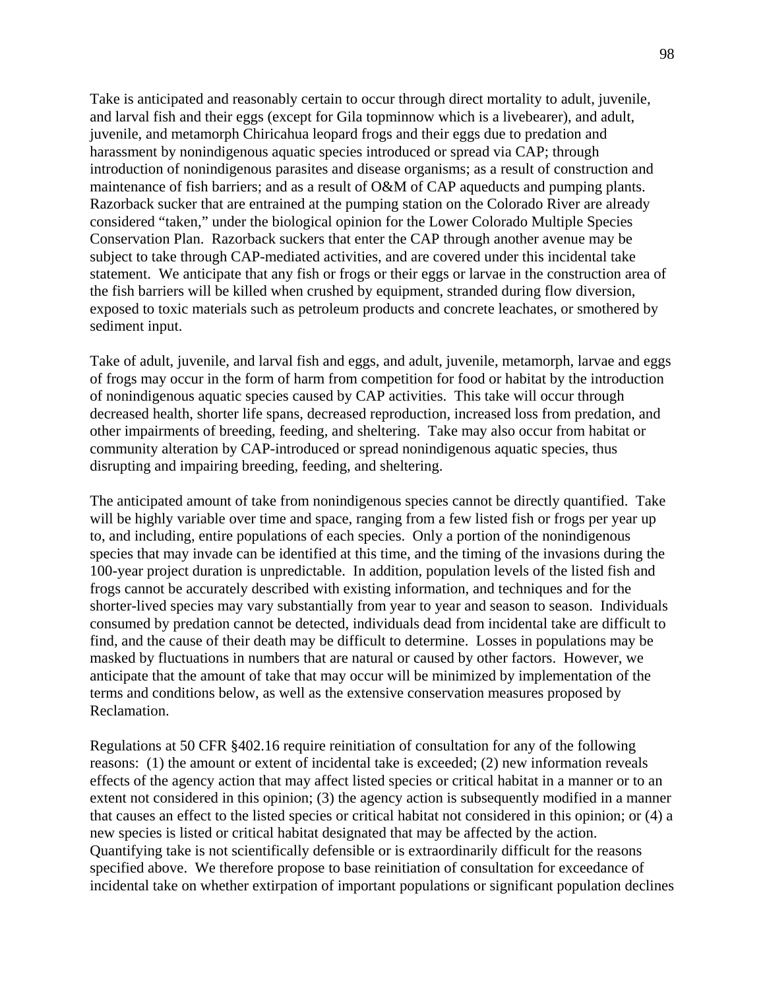Take is anticipated and reasonably certain to occur through direct mortality to adult, juvenile, and larval fish and their eggs (except for Gila topminnow which is a livebearer), and adult, juvenile, and metamorph Chiricahua leopard frogs and their eggs due to predation and harassment by nonindigenous aquatic species introduced or spread via CAP; through introduction of nonindigenous parasites and disease organisms; as a result of construction and maintenance of fish barriers; and as a result of O&M of CAP aqueducts and pumping plants. Razorback sucker that are entrained at the pumping station on the Colorado River are already considered "taken," under the biological opinion for the Lower Colorado Multiple Species Conservation Plan. Razorback suckers that enter the CAP through another avenue may be subject to take through CAP-mediated activities, and are covered under this incidental take statement. We anticipate that any fish or frogs or their eggs or larvae in the construction area of the fish barriers will be killed when crushed by equipment, stranded during flow diversion, exposed to toxic materials such as petroleum products and concrete leachates, or smothered by sediment input.

Take of adult, juvenile, and larval fish and eggs, and adult, juvenile, metamorph, larvae and eggs of frogs may occur in the form of harm from competition for food or habitat by the introduction of nonindigenous aquatic species caused by CAP activities. This take will occur through decreased health, shorter life spans, decreased reproduction, increased loss from predation, and other impairments of breeding, feeding, and sheltering. Take may also occur from habitat or community alteration by CAP-introduced or spread nonindigenous aquatic species, thus disrupting and impairing breeding, feeding, and sheltering.

The anticipated amount of take from nonindigenous species cannot be directly quantified. Take will be highly variable over time and space, ranging from a few listed fish or frogs per year up to, and including, entire populations of each species. Only a portion of the nonindigenous species that may invade can be identified at this time, and the timing of the invasions during the 100-year project duration is unpredictable. In addition, population levels of the listed fish and frogs cannot be accurately described with existing information, and techniques and for the shorter-lived species may vary substantially from year to year and season to season. Individuals consumed by predation cannot be detected, individuals dead from incidental take are difficult to find, and the cause of their death may be difficult to determine. Losses in populations may be masked by fluctuations in numbers that are natural or caused by other factors. However, we anticipate that the amount of take that may occur will be minimized by implementation of the terms and conditions below, as well as the extensive conservation measures proposed by Reclamation.

Regulations at 50 CFR §402.16 require reinitiation of consultation for any of the following reasons: (1) the amount or extent of incidental take is exceeded; (2) new information reveals effects of the agency action that may affect listed species or critical habitat in a manner or to an extent not considered in this opinion; (3) the agency action is subsequently modified in a manner that causes an effect to the listed species or critical habitat not considered in this opinion; or (4) a new species is listed or critical habitat designated that may be affected by the action. Quantifying take is not scientifically defensible or is extraordinarily difficult for the reasons specified above. We therefore propose to base reinitiation of consultation for exceedance of incidental take on whether extirpation of important populations or significant population declines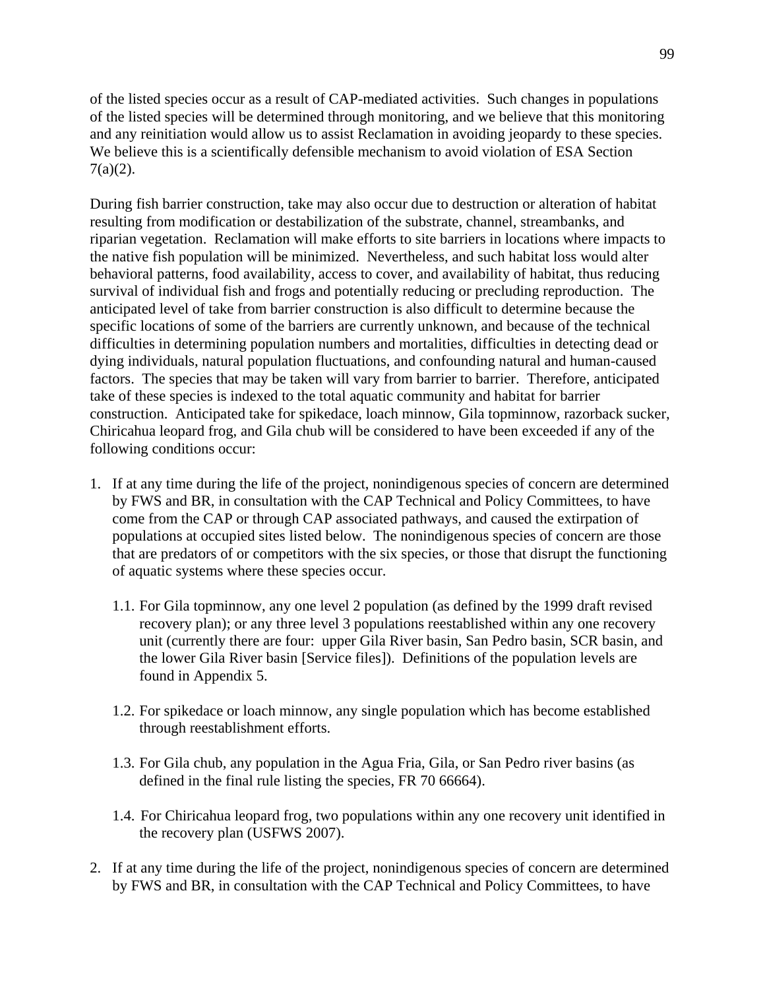of the listed species occur as a result of CAP-mediated activities. Such changes in populations of the listed species will be determined through monitoring, and we believe that this monitoring and any reinitiation would allow us to assist Reclamation in avoiding jeopardy to these species. We believe this is a scientifically defensible mechanism to avoid violation of ESA Section 7(a)(2).

During fish barrier construction, take may also occur due to destruction or alteration of habitat resulting from modification or destabilization of the substrate, channel, streambanks, and riparian vegetation. Reclamation will make efforts to site barriers in locations where impacts to the native fish population will be minimized. Nevertheless, and such habitat loss would alter behavioral patterns, food availability, access to cover, and availability of habitat, thus reducing survival of individual fish and frogs and potentially reducing or precluding reproduction. The anticipated level of take from barrier construction is also difficult to determine because the specific locations of some of the barriers are currently unknown, and because of the technical difficulties in determining population numbers and mortalities, difficulties in detecting dead or dying individuals, natural population fluctuations, and confounding natural and human-caused factors. The species that may be taken will vary from barrier to barrier. Therefore, anticipated take of these species is indexed to the total aquatic community and habitat for barrier construction. Anticipated take for spikedace, loach minnow, Gila topminnow, razorback sucker, Chiricahua leopard frog, and Gila chub will be considered to have been exceeded if any of the following conditions occur:

- 1. If at any time during the life of the project, nonindigenous species of concern are determined by FWS and BR, in consultation with the CAP Technical and Policy Committees, to have come from the CAP or through CAP associated pathways, and caused the extirpation of populations at occupied sites listed below. The nonindigenous species of concern are those that are predators of or competitors with the six species, or those that disrupt the functioning of aquatic systems where these species occur.
	- 1.1. For Gila topminnow, any one level 2 population (as defined by the 1999 draft revised recovery plan); or any three level 3 populations reestablished within any one recovery unit (currently there are four: upper Gila River basin, San Pedro basin, SCR basin, and the lower Gila River basin [Service files]). Definitions of the population levels are found in Appendix 5.
	- 1.2. For spikedace or loach minnow, any single population which has become established through reestablishment efforts.
	- 1.3. For Gila chub, any population in the Agua Fria, Gila, or San Pedro river basins (as defined in the final rule listing the species, FR 70 66664).
	- 1.4. For Chiricahua leopard frog, two populations within any one recovery unit identified in the recovery plan (USFWS 2007).
- 2. If at any time during the life of the project, nonindigenous species of concern are determined by FWS and BR, in consultation with the CAP Technical and Policy Committees, to have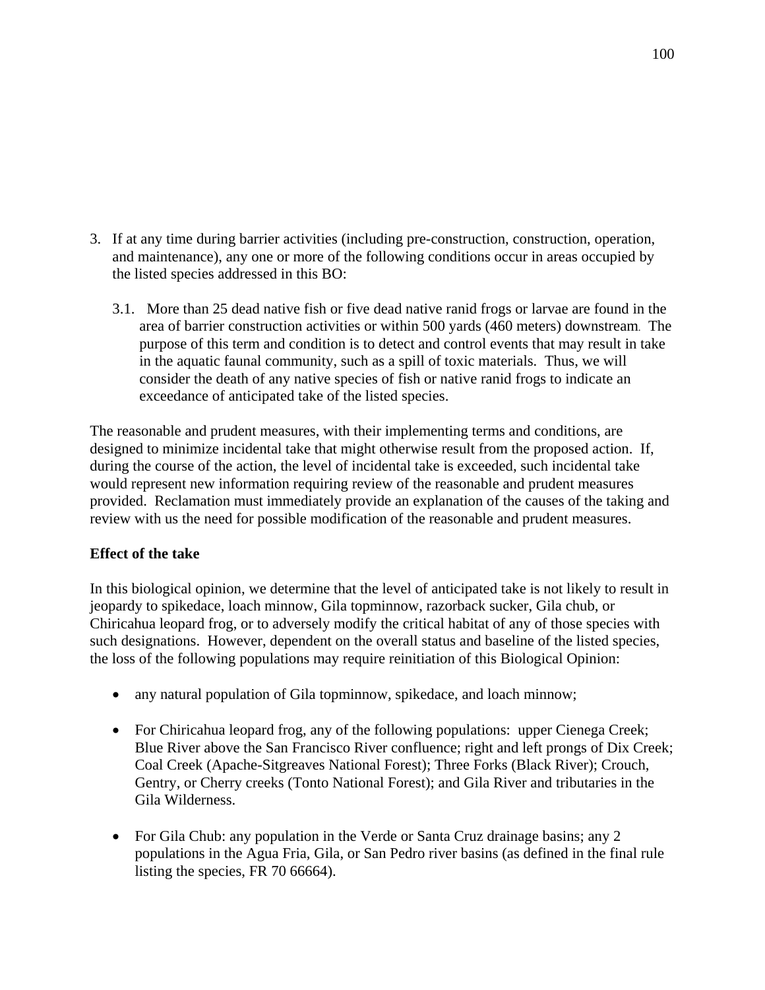- 3. If at any time during barrier activities (including pre-construction, construction, operation, and maintenance), any one or more of the following conditions occur in areas occupied by the listed species addressed in this BO:
	- 3.1. More than 25 dead native fish or five dead native ranid frogs or larvae are found in the area of barrier construction activities or within 500 yards (460 meters) downstream. The purpose of this term and condition is to detect and control events that may result in take in the aquatic faunal community, such as a spill of toxic materials. Thus, we will consider the death of any native species of fish or native ranid frogs to indicate an exceedance of anticipated take of the listed species.

The reasonable and prudent measures, with their implementing terms and conditions, are designed to minimize incidental take that might otherwise result from the proposed action. If, during the course of the action, the level of incidental take is exceeded, such incidental take would represent new information requiring review of the reasonable and prudent measures provided. Reclamation must immediately provide an explanation of the causes of the taking and review with us the need for possible modification of the reasonable and prudent measures.

# **Effect of the take**

In this biological opinion, we determine that the level of anticipated take is not likely to result in jeopardy to spikedace, loach minnow, Gila topminnow, razorback sucker, Gila chub, or Chiricahua leopard frog, or to adversely modify the critical habitat of any of those species with such designations. However, dependent on the overall status and baseline of the listed species, the loss of the following populations may require reinitiation of this Biological Opinion:

- any natural population of Gila topminnow, spikedace, and loach minnow;
- For Chiricahua leopard frog, any of the following populations: upper Cienega Creek; Blue River above the San Francisco River confluence; right and left prongs of Dix Creek; Coal Creek (Apache-Sitgreaves National Forest); Three Forks (Black River); Crouch, Gentry, or Cherry creeks (Tonto National Forest); and Gila River and tributaries in the Gila Wilderness.
- For Gila Chub: any population in the Verde or Santa Cruz drainage basins; any 2 populations in the Agua Fria, Gila, or San Pedro river basins (as defined in the final rule listing the species, FR 70 66664).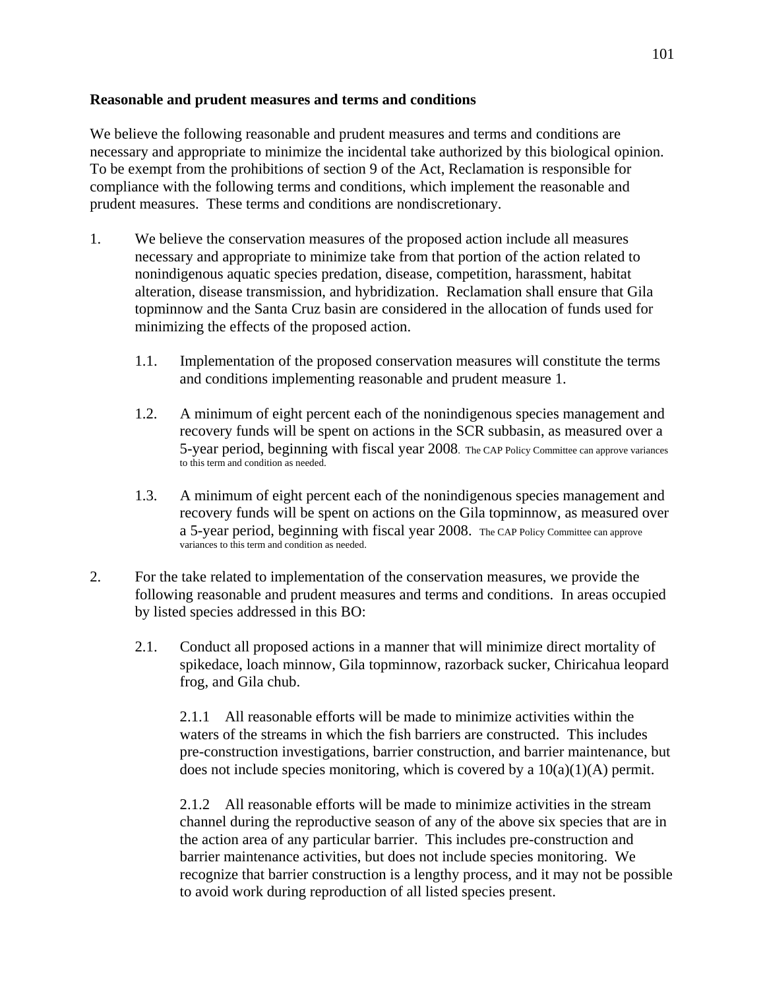# **Reasonable and prudent measures and terms and conditions**

We believe the following reasonable and prudent measures and terms and conditions are necessary and appropriate to minimize the incidental take authorized by this biological opinion. To be exempt from the prohibitions of section 9 of the Act, Reclamation is responsible for compliance with the following terms and conditions, which implement the reasonable and prudent measures. These terms and conditions are nondiscretionary.

- 1. We believe the conservation measures of the proposed action include all measures necessary and appropriate to minimize take from that portion of the action related to nonindigenous aquatic species predation, disease, competition, harassment, habitat alteration, disease transmission, and hybridization. Reclamation shall ensure that Gila topminnow and the Santa Cruz basin are considered in the allocation of funds used for minimizing the effects of the proposed action.
	- 1.1. Implementation of the proposed conservation measures will constitute the terms and conditions implementing reasonable and prudent measure 1.
	- 1.2. A minimum of eight percent each of the nonindigenous species management and recovery funds will be spent on actions in the SCR subbasin, as measured over a 5-year period, beginning with fiscal year 2008. The CAP Policy Committee can approve variances to this term and condition as needed.
	- 1.3. A minimum of eight percent each of the nonindigenous species management and recovery funds will be spent on actions on the Gila topminnow, as measured over a 5-year period, beginning with fiscal year 2008. The CAP Policy Committee can approve variances to this term and condition as needed.
- 2. For the take related to implementation of the conservation measures, we provide the following reasonable and prudent measures and terms and conditions. In areas occupied by listed species addressed in this BO:
	- 2.1. Conduct all proposed actions in a manner that will minimize direct mortality of spikedace, loach minnow, Gila topminnow, razorback sucker, Chiricahua leopard frog, and Gila chub.

2.1.1 All reasonable efforts will be made to minimize activities within the waters of the streams in which the fish barriers are constructed. This includes pre-construction investigations, barrier construction, and barrier maintenance, but does not include species monitoring, which is covered by a  $10(a)(1)(A)$  permit.

2.1.2 All reasonable efforts will be made to minimize activities in the stream channel during the reproductive season of any of the above six species that are in the action area of any particular barrier. This includes pre-construction and barrier maintenance activities, but does not include species monitoring. We recognize that barrier construction is a lengthy process, and it may not be possible to avoid work during reproduction of all listed species present.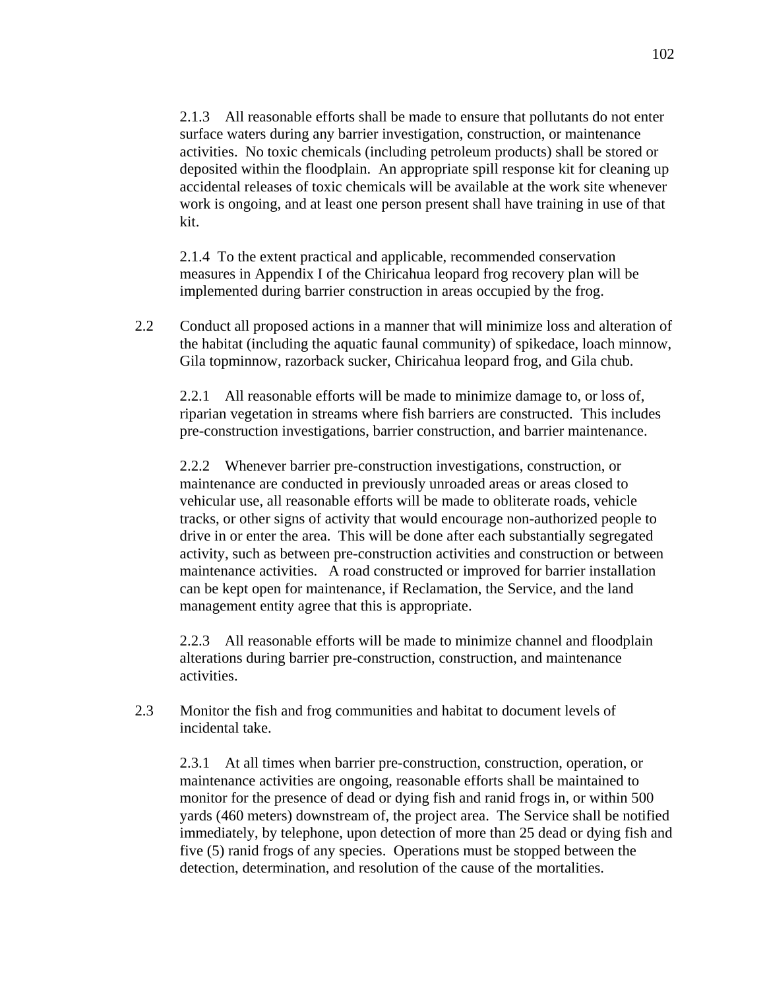2.1.3 All reasonable efforts shall be made to ensure that pollutants do not enter surface waters during any barrier investigation, construction, or maintenance activities. No toxic chemicals (including petroleum products) shall be stored or deposited within the floodplain. An appropriate spill response kit for cleaning up accidental releases of toxic chemicals will be available at the work site whenever work is ongoing, and at least one person present shall have training in use of that kit.

2.1.4 To the extent practical and applicable, recommended conservation measures in Appendix I of the Chiricahua leopard frog recovery plan will be implemented during barrier construction in areas occupied by the frog.

2.2 Conduct all proposed actions in a manner that will minimize loss and alteration of the habitat (including the aquatic faunal community) of spikedace, loach minnow, Gila topminnow, razorback sucker, Chiricahua leopard frog, and Gila chub.

2.2.1 All reasonable efforts will be made to minimize damage to, or loss of, riparian vegetation in streams where fish barriers are constructed. This includes pre-construction investigations, barrier construction, and barrier maintenance.

2.2.2 Whenever barrier pre-construction investigations, construction, or maintenance are conducted in previously unroaded areas or areas closed to vehicular use, all reasonable efforts will be made to obliterate roads, vehicle tracks, or other signs of activity that would encourage non-authorized people to drive in or enter the area. This will be done after each substantially segregated activity, such as between pre-construction activities and construction or between maintenance activities. A road constructed or improved for barrier installation can be kept open for maintenance, if Reclamation, the Service, and the land management entity agree that this is appropriate.

2.2.3 All reasonable efforts will be made to minimize channel and floodplain alterations during barrier pre-construction, construction, and maintenance activities.

2.3 Monitor the fish and frog communities and habitat to document levels of incidental take.

2.3.1 At all times when barrier pre-construction, construction, operation, or maintenance activities are ongoing, reasonable efforts shall be maintained to monitor for the presence of dead or dying fish and ranid frogs in, or within 500 yards (460 meters) downstream of, the project area. The Service shall be notified immediately, by telephone, upon detection of more than 25 dead or dying fish and five (5) ranid frogs of any species. Operations must be stopped between the detection, determination, and resolution of the cause of the mortalities.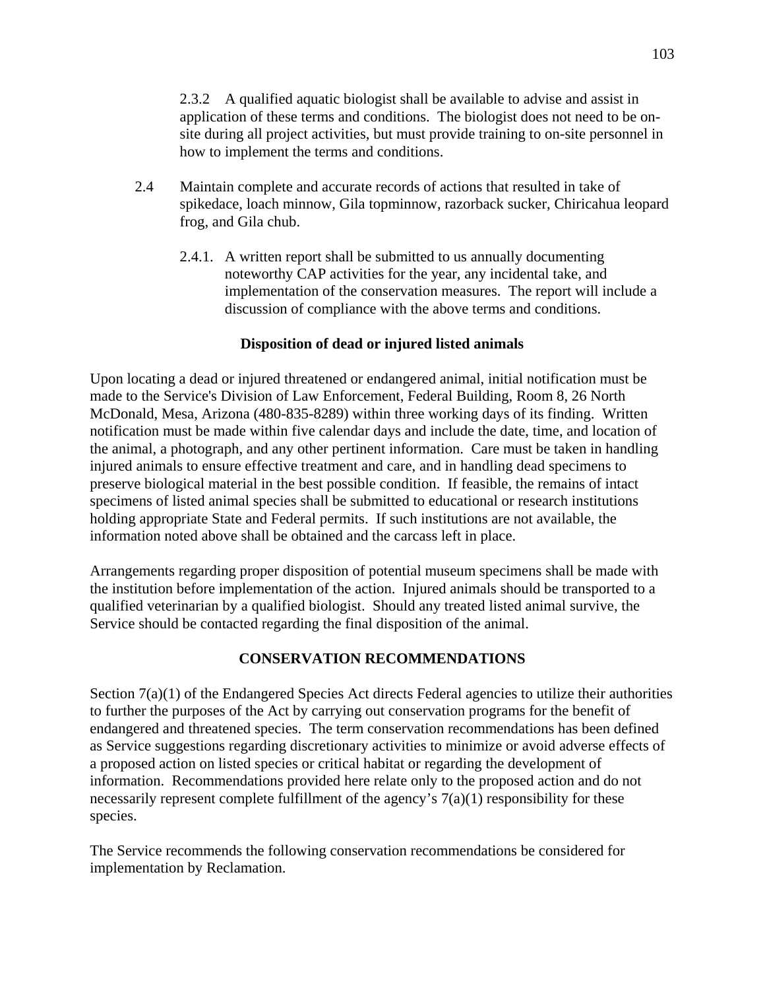2.3.2 A qualified aquatic biologist shall be available to advise and assist in application of these terms and conditions. The biologist does not need to be onsite during all project activities, but must provide training to on-site personnel in how to implement the terms and conditions.

- 2.4 Maintain complete and accurate records of actions that resulted in take of spikedace, loach minnow, Gila topminnow, razorback sucker, Chiricahua leopard frog, and Gila chub.
	- 2.4.1. A written report shall be submitted to us annually documenting noteworthy CAP activities for the year, any incidental take, and implementation of the conservation measures. The report will include a discussion of compliance with the above terms and conditions.

# **Disposition of dead or injured listed animals**

Upon locating a dead or injured threatened or endangered animal, initial notification must be made to the Service's Division of Law Enforcement, Federal Building, Room 8, 26 North McDonald, Mesa, Arizona (480-835-8289) within three working days of its finding. Written notification must be made within five calendar days and include the date, time, and location of the animal, a photograph, and any other pertinent information. Care must be taken in handling injured animals to ensure effective treatment and care, and in handling dead specimens to preserve biological material in the best possible condition. If feasible, the remains of intact specimens of listed animal species shall be submitted to educational or research institutions holding appropriate State and Federal permits. If such institutions are not available, the information noted above shall be obtained and the carcass left in place.

Arrangements regarding proper disposition of potential museum specimens shall be made with the institution before implementation of the action. Injured animals should be transported to a qualified veterinarian by a qualified biologist. Should any treated listed animal survive, the Service should be contacted regarding the final disposition of the animal.

# **CONSERVATION RECOMMENDATIONS**

Section 7(a)(1) of the Endangered Species Act directs Federal agencies to utilize their authorities to further the purposes of the Act by carrying out conservation programs for the benefit of endangered and threatened species. The term conservation recommendations has been defined as Service suggestions regarding discretionary activities to minimize or avoid adverse effects of a proposed action on listed species or critical habitat or regarding the development of information. Recommendations provided here relate only to the proposed action and do not necessarily represent complete fulfillment of the agency's  $7(a)(1)$  responsibility for these species.

The Service recommends the following conservation recommendations be considered for implementation by Reclamation.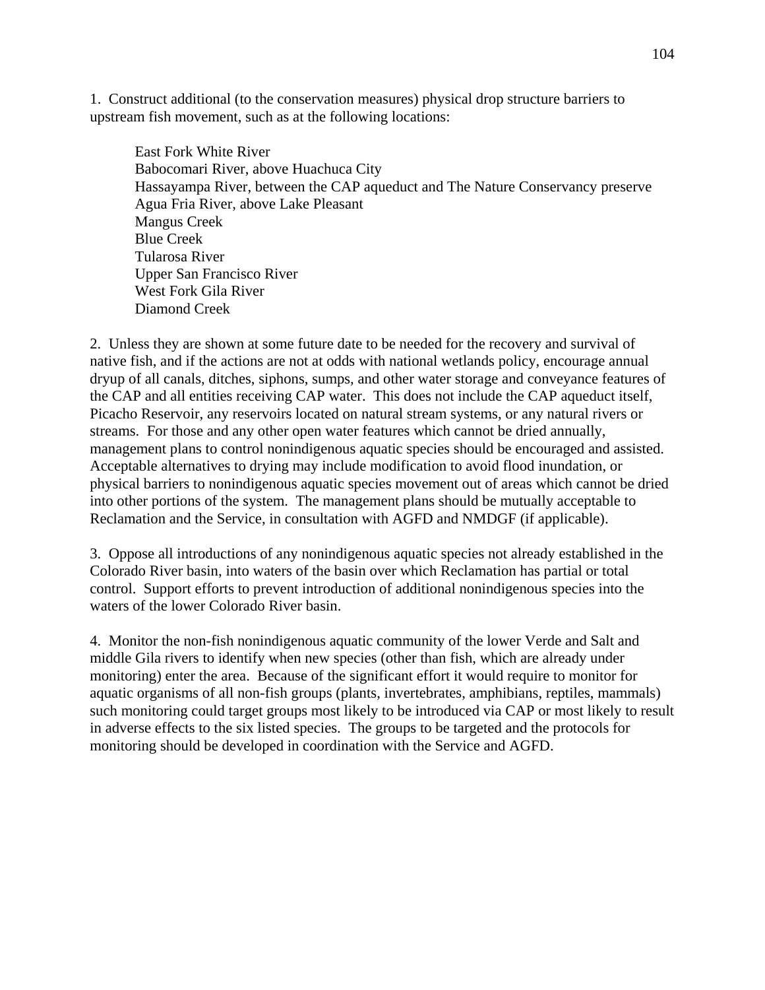1. Construct additional (to the conservation measures) physical drop structure barriers to upstream fish movement, such as at the following locations:

East Fork White River Babocomari River, above Huachuca City Hassayampa River, between the CAP aqueduct and The Nature Conservancy preserve Agua Fria River, above Lake Pleasant Mangus Creek Blue Creek Tularosa River Upper San Francisco River West Fork Gila River Diamond Creek

2. Unless they are shown at some future date to be needed for the recovery and survival of native fish, and if the actions are not at odds with national wetlands policy, encourage annual dryup of all canals, ditches, siphons, sumps, and other water storage and conveyance features of the CAP and all entities receiving CAP water. This does not include the CAP aqueduct itself, Picacho Reservoir, any reservoirs located on natural stream systems, or any natural rivers or streams. For those and any other open water features which cannot be dried annually, management plans to control nonindigenous aquatic species should be encouraged and assisted. Acceptable alternatives to drying may include modification to avoid flood inundation, or physical barriers to nonindigenous aquatic species movement out of areas which cannot be dried into other portions of the system. The management plans should be mutually acceptable to Reclamation and the Service, in consultation with AGFD and NMDGF (if applicable).

3. Oppose all introductions of any nonindigenous aquatic species not already established in the Colorado River basin, into waters of the basin over which Reclamation has partial or total control. Support efforts to prevent introduction of additional nonindigenous species into the waters of the lower Colorado River basin.

4. Monitor the non-fish nonindigenous aquatic community of the lower Verde and Salt and middle Gila rivers to identify when new species (other than fish, which are already under monitoring) enter the area. Because of the significant effort it would require to monitor for aquatic organisms of all non-fish groups (plants, invertebrates, amphibians, reptiles, mammals) such monitoring could target groups most likely to be introduced via CAP or most likely to result in adverse effects to the six listed species. The groups to be targeted and the protocols for monitoring should be developed in coordination with the Service and AGFD.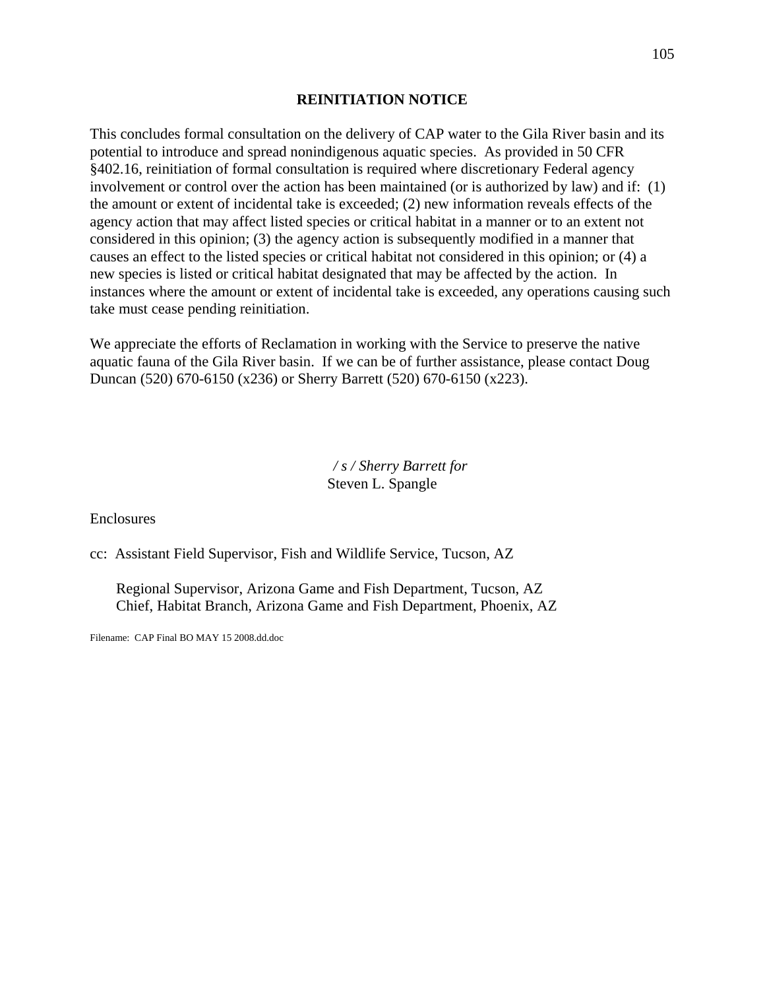## **REINITIATION NOTICE**

This concludes formal consultation on the delivery of CAP water to the Gila River basin and its potential to introduce and spread nonindigenous aquatic species. As provided in 50 CFR §402.16, reinitiation of formal consultation is required where discretionary Federal agency involvement or control over the action has been maintained (or is authorized by law) and if: (1) the amount or extent of incidental take is exceeded; (2) new information reveals effects of the agency action that may affect listed species or critical habitat in a manner or to an extent not considered in this opinion; (3) the agency action is subsequently modified in a manner that causes an effect to the listed species or critical habitat not considered in this opinion; or (4) a new species is listed or critical habitat designated that may be affected by the action. In instances where the amount or extent of incidental take is exceeded, any operations causing such take must cease pending reinitiation.

We appreciate the efforts of Reclamation in working with the Service to preserve the native aquatic fauna of the Gila River basin. If we can be of further assistance, please contact Doug Duncan (520) 670-6150 (x236) or Sherry Barrett (520) 670-6150 (x223).

> */ s / Sherry Barrett for*  Steven L. Spangle

Enclosures

cc: Assistant Field Supervisor, Fish and Wildlife Service, Tucson, AZ

 Regional Supervisor, Arizona Game and Fish Department, Tucson, AZ Chief, Habitat Branch, Arizona Game and Fish Department, Phoenix, AZ

Filename: CAP Final BO MAY 15 2008.dd.doc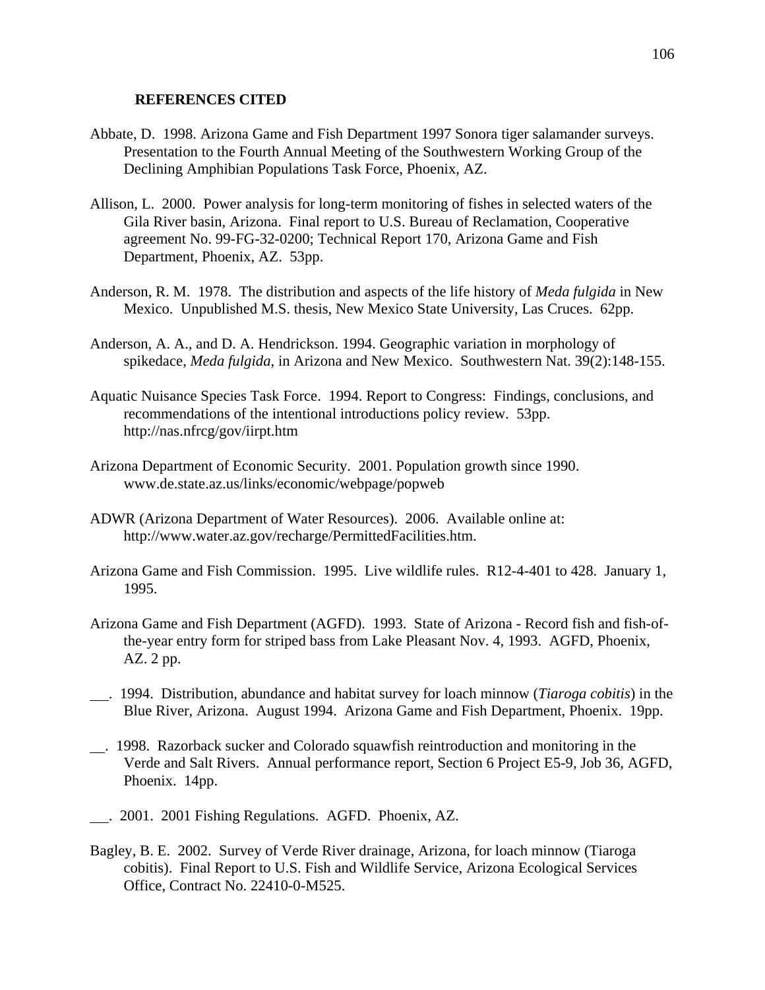#### **REFERENCES CITED**

- Abbate, D. 1998. Arizona Game and Fish Department 1997 Sonora tiger salamander surveys. Presentation to the Fourth Annual Meeting of the Southwestern Working Group of the Declining Amphibian Populations Task Force, Phoenix, AZ.
- Allison, L. 2000. Power analysis for long-term monitoring of fishes in selected waters of the Gila River basin, Arizona. Final report to U.S. Bureau of Reclamation, Cooperative agreement No. 99-FG-32-0200; Technical Report 170, Arizona Game and Fish Department, Phoenix, AZ. 53pp.
- Anderson, R. M. 1978. The distribution and aspects of the life history of *Meda fulgida* in New Mexico. Unpublished M.S. thesis, New Mexico State University, Las Cruces. 62pp.
- Anderson, A. A., and D. A. Hendrickson. 1994. Geographic variation in morphology of spikedace, *Meda fulgida*, in Arizona and New Mexico. Southwestern Nat. 39(2):148-155.
- Aquatic Nuisance Species Task Force. 1994. Report to Congress: Findings, conclusions, and recommendations of the intentional introductions policy review. 53pp. http://nas.nfrcg/gov/iirpt.htm
- Arizona Department of Economic Security. 2001. Population growth since 1990. www.de.state.az.us/links/economic/webpage/popweb
- ADWR (Arizona Department of Water Resources). 2006. Available online at: [http://www.water.az.gov/recharge/PermittedFacilities.htm.](http://www.water.az.gov/recharge/PermittedFacilities.htm)
- Arizona Game and Fish Commission. 1995. Live wildlife rules. R12-4-401 to 428. January 1, 1995.
- Arizona Game and Fish Department (AGFD). 1993. State of Arizona Record fish and fish-ofthe-year entry form for striped bass from Lake Pleasant Nov. 4, 1993. AGFD, Phoenix, AZ. 2 pp.
- . 1994. Distribution, abundance and habitat survey for loach minnow (*Tiaroga cobitis*) in the Blue River, Arizona. August 1994. Arizona Game and Fish Department, Phoenix. 19pp.
- . 1998. Razorback sucker and Colorado squawfish reintroduction and monitoring in the Verde and Salt Rivers. Annual performance report, Section 6 Project E5-9, Job 36, AGFD, Phoenix. 14pp.
- . 2001. 2001 Fishing Regulations. AGFD. Phoenix, AZ.
- Bagley, B. E. 2002. Survey of Verde River drainage, Arizona, for loach minnow (Tiaroga cobitis). Final Report to U.S. Fish and Wildlife Service, Arizona Ecological Services Office, Contract No. 22410-0-M525.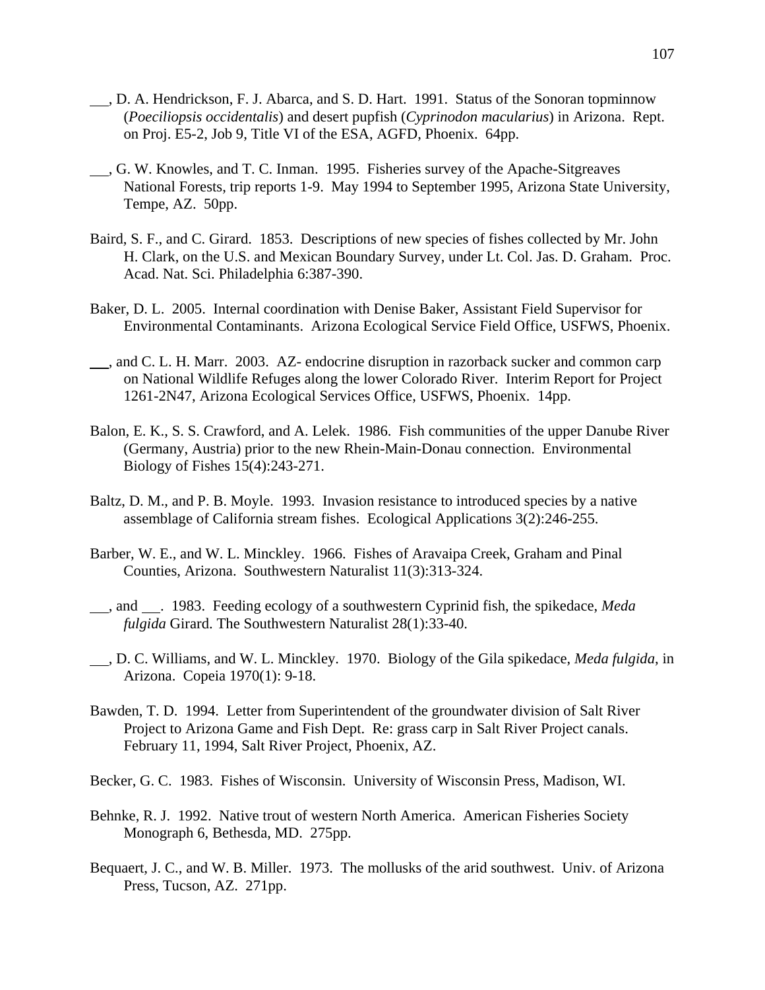- , D. A. Hendrickson, F. J. Abarca, and S. D. Hart. 1991. Status of the Sonoran topminnow (*Poeciliopsis occidentalis*) and desert pupfish (*Cyprinodon macularius*) in Arizona. Rept. on Proj. E5-2, Job 9, Title VI of the ESA, AGFD, Phoenix. 64pp.
- , G. W. Knowles, and T. C. Inman. 1995. Fisheries survey of the Apache-Sitgreaves National Forests, trip reports 1-9. May 1994 to September 1995, Arizona State University, Tempe, AZ. 50pp.
- Baird, S. F., and C. Girard. 1853. Descriptions of new species of fishes collected by Mr. John H. Clark, on the U.S. and Mexican Boundary Survey, under Lt. Col. Jas. D. Graham. Proc. Acad. Nat. Sci. Philadelphia 6:387-390.
- Baker, D. L. 2005. Internal coordination with Denise Baker, Assistant Field Supervisor for Environmental Contaminants. Arizona Ecological Service Field Office, USFWS, Phoenix.
- , and C. L. H. Marr. 2003. AZ- endocrine disruption in razorback sucker and common carp on National Wildlife Refuges along the lower Colorado River. Interim Report for Project 1261-2N47, Arizona Ecological Services Office, USFWS, Phoenix. 14pp.
- Balon, E. K., S. S. Crawford, and A. Lelek. 1986. Fish communities of the upper Danube River (Germany, Austria) prior to the new Rhein-Main-Donau connection. Environmental Biology of Fishes 15(4):243-271.
- Baltz, D. M., and P. B. Moyle. 1993. Invasion resistance to introduced species by a native assemblage of California stream fishes. Ecological Applications 3(2):246-255.
- Barber, W. E., and W. L. Minckley. 1966. Fishes of Aravaipa Creek, Graham and Pinal Counties, Arizona. Southwestern Naturalist 11(3):313-324.
- , and . 1983. Feeding ecology of a southwestern Cyprinid fish, the spikedace, *Meda fulgida* Girard. The Southwestern Naturalist 28(1):33-40.
- , D. C. Williams, and W. L. Minckley. 1970. Biology of the Gila spikedace, *Meda fulgida*, in Arizona. Copeia 1970(1): 9-18.
- Bawden, T. D. 1994. Letter from Superintendent of the groundwater division of Salt River Project to Arizona Game and Fish Dept. Re: grass carp in Salt River Project canals. February 11, 1994, Salt River Project, Phoenix, AZ.
- Becker, G. C. 1983. Fishes of Wisconsin. University of Wisconsin Press, Madison, WI.
- Behnke, R. J. 1992. Native trout of western North America. American Fisheries Society Monograph 6, Bethesda, MD. 275pp.
- Bequaert, J. C., and W. B. Miller. 1973. The mollusks of the arid southwest. Univ. of Arizona Press, Tucson, AZ. 271pp.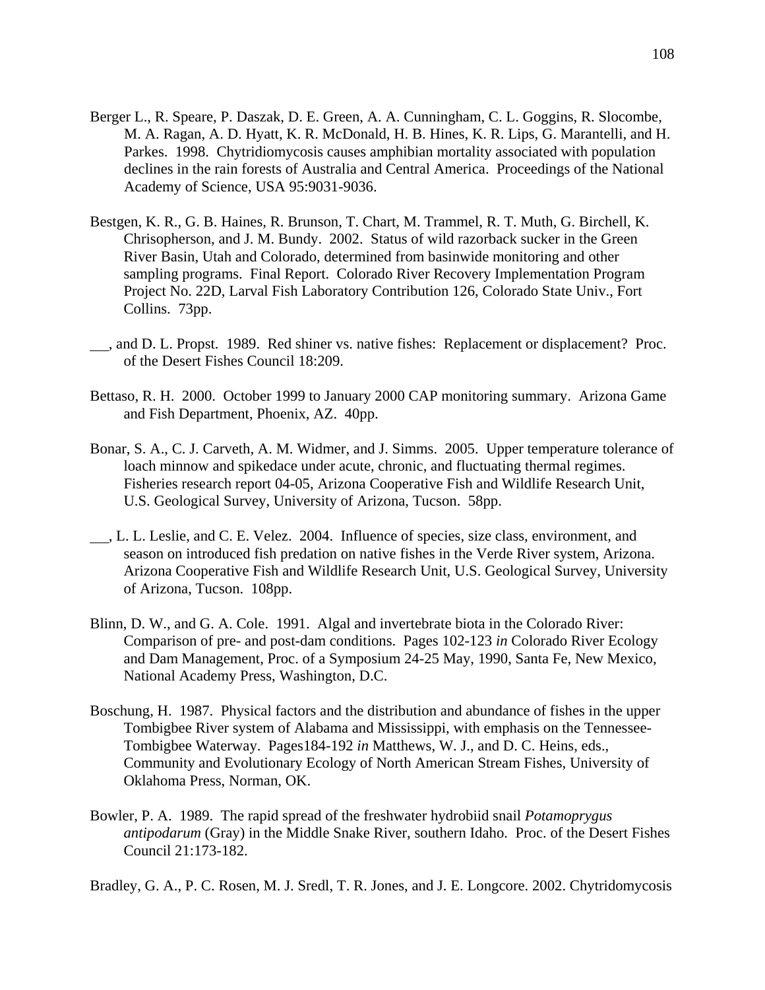- Berger L., R. Speare, P. Daszak, D. E. Green, A. A. Cunningham, C. L. Goggins, R. Slocombe, M. A. Ragan, A. D. Hyatt, K. R. McDonald, H. B. Hines, K. R. Lips, G. Marantelli, and H. Parkes. 1998. Chytridiomycosis causes amphibian mortality associated with population declines in the rain forests of Australia and Central America. Proceedings of the National Academy of Science, USA 95:9031-9036.
- Bestgen, K. R., G. B. Haines, R. Brunson, T. Chart, M. Trammel, R. T. Muth, G. Birchell, K. Chrisopherson, and J. M. Bundy. 2002. Status of wild razorback sucker in the Green River Basin, Utah and Colorado, determined from basinwide monitoring and other sampling programs. Final Report. Colorado River Recovery Implementation Program Project No. 22D, Larval Fish Laboratory Contribution 126, Colorado State Univ., Fort Collins. 73pp.
- , and D. L. Propst. 1989. Red shiner vs. native fishes: Replacement or displacement? Proc. of the Desert Fishes Council 18:209.
- Bettaso, R. H. 2000. October 1999 to January 2000 CAP monitoring summary. Arizona Game and Fish Department, Phoenix, AZ. 40pp.
- Bonar, S. A., C. J. Carveth, A. M. Widmer, and J. Simms. 2005. Upper temperature tolerance of loach minnow and spikedace under acute, chronic, and fluctuating thermal regimes. Fisheries research report 04-05, Arizona Cooperative Fish and Wildlife Research Unit, U.S. Geological Survey, University of Arizona, Tucson. 58pp.
- , L. L. Leslie, and C. E. Velez. 2004. Influence of species, size class, environment, and season on introduced fish predation on native fishes in the Verde River system, Arizona. Arizona Cooperative Fish and Wildlife Research Unit, U.S. Geological Survey, University of Arizona, Tucson. 108pp.
- Blinn, D. W., and G. A. Cole. 1991. Algal and invertebrate biota in the Colorado River: Comparison of pre- and post-dam conditions. Pages 102-123 *in* Colorado River Ecology and Dam Management, Proc. of a Symposium 24-25 May, 1990, Santa Fe, New Mexico, National Academy Press, Washington, D.C.
- Boschung, H. 1987. Physical factors and the distribution and abundance of fishes in the upper Tombigbee River system of Alabama and Mississippi, with emphasis on the Tennessee-Tombigbee Waterway. Pages184-192 *in* Matthews, W. J., and D. C. Heins, eds., Community and Evolutionary Ecology of North American Stream Fishes, University of Oklahoma Press, Norman, OK.
- Bowler, P. A. 1989. The rapid spread of the freshwater hydrobiid snail *Potamoprygus antipodarum* (Gray) in the Middle Snake River, southern Idaho. Proc. of the Desert Fishes Council 21:173-182.

Bradley, G. A., P. C. Rosen, M. J. Sredl, T. R. Jones, and J. E. Longcore. 2002. Chytridomycosis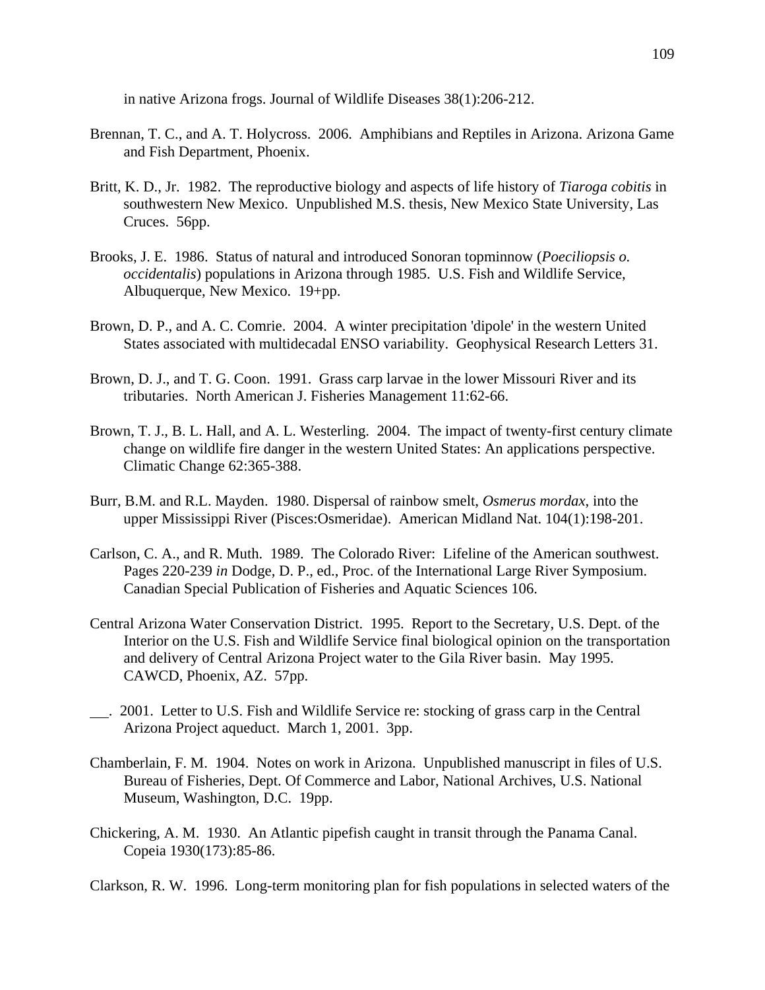in native Arizona frogs. Journal of Wildlife Diseases 38(1):206-212.

- Brennan, T. C., and A. T. Holycross. 2006. Amphibians and Reptiles in Arizona. Arizona Game and Fish Department, Phoenix.
- Britt, K. D., Jr. 1982. The reproductive biology and aspects of life history of *Tiaroga cobitis* in southwestern New Mexico. Unpublished M.S. thesis, New Mexico State University, Las Cruces. 56pp.
- Brooks, J. E. 1986. Status of natural and introduced Sonoran topminnow (*Poeciliopsis o. occidentalis*) populations in Arizona through 1985. U.S. Fish and Wildlife Service, Albuquerque, New Mexico. 19+pp.
- Brown, D. P., and A. C. Comrie. 2004. A winter precipitation 'dipole' in the western United States associated with multidecadal ENSO variability. Geophysical Research Letters 31.
- Brown, D. J., and T. G. Coon. 1991. Grass carp larvae in the lower Missouri River and its tributaries. North American J. Fisheries Management 11:62-66.
- Brown, T. J., B. L. Hall, and A. L. Westerling. 2004. The impact of twenty-first century climate change on wildlife fire danger in the western United States: An applications perspective. Climatic Change 62:365-388.
- Burr, B.M. and R.L. Mayden. 1980. Dispersal of rainbow smelt, *Osmerus mordax*, into the upper Mississippi River (Pisces:Osmeridae). American Midland Nat. 104(1):198-201.
- Carlson, C. A., and R. Muth. 1989. The Colorado River: Lifeline of the American southwest. Pages 220-239 *in* Dodge, D. P., ed., Proc. of the International Large River Symposium. Canadian Special Publication of Fisheries and Aquatic Sciences 106.
- Central Arizona Water Conservation District. 1995. Report to the Secretary, U.S. Dept. of the Interior on the U.S. Fish and Wildlife Service final biological opinion on the transportation and delivery of Central Arizona Project water to the Gila River basin. May 1995. CAWCD, Phoenix, AZ. 57pp.
- . 2001. Letter to U.S. Fish and Wildlife Service re: stocking of grass carp in the Central Arizona Project aqueduct. March 1, 2001. 3pp.
- Chamberlain, F. M. 1904. Notes on work in Arizona. Unpublished manuscript in files of U.S. Bureau of Fisheries, Dept. Of Commerce and Labor, National Archives, U.S. National Museum, Washington, D.C. 19pp.
- Chickering, A. M. 1930. An Atlantic pipefish caught in transit through the Panama Canal. Copeia 1930(173):85-86.

Clarkson, R. W. 1996. Long-term monitoring plan for fish populations in selected waters of the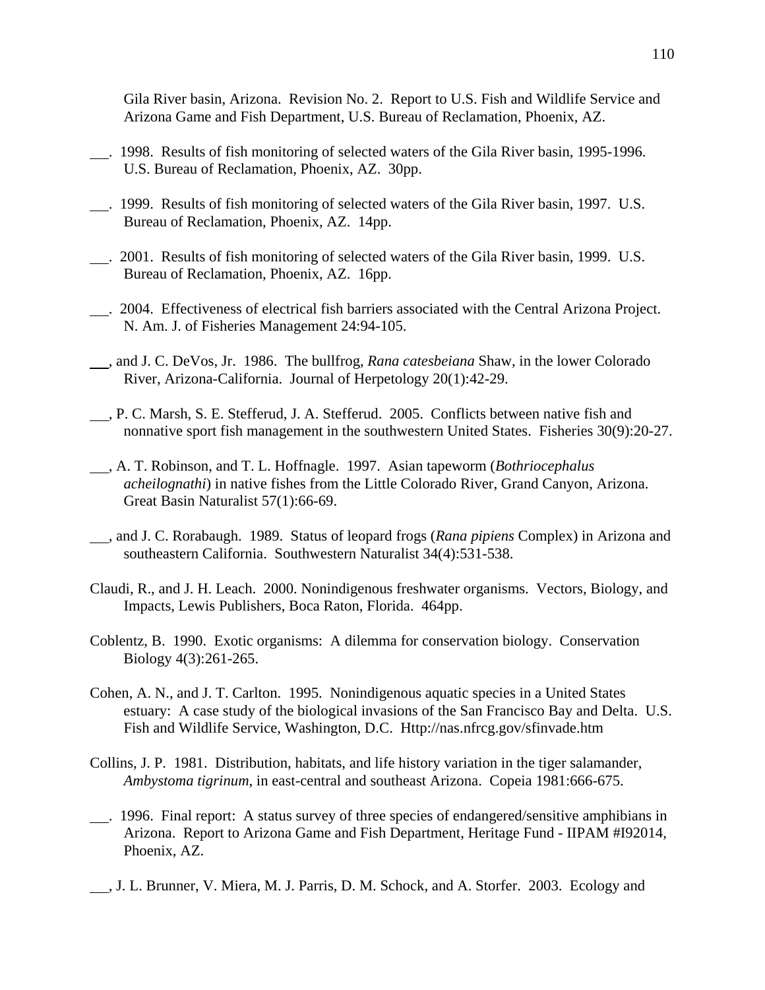Gila River basin, Arizona. Revision No. 2. Report to U.S. Fish and Wildlife Service and Arizona Game and Fish Department, U.S. Bureau of Reclamation, Phoenix, AZ.

- . 1998. Results of fish monitoring of selected waters of the Gila River basin, 1995-1996. U.S. Bureau of Reclamation, Phoenix, AZ. 30pp.
- . 1999. Results of fish monitoring of selected waters of the Gila River basin, 1997. U.S. Bureau of Reclamation, Phoenix, AZ. 14pp.
- . 2001. Results of fish monitoring of selected waters of the Gila River basin, 1999. U.S. Bureau of Reclamation, Phoenix, AZ. 16pp.
- . 2004. Effectiveness of electrical fish barriers associated with the Central Arizona Project. N. Am. J. of Fisheries Management 24:94-105.
- , and J. C. DeVos, Jr. 1986. The bullfrog, *Rana catesbeiana* Shaw, in the lower Colorado River, Arizona-California. Journal of Herpetology 20(1):42-29.
- , P. C. Marsh, S. E. Stefferud, J. A. Stefferud. 2005. Conflicts between native fish and nonnative sport fish management in the southwestern United States. Fisheries 30(9):20-27.
- , A. T. Robinson, and T. L. Hoffnagle. 1997. Asian tapeworm (*Bothriocephalus acheilognathi*) in native fishes from the Little Colorado River, Grand Canyon, Arizona. Great Basin Naturalist 57(1):66-69.
- , and J. C. Rorabaugh. 1989. Status of leopard frogs (*Rana pipiens* Complex) in Arizona and southeastern California. Southwestern Naturalist 34(4):531-538.
- Claudi, R., and J. H. Leach. 2000. Nonindigenous freshwater organisms. Vectors, Biology, and Impacts, Lewis Publishers, Boca Raton, Florida. 464pp.
- Coblentz, B. 1990. Exotic organisms: A dilemma for conservation biology. Conservation Biology 4(3):261-265.
- Cohen, A. N., and J. T. Carlton. 1995. Nonindigenous aquatic species in a United States estuary: A case study of the biological invasions of the San Francisco Bay and Delta. U.S. Fish and Wildlife Service, Washington, D.C. [Http://nas.nfrcg.gov/sfinvade.htm](http://nas.nfrcg.gov/sfinvade.htm)
- Collins, J. P. 1981. Distribution, habitats, and life history variation in the tiger salamander, *Ambystoma tigrinum*, in east-central and southeast Arizona. Copeia 1981:666-675.
- . 1996. Final report: A status survey of three species of endangered/sensitive amphibians in Arizona. Report to Arizona Game and Fish Department, Heritage Fund - IIPAM #I92014, Phoenix, AZ.
- , J. L. Brunner, V. Miera, M. J. Parris, D. M. Schock, and A. Storfer. 2003. Ecology and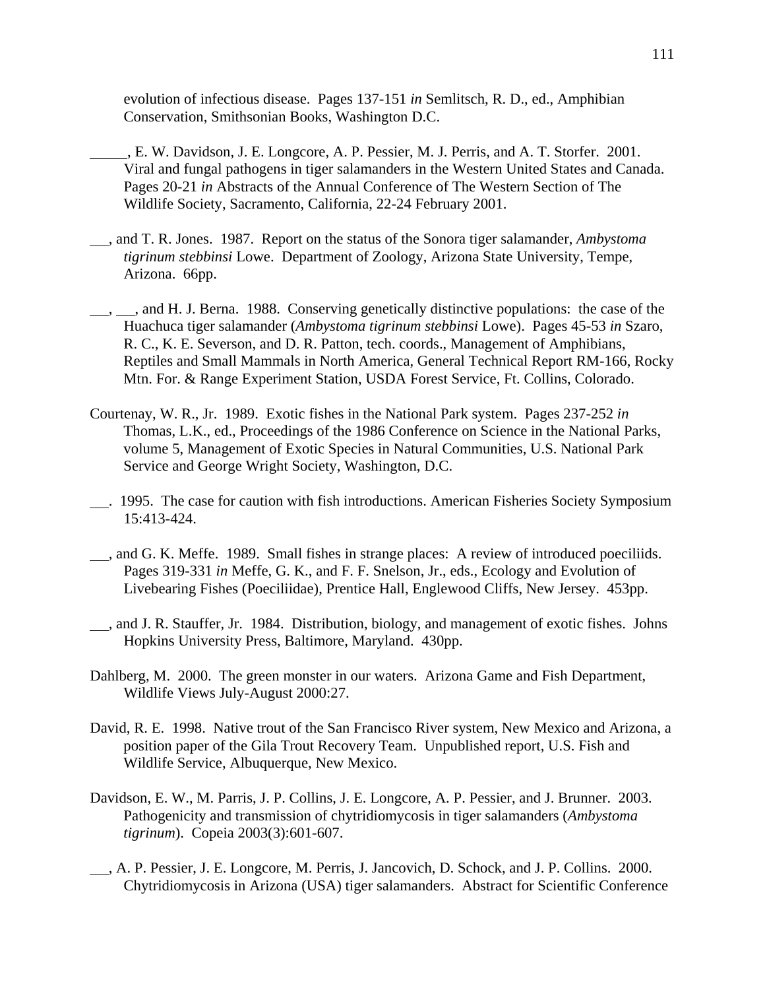evolution of infectious disease. Pages 137-151 *in* Semlitsch, R. D., ed., Amphibian Conservation, Smithsonian Books, Washington D.C.

- , E. W. Davidson, J. E. Longcore, A. P. Pessier, M. J. Perris, and A. T. Storfer. 2001. Viral and fungal pathogens in tiger salamanders in the Western United States and Canada. Pages 20-21 *in* Abstracts of the Annual Conference of The Western Section of The Wildlife Society, Sacramento, California, 22-24 February 2001.
- , and T. R. Jones. 1987. Report on the status of the Sonora tiger salamander, *Ambystoma tigrinum stebbinsi* Lowe. Department of Zoology, Arizona State University, Tempe, Arizona. 66pp.
- $\_,$ , and H. J. Berna. 1988. Conserving genetically distinctive populations: the case of the Huachuca tiger salamander (*Ambystoma tigrinum stebbinsi* Lowe). Pages 45-53 *in* Szaro, R. C., K. E. Severson, and D. R. Patton, tech. coords., Management of Amphibians, Reptiles and Small Mammals in North America, General Technical Report RM-166, Rocky Mtn. For. & Range Experiment Station, USDA Forest Service, Ft. Collins, Colorado.
- Courtenay, W. R., Jr. 1989. Exotic fishes in the National Park system. Pages 237-252 *in* Thomas, L.K., ed., Proceedings of the 1986 Conference on Science in the National Parks, volume 5, Management of Exotic Species in Natural Communities, U.S. National Park Service and George Wright Society, Washington, D.C.
- . 1995. The case for caution with fish introductions. American Fisheries Society Symposium 15:413-424.
- , and G. K. Meffe. 1989. Small fishes in strange places: A review of introduced poeciliids. Pages 319-331 *in* Meffe, G. K., and F. F. Snelson, Jr., eds., Ecology and Evolution of Livebearing Fishes (Poeciliidae), Prentice Hall, Englewood Cliffs, New Jersey. 453pp.
- , and J. R. Stauffer, Jr. 1984. Distribution, biology, and management of exotic fishes. Johns Hopkins University Press, Baltimore, Maryland. 430pp.
- Dahlberg, M. 2000. The green monster in our waters. Arizona Game and Fish Department, Wildlife Views July-August 2000:27.
- David, R. E. 1998. Native trout of the San Francisco River system, New Mexico and Arizona, a position paper of the Gila Trout Recovery Team. Unpublished report, U.S. Fish and Wildlife Service, Albuquerque, New Mexico.
- Davidson, E. W., M. Parris, J. P. Collins, J. E. Longcore, A. P. Pessier, and J. Brunner. 2003. Pathogenicity and transmission of chytridiomycosis in tiger salamanders (*Ambystoma tigrinum*). Copeia 2003(3):601-607.
- , A. P. Pessier, J. E. Longcore, M. Perris, J. Jancovich, D. Schock, and J. P. Collins. 2000. Chytridiomycosis in Arizona (USA) tiger salamanders. Abstract for Scientific Conference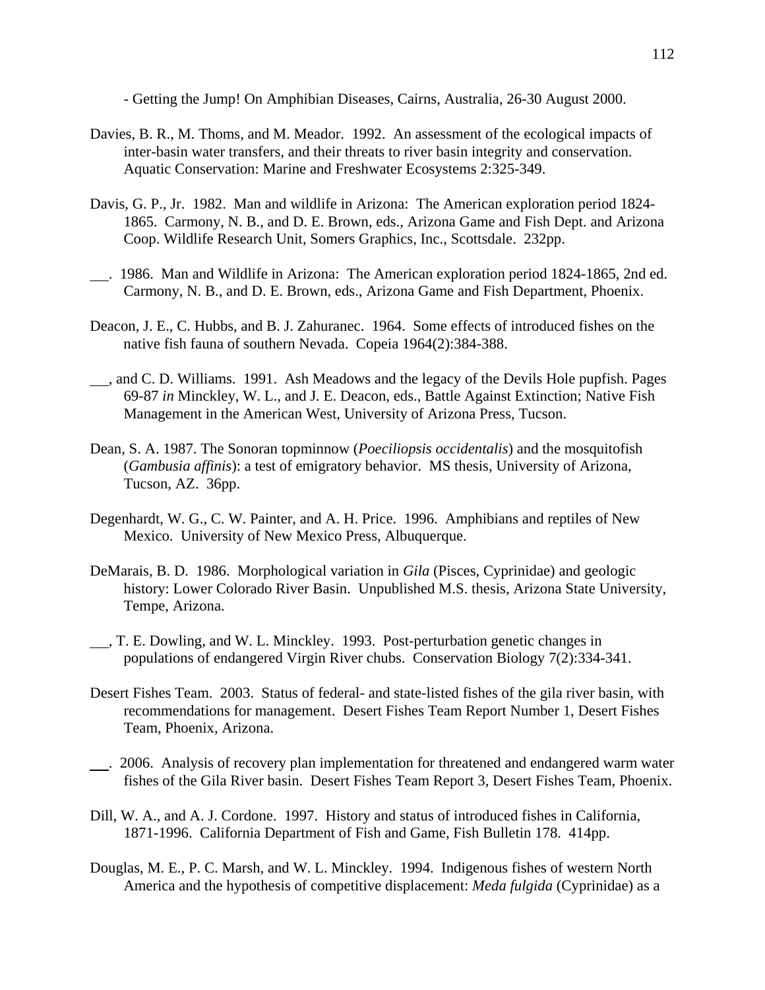- Getting the Jump! On Amphibian Diseases, Cairns, Australia, 26-30 August 2000.

- Davies, B. R., M. Thoms, and M. Meador. 1992. An assessment of the ecological impacts of inter-basin water transfers, and their threats to river basin integrity and conservation. Aquatic Conservation: Marine and Freshwater Ecosystems 2:325-349.
- Davis, G. P., Jr. 1982. Man and wildlife in Arizona: The American exploration period 1824- 1865. Carmony, N. B., and D. E. Brown, eds., Arizona Game and Fish Dept. and Arizona Coop. Wildlife Research Unit, Somers Graphics, Inc., Scottsdale. 232pp.
- . 1986. Man and Wildlife in Arizona: The American exploration period 1824-1865, 2nd ed. Carmony, N. B., and D. E. Brown, eds., Arizona Game and Fish Department, Phoenix.
- Deacon, J. E., C. Hubbs, and B. J. Zahuranec. 1964. Some effects of introduced fishes on the native fish fauna of southern Nevada. Copeia 1964(2):384-388.
- , and C. D. Williams. 1991. Ash Meadows and the legacy of the Devils Hole pupfish. Pages 69-87 *in* Minckley, W. L., and J. E. Deacon, eds., Battle Against Extinction; Native Fish Management in the American West, University of Arizona Press, Tucson.
- Dean, S. A. 1987. The Sonoran topminnow (*Poeciliopsis occidentalis*) and the mosquitofish (*Gambusia affinis*): a test of emigratory behavior. MS thesis, University of Arizona, Tucson, AZ. 36pp.
- Degenhardt, W. G., C. W. Painter, and A. H. Price. 1996. Amphibians and reptiles of New Mexico. University of New Mexico Press, Albuquerque.
- DeMarais, B. D. 1986. Morphological variation in *Gila* (Pisces, Cyprinidae) and geologic history: Lower Colorado River Basin. Unpublished M.S. thesis, Arizona State University, Tempe, Arizona.
- , T. E. Dowling, and W. L. Minckley. 1993. Post-perturbation genetic changes in populations of endangered Virgin River chubs. Conservation Biology 7(2):334-341.
- Desert Fishes Team. 2003. Status of federal- and state-listed fishes of the gila river basin, with recommendations for management. Desert Fishes Team Report Number 1, Desert Fishes Team, Phoenix, Arizona.
- . 2006. Analysis of recovery plan implementation for threatened and endangered warm water fishes of the Gila River basin. Desert Fishes Team Report 3, Desert Fishes Team, Phoenix.
- Dill, W. A., and A. J. Cordone. 1997. History and status of introduced fishes in California, 1871-1996. California Department of Fish and Game, Fish Bulletin 178. 414pp.
- Douglas, M. E., P. C. Marsh, and W. L. Minckley. 1994. Indigenous fishes of western North America and the hypothesis of competitive displacement: *Meda fulgida* (Cyprinidae) as a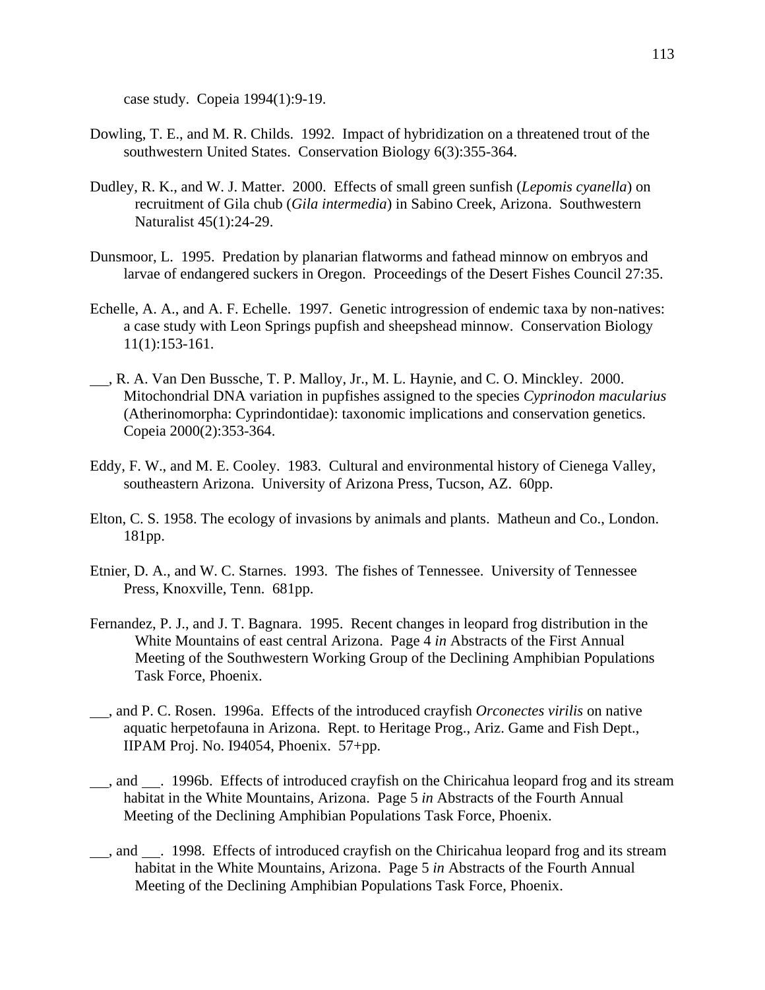case study. Copeia 1994(1):9-19.

- Dowling, T. E., and M. R. Childs. 1992. Impact of hybridization on a threatened trout of the southwestern United States. Conservation Biology 6(3):355-364.
- Dudley, R. K., and W. J. Matter. 2000. Effects of small green sunfish (*Lepomis cyanella*) on recruitment of Gila chub (*Gila intermedia*) in Sabino Creek, Arizona. Southwestern Naturalist 45(1):24-29.
- Dunsmoor, L. 1995. Predation by planarian flatworms and fathead minnow on embryos and larvae of endangered suckers in Oregon. Proceedings of the Desert Fishes Council 27:35.
- Echelle, A. A., and A. F. Echelle. 1997. Genetic introgression of endemic taxa by non-natives: a case study with Leon Springs pupfish and sheepshead minnow. Conservation Biology 11(1):153-161.
- , R. A. Van Den Bussche, T. P. Malloy, Jr., M. L. Haynie, and C. O. Minckley. 2000. Mitochondrial DNA variation in pupfishes assigned to the species *Cyprinodon macularius* (Atherinomorpha: Cyprindontidae): taxonomic implications and conservation genetics. Copeia 2000(2):353-364.
- Eddy, F. W., and M. E. Cooley. 1983. Cultural and environmental history of Cienega Valley, southeastern Arizona. University of Arizona Press, Tucson, AZ. 60pp.
- Elton, C. S. 1958. The ecology of invasions by animals and plants. Matheun and Co., London. 181pp.
- Etnier, D. A., and W. C. Starnes. 1993. The fishes of Tennessee. University of Tennessee Press, Knoxville, Tenn. 681pp.
- Fernandez, P. J., and J. T. Bagnara. 1995. Recent changes in leopard frog distribution in the White Mountains of east central Arizona. Page 4 *in* Abstracts of the First Annual Meeting of the Southwestern Working Group of the Declining Amphibian Populations Task Force, Phoenix.
- , and P. C. Rosen. 1996a. Effects of the introduced crayfish *Orconectes virilis* on native aquatic herpetofauna in Arizona. Rept. to Heritage Prog., Ariz. Game and Fish Dept., IIPAM Proj. No. I94054, Phoenix. 57+pp.
- , and . 1996b. Effects of introduced crayfish on the Chiricahua leopard frog and its stream habitat in the White Mountains, Arizona. Page 5 *in* Abstracts of the Fourth Annual Meeting of the Declining Amphibian Populations Task Force, Phoenix.
- , and . 1998. Effects of introduced crayfish on the Chiricahua leopard frog and its stream habitat in the White Mountains, Arizona. Page 5 *in* Abstracts of the Fourth Annual Meeting of the Declining Amphibian Populations Task Force, Phoenix.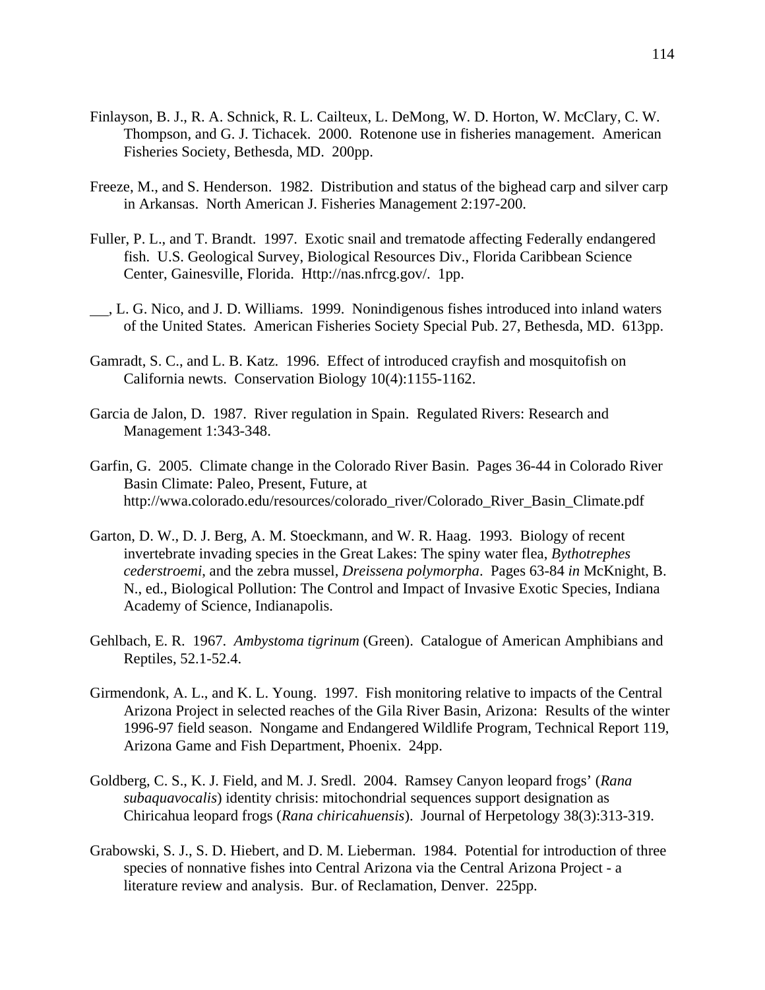- Finlayson, B. J., R. A. Schnick, R. L. Cailteux, L. DeMong, W. D. Horton, W. McClary, C. W. Thompson, and G. J. Tichacek. 2000. Rotenone use in fisheries management. American Fisheries Society, Bethesda, MD. 200pp.
- Freeze, M., and S. Henderson. 1982. Distribution and status of the bighead carp and silver carp in Arkansas. North American J. Fisheries Management 2:197-200.
- Fuller, P. L., and T. Brandt. 1997. Exotic snail and trematode affecting Federally endangered fish. U.S. Geological Survey, Biological Resources Div., Florida Caribbean Science Center, Gainesville, Florida. Http://nas.nfrcg.gov/. 1pp.
- , L. G. Nico, and J. D. Williams. 1999. Nonindigenous fishes introduced into inland waters of the United States. American Fisheries Society Special Pub. 27, Bethesda, MD. 613pp.
- Gamradt, S. C., and L. B. Katz. 1996. Effect of introduced crayfish and mosquitofish on California newts. Conservation Biology 10(4):1155-1162.
- Garcia de Jalon, D. 1987. River regulation in Spain. Regulated Rivers: Research and Management 1:343-348.
- Garfin, G. 2005. Climate change in the Colorado River Basin. Pages 36-44 in Colorado River Basin Climate: Paleo, Present, Future, at http://wwa.colorado.edu/resources/colorado\_river/Colorado\_River\_Basin\_Climate.pdf
- Garton, D. W., D. J. Berg, A. M. Stoeckmann, and W. R. Haag. 1993. Biology of recent invertebrate invading species in the Great Lakes: The spiny water flea, *Bythotrephes cederstroemi*, and the zebra mussel, *Dreissena polymorpha*. Pages 63-84 *in* McKnight, B. N., ed., Biological Pollution: The Control and Impact of Invasive Exotic Species, Indiana Academy of Science, Indianapolis.
- Gehlbach, E. R. 1967. *Ambystoma tigrinum* (Green). Catalogue of American Amphibians and Reptiles, 52.1-52.4.
- Girmendonk, A. L., and K. L. Young. 1997. Fish monitoring relative to impacts of the Central Arizona Project in selected reaches of the Gila River Basin, Arizona: Results of the winter 1996-97 field season. Nongame and Endangered Wildlife Program, Technical Report 119, Arizona Game and Fish Department, Phoenix. 24pp.
- Goldberg, C. S., K. J. Field, and M. J. Sredl. 2004. Ramsey Canyon leopard frogs' (*Rana subaquavocalis*) identity chrisis: mitochondrial sequences support designation as Chiricahua leopard frogs (*Rana chiricahuensis*). Journal of Herpetology 38(3):313-319.
- Grabowski, S. J., S. D. Hiebert, and D. M. Lieberman. 1984. Potential for introduction of three species of nonnative fishes into Central Arizona via the Central Arizona Project - a literature review and analysis. Bur. of Reclamation, Denver. 225pp.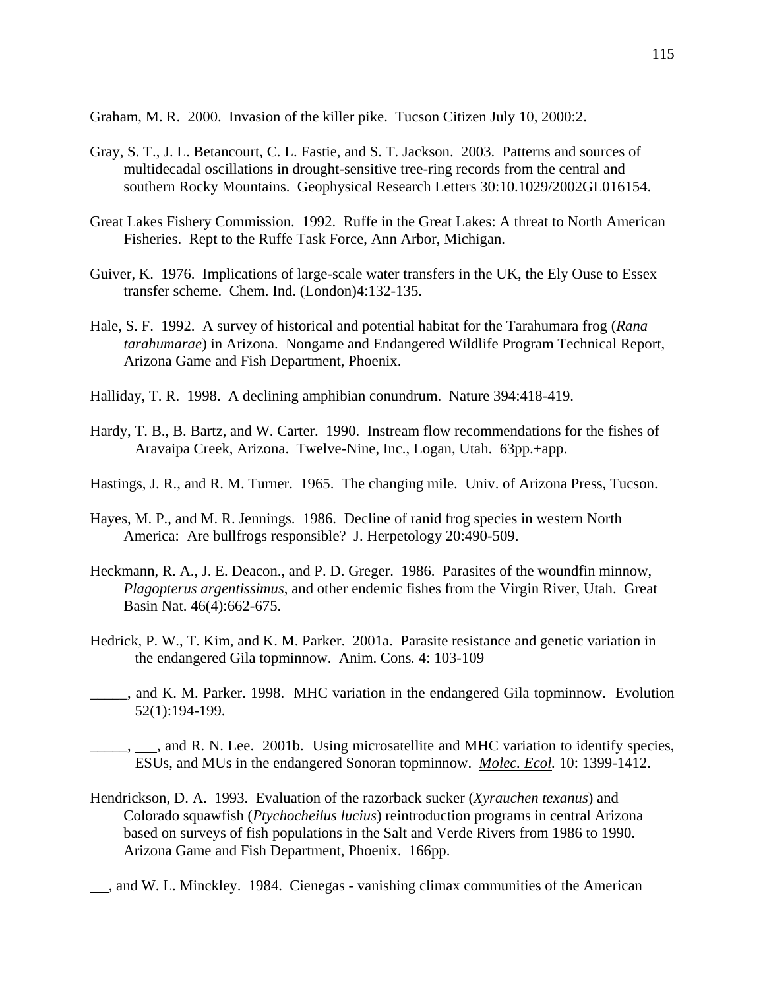Graham, M. R. 2000. Invasion of the killer pike. Tucson Citizen July 10, 2000:2.

- Gray, S. T., J. L. Betancourt, C. L. Fastie, and S. T. Jackson. 2003. Patterns and sources of multidecadal oscillations in drought-sensitive tree-ring records from the central and southern Rocky Mountains. Geophysical Research Letters 30:10.1029/2002GL016154.
- Great Lakes Fishery Commission. 1992. Ruffe in the Great Lakes: A threat to North American Fisheries. Rept to the Ruffe Task Force, Ann Arbor, Michigan.
- Guiver, K. 1976. Implications of large-scale water transfers in the UK, the Ely Ouse to Essex transfer scheme. Chem. Ind. (London)4:132-135.
- Hale, S. F. 1992. A survey of historical and potential habitat for the Tarahumara frog (*Rana tarahumarae*) in Arizona. Nongame and Endangered Wildlife Program Technical Report, Arizona Game and Fish Department, Phoenix.
- Halliday, T. R. 1998. A declining amphibian conundrum. Nature 394:418-419.
- Hardy, T. B., B. Bartz, and W. Carter. 1990. Instream flow recommendations for the fishes of Aravaipa Creek, Arizona. Twelve-Nine, Inc., Logan, Utah. 63pp.+app.
- Hastings, J. R., and R. M. Turner. 1965. The changing mile. Univ. of Arizona Press, Tucson.
- Hayes, M. P., and M. R. Jennings. 1986. Decline of ranid frog species in western North America: Are bullfrogs responsible? J. Herpetology 20:490-509.
- Heckmann, R. A., J. E. Deacon., and P. D. Greger. 1986. Parasites of the woundfin minnow, *Plagopterus argentissimus*, and other endemic fishes from the Virgin River, Utah. Great Basin Nat. 46(4):662-675.
- Hedrick, P. W., T. Kim, and K. M. Parker. 2001a. Parasite resistance and genetic variation in the endangered Gila topminnow. Anim. Cons*.* 4: 103-109
- \_\_\_\_\_, and K. M. Parker. 1998. MHC variation in the endangered Gila topminnow. Evolution 52(1):194-199.
- \_\_\_\_\_, , and R. N. Lee. 2001b. Using microsatellite and MHC variation to identify species, ESUs, and MUs in the endangered Sonoran topminnow. *Molec. Ecol.* 10: 1399-1412.
- Hendrickson, D. A. 1993. Evaluation of the razorback sucker (*Xyrauchen texanus*) and Colorado squawfish (*Ptychocheilus lucius*) reintroduction programs in central Arizona based on surveys of fish populations in the Salt and Verde Rivers from 1986 to 1990. Arizona Game and Fish Department, Phoenix. 166pp.
- , and W. L. Minckley. 1984. Cienegas vanishing climax communities of the American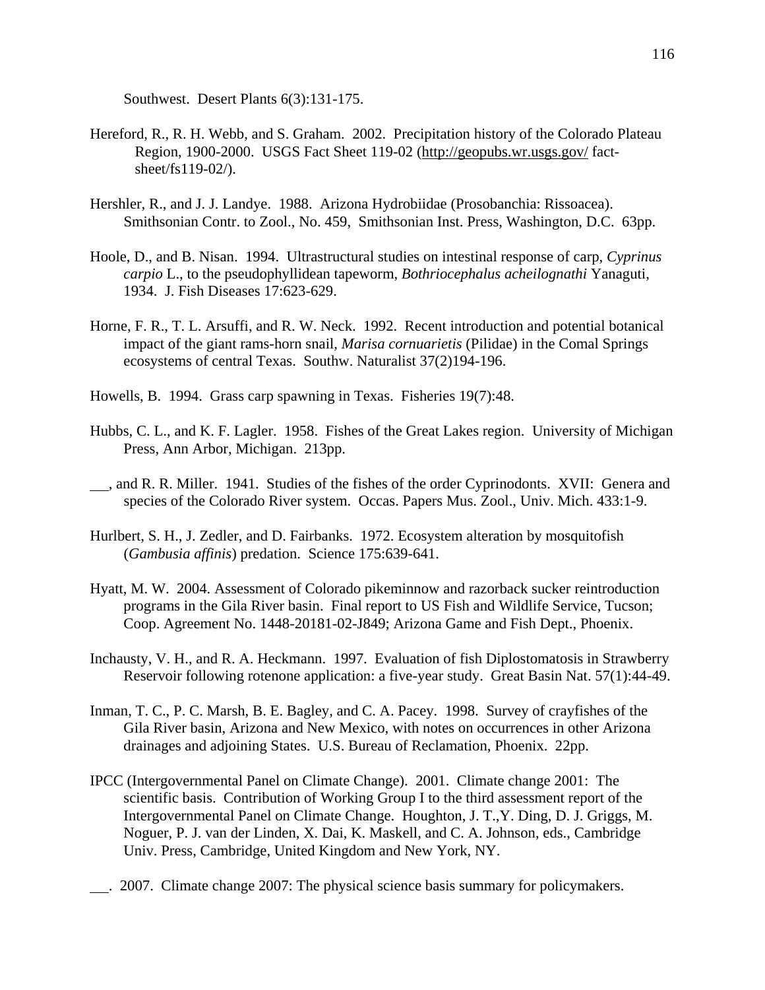Southwest. Desert Plants 6(3):131-175.

- Hereford, R., R. H. Webb, and S. Graham. 2002. Precipitation history of the Colorado Plateau Region, 1900-2000. USGS Fact Sheet 119-02 (http://geopubs.wr.usgs.gov/ factsheet/fs119-02/).
- Hershler, R., and J. J. Landye. 1988. Arizona Hydrobiidae (Prosobanchia: Rissoacea). Smithsonian Contr. to Zool., No. 459, Smithsonian Inst. Press, Washington, D.C. 63pp.
- Hoole, D., and B. Nisan. 1994. Ultrastructural studies on intestinal response of carp, *Cyprinus carpio* L., to the pseudophyllidean tapeworm, *Bothriocephalus acheilognathi* Yanaguti, 1934. J. Fish Diseases 17:623-629.
- Horne, F. R., T. L. Arsuffi, and R. W. Neck. 1992. Recent introduction and potential botanical impact of the giant rams-horn snail, *Marisa cornuarietis* (Pilidae) in the Comal Springs ecosystems of central Texas. Southw. Naturalist 37(2)194-196.
- Howells, B. 1994. Grass carp spawning in Texas. Fisheries 19(7):48.
- Hubbs, C. L., and K. F. Lagler. 1958. Fishes of the Great Lakes region. University of Michigan Press, Ann Arbor, Michigan. 213pp.
- , and R. R. Miller. 1941. Studies of the fishes of the order Cyprinodonts. XVII: Genera and species of the Colorado River system. Occas. Papers Mus. Zool., Univ. Mich. 433:1-9.
- Hurlbert, S. H., J. Zedler, and D. Fairbanks. 1972. Ecosystem alteration by mosquitofish (*Gambusia affinis*) predation. Science 175:639-641.
- Hyatt, M. W. 2004. Assessment of Colorado pikeminnow and razorback sucker reintroduction programs in the Gila River basin. Final report to US Fish and Wildlife Service, Tucson; Coop. Agreement No. 1448-20181-02-J849; Arizona Game and Fish Dept., Phoenix.
- Inchausty, V. H., and R. A. Heckmann. 1997. Evaluation of fish Diplostomatosis in Strawberry Reservoir following rotenone application: a five-year study. Great Basin Nat. 57(1):44-49.
- Inman, T. C., P. C. Marsh, B. E. Bagley, and C. A. Pacey. 1998. Survey of crayfishes of the Gila River basin, Arizona and New Mexico, with notes on occurrences in other Arizona drainages and adjoining States. U.S. Bureau of Reclamation, Phoenix. 22pp.
- IPCC (Intergovernmental Panel on Climate Change). 2001. Climate change 2001: The scientific basis. Contribution of Working Group I to the third assessment report of the Intergovernmental Panel on Climate Change. Houghton, J. T.,Y. Ding, D. J. Griggs, M. Noguer, P. J. van der Linden, X. Dai, K. Maskell, and C. A. Johnson, eds., Cambridge Univ. Press, Cambridge, United Kingdom and New York, NY.
- . 2007. Climate change 2007: The physical science basis summary for policymakers.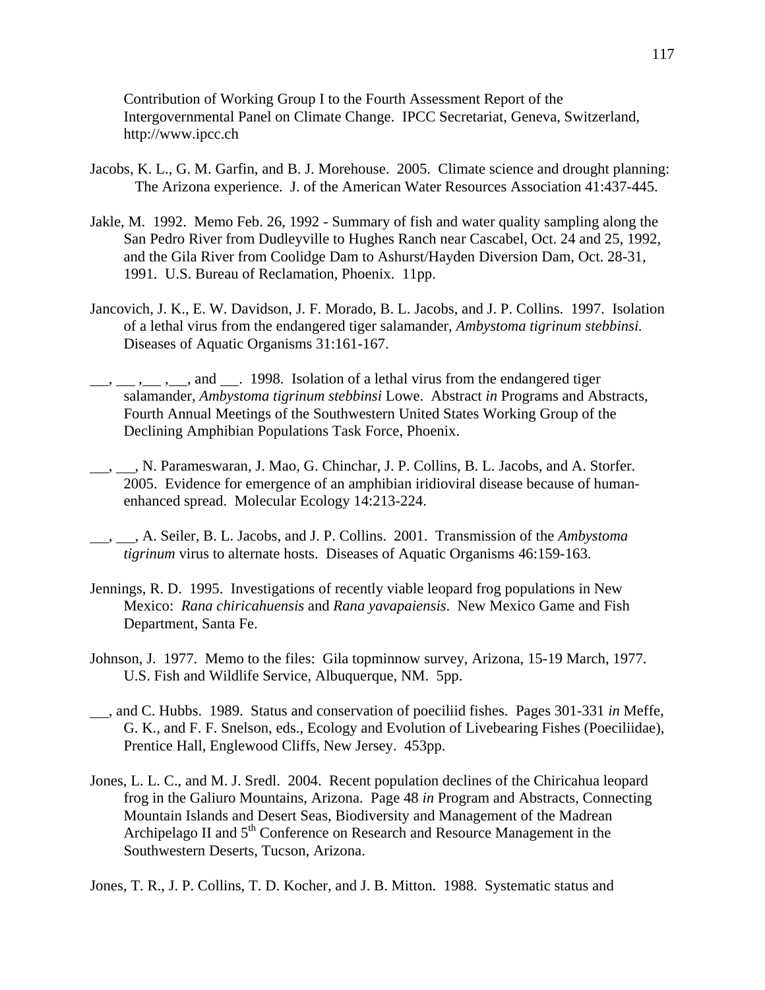Contribution of Working Group I to the Fourth Assessment Report of the Intergovernmental Panel on Climate Change. IPCC Secretariat, Geneva, Switzerland, http://www.ipcc.ch

- Jacobs, K. L., G. M. Garfin, and B. J. Morehouse. 2005. Climate science and drought planning: The Arizona experience. J. of the American Water Resources Association 41:437-445.
- Jakle, M. 1992. Memo Feb. 26, 1992 Summary of fish and water quality sampling along the San Pedro River from Dudleyville to Hughes Ranch near Cascabel, Oct. 24 and 25, 1992, and the Gila River from Coolidge Dam to Ashurst/Hayden Diversion Dam, Oct. 28-31, 1991. U.S. Bureau of Reclamation, Phoenix. 11pp.
- Jancovich, J. K., E. W. Davidson, J. F. Morado, B. L. Jacobs, and J. P. Collins. 1997. Isolation of a lethal virus from the endangered tiger salamander, *Ambystoma tigrinum stebbinsi.*  Diseases of Aquatic Organisms 31:161-167.
- <sup>1</sup>, , , and . 1998. Isolation of a lethal virus from the endangered tiger salamander, *Ambystoma tigrinum stebbinsi* Lowe. Abstract *in* Programs and Abstracts, Fourth Annual Meetings of the Southwestern United States Working Group of the Declining Amphibian Populations Task Force, Phoenix.
- , M. Parameswaran, J. Mao, G. Chinchar, J. P. Collins, B. L. Jacobs, and A. Storfer. 2005. Evidence for emergence of an amphibian iridioviral disease because of humanenhanced spread. Molecular Ecology 14:213-224.
- , , A. Seiler, B. L. Jacobs, and J. P. Collins. 2001. Transmission of the *Ambystoma tigrinum* virus to alternate hosts. Diseases of Aquatic Organisms 46:159-163.
- Jennings, R. D. 1995. Investigations of recently viable leopard frog populations in New Mexico: *Rana chiricahuensis* and *Rana yavapaiensis*. New Mexico Game and Fish Department, Santa Fe.
- Johnson, J. 1977. Memo to the files: Gila topminnow survey, Arizona, 15-19 March, 1977. U.S. Fish and Wildlife Service, Albuquerque, NM. 5pp.
- , and C. Hubbs. 1989. Status and conservation of poeciliid fishes. Pages 301-331 *in* Meffe, G. K., and F. F. Snelson, eds., Ecology and Evolution of Livebearing Fishes (Poeciliidae), Prentice Hall, Englewood Cliffs, New Jersey. 453pp.
- Jones, L. L. C., and M. J. Sredl. 2004. Recent population declines of the Chiricahua leopard frog in the Galiuro Mountains, Arizona. Page 48 *in* Program and Abstracts, Connecting Mountain Islands and Desert Seas, Biodiversity and Management of the Madrean Archipelago II and  $5<sup>th</sup>$  Conference on Research and Resource Management in the Southwestern Deserts, Tucson, Arizona.

Jones, T. R., J. P. Collins, T. D. Kocher, and J. B. Mitton. 1988. Systematic status and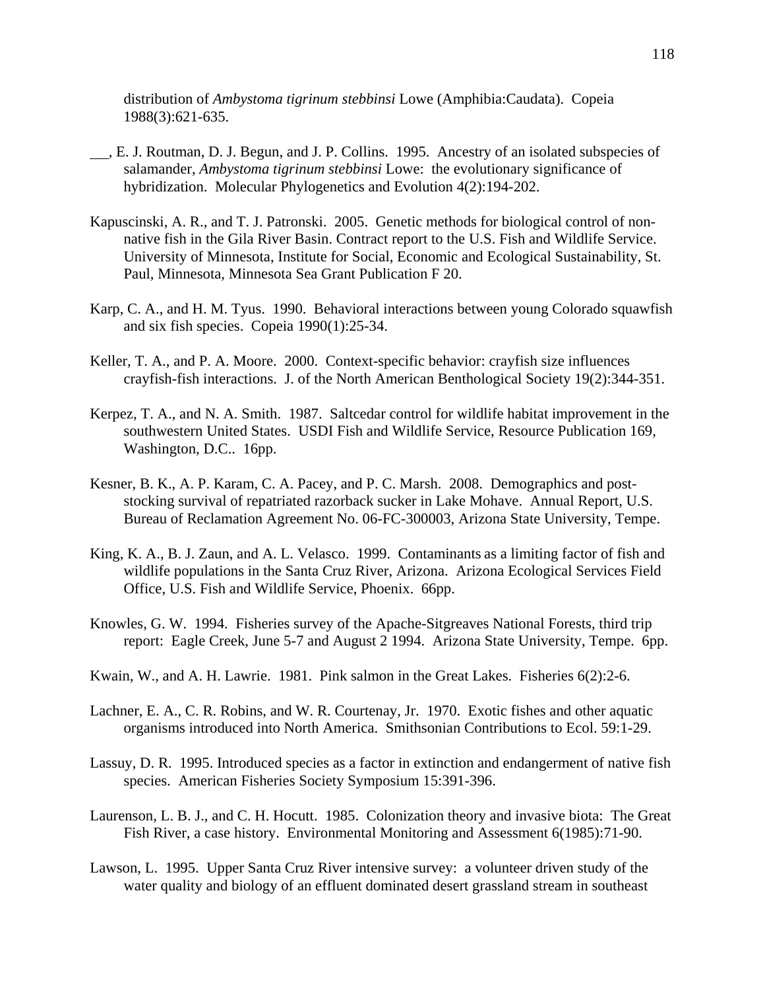distribution of *Ambystoma tigrinum stebbinsi* Lowe (Amphibia:Caudata). Copeia 1988(3):621-635.

- , E. J. Routman, D. J. Begun, and J. P. Collins. 1995. Ancestry of an isolated subspecies of salamander, *Ambystoma tigrinum stebbinsi* Lowe: the evolutionary significance of hybridization. Molecular Phylogenetics and Evolution 4(2):194-202.
- Kapuscinski, A. R., and T. J. Patronski. 2005. Genetic methods for biological control of nonnative fish in the Gila River Basin. Contract report to the U.S. Fish and Wildlife Service. University of Minnesota, Institute for Social, Economic and Ecological Sustainability, St. Paul, Minnesota, Minnesota Sea Grant Publication F 20.
- Karp, C. A., and H. M. Tyus. 1990. Behavioral interactions between young Colorado squawfish and six fish species. Copeia 1990(1):25-34.
- Keller, T. A., and P. A. Moore. 2000. Context-specific behavior: crayfish size influences crayfish-fish interactions. J. of the North American Benthological Society 19(2):344-351.
- Kerpez, T. A., and N. A. Smith. 1987. Saltcedar control for wildlife habitat improvement in the southwestern United States. USDI Fish and Wildlife Service, Resource Publication 169, Washington, D.C.. 16pp.
- Kesner, B. K., A. P. Karam, C. A. Pacey, and P. C. Marsh. 2008. Demographics and poststocking survival of repatriated razorback sucker in Lake Mohave. Annual Report, U.S. Bureau of Reclamation Agreement No. 06-FC-300003, Arizona State University, Tempe.
- King, K. A., B. J. Zaun, and A. L. Velasco. 1999. Contaminants as a limiting factor of fish and wildlife populations in the Santa Cruz River, Arizona. Arizona Ecological Services Field Office, U.S. Fish and Wildlife Service, Phoenix. 66pp.
- Knowles, G. W. 1994. Fisheries survey of the Apache-Sitgreaves National Forests, third trip report: Eagle Creek, June 5-7 and August 2 1994. Arizona State University, Tempe. 6pp.
- Kwain, W., and A. H. Lawrie. 1981. Pink salmon in the Great Lakes. Fisheries 6(2):2-6.
- Lachner, E. A., C. R. Robins, and W. R. Courtenay, Jr. 1970. Exotic fishes and other aquatic organisms introduced into North America. Smithsonian Contributions to Ecol. 59:1-29.
- Lassuy, D. R. 1995. Introduced species as a factor in extinction and endangerment of native fish species. American Fisheries Society Symposium 15:391-396.
- Laurenson, L. B. J., and C. H. Hocutt. 1985. Colonization theory and invasive biota: The Great Fish River, a case history. Environmental Monitoring and Assessment 6(1985):71-90.
- Lawson, L. 1995. Upper Santa Cruz River intensive survey: a volunteer driven study of the water quality and biology of an effluent dominated desert grassland stream in southeast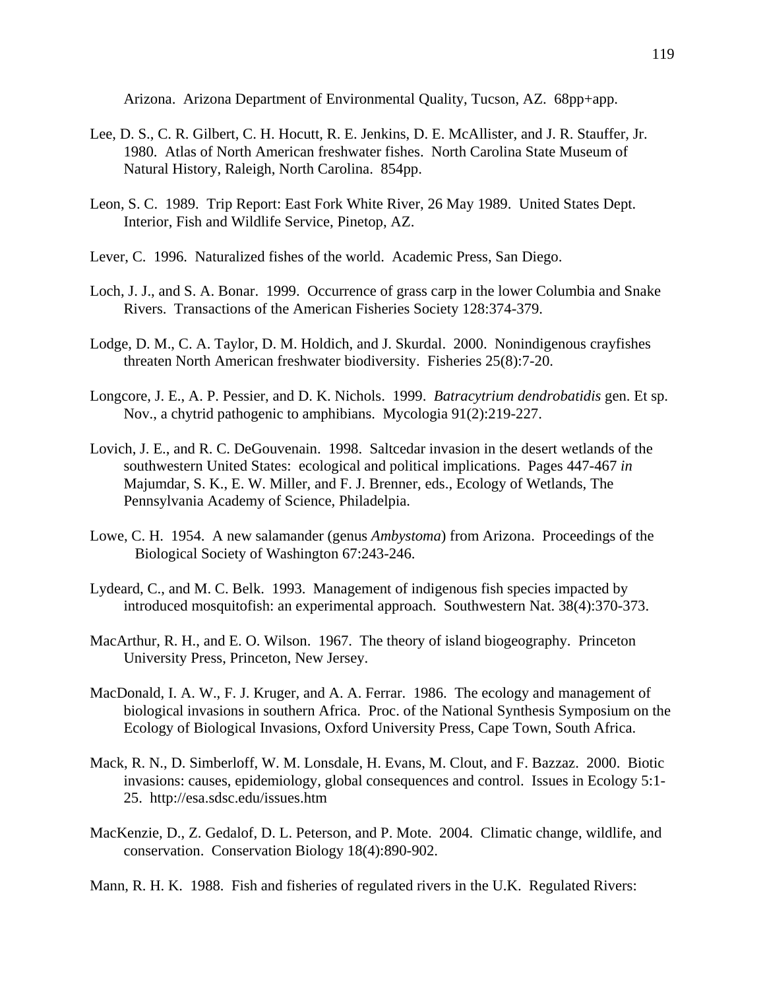Arizona. Arizona Department of Environmental Quality, Tucson, AZ. 68pp+app.

- Lee, D. S., C. R. Gilbert, C. H. Hocutt, R. E. Jenkins, D. E. McAllister, and J. R. Stauffer, Jr. 1980. Atlas of North American freshwater fishes. North Carolina State Museum of Natural History, Raleigh, North Carolina. 854pp.
- Leon, S. C. 1989. Trip Report: East Fork White River, 26 May 1989. United States Dept. Interior, Fish and Wildlife Service, Pinetop, AZ.
- Lever, C. 1996. Naturalized fishes of the world. Academic Press, San Diego.
- Loch, J. J., and S. A. Bonar. 1999. Occurrence of grass carp in the lower Columbia and Snake Rivers. Transactions of the American Fisheries Society 128:374-379.
- Lodge, D. M., C. A. Taylor, D. M. Holdich, and J. Skurdal. 2000. Nonindigenous crayfishes threaten North American freshwater biodiversity. Fisheries 25(8):7-20.
- Longcore, J. E., A. P. Pessier, and D. K. Nichols. 1999. *Batracytrium dendrobatidis* gen. Et sp. Nov., a chytrid pathogenic to amphibians. Mycologia 91(2):219-227.
- Lovich, J. E., and R. C. DeGouvenain. 1998. Saltcedar invasion in the desert wetlands of the southwestern United States: ecological and political implications. Pages 447-467 *in* Majumdar, S. K., E. W. Miller, and F. J. Brenner, eds., Ecology of Wetlands, The Pennsylvania Academy of Science, Philadelpia.
- Lowe, C. H. 1954. A new salamander (genus *Ambystoma*) from Arizona. Proceedings of the Biological Society of Washington 67:243-246.
- Lydeard, C., and M. C. Belk. 1993. Management of indigenous fish species impacted by introduced mosquitofish: an experimental approach. Southwestern Nat. 38(4):370-373.
- MacArthur, R. H., and E. O. Wilson. 1967. The theory of island biogeography. Princeton University Press, Princeton, New Jersey.
- MacDonald, I. A. W., F. J. Kruger, and A. A. Ferrar. 1986. The ecology and management of biological invasions in southern Africa. Proc. of the National Synthesis Symposium on the Ecology of Biological Invasions, Oxford University Press, Cape Town, South Africa.
- Mack, R. N., D. Simberloff, W. M. Lonsdale, H. Evans, M. Clout, and F. Bazzaz. 2000. Biotic invasions: causes, epidemiology, global consequences and control. Issues in Ecology 5:1- 25. http://esa.sdsc.edu/issues.htm
- MacKenzie, D., Z. Gedalof, D. L. Peterson, and P. Mote. 2004. Climatic change, wildlife, and conservation. Conservation Biology 18(4):890-902.
- Mann, R. H. K. 1988. Fish and fisheries of regulated rivers in the U.K. Regulated Rivers: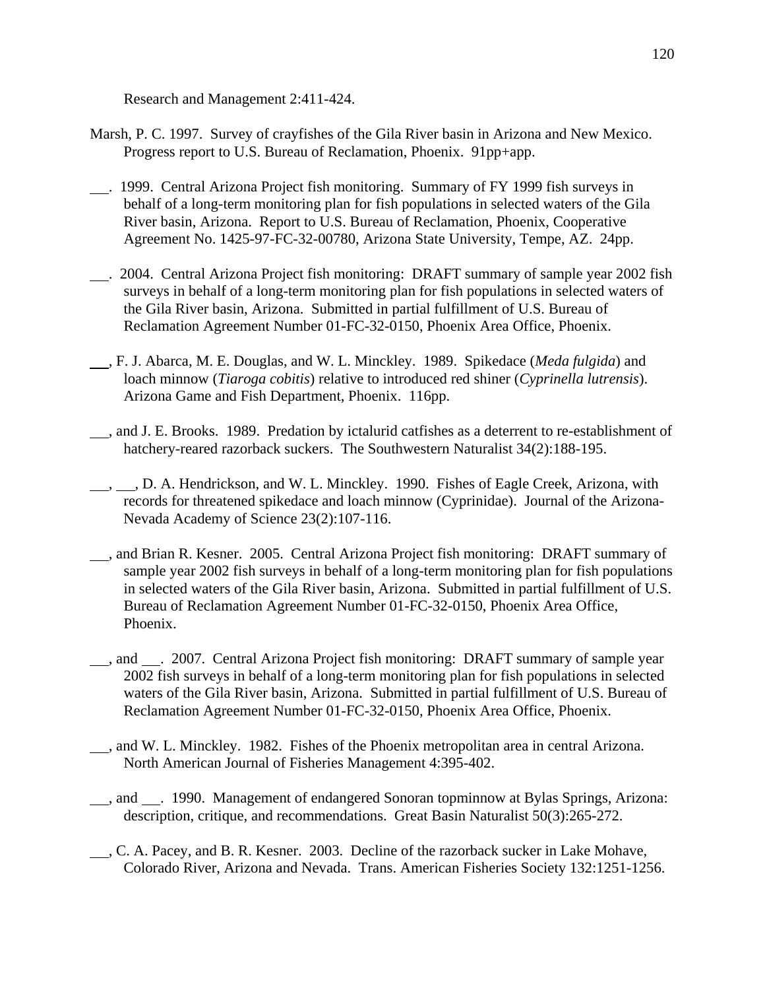Research and Management 2:411-424.

- Marsh, P. C. 1997. Survey of crayfishes of the Gila River basin in Arizona and New Mexico. Progress report to U.S. Bureau of Reclamation, Phoenix. 91pp+app.
- . 1999. Central Arizona Project fish monitoring. Summary of FY 1999 fish surveys in behalf of a long-term monitoring plan for fish populations in selected waters of the Gila River basin, Arizona. Report to U.S. Bureau of Reclamation, Phoenix, Cooperative Agreement No. 1425-97-FC-32-00780, Arizona State University, Tempe, AZ. 24pp.
- . 2004. Central Arizona Project fish monitoring: DRAFT summary of sample year 2002 fish surveys in behalf of a long-term monitoring plan for fish populations in selected waters of the Gila River basin, Arizona. Submitted in partial fulfillment of U.S. Bureau of Reclamation Agreement Number 01-FC-32-0150, Phoenix Area Office, Phoenix.
- , F. J. Abarca, M. E. Douglas, and W. L. Minckley. 1989. Spikedace (*Meda fulgida*) and loach minnow (*Tiaroga cobitis*) relative to introduced red shiner (*Cyprinella lutrensis*). Arizona Game and Fish Department, Phoenix. 116pp.
- , and J. E. Brooks. 1989. Predation by ictalurid catfishes as a deterrent to re-establishment of hatchery-reared razorback suckers. The Southwestern Naturalist 34(2):188-195.
- , , D. A. Hendrickson, and W. L. Minckley. 1990. Fishes of Eagle Creek, Arizona, with records for threatened spikedace and loach minnow (Cyprinidae). Journal of the Arizona-Nevada Academy of Science 23(2):107-116.
- , and Brian R. Kesner. 2005. Central Arizona Project fish monitoring: DRAFT summary of sample year 2002 fish surveys in behalf of a long-term monitoring plan for fish populations in selected waters of the Gila River basin, Arizona. Submitted in partial fulfillment of U.S. Bureau of Reclamation Agreement Number 01-FC-32-0150, Phoenix Area Office, Phoenix.
- , and . 2007. Central Arizona Project fish monitoring: DRAFT summary of sample year 2002 fish surveys in behalf of a long-term monitoring plan for fish populations in selected waters of the Gila River basin, Arizona. Submitted in partial fulfillment of U.S. Bureau of Reclamation Agreement Number 01-FC-32-0150, Phoenix Area Office, Phoenix.
- , and W. L. Minckley. 1982. Fishes of the Phoenix metropolitan area in central Arizona. North American Journal of Fisheries Management 4:395-402.
- , and . 1990. Management of endangered Sonoran topminnow at Bylas Springs, Arizona: description, critique, and recommendations. Great Basin Naturalist 50(3):265-272.
- , C. A. Pacey, and B. R. Kesner. 2003. Decline of the razorback sucker in Lake Mohave, Colorado River, Arizona and Nevada. Trans. American Fisheries Society 132:1251-1256.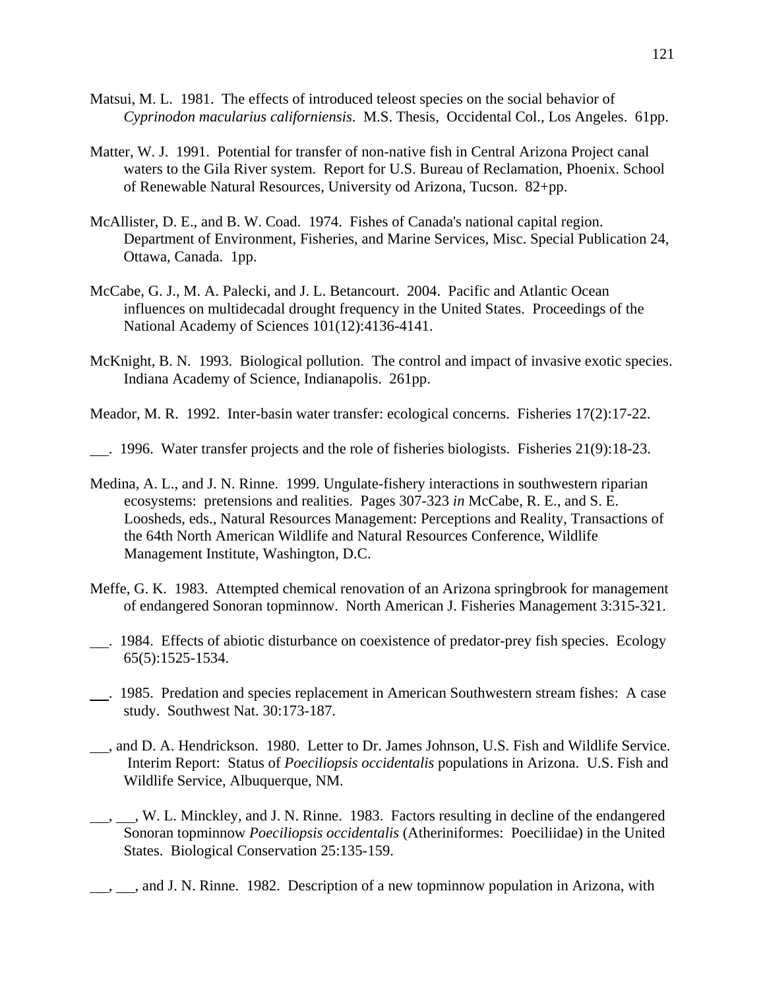- Matsui, M. L. 1981. The effects of introduced teleost species on the social behavior of *Cyprinodon macularius californiensis*. M.S. Thesis, Occidental Col., Los Angeles. 61pp.
- Matter, W. J. 1991. Potential for transfer of non-native fish in Central Arizona Project canal waters to the Gila River system. Report for U.S. Bureau of Reclamation, Phoenix. School of Renewable Natural Resources, University od Arizona, Tucson. 82+pp.
- McAllister, D. E., and B. W. Coad. 1974. Fishes of Canada's national capital region. Department of Environment, Fisheries, and Marine Services, Misc. Special Publication 24, Ottawa, Canada. 1pp.
- McCabe, G. J., M. A. Palecki, and J. L. Betancourt. 2004. Pacific and Atlantic Ocean influences on multidecadal drought frequency in the United States. Proceedings of the National Academy of Sciences 101(12):4136-4141.
- McKnight, B. N. 1993. Biological pollution. The control and impact of invasive exotic species. Indiana Academy of Science, Indianapolis. 261pp.
- Meador, M. R. 1992. Inter-basin water transfer: ecological concerns. Fisheries 17(2):17-22.
- . 1996. Water transfer projects and the role of fisheries biologists. Fisheries 21(9):18-23.
- Medina, A. L., and J. N. Rinne. 1999. Ungulate-fishery interactions in southwestern riparian ecosystems: pretensions and realities. Pages 307-323 *in* McCabe, R. E., and S. E. Loosheds, eds., Natural Resources Management: Perceptions and Reality, Transactions of the 64th North American Wildlife and Natural Resources Conference, Wildlife Management Institute, Washington, D.C.
- Meffe, G. K. 1983. Attempted chemical renovation of an Arizona springbrook for management of endangered Sonoran topminnow. North American J. Fisheries Management 3:315-321.
- . 1984. Effects of abiotic disturbance on coexistence of predator-prey fish species. Ecology 65(5):1525-1534.
- . 1985. Predation and species replacement in American Southwestern stream fishes: A case study. Southwest Nat. 30:173-187.
- , and D. A. Hendrickson. 1980. Letter to Dr. James Johnson, U.S. Fish and Wildlife Service. Interim Report: Status of *Poeciliopsis occidentalis* populations in Arizona. U.S. Fish and Wildlife Service, Albuquerque, NM.
- $\ldots$ ,  $\ldots$ , W. L. Minckley, and J. N. Rinne. 1983. Factors resulting in decline of the endangered Sonoran topminnow *Poeciliopsis occidentalis* (Atheriniformes: Poeciliidae) in the United States. Biological Conservation 25:135-159.
- $\frac{1}{1}$ , and J. N. Rinne. 1982. Description of a new topminnow population in Arizona, with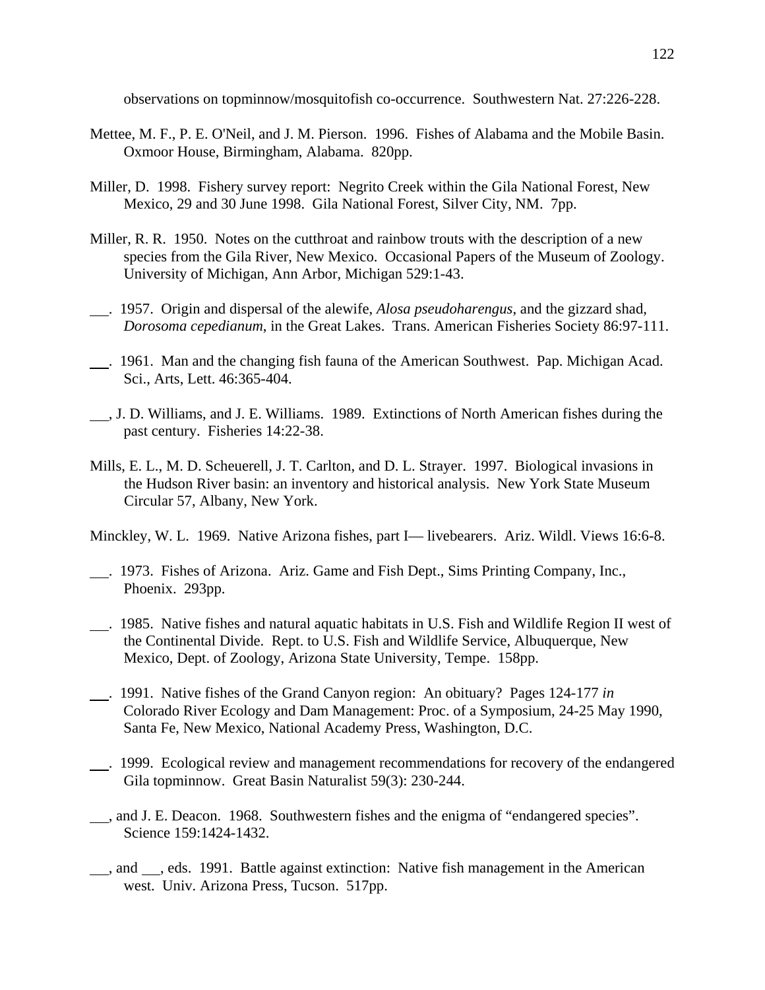observations on topminnow/mosquitofish co-occurrence. Southwestern Nat. 27:226-228.

- Mettee, M. F., P. E. O'Neil, and J. M. Pierson. 1996. Fishes of Alabama and the Mobile Basin. Oxmoor House, Birmingham, Alabama. 820pp.
- Miller, D. 1998. Fishery survey report: Negrito Creek within the Gila National Forest, New Mexico, 29 and 30 June 1998. Gila National Forest, Silver City, NM. 7pp.
- Miller, R. R. 1950. Notes on the cutthroat and rainbow trouts with the description of a new species from the Gila River, New Mexico. Occasional Papers of the Museum of Zoology. University of Michigan, Ann Arbor, Michigan 529:1-43.
- . 1957. Origin and dispersal of the alewife, *Alosa pseudoharengus*, and the gizzard shad, *Dorosoma cepedianum*, in the Great Lakes. Trans. American Fisheries Society 86:97-111.
- . 1961. Man and the changing fish fauna of the American Southwest. Pap. Michigan Acad. Sci., Arts, Lett. 46:365-404.
- , J. D. Williams, and J. E. Williams. 1989. Extinctions of North American fishes during the past century. Fisheries 14:22-38.
- Mills, E. L., M. D. Scheuerell, J. T. Carlton, and D. L. Strayer. 1997. Biological invasions in the Hudson River basin: an inventory and historical analysis. New York State Museum Circular 57, Albany, New York.

Minckley, W. L. 1969. Native Arizona fishes, part I— livebearers. Ariz. Wildl. Views 16:6-8.

- . 1973. Fishes of Arizona. Ariz. Game and Fish Dept., Sims Printing Company, Inc., Phoenix. 293pp.
- . 1985. Native fishes and natural aquatic habitats in U.S. Fish and Wildlife Region II west of the Continental Divide. Rept. to U.S. Fish and Wildlife Service, Albuquerque, New Mexico, Dept. of Zoology, Arizona State University, Tempe. 158pp.
- . 1991. Native fishes of the Grand Canyon region: An obituary? Pages 124-177 *in* Colorado River Ecology and Dam Management: Proc. of a Symposium, 24-25 May 1990, Santa Fe, New Mexico, National Academy Press, Washington, D.C.
- . 1999. Ecological review and management recommendations for recovery of the endangered Gila topminnow. Great Basin Naturalist 59(3): 230-244.
- , and J. E. Deacon. 1968. Southwestern fishes and the enigma of "endangered species". Science 159:1424-1432.
- $\_\_\_\$ , and  $\_\_\_\$ , eds. 1991. Battle against extinction: Native fish management in the American west. Univ. Arizona Press, Tucson. 517pp.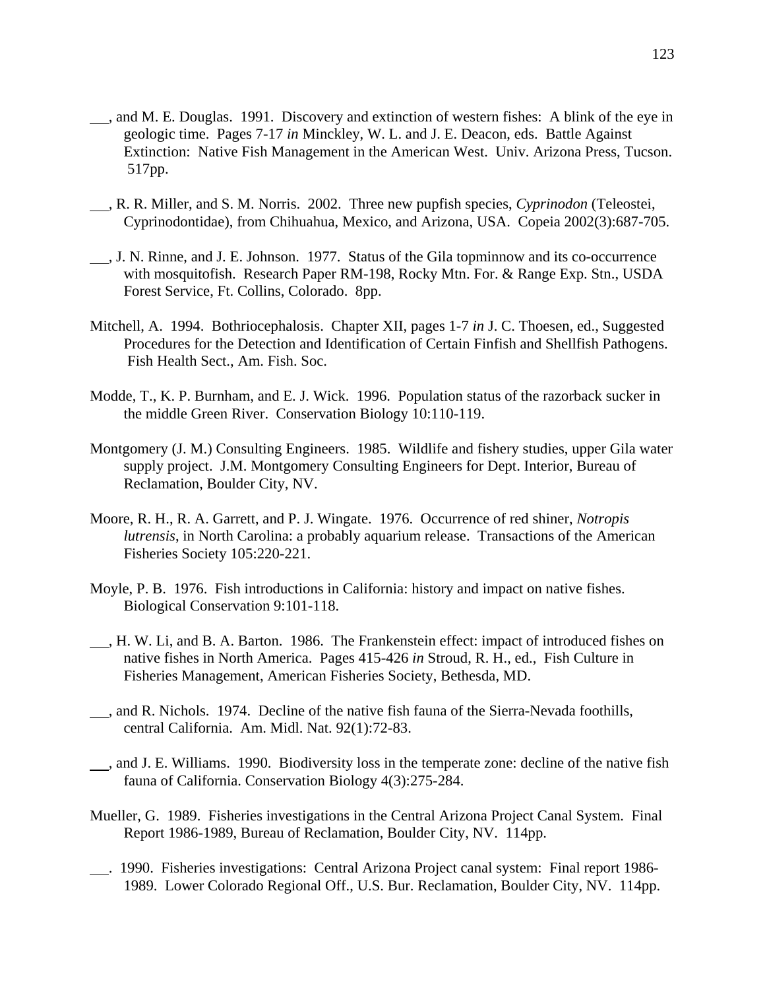- , and M. E. Douglas. 1991. Discovery and extinction of western fishes: A blink of the eye in geologic time. Pages 7-17 *in* Minckley, W. L. and J. E. Deacon, eds. Battle Against Extinction: Native Fish Management in the American West. Univ. Arizona Press, Tucson. 517pp.
- , R. R. Miller, and S. M. Norris. 2002. Three new pupfish species, *Cyprinodon* (Teleostei, Cyprinodontidae), from Chihuahua, Mexico, and Arizona, USA. Copeia 2002(3):687-705.
- , J. N. Rinne, and J. E. Johnson. 1977. Status of the Gila topminnow and its co-occurrence with mosquitofish. Research Paper RM-198, Rocky Mtn. For. & Range Exp. Stn., USDA Forest Service, Ft. Collins, Colorado. 8pp.
- Mitchell, A. 1994. Bothriocephalosis. Chapter XII, pages 1-7 *in* J. C. Thoesen, ed., Suggested Procedures for the Detection and Identification of Certain Finfish and Shellfish Pathogens. Fish Health Sect., Am. Fish. Soc.
- Modde, T., K. P. Burnham, and E. J. Wick. 1996. Population status of the razorback sucker in the middle Green River. Conservation Biology 10:110-119.
- Montgomery (J. M.) Consulting Engineers. 1985. Wildlife and fishery studies, upper Gila water supply project. J.M. Montgomery Consulting Engineers for Dept. Interior, Bureau of Reclamation, Boulder City, NV.
- Moore, R. H., R. A. Garrett, and P. J. Wingate. 1976. Occurrence of red shiner, *Notropis lutrensis*, in North Carolina: a probably aquarium release. Transactions of the American Fisheries Society 105:220-221.
- Moyle, P. B. 1976. Fish introductions in California: history and impact on native fishes. Biological Conservation 9:101-118.
- , H. W. Li, and B. A. Barton. 1986. The Frankenstein effect: impact of introduced fishes on native fishes in North America. Pages 415-426 *in* Stroud, R. H., ed., Fish Culture in Fisheries Management, American Fisheries Society, Bethesda, MD.
- , and R. Nichols. 1974. Decline of the native fish fauna of the Sierra-Nevada foothills, central California. Am. Midl. Nat. 92(1):72-83.
- , and J. E. Williams. 1990. Biodiversity loss in the temperate zone: decline of the native fish fauna of California. Conservation Biology 4(3):275-284.
- Mueller, G. 1989. Fisheries investigations in the Central Arizona Project Canal System. Final Report 1986-1989, Bureau of Reclamation, Boulder City, NV. 114pp.
- . 1990. Fisheries investigations: Central Arizona Project canal system: Final report 1986- 1989. Lower Colorado Regional Off., U.S. Bur. Reclamation, Boulder City, NV. 114pp.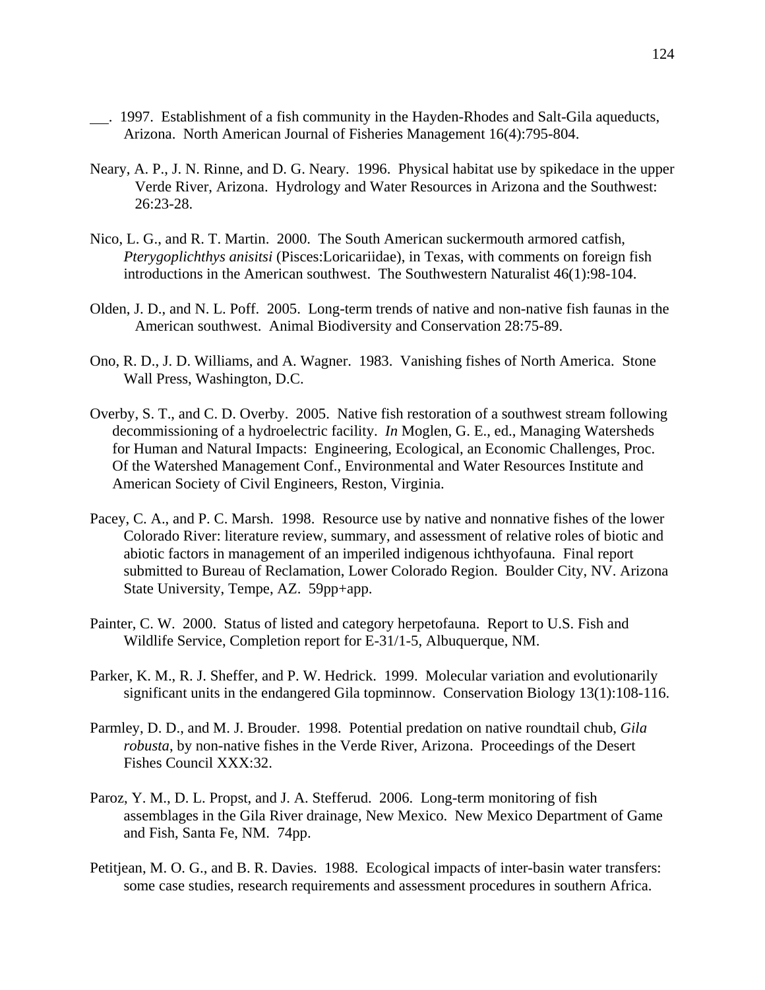- . 1997. Establishment of a fish community in the Hayden-Rhodes and Salt-Gila aqueducts, Arizona. North American Journal of Fisheries Management 16(4):795-804.
- Neary, A. P., J. N. Rinne, and D. G. Neary. 1996. Physical habitat use by spikedace in the upper Verde River, Arizona. Hydrology and Water Resources in Arizona and the Southwest: 26:23-28.
- Nico, L. G., and R. T. Martin. 2000. The South American suckermouth armored catfish, *Pterygoplichthys anisitsi* (Pisces:Loricariidae), in Texas, with comments on foreign fish introductions in the American southwest. The Southwestern Naturalist 46(1):98-104.
- Olden, J. D., and N. L. Poff. 2005. Long-term trends of native and non-native fish faunas in the American southwest. Animal Biodiversity and Conservation 28:75-89.
- Ono, R. D., J. D. Williams, and A. Wagner. 1983. Vanishing fishes of North America. Stone Wall Press, Washington, D.C.
- Overby, S. T., and C. D. Overby. 2005. Native fish restoration of a southwest stream following decommissioning of a hydroelectric facility. *In* Moglen, G. E., ed., Managing Watersheds for Human and Natural Impacts: Engineering, Ecological, an Economic Challenges, Proc. Of the Watershed Management Conf., Environmental and Water Resources Institute and American Society of Civil Engineers, Reston, Virginia.
- Pacey, C. A., and P. C. Marsh. 1998. Resource use by native and nonnative fishes of the lower Colorado River: literature review, summary, and assessment of relative roles of biotic and abiotic factors in management of an imperiled indigenous ichthyofauna. Final report submitted to Bureau of Reclamation, Lower Colorado Region. Boulder City, NV. Arizona State University, Tempe, AZ. 59pp+app.
- Painter, C. W. 2000. Status of listed and category herpetofauna. Report to U.S. Fish and Wildlife Service, Completion report for E-31/1-5, Albuquerque, NM.
- Parker, K. M., R. J. Sheffer, and P. W. Hedrick. 1999. Molecular variation and evolutionarily significant units in the endangered Gila topminnow. Conservation Biology 13(1):108-116.
- Parmley, D. D., and M. J. Brouder. 1998. Potential predation on native roundtail chub, *Gila robusta*, by non-native fishes in the Verde River, Arizona. Proceedings of the Desert Fishes Council XXX:32.
- Paroz, Y. M., D. L. Propst, and J. A. Stefferud. 2006. Long-term monitoring of fish assemblages in the Gila River drainage, New Mexico. New Mexico Department of Game and Fish, Santa Fe, NM. 74pp.
- Petitjean, M. O. G., and B. R. Davies. 1988. Ecological impacts of inter-basin water transfers: some case studies, research requirements and assessment procedures in southern Africa.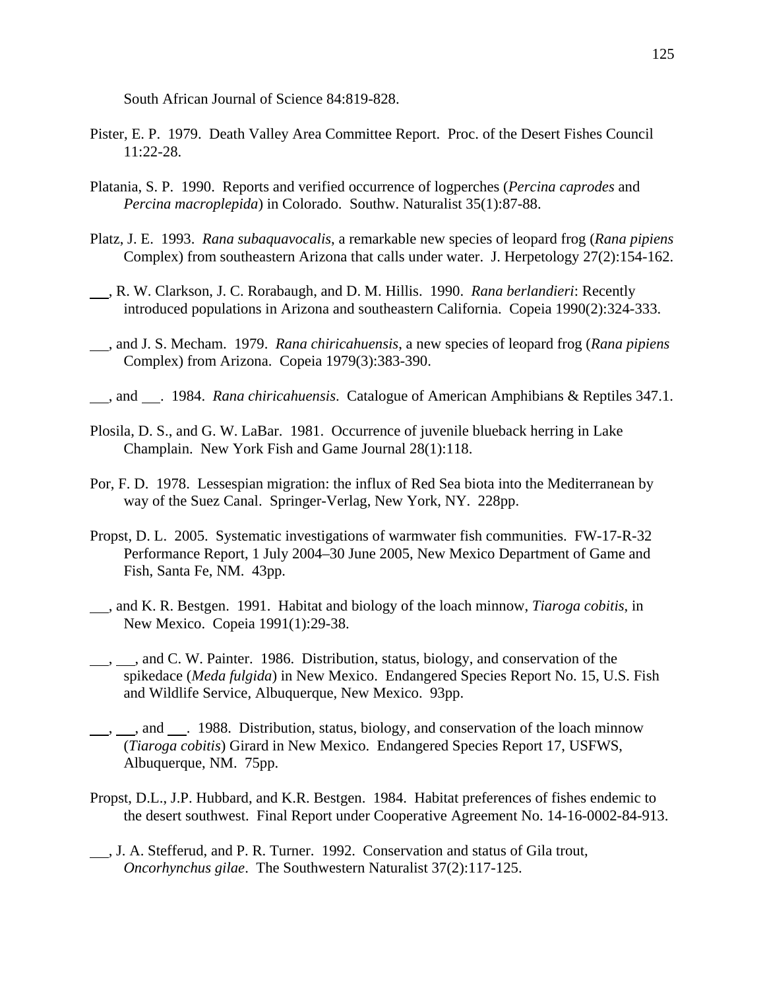South African Journal of Science 84:819-828.

- Pister, E. P. 1979. Death Valley Area Committee Report. Proc. of the Desert Fishes Council 11:22-28.
- Platania, S. P. 1990. Reports and verified occurrence of logperches (*Percina caprodes* and *Percina macroplepida*) in Colorado. Southw. Naturalist 35(1):87-88.
- Platz, J. E. 1993. *Rana subaquavocalis*, a remarkable new species of leopard frog (*Rana pipiens* Complex) from southeastern Arizona that calls under water. J. Herpetology 27(2):154-162.
- , R. W. Clarkson, J. C. Rorabaugh, and D. M. Hillis. 1990. *Rana berlandieri*: Recently introduced populations in Arizona and southeastern California. Copeia 1990(2):324-333.
- , and J. S. Mecham. 1979. *Rana chiricahuensis*, a new species of leopard frog (*Rana pipiens* Complex) from Arizona. Copeia 1979(3):383-390.
- , and . 1984. *Rana chiricahuensis*. Catalogue of American Amphibians & Reptiles 347.1.
- Plosila, D. S., and G. W. LaBar. 1981. Occurrence of juvenile blueback herring in Lake Champlain. New York Fish and Game Journal 28(1):118.
- Por, F. D. 1978. Lessespian migration: the influx of Red Sea biota into the Mediterranean by way of the Suez Canal. Springer-Verlag, New York, NY. 228pp.
- Propst, D. L. 2005. Systematic investigations of warmwater fish communities. FW-17-R-32 Performance Report, 1 July 2004–30 June 2005, New Mexico Department of Game and Fish, Santa Fe, NM. 43pp.
- , and K. R. Bestgen. 1991. Habitat and biology of the loach minnow, *Tiaroga cobitis*, in New Mexico. Copeia 1991(1):29-38.
- <sub>1, 1</sub>, and C. W. Painter. 1986. Distribution, status, biology, and conservation of the spikedace (*Meda fulgida*) in New Mexico. Endangered Species Report No. 15, U.S. Fish and Wildlife Service, Albuquerque, New Mexico. 93pp.
- <sub>1, 1</sub>, and <sub>1</sub>. 1988. Distribution, status, biology, and conservation of the loach minnow (*Tiaroga cobitis*) Girard in New Mexico. Endangered Species Report 17, USFWS, Albuquerque, NM. 75pp.
- Propst, D.L., J.P. Hubbard, and K.R. Bestgen. 1984. Habitat preferences of fishes endemic to the desert southwest. Final Report under Cooperative Agreement No. 14-16-0002-84-913.
- , J. A. Stefferud, and P. R. Turner. 1992. Conservation and status of Gila trout, *Oncorhynchus gilae*. The Southwestern Naturalist 37(2):117-125.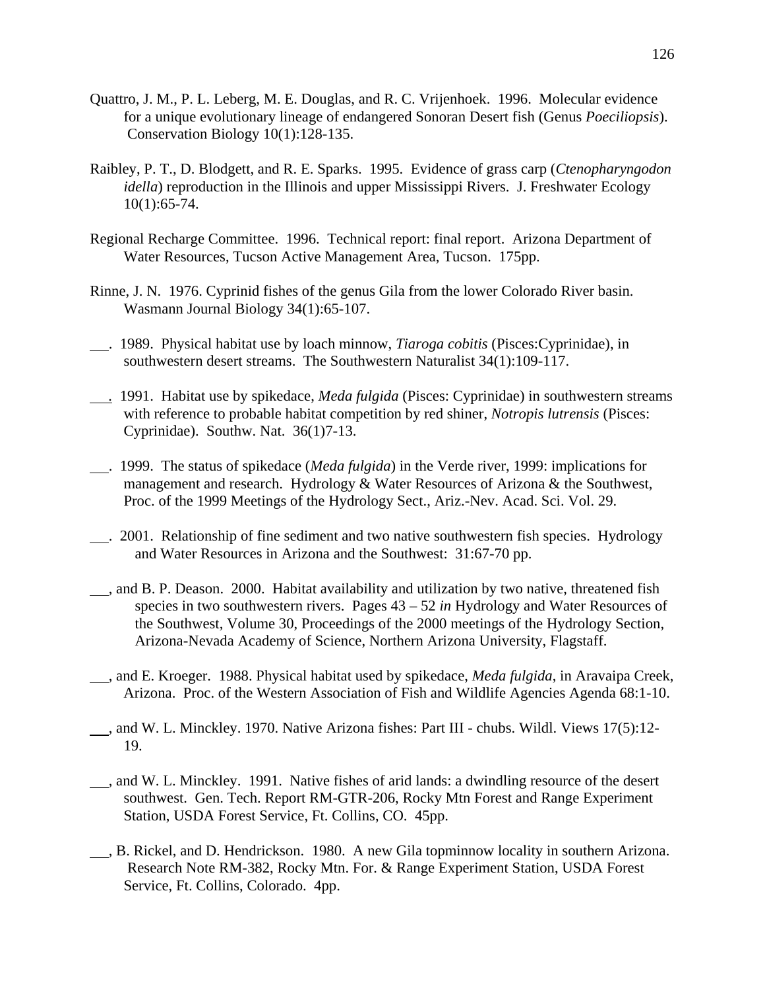- Quattro, J. M., P. L. Leberg, M. E. Douglas, and R. C. Vrijenhoek. 1996. Molecular evidence for a unique evolutionary lineage of endangered Sonoran Desert fish (Genus *Poeciliopsis*). Conservation Biology 10(1):128-135.
- Raibley, P. T., D. Blodgett, and R. E. Sparks. 1995. Evidence of grass carp (*Ctenopharyngodon idella*) reproduction in the Illinois and upper Mississippi Rivers. J. Freshwater Ecology 10(1):65-74.
- Regional Recharge Committee. 1996. Technical report: final report. Arizona Department of Water Resources, Tucson Active Management Area, Tucson. 175pp.
- Rinne, J. N. 1976. Cyprinid fishes of the genus Gila from the lower Colorado River basin. Wasmann Journal Biology 34(1):65-107.
- . 1989. Physical habitat use by loach minnow, *Tiaroga cobitis* (Pisces:Cyprinidae), in southwestern desert streams. The Southwestern Naturalist 34(1):109-117.
- *.* 1991. Habitat use by spikedace, *Meda fulgida* (Pisces: Cyprinidae) in southwestern streams with reference to probable habitat competition by red shiner, *Notropis lutrensis* (Pisces: Cyprinidae). Southw. Nat. 36(1)7-13.
- . 1999. The status of spikedace (*Meda fulgida*) in the Verde river, 1999: implications for management and research. Hydrology & Water Resources of Arizona & the Southwest, Proc. of the 1999 Meetings of the Hydrology Sect., Ariz.-Nev. Acad. Sci. Vol. 29.
- . 2001. Relationship of fine sediment and two native southwestern fish species. Hydrology and Water Resources in Arizona and the Southwest: 31:67-70 pp.
- , and B. P. Deason. 2000. Habitat availability and utilization by two native, threatened fish species in two southwestern rivers. Pages 43 – 52 *in* Hydrology and Water Resources of the Southwest, Volume 30, Proceedings of the 2000 meetings of the Hydrology Section, Arizona-Nevada Academy of Science, Northern Arizona University, Flagstaff.
- , and E. Kroeger. 1988. Physical habitat used by spikedace, *Meda fulgida*, in Aravaipa Creek, Arizona. Proc. of the Western Association of Fish and Wildlife Agencies Agenda 68:1-10.
- , and W. L. Minckley. 1970. Native Arizona fishes: Part III chubs. Wildl. Views 17(5):12- 19.
- , and W. L. Minckley. 1991. Native fishes of arid lands: a dwindling resource of the desert southwest. Gen. Tech. Report RM-GTR-206, Rocky Mtn Forest and Range Experiment Station, USDA Forest Service, Ft. Collins, CO. 45pp.
- , B. Rickel, and D. Hendrickson. 1980. A new Gila topminnow locality in southern Arizona. Research Note RM-382, Rocky Mtn. For. & Range Experiment Station, USDA Forest Service, Ft. Collins, Colorado. 4pp.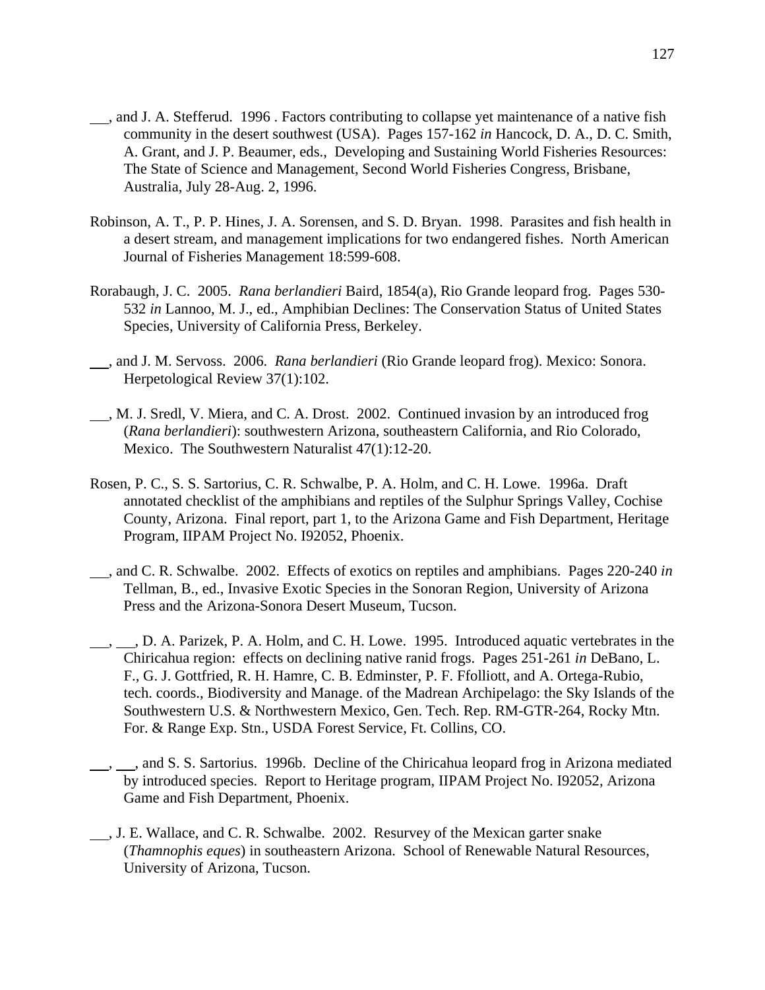- , and J. A. Stefferud. 1996 . Factors contributing to collapse yet maintenance of a native fish community in the desert southwest (USA). Pages 157-162 *in* Hancock, D. A., D. C. Smith, A. Grant, and J. P. Beaumer, eds., Developing and Sustaining World Fisheries Resources: The State of Science and Management, Second World Fisheries Congress, Brisbane, Australia, July 28-Aug. 2, 1996.
- Robinson, A. T., P. P. Hines, J. A. Sorensen, and S. D. Bryan. 1998. Parasites and fish health in a desert stream, and management implications for two endangered fishes. North American Journal of Fisheries Management 18:599-608.
- Rorabaugh, J. C. 2005. *Rana berlandieri* Baird, 1854(a), Rio Grande leopard frog. Pages 530- 532 *in* Lannoo, M. J., ed., Amphibian Declines: The Conservation Status of United States Species, University of California Press, Berkeley.
- , and J. M. Servoss. 2006. *Rana berlandieri* (Rio Grande leopard frog). Mexico: Sonora. Herpetological Review 37(1):102.
- , M. J. Sredl, V. Miera, and C. A. Drost. 2002. Continued invasion by an introduced frog (*Rana berlandieri*): southwestern Arizona, southeastern California, and Rio Colorado, Mexico. The Southwestern Naturalist 47(1):12-20.
- Rosen, P. C., S. S. Sartorius, C. R. Schwalbe, P. A. Holm, and C. H. Lowe. 1996a. Draft annotated checklist of the amphibians and reptiles of the Sulphur Springs Valley, Cochise County, Arizona. Final report, part 1, to the Arizona Game and Fish Department, Heritage Program, IIPAM Project No. I92052, Phoenix.
- , and C. R. Schwalbe. 2002. Effects of exotics on reptiles and amphibians. Pages 220-240 *in* Tellman, B., ed., Invasive Exotic Species in the Sonoran Region, University of Arizona Press and the Arizona-Sonora Desert Museum, Tucson.
- $\_, \_\_$ , D. A. Parizek, P. A. Holm, and C. H. Lowe. 1995. Introduced aquatic vertebrates in the Chiricahua region: effects on declining native ranid frogs. Pages 251-261 *in* DeBano, L. F., G. J. Gottfried, R. H. Hamre, C. B. Edminster, P. F. Ffolliott, and A. Ortega-Rubio, tech. coords., Biodiversity and Manage. of the Madrean Archipelago: the Sky Islands of the Southwestern U.S. & Northwestern Mexico, Gen. Tech. Rep. RM-GTR-264, Rocky Mtn. For. & Range Exp. Stn., USDA Forest Service, Ft. Collins, CO.
- , , and S. S. Sartorius. 1996b. Decline of the Chiricahua leopard frog in Arizona mediated by introduced species. Report to Heritage program, IIPAM Project No. I92052, Arizona Game and Fish Department, Phoenix.
- , J. E. Wallace, and C. R. Schwalbe. 2002. Resurvey of the Mexican garter snake (*Thamnophis eques*) in southeastern Arizona. School of Renewable Natural Resources, University of Arizona, Tucson.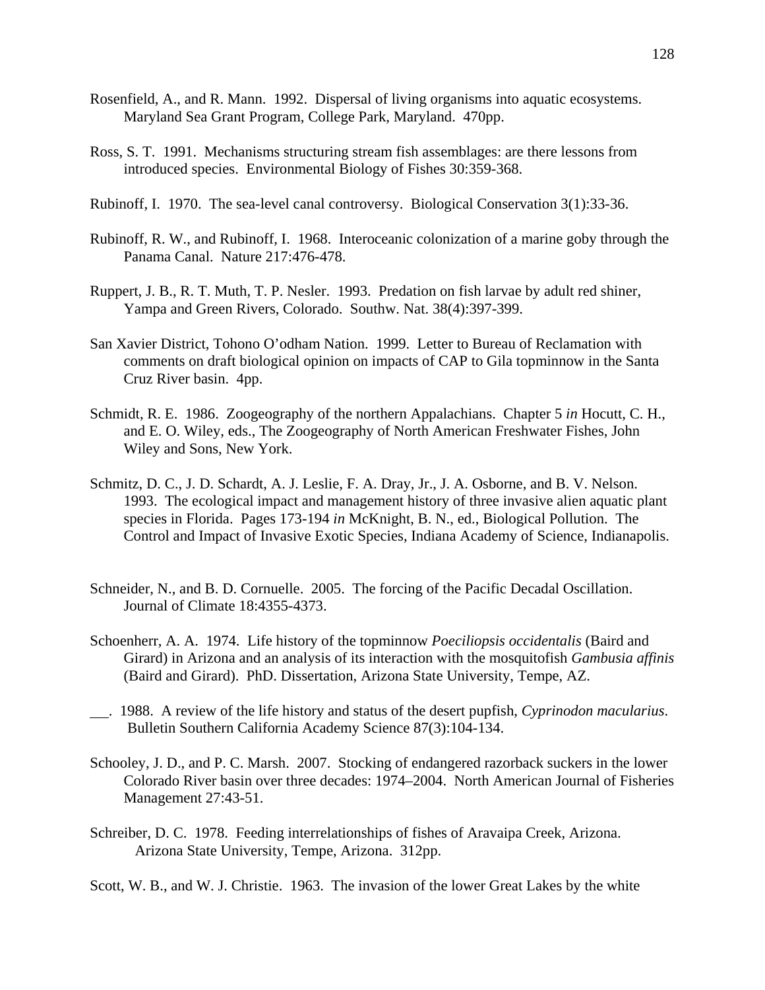- Rosenfield, A., and R. Mann. 1992. Dispersal of living organisms into aquatic ecosystems. Maryland Sea Grant Program, College Park, Maryland. 470pp.
- Ross, S. T. 1991. Mechanisms structuring stream fish assemblages: are there lessons from introduced species. Environmental Biology of Fishes 30:359-368.
- Rubinoff, I. 1970. The sea-level canal controversy. Biological Conservation 3(1):33-36.
- Rubinoff, R. W., and Rubinoff, I. 1968. Interoceanic colonization of a marine goby through the Panama Canal. Nature 217:476-478.
- Ruppert, J. B., R. T. Muth, T. P. Nesler. 1993. Predation on fish larvae by adult red shiner, Yampa and Green Rivers, Colorado. Southw. Nat. 38(4):397-399.
- San Xavier District, Tohono O'odham Nation. 1999. Letter to Bureau of Reclamation with comments on draft biological opinion on impacts of CAP to Gila topminnow in the Santa Cruz River basin. 4pp.
- Schmidt, R. E. 1986. Zoogeography of the northern Appalachians. Chapter 5 *in* Hocutt, C. H., and E. O. Wiley, eds., The Zoogeography of North American Freshwater Fishes, John Wiley and Sons, New York.
- Schmitz, D. C., J. D. Schardt, A. J. Leslie, F. A. Dray, Jr., J. A. Osborne, and B. V. Nelson. 1993. The ecological impact and management history of three invasive alien aquatic plant species in Florida. Pages 173-194 *in* McKnight, B. N., ed., Biological Pollution. The Control and Impact of Invasive Exotic Species, Indiana Academy of Science, Indianapolis.
- Schneider, N., and B. D. Cornuelle. 2005. The forcing of the Pacific Decadal Oscillation. Journal of Climate 18:4355-4373.
- Schoenherr, A. A. 1974. Life history of the topminnow *Poeciliopsis occidentalis* (Baird and Girard) in Arizona and an analysis of its interaction with the mosquitofish *Gambusia affinis* (Baird and Girard). PhD. Dissertation, Arizona State University, Tempe, AZ.
- . 1988. A review of the life history and status of the desert pupfish, *Cyprinodon macularius*. Bulletin Southern California Academy Science 87(3):104-134.
- Schooley, J. D., and P. C. Marsh. 2007. Stocking of endangered razorback suckers in the lower Colorado River basin over three decades: 1974–2004. North American Journal of Fisheries Management 27:43-51.
- Schreiber, D. C. 1978. Feeding interrelationships of fishes of Aravaipa Creek, Arizona. Arizona State University, Tempe, Arizona. 312pp.

Scott, W. B., and W. J. Christie. 1963. The invasion of the lower Great Lakes by the white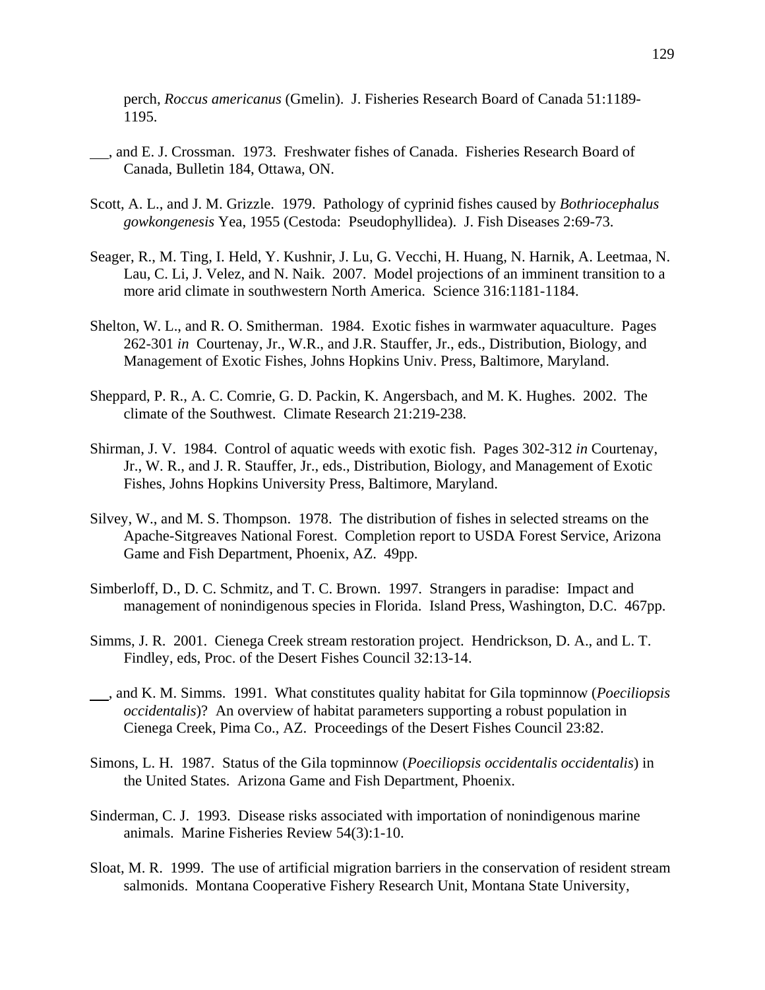perch, *Roccus americanus* (Gmelin). J. Fisheries Research Board of Canada 51:1189- 1195.

- , and E. J. Crossman. 1973. Freshwater fishes of Canada. Fisheries Research Board of Canada, Bulletin 184, Ottawa, ON.
- Scott, A. L., and J. M. Grizzle. 1979. Pathology of cyprinid fishes caused by *Bothriocephalus gowkongenesis* Yea, 1955 (Cestoda: Pseudophyllidea). J. Fish Diseases 2:69-73.
- Seager, R., M. Ting, I. Held, Y. Kushnir, J. Lu, G. Vecchi, H. Huang, N. Harnik, A. Leetmaa, N. Lau, C. Li, J. Velez, and N. Naik. 2007. Model projections of an imminent transition to a more arid climate in southwestern North America. Science 316:1181-1184.
- Shelton, W. L., and R. O. Smitherman. 1984. Exotic fishes in warmwater aquaculture. Pages 262-301 *in* Courtenay, Jr., W.R., and J.R. Stauffer, Jr., eds., Distribution, Biology, and Management of Exotic Fishes, Johns Hopkins Univ. Press, Baltimore, Maryland.
- Sheppard, P. R., A. C. Comrie, G. D. Packin, K. Angersbach, and M. K. Hughes. 2002. The climate of the Southwest. Climate Research 21:219-238.
- Shirman, J. V. 1984. Control of aquatic weeds with exotic fish. Pages 302-312 *in* Courtenay, Jr., W. R., and J. R. Stauffer, Jr., eds., Distribution, Biology, and Management of Exotic Fishes, Johns Hopkins University Press, Baltimore, Maryland.
- Silvey, W., and M. S. Thompson. 1978. The distribution of fishes in selected streams on the Apache-Sitgreaves National Forest. Completion report to USDA Forest Service, Arizona Game and Fish Department, Phoenix, AZ. 49pp.
- Simberloff, D., D. C. Schmitz, and T. C. Brown. 1997. Strangers in paradise: Impact and management of nonindigenous species in Florida. Island Press, Washington, D.C. 467pp.
- Simms, J. R. 2001. Cienega Creek stream restoration project. Hendrickson, D. A., and L. T. Findley, eds, Proc. of the Desert Fishes Council 32:13-14.
- , and K. M. Simms. 1991. What constitutes quality habitat for Gila topminnow (*Poeciliopsis occidentalis*)? An overview of habitat parameters supporting a robust population in Cienega Creek, Pima Co., AZ. Proceedings of the Desert Fishes Council 23:82.
- Simons, L. H. 1987. Status of the Gila topminnow (*Poeciliopsis occidentalis occidentalis*) in the United States. Arizona Game and Fish Department, Phoenix.
- Sinderman, C. J. 1993. Disease risks associated with importation of nonindigenous marine animals. Marine Fisheries Review 54(3):1-10.
- Sloat, M. R. 1999. The use of artificial migration barriers in the conservation of resident stream salmonids. Montana Cooperative Fishery Research Unit, Montana State University,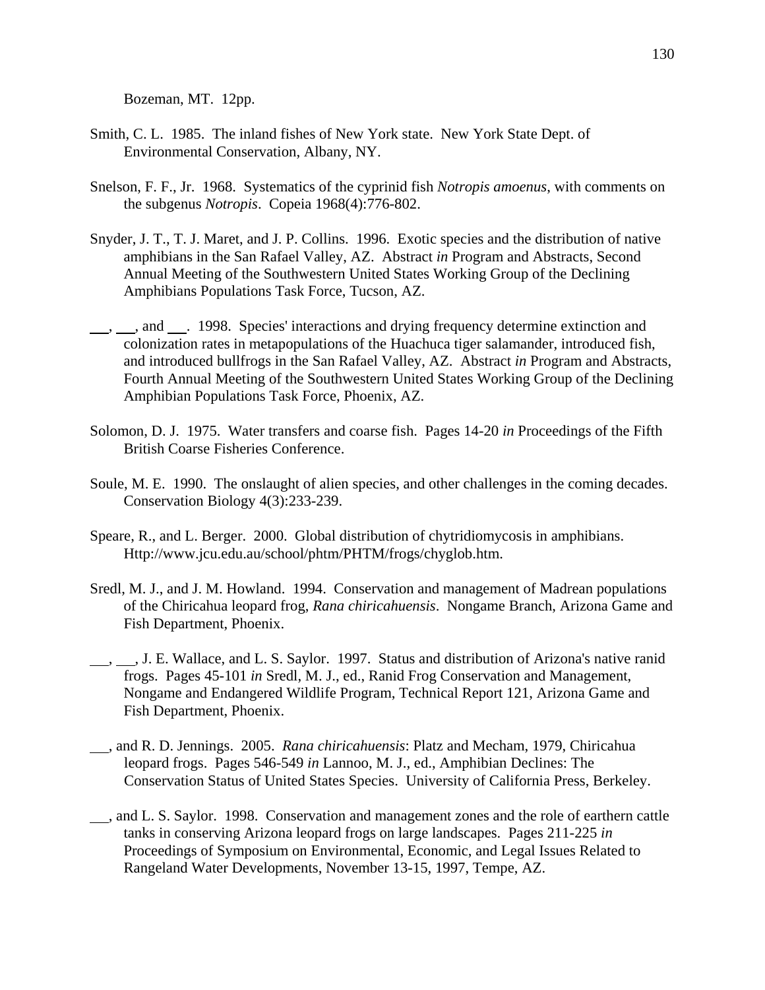Bozeman, MT. 12pp.

- Smith, C. L. 1985. The inland fishes of New York state. New York State Dept. of Environmental Conservation, Albany, NY.
- Snelson, F. F., Jr. 1968. Systematics of the cyprinid fish *Notropis amoenus*, with comments on the subgenus *Notropis*. Copeia 1968(4):776-802.
- Snyder, J. T., T. J. Maret, and J. P. Collins. 1996. Exotic species and the distribution of native amphibians in the San Rafael Valley, AZ. Abstract *in* Program and Abstracts, Second Annual Meeting of the Southwestern United States Working Group of the Declining Amphibians Populations Task Force, Tucson, AZ.
- $\_\_\_\_\$ , and  $\_\_\_\$ . 1998. Species' interactions and drying frequency determine extinction and colonization rates in metapopulations of the Huachuca tiger salamander, introduced fish, and introduced bullfrogs in the San Rafael Valley, AZ. Abstract *in* Program and Abstracts, Fourth Annual Meeting of the Southwestern United States Working Group of the Declining Amphibian Populations Task Force, Phoenix, AZ.
- Solomon, D. J. 1975. Water transfers and coarse fish. Pages 14-20 *in* Proceedings of the Fifth British Coarse Fisheries Conference.
- Soule, M. E. 1990. The onslaught of alien species, and other challenges in the coming decades. Conservation Biology 4(3):233-239.
- Speare, R., and L. Berger. 2000. Global distribution of chytridiomycosis in amphibians. Http://www.jcu.edu.au/school/phtm/PHTM/frogs/chyglob.htm.
- Sredl, M. J., and J. M. Howland. 1994. Conservation and management of Madrean populations of the Chiricahua leopard frog, *Rana chiricahuensis*. Nongame Branch, Arizona Game and Fish Department, Phoenix.
- $\_\_\_\,,\_\_\_\$ . J. E. Wallace, and L. S. Saylor. 1997. Status and distribution of Arizona's native ranid frogs. Pages 45-101 *in* Sredl, M. J., ed., Ranid Frog Conservation and Management, Nongame and Endangered Wildlife Program, Technical Report 121, Arizona Game and Fish Department, Phoenix.
- , and R. D. Jennings. 2005. *Rana chiricahuensis*: Platz and Mecham, 1979, Chiricahua leopard frogs. Pages 546-549 *in* Lannoo, M. J., ed., Amphibian Declines: The Conservation Status of United States Species. University of California Press, Berkeley.
- , and L. S. Saylor. 1998. Conservation and management zones and the role of earthern cattle tanks in conserving Arizona leopard frogs on large landscapes. Pages 211-225 *in* Proceedings of Symposium on Environmental, Economic, and Legal Issues Related to Rangeland Water Developments, November 13-15, 1997, Tempe, AZ.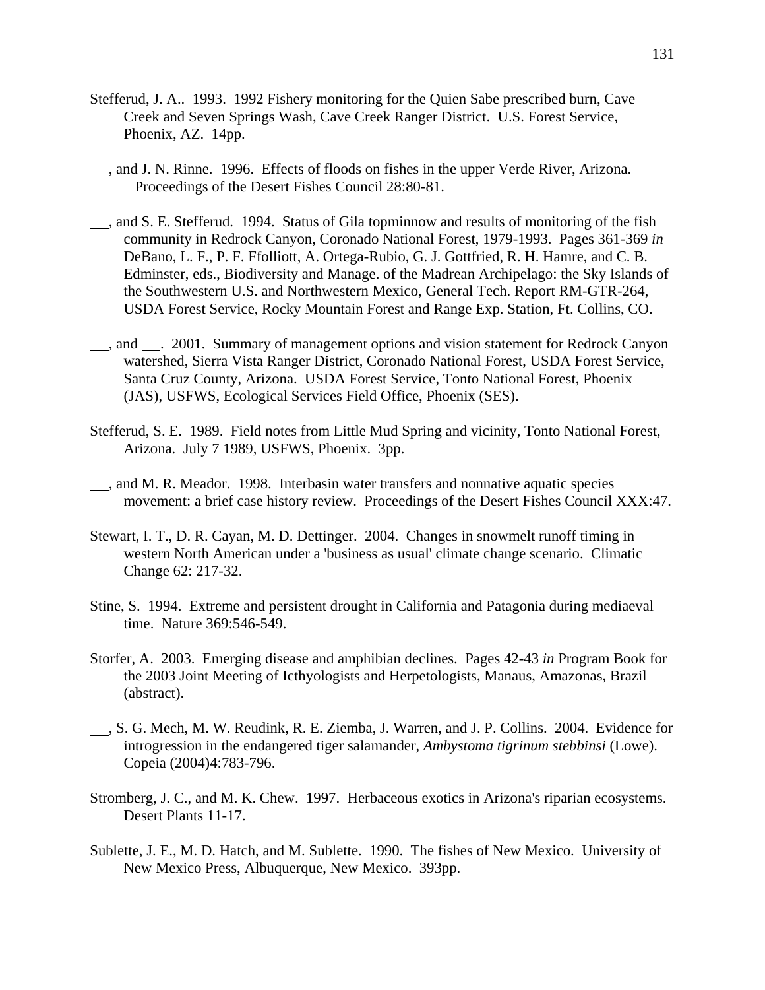- Stefferud, J. A.. 1993. 1992 Fishery monitoring for the Quien Sabe prescribed burn, Cave Creek and Seven Springs Wash, Cave Creek Ranger District. U.S. Forest Service, Phoenix, AZ. 14pp.
- , and J. N. Rinne. 1996. Effects of floods on fishes in the upper Verde River, Arizona. Proceedings of the Desert Fishes Council 28:80-81.
- , and S. E. Stefferud. 1994. Status of Gila topminnow and results of monitoring of the fish community in Redrock Canyon, Coronado National Forest, 1979-1993. Pages 361-369 *in* DeBano, L. F., P. F. Ffolliott, A. Ortega-Rubio, G. J. Gottfried, R. H. Hamre, and C. B. Edminster, eds., Biodiversity and Manage. of the Madrean Archipelago: the Sky Islands of the Southwestern U.S. and Northwestern Mexico, General Tech. Report RM-GTR-264, USDA Forest Service, Rocky Mountain Forest and Range Exp. Station, Ft. Collins, CO.
- <sub>1</sub>, and <sub>2001</sub>. Summary of management options and vision statement for Redrock Canyon watershed, Sierra Vista Ranger District, Coronado National Forest, USDA Forest Service, Santa Cruz County, Arizona. USDA Forest Service, Tonto National Forest, Phoenix (JAS), USFWS, Ecological Services Field Office, Phoenix (SES).
- Stefferud, S. E. 1989. Field notes from Little Mud Spring and vicinity, Tonto National Forest, Arizona. July 7 1989, USFWS, Phoenix. 3pp.
- ..., and M. R. Meador. 1998. Interbasin water transfers and nonnative aquatic species movement: a brief case history review. Proceedings of the Desert Fishes Council XXX:47.
- Stewart, I. T., D. R. Cayan, M. D. Dettinger. 2004. Changes in snowmelt runoff timing in western North American under a 'business as usual' climate change scenario. Climatic Change 62: 217-32.
- Stine, S. 1994. Extreme and persistent drought in California and Patagonia during mediaeval time. Nature 369:546-549.
- Storfer, A. 2003. Emerging disease and amphibian declines. Pages 42-43 *in* Program Book for the 2003 Joint Meeting of Icthyologists and Herpetologists, Manaus, Amazonas, Brazil (abstract).
- , S. G. Mech, M. W. Reudink, R. E. Ziemba, J. Warren, and J. P. Collins. 2004. Evidence for introgression in the endangered tiger salamander, *Ambystoma tigrinum stebbinsi* (Lowe). Copeia (2004)4:783-796.
- Stromberg, J. C., and M. K. Chew. 1997. Herbaceous exotics in Arizona's riparian ecosystems. Desert Plants 11-17.
- Sublette, J. E., M. D. Hatch, and M. Sublette. 1990. The fishes of New Mexico. University of New Mexico Press, Albuquerque, New Mexico. 393pp.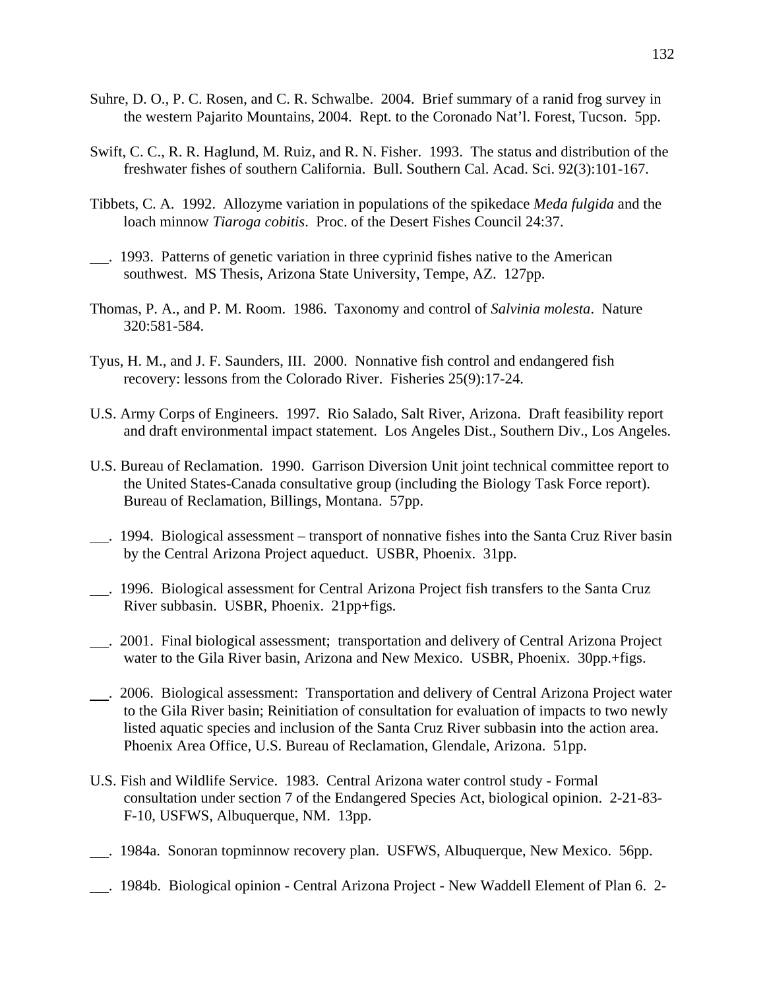- Suhre, D. O., P. C. Rosen, and C. R. Schwalbe. 2004. Brief summary of a ranid frog survey in the western Pajarito Mountains, 2004. Rept. to the Coronado Nat'l. Forest, Tucson. 5pp.
- Swift, C. C., R. R. Haglund, M. Ruiz, and R. N. Fisher. 1993. The status and distribution of the freshwater fishes of southern California. Bull. Southern Cal. Acad. Sci. 92(3):101-167.
- Tibbets, C. A. 1992. Allozyme variation in populations of the spikedace *Meda fulgida* and the loach minnow *Tiaroga cobitis*. Proc. of the Desert Fishes Council 24:37.
- . 1993. Patterns of genetic variation in three cyprinid fishes native to the American southwest. MS Thesis, Arizona State University, Tempe, AZ. 127pp.
- Thomas, P. A., and P. M. Room. 1986. Taxonomy and control of *Salvinia molesta*. Nature 320:581-584.
- Tyus, H. M., and J. F. Saunders, III. 2000. Nonnative fish control and endangered fish recovery: lessons from the Colorado River. Fisheries 25(9):17-24.
- U.S. Army Corps of Engineers. 1997. Rio Salado, Salt River, Arizona. Draft feasibility report and draft environmental impact statement. Los Angeles Dist., Southern Div., Los Angeles.
- U.S. Bureau of Reclamation. 1990. Garrison Diversion Unit joint technical committee report to the United States-Canada consultative group (including the Biology Task Force report). Bureau of Reclamation, Billings, Montana. 57pp.
- . 1994. Biological assessment transport of nonnative fishes into the Santa Cruz River basin by the Central Arizona Project aqueduct. USBR, Phoenix. 31pp.
- . 1996. Biological assessment for Central Arizona Project fish transfers to the Santa Cruz River subbasin. USBR, Phoenix. 21pp+figs.
- . 2001. Final biological assessment; transportation and delivery of Central Arizona Project water to the Gila River basin, Arizona and New Mexico. USBR, Phoenix. 30pp.+figs.
- . 2006. Biological assessment: Transportation and delivery of Central Arizona Project water to the Gila River basin; Reinitiation of consultation for evaluation of impacts to two newly listed aquatic species and inclusion of the Santa Cruz River subbasin into the action area. Phoenix Area Office, U.S. Bureau of Reclamation, Glendale, Arizona. 51pp.
- U.S. Fish and Wildlife Service. 1983. Central Arizona water control study Formal consultation under section 7 of the Endangered Species Act, biological opinion. 2-21-83- F-10, USFWS, Albuquerque, NM. 13pp.
- . 1984a. Sonoran topminnow recovery plan. USFWS, Albuquerque, New Mexico. 56pp.
- . 1984b. Biological opinion Central Arizona Project New Waddell Element of Plan 6. 2-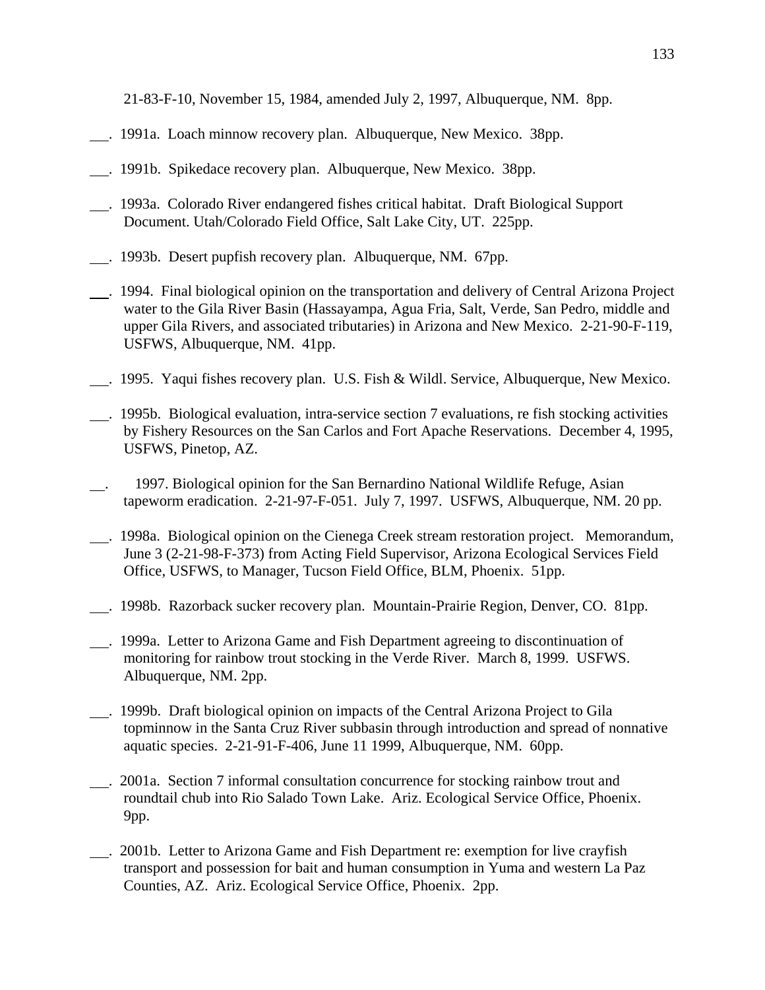21-83-F-10, November 15, 1984, amended July 2, 1997, Albuquerque, NM. 8pp.

- . 1991a. Loach minnow recovery plan. Albuquerque, New Mexico. 38pp.
- . 1991b. Spikedace recovery plan. Albuquerque, New Mexico. 38pp.
- . 1993a. Colorado River endangered fishes critical habitat. Draft Biological Support Document. Utah/Colorado Field Office, Salt Lake City, UT. 225pp.
- . 1993b. Desert pupfish recovery plan. Albuquerque, NM. 67pp.
- . 1994. Final biological opinion on the transportation and delivery of Central Arizona Project water to the Gila River Basin (Hassayampa, Agua Fria, Salt, Verde, San Pedro, middle and upper Gila Rivers, and associated tributaries) in Arizona and New Mexico. 2-21-90-F-119, USFWS, Albuquerque, NM. 41pp.
- . 1995. Yaqui fishes recovery plan. U.S. Fish & Wildl. Service, Albuquerque, New Mexico.
- . 1995b. Biological evaluation, intra-service section 7 evaluations, re fish stocking activities by Fishery Resources on the San Carlos and Fort Apache Reservations. December 4, 1995, USFWS, Pinetop, AZ.
- . 1997. Biological opinion for the San Bernardino National Wildlife Refuge, Asian tapeworm eradication. 2-21-97-F-051. July 7, 1997. USFWS, Albuquerque, NM. 20 pp.
- . 1998a. Biological opinion on the Cienega Creek stream restoration project. Memorandum, June 3 (2-21-98-F-373) from Acting Field Supervisor, Arizona Ecological Services Field Office, USFWS, to Manager, Tucson Field Office, BLM, Phoenix. 51pp.
- . 1998b. Razorback sucker recovery plan. Mountain-Prairie Region, Denver, CO. 81pp.
- . 1999a. Letter to Arizona Game and Fish Department agreeing to discontinuation of monitoring for rainbow trout stocking in the Verde River. March 8, 1999. USFWS. Albuquerque, NM. 2pp.
- . 1999b. Draft biological opinion on impacts of the Central Arizona Project to Gila topminnow in the Santa Cruz River subbasin through introduction and spread of nonnative aquatic species. 2-21-91-F-406, June 11 1999, Albuquerque, NM. 60pp.
- . 2001a. Section 7 informal consultation concurrence for stocking rainbow trout and roundtail chub into Rio Salado Town Lake. Ariz. Ecological Service Office, Phoenix. 9pp.
- . 2001b. Letter to Arizona Game and Fish Department re: exemption for live crayfish transport and possession for bait and human consumption in Yuma and western La Paz Counties, AZ. Ariz. Ecological Service Office, Phoenix. 2pp.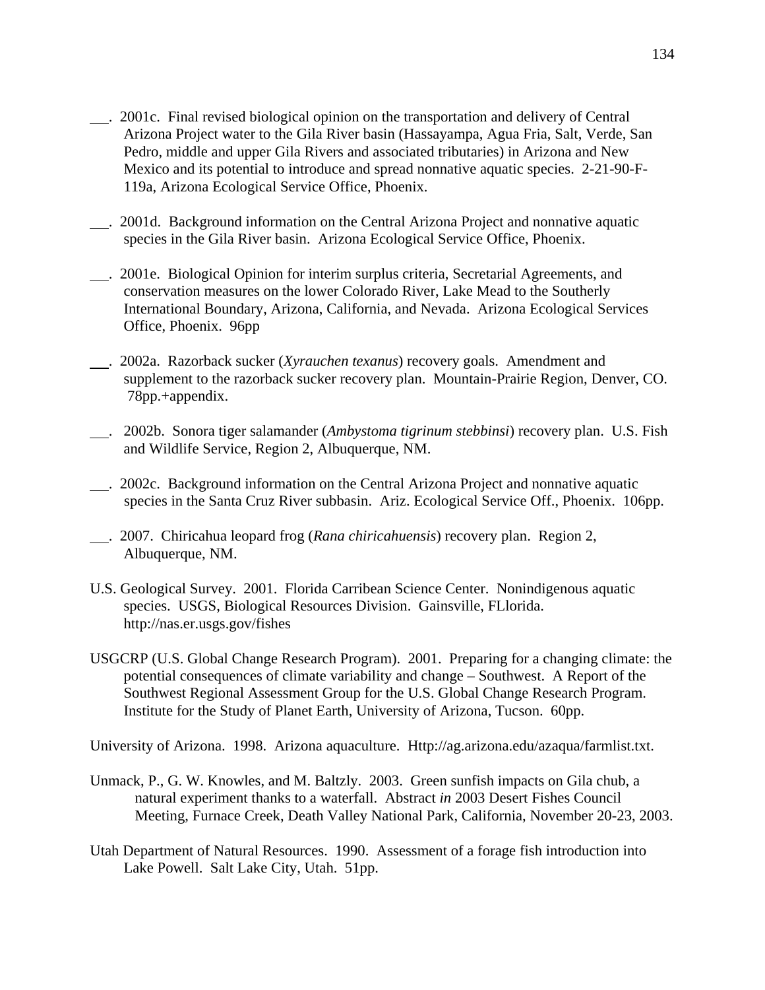- . 2001c. Final revised biological opinion on the transportation and delivery of Central Arizona Project water to the Gila River basin (Hassayampa, Agua Fria, Salt, Verde, San Pedro, middle and upper Gila Rivers and associated tributaries) in Arizona and New Mexico and its potential to introduce and spread nonnative aquatic species. 2-21-90-F-119a, Arizona Ecological Service Office, Phoenix.
- . 2001d. Background information on the Central Arizona Project and nonnative aquatic species in the Gila River basin. Arizona Ecological Service Office, Phoenix.
- . 2001e. Biological Opinion for interim surplus criteria, Secretarial Agreements, and conservation measures on the lower Colorado River, Lake Mead to the Southerly International Boundary, Arizona, California, and Nevada. Arizona Ecological Services Office, Phoenix. 96pp
- . 2002a. Razorback sucker (*Xyrauchen texanus*) recovery goals. Amendment and supplement to the razorback sucker recovery plan. Mountain-Prairie Region, Denver, CO. 78pp.+appendix.
- . 2002b. Sonora tiger salamander (*Ambystoma tigrinum stebbinsi*) recovery plan. U.S. Fish and Wildlife Service, Region 2, Albuquerque, NM.
- . 2002c. Background information on the Central Arizona Project and nonnative aquatic species in the Santa Cruz River subbasin. Ariz. Ecological Service Off., Phoenix. 106pp.
- . 2007. Chiricahua leopard frog (*Rana chiricahuensis*) recovery plan. Region 2, Albuquerque, NM.
- U.S. Geological Survey. 2001. Florida Carribean Science Center. Nonindigenous aquatic species. USGS, Biological Resources Division. Gainsville, FLlorida. http://nas.er.usgs.gov/fishes
- USGCRP (U.S. Global Change Research Program). 2001. Preparing for a changing climate: the potential consequences of climate variability and change – Southwest. A Report of the Southwest Regional Assessment Group for the U.S. Global Change Research Program. Institute for the Study of Planet Earth, University of Arizona, Tucson. 60pp.

University of Arizona. 1998. Arizona aquaculture. Http://ag.arizona.edu/azaqua/farmlist.txt.

- Unmack, P., G. W. Knowles, and M. Baltzly. 2003. Green sunfish impacts on Gila chub, a natural experiment thanks to a waterfall. Abstract *in* 2003 Desert Fishes Council Meeting, Furnace Creek, Death Valley National Park, California, November 20-23, 2003.
- Utah Department of Natural Resources. 1990. Assessment of a forage fish introduction into Lake Powell. Salt Lake City, Utah. 51pp.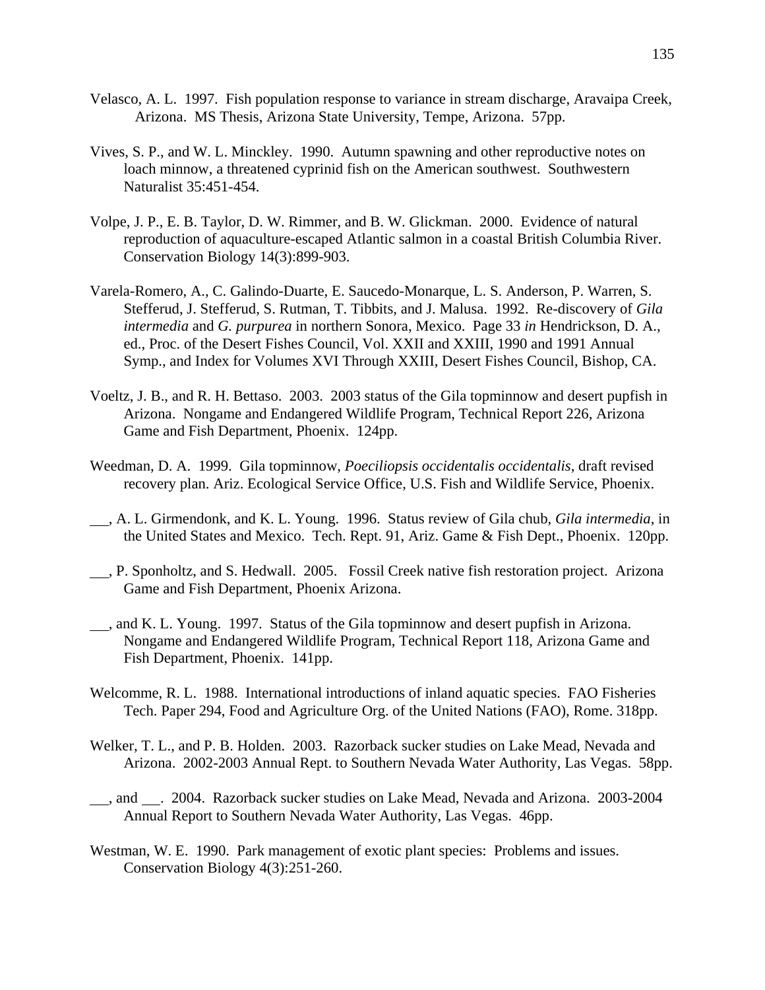- Velasco, A. L. 1997. Fish population response to variance in stream discharge, Aravaipa Creek, Arizona. MS Thesis, Arizona State University, Tempe, Arizona. 57pp.
- Vives, S. P., and W. L. Minckley. 1990. Autumn spawning and other reproductive notes on loach minnow, a threatened cyprinid fish on the American southwest. Southwestern Naturalist 35:451-454.
- Volpe, J. P., E. B. Taylor, D. W. Rimmer, and B. W. Glickman. 2000. Evidence of natural reproduction of aquaculture-escaped Atlantic salmon in a coastal British Columbia River. Conservation Biology 14(3):899-903.
- Varela-Romero, A., C. Galindo-Duarte, E. Saucedo-Monarque, L. S. Anderson, P. Warren, S. Stefferud, J. Stefferud, S. Rutman, T. Tibbits, and J. Malusa. 1992. Re-discovery of *Gila intermedia* and *G. purpurea* in northern Sonora, Mexico. Page 33 *in* Hendrickson, D. A., ed., Proc. of the Desert Fishes Council, Vol. XXII and XXIII, 1990 and 1991 Annual Symp., and Index for Volumes XVI Through XXIII, Desert Fishes Council, Bishop, CA.
- Voeltz, J. B., and R. H. Bettaso. 2003. 2003 status of the Gila topminnow and desert pupfish in Arizona. Nongame and Endangered Wildlife Program, Technical Report 226, Arizona Game and Fish Department, Phoenix. 124pp.
- Weedman, D. A. 1999. Gila topminnow, *Poeciliopsis occidentalis occidentalis*, draft revised recovery plan. Ariz. Ecological Service Office, U.S. Fish and Wildlife Service, Phoenix.
- , A. L. Girmendonk, and K. L. Young. 1996. Status review of Gila chub, *Gila intermedia*, in the United States and Mexico. Tech. Rept. 91, Ariz. Game & Fish Dept., Phoenix. 120pp.
- , P. Sponholtz, and S. Hedwall. 2005. Fossil Creek native fish restoration project. Arizona Game and Fish Department, Phoenix Arizona.
- , and K. L. Young. 1997. Status of the Gila topminnow and desert pupfish in Arizona. Nongame and Endangered Wildlife Program, Technical Report 118, Arizona Game and Fish Department, Phoenix. 141pp.
- Welcomme, R. L. 1988. International introductions of inland aquatic species. FAO Fisheries Tech. Paper 294, Food and Agriculture Org. of the United Nations (FAO), Rome. 318pp.
- Welker, T. L., and P. B. Holden. 2003. Razorback sucker studies on Lake Mead, Nevada and Arizona. 2002-2003 Annual Rept. to Southern Nevada Water Authority, Las Vegas. 58pp.
- , and . 2004. Razorback sucker studies on Lake Mead, Nevada and Arizona. 2003-2004 Annual Report to Southern Nevada Water Authority, Las Vegas. 46pp.
- Westman, W. E. 1990. Park management of exotic plant species: Problems and issues. Conservation Biology 4(3):251-260.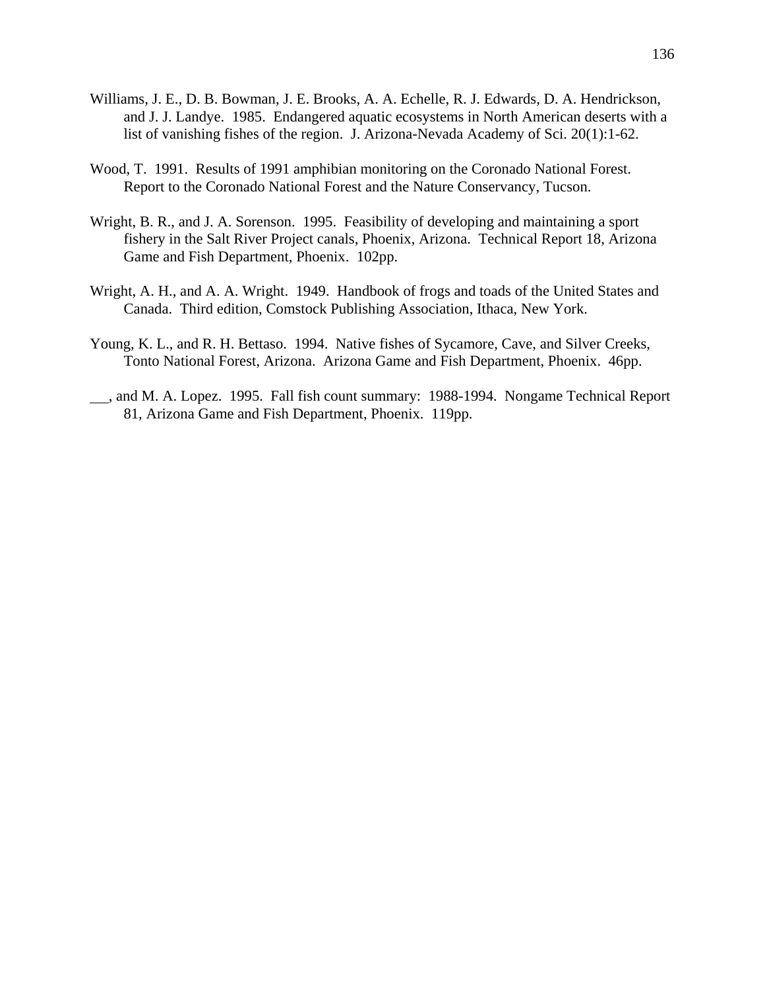- Williams, J. E., D. B. Bowman, J. E. Brooks, A. A. Echelle, R. J. Edwards, D. A. Hendrickson, and J. J. Landye. 1985. Endangered aquatic ecosystems in North American deserts with a list of vanishing fishes of the region. J. Arizona-Nevada Academy of Sci. 20(1):1-62.
- Wood, T. 1991. Results of 1991 amphibian monitoring on the Coronado National Forest. Report to the Coronado National Forest and the Nature Conservancy, Tucson.
- Wright, B. R., and J. A. Sorenson. 1995. Feasibility of developing and maintaining a sport fishery in the Salt River Project canals, Phoenix, Arizona. Technical Report 18, Arizona Game and Fish Department, Phoenix. 102pp.
- Wright, A. H., and A. A. Wright. 1949. Handbook of frogs and toads of the United States and Canada. Third edition, Comstock Publishing Association, Ithaca, New York.
- Young, K. L., and R. H. Bettaso. 1994. Native fishes of Sycamore, Cave, and Silver Creeks, Tonto National Forest, Arizona. Arizona Game and Fish Department, Phoenix. 46pp.
- , and M. A. Lopez. 1995. Fall fish count summary: 1988-1994. Nongame Technical Report 81, Arizona Game and Fish Department, Phoenix. 119pp.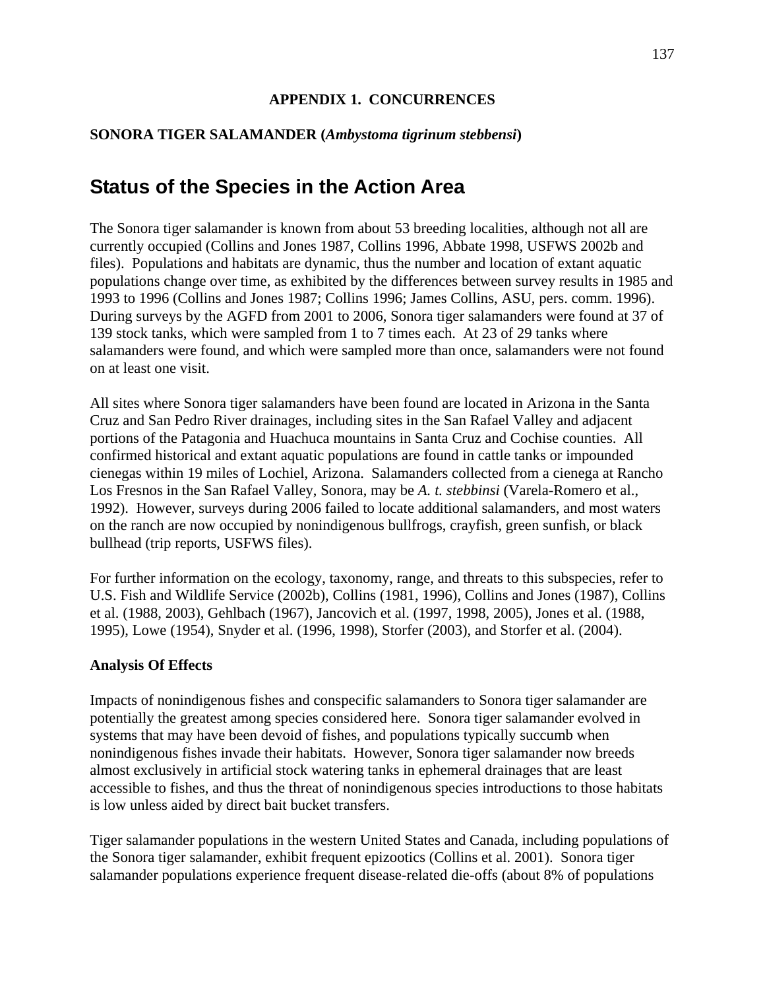## **APPENDIX 1. CONCURRENCES**

## **SONORA TIGER SALAMANDER (***Ambystoma tigrinum stebbensi***)**

# **Status of the Species in the Action Area**

The Sonora tiger salamander is known from about 53 breeding localities, although not all are currently occupied (Collins and Jones 1987, Collins 1996, Abbate 1998, USFWS 2002b and files). Populations and habitats are dynamic, thus the number and location of extant aquatic populations change over time, as exhibited by the differences between survey results in 1985 and 1993 to 1996 (Collins and Jones 1987; Collins 1996; James Collins, ASU, pers. comm. 1996). During surveys by the AGFD from 2001 to 2006, Sonora tiger salamanders were found at 37 of 139 stock tanks, which were sampled from 1 to 7 times each. At 23 of 29 tanks where salamanders were found, and which were sampled more than once, salamanders were not found on at least one visit.

All sites where Sonora tiger salamanders have been found are located in Arizona in the Santa Cruz and San Pedro River drainages, including sites in the San Rafael Valley and adjacent portions of the Patagonia and Huachuca mountains in Santa Cruz and Cochise counties. All confirmed historical and extant aquatic populations are found in cattle tanks or impounded cienegas within 19 miles of Lochiel, Arizona. Salamanders collected from a cienega at Rancho Los Fresnos in the San Rafael Valley, Sonora, may be *A. t. stebbinsi* (Varela-Romero et al., 1992). However, surveys during 2006 failed to locate additional salamanders, and most waters on the ranch are now occupied by nonindigenous bullfrogs, crayfish, green sunfish, or black bullhead (trip reports, USFWS files).

For further information on the ecology, taxonomy, range, and threats to this subspecies, refer to U.S. Fish and Wildlife Service (2002b), Collins (1981, 1996), Collins and Jones (1987), Collins et al. (1988, 2003), Gehlbach (1967), Jancovich et al. (1997, 1998, 2005), Jones et al. (1988, 1995), Lowe (1954), Snyder et al. (1996, 1998), Storfer (2003), and Storfer et al. (2004).

## **Analysis Of Effects**

Impacts of nonindigenous fishes and conspecific salamanders to Sonora tiger salamander are potentially the greatest among species considered here. Sonora tiger salamander evolved in systems that may have been devoid of fishes, and populations typically succumb when nonindigenous fishes invade their habitats. However, Sonora tiger salamander now breeds almost exclusively in artificial stock watering tanks in ephemeral drainages that are least accessible to fishes, and thus the threat of nonindigenous species introductions to those habitats is low unless aided by direct bait bucket transfers.

Tiger salamander populations in the western United States and Canada, including populations of the Sonora tiger salamander, exhibit frequent epizootics (Collins et al. 2001). Sonora tiger salamander populations experience frequent disease-related die-offs (about 8% of populations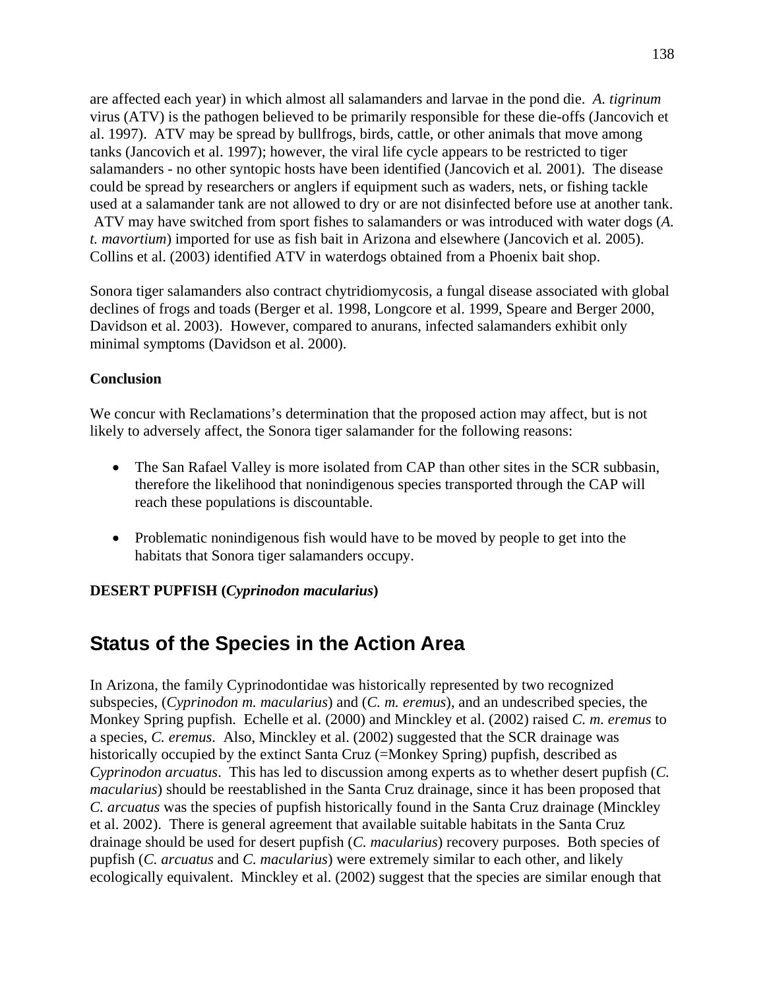are affected each year) in which almost all salamanders and larvae in the pond die. *A. tigrinum* virus (ATV) is the pathogen believed to be primarily responsible for these die-offs (Jancovich et al. 1997). ATV may be spread by bullfrogs, birds, cattle, or other animals that move among tanks (Jancovich et al. 1997); however, the viral life cycle appears to be restricted to tiger salamanders - no other syntopic hosts have been identified (Jancovich et al*.* 2001). The disease could be spread by researchers or anglers if equipment such as waders, nets, or fishing tackle used at a salamander tank are not allowed to dry or are not disinfected before use at another tank. ATV may have switched from sport fishes to salamanders or was introduced with water dogs (*A. t. mavortium*) imported for use as fish bait in Arizona and elsewhere (Jancovich et al*.* 2005). Collins et al. (2003) identified ATV in waterdogs obtained from a Phoenix bait shop.

Sonora tiger salamanders also contract chytridiomycosis, a fungal disease associated with global declines of frogs and toads (Berger et al. 1998, Longcore et al. 1999, Speare and Berger 2000, Davidson et al. 2003). However, compared to anurans, infected salamanders exhibit only minimal symptoms (Davidson et al. 2000).

## **Conclusion**

We concur with Reclamations's determination that the proposed action may affect, but is not likely to adversely affect, the Sonora tiger salamander for the following reasons:

- The San Rafael Valley is more isolated from CAP than other sites in the SCR subbasin, therefore the likelihood that nonindigenous species transported through the CAP will reach these populations is discountable.
- Problematic nonindigenous fish would have to be moved by people to get into the habitats that Sonora tiger salamanders occupy.

## **DESERT PUPFISH (***Cyprinodon macularius***)**

## **Status of the Species in the Action Area**

In Arizona, the family Cyprinodontidae was historically represented by two recognized subspecies, (*Cyprinodon m. macularius*) and (*C. m. eremus*), and an undescribed species, the Monkey Spring pupfish. Echelle et al*.* (2000) and Minckley et al. (2002) raised *C. m. eremus* to a species, *C. eremus*. Also, Minckley et al. (2002) suggested that the SCR drainage was historically occupied by the extinct Santa Cruz (=Monkey Spring) pupfish, described as *Cyprinodon arcuatus*. This has led to discussion among experts as to whether desert pupfish (*C. macularius*) should be reestablished in the Santa Cruz drainage, since it has been proposed that *C. arcuatus* was the species of pupfish historically found in the Santa Cruz drainage (Minckley et al. 2002). There is general agreement that available suitable habitats in the Santa Cruz drainage should be used for desert pupfish (*C. macularius*) recovery purposes. Both species of pupfish (*C. arcuatus* and *C. macularius*) were extremely similar to each other, and likely ecologically equivalent. Minckley et al. (2002) suggest that the species are similar enough that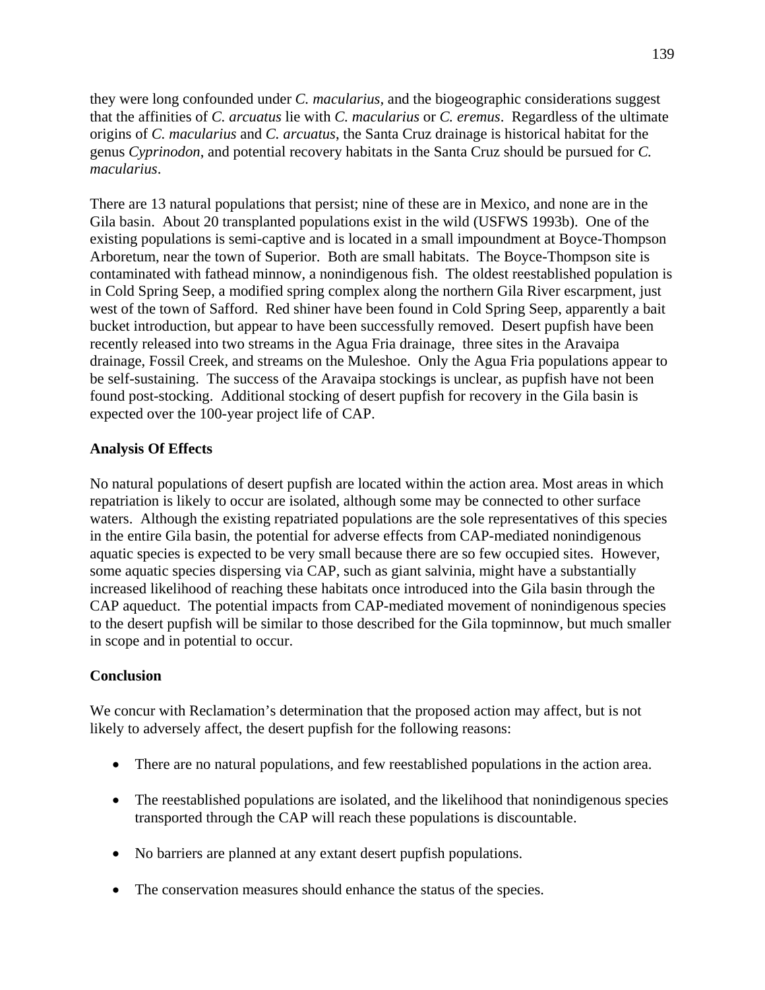they were long confounded under *C. macularius,* and the biogeographic considerations suggest that the affinities of *C. arcuatus* lie with *C. macularius* or *C. eremus*. Regardless of the ultimate origins of *C. macularius* and *C. arcuatus*, the Santa Cruz drainage is historical habitat for the genus *Cyprinodon*, and potential recovery habitats in the Santa Cruz should be pursued for *C. macularius*.

There are 13 natural populations that persist; nine of these are in Mexico, and none are in the Gila basin. About 20 transplanted populations exist in the wild (USFWS 1993b). One of the existing populations is semi-captive and is located in a small impoundment at Boyce-Thompson Arboretum, near the town of Superior. Both are small habitats. The Boyce-Thompson site is contaminated with fathead minnow, a nonindigenous fish. The oldest reestablished population is in Cold Spring Seep, a modified spring complex along the northern Gila River escarpment, just west of the town of Safford. Red shiner have been found in Cold Spring Seep, apparently a bait bucket introduction, but appear to have been successfully removed. Desert pupfish have been recently released into two streams in the Agua Fria drainage, three sites in the Aravaipa drainage, Fossil Creek, and streams on the Muleshoe. Only the Agua Fria populations appear to be self-sustaining. The success of the Aravaipa stockings is unclear, as pupfish have not been found post-stocking. Additional stocking of desert pupfish for recovery in the Gila basin is expected over the 100-year project life of CAP.

## **Analysis Of Effects**

No natural populations of desert pupfish are located within the action area. Most areas in which repatriation is likely to occur are isolated, although some may be connected to other surface waters. Although the existing repatriated populations are the sole representatives of this species in the entire Gila basin, the potential for adverse effects from CAP-mediated nonindigenous aquatic species is expected to be very small because there are so few occupied sites. However, some aquatic species dispersing via CAP, such as giant salvinia, might have a substantially increased likelihood of reaching these habitats once introduced into the Gila basin through the CAP aqueduct. The potential impacts from CAP-mediated movement of nonindigenous species to the desert pupfish will be similar to those described for the Gila topminnow, but much smaller in scope and in potential to occur.

## **Conclusion**

We concur with Reclamation's determination that the proposed action may affect, but is not likely to adversely affect, the desert pupfish for the following reasons:

- There are no natural populations, and few reestablished populations in the action area.
- The reestablished populations are isolated, and the likelihood that nonindigenous species transported through the CAP will reach these populations is discountable.
- No barriers are planned at any extant desert pupfish populations.
- The conservation measures should enhance the status of the species.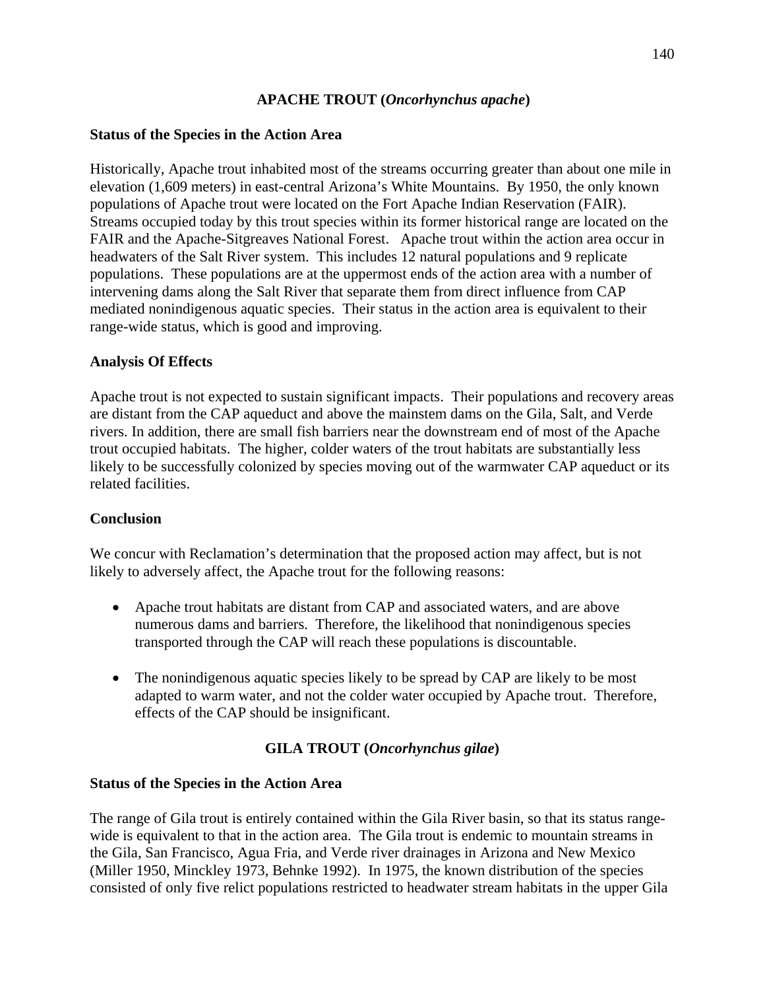## **APACHE TROUT (***Oncorhynchus apache***)**

## **Status of the Species in the Action Area**

Historically, Apache trout inhabited most of the streams occurring greater than about one mile in elevation (1,609 meters) in east-central Arizona's White Mountains. By 1950, the only known populations of Apache trout were located on the Fort Apache Indian Reservation (FAIR). Streams occupied today by this trout species within its former historical range are located on the FAIR and the Apache-Sitgreaves National Forest. Apache trout within the action area occur in headwaters of the Salt River system. This includes 12 natural populations and 9 replicate populations. These populations are at the uppermost ends of the action area with a number of intervening dams along the Salt River that separate them from direct influence from CAP mediated nonindigenous aquatic species. Their status in the action area is equivalent to their range-wide status, which is good and improving.

## **Analysis Of Effects**

Apache trout is not expected to sustain significant impacts. Their populations and recovery areas are distant from the CAP aqueduct and above the mainstem dams on the Gila, Salt, and Verde rivers. In addition, there are small fish barriers near the downstream end of most of the Apache trout occupied habitats. The higher, colder waters of the trout habitats are substantially less likely to be successfully colonized by species moving out of the warmwater CAP aqueduct or its related facilities.

## **Conclusion**

We concur with Reclamation's determination that the proposed action may affect, but is not likely to adversely affect, the Apache trout for the following reasons:

- Apache trout habitats are distant from CAP and associated waters, and are above numerous dams and barriers. Therefore, the likelihood that nonindigenous species transported through the CAP will reach these populations is discountable.
- The nonindigenous aquatic species likely to be spread by CAP are likely to be most adapted to warm water, and not the colder water occupied by Apache trout. Therefore, effects of the CAP should be insignificant.

## **GILA TROUT (***Oncorhynchus gilae***)**

## **Status of the Species in the Action Area**

The range of Gila trout is entirely contained within the Gila River basin, so that its status rangewide is equivalent to that in the action area. The Gila trout is endemic to mountain streams in the Gila, San Francisco, Agua Fria, and Verde river drainages in Arizona and New Mexico (Miller 1950, Minckley 1973, Behnke 1992). In 1975, the known distribution of the species consisted of only five relict populations restricted to headwater stream habitats in the upper Gila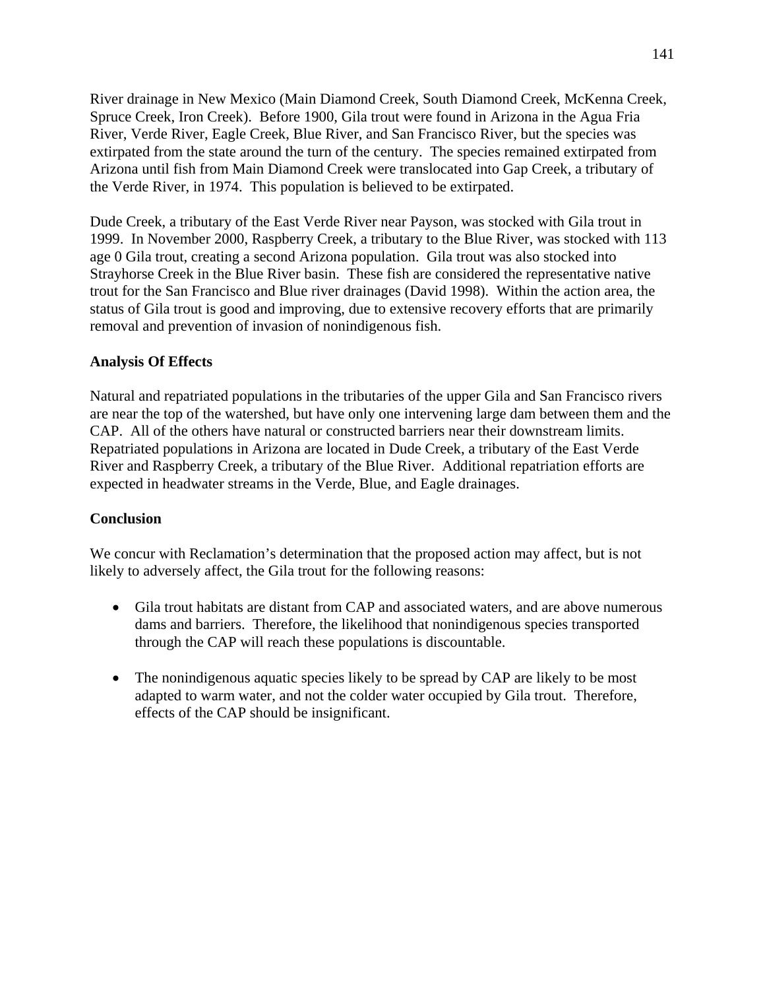River drainage in New Mexico (Main Diamond Creek, South Diamond Creek, McKenna Creek, Spruce Creek, Iron Creek). Before 1900, Gila trout were found in Arizona in the Agua Fria River, Verde River, Eagle Creek, Blue River, and San Francisco River, but the species was extirpated from the state around the turn of the century. The species remained extirpated from Arizona until fish from Main Diamond Creek were translocated into Gap Creek, a tributary of the Verde River, in 1974. This population is believed to be extirpated.

Dude Creek, a tributary of the East Verde River near Payson, was stocked with Gila trout in 1999. In November 2000, Raspberry Creek, a tributary to the Blue River, was stocked with 113 age 0 Gila trout, creating a second Arizona population. Gila trout was also stocked into Strayhorse Creek in the Blue River basin. These fish are considered the representative native trout for the San Francisco and Blue river drainages (David 1998). Within the action area, the status of Gila trout is good and improving, due to extensive recovery efforts that are primarily removal and prevention of invasion of nonindigenous fish.

## **Analysis Of Effects**

Natural and repatriated populations in the tributaries of the upper Gila and San Francisco rivers are near the top of the watershed, but have only one intervening large dam between them and the CAP. All of the others have natural or constructed barriers near their downstream limits. Repatriated populations in Arizona are located in Dude Creek, a tributary of the East Verde River and Raspberry Creek, a tributary of the Blue River. Additional repatriation efforts are expected in headwater streams in the Verde, Blue, and Eagle drainages.

## **Conclusion**

We concur with Reclamation's determination that the proposed action may affect, but is not likely to adversely affect, the Gila trout for the following reasons:

- Gila trout habitats are distant from CAP and associated waters, and are above numerous dams and barriers. Therefore, the likelihood that nonindigenous species transported through the CAP will reach these populations is discountable.
- The nonindigenous aquatic species likely to be spread by CAP are likely to be most adapted to warm water, and not the colder water occupied by Gila trout. Therefore, effects of the CAP should be insignificant.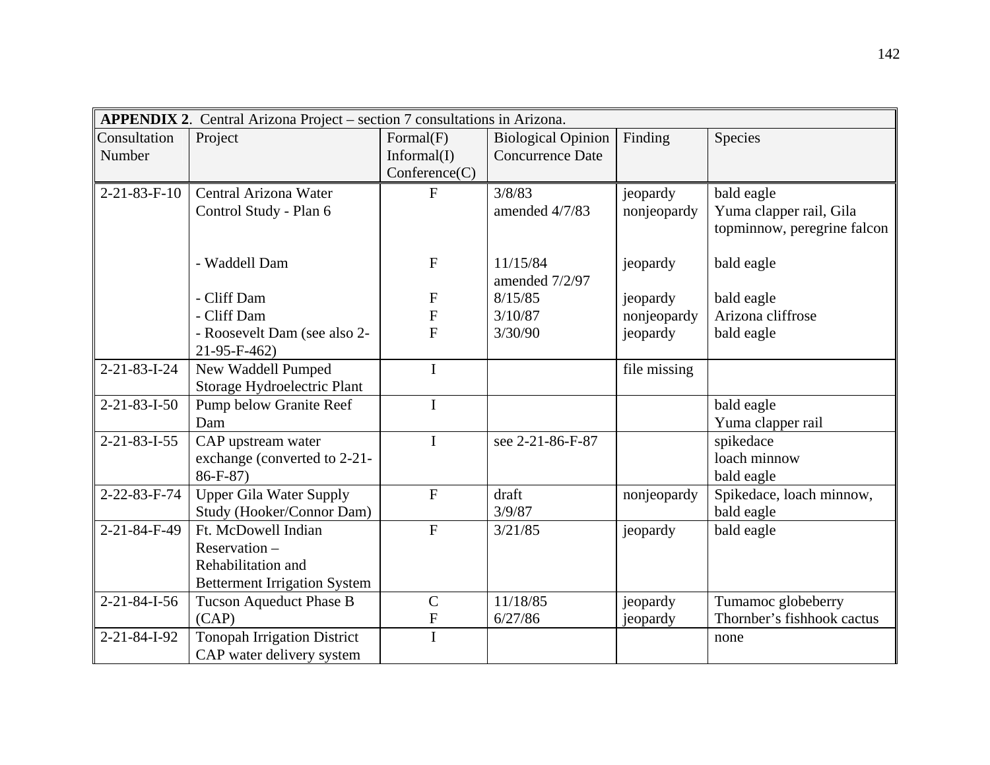| APPENDIX 2. Central Arizona Project - section 7 consultations in Arizona. |                                     |                           |                           |              |                             |  |
|---------------------------------------------------------------------------|-------------------------------------|---------------------------|---------------------------|--------------|-----------------------------|--|
| Consultation                                                              | Project                             | Formal(F)                 | <b>Biological Opinion</b> | Finding      | Species                     |  |
| Number                                                                    |                                     | Informal(I)               | <b>Concurrence Date</b>   |              |                             |  |
|                                                                           |                                     | Conference(C)             |                           |              |                             |  |
| $2 - 21 - 83 - F - 10$                                                    | Central Arizona Water               | $\mathbf{F}$              | 3/8/83                    | jeopardy     | bald eagle                  |  |
|                                                                           | Control Study - Plan 6              |                           | amended 4/7/83            | nonjeopardy  | Yuma clapper rail, Gila     |  |
|                                                                           |                                     |                           |                           |              | topminnow, peregrine falcon |  |
|                                                                           |                                     |                           |                           |              |                             |  |
|                                                                           | - Waddell Dam                       | F                         | 11/15/84                  | jeopardy     | bald eagle                  |  |
|                                                                           |                                     |                           | amended 7/2/97            |              |                             |  |
|                                                                           | - Cliff Dam                         | $\boldsymbol{\mathrm{F}}$ | 8/15/85                   | jeopardy     | bald eagle                  |  |
|                                                                           | - Cliff Dam                         | ${\bf F}$                 | 3/10/87                   | nonjeopardy  | Arizona cliffrose           |  |
|                                                                           | - Roosevelt Dam (see also 2-        | $\overline{F}$            | 3/30/90                   | jeopardy     | bald eagle                  |  |
|                                                                           | 21-95-F-462)                        |                           |                           |              |                             |  |
| $2 - 21 - 83 - 1 - 24$                                                    | New Waddell Pumped                  | $\mathbf I$               |                           | file missing |                             |  |
|                                                                           | Storage Hydroelectric Plant         |                           |                           |              |                             |  |
| $2 - 21 - 83 - 1 - 50$                                                    | <b>Pump below Granite Reef</b>      | $\mathbf I$               |                           |              | bald eagle                  |  |
|                                                                           | Dam                                 |                           |                           |              | Yuma clapper rail           |  |
| $2 - 21 - 83 - 1 - 55$                                                    | CAP upstream water                  | $\mathbf I$               | see 2-21-86-F-87          |              | spikedace                   |  |
|                                                                           | exchange (converted to 2-21-        |                           |                           |              | loach minnow                |  |
|                                                                           | $86 - F - 87$                       |                           |                           |              | bald eagle                  |  |
| 2-22-83-F-74                                                              | <b>Upper Gila Water Supply</b>      | $\mathbf F$               | draft                     | nonjeopardy  | Spikedace, loach minnow,    |  |
|                                                                           | Study (Hooker/Connor Dam)           |                           | 3/9/87                    |              | bald eagle                  |  |
| 2-21-84-F-49                                                              | Ft. McDowell Indian                 | $\mathbf{F}$              | 3/21/85                   | jeopardy     | bald eagle                  |  |
|                                                                           | Reservation -                       |                           |                           |              |                             |  |
|                                                                           | Rehabilitation and                  |                           |                           |              |                             |  |
|                                                                           | <b>Betterment Irrigation System</b> |                           |                           |              |                             |  |
| $2 - 21 - 84 - 1 - 56$                                                    | Tucson Aqueduct Phase B             | $\mathsf{C}$              | 11/18/85                  | jeopardy     | Tumamoc globeberry          |  |
|                                                                           | (CAP)                               | ${\bf F}$                 | 6/27/86                   | jeopardy     | Thornber's fishhook cactus  |  |
| 2-21-84-I-92                                                              | <b>Tonopah Irrigation District</b>  | $\mathbf I$               |                           |              | none                        |  |
|                                                                           | CAP water delivery system           |                           |                           |              |                             |  |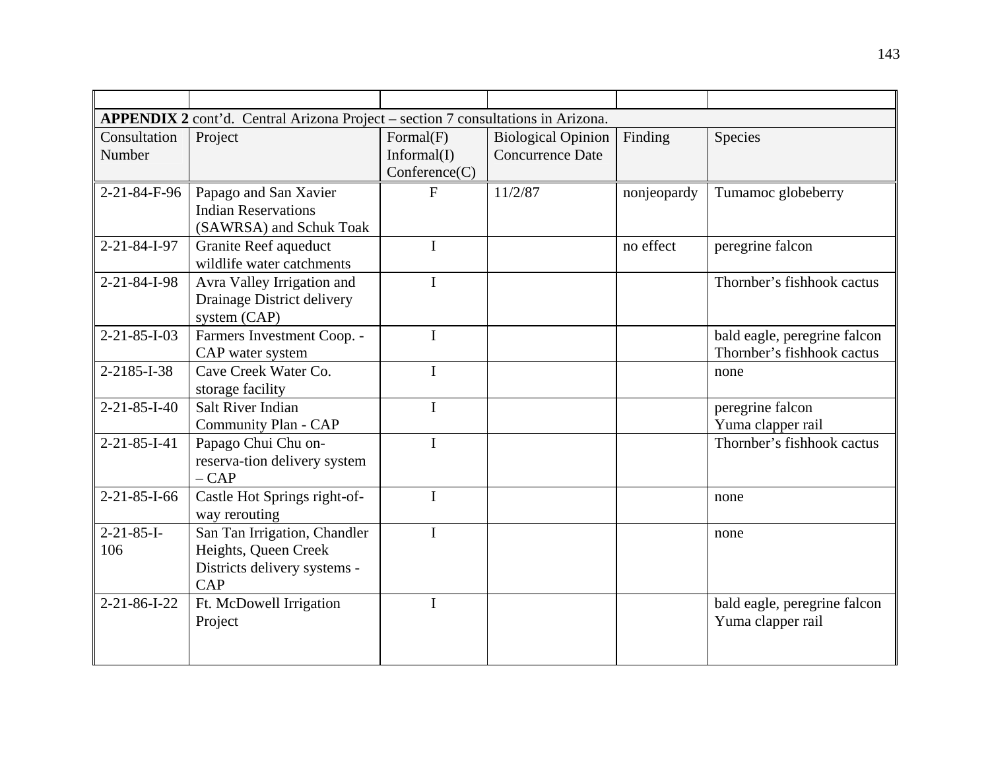| APPENDIX 2 cont'd. Central Arizona Project – section 7 consultations in Arizona. |                                                                                             |                                           |                                                      |             |                                                            |  |  |
|----------------------------------------------------------------------------------|---------------------------------------------------------------------------------------------|-------------------------------------------|------------------------------------------------------|-------------|------------------------------------------------------------|--|--|
| Consultation<br>Number                                                           | Project                                                                                     | Formal(F)<br>Informal(I)<br>Conference(C) | <b>Biological Opinion</b><br><b>Concurrence Date</b> | Finding     | Species                                                    |  |  |
| 2-21-84-F-96                                                                     | Papago and San Xavier<br><b>Indian Reservations</b><br>(SAWRSA) and Schuk Toak              | F                                         | 11/2/87                                              | nonjeopardy | Tumamoc globeberry                                         |  |  |
| $2 - 21 - 84 - 1 - 97$                                                           | <b>Granite Reef aqueduct</b><br>wildlife water catchments                                   | $\mathbf I$                               |                                                      | no effect   | peregrine falcon                                           |  |  |
| 2-21-84-I-98                                                                     | Avra Valley Irrigation and<br>Drainage District delivery<br>system (CAP)                    | $\mathbf I$                               |                                                      |             | Thornber's fishhook cactus                                 |  |  |
| $2 - 21 - 85 - 1 - 03$                                                           | Farmers Investment Coop. -<br>CAP water system                                              | $\mathbf I$                               |                                                      |             | bald eagle, peregrine falcon<br>Thornber's fishhook cactus |  |  |
| 2-2185-I-38                                                                      | Cave Creek Water Co.<br>storage facility                                                    | $\mathbf I$                               |                                                      |             | none                                                       |  |  |
| $2 - 21 - 85 - 1 - 40$                                                           | <b>Salt River Indian</b><br>Community Plan - CAP                                            | $\mathbf I$                               |                                                      |             | peregrine falcon<br>Yuma clapper rail                      |  |  |
| $2 - 21 - 85 - 1 - 41$                                                           | Papago Chui Chu on-<br>reserva-tion delivery system<br>$-CAP$                               | $\mathbf I$                               |                                                      |             | Thornber's fishhook cactus                                 |  |  |
| $2 - 21 - 85 - 1 - 66$                                                           | Castle Hot Springs right-of-<br>way rerouting                                               | $\mathbf I$                               |                                                      |             | none                                                       |  |  |
| $2 - 21 - 85 - I -$<br>106                                                       | San Tan Irrigation, Chandler<br>Heights, Queen Creek<br>Districts delivery systems -<br>CAP | $\mathbf I$                               |                                                      |             | none                                                       |  |  |
| $2 - 21 - 86 - 1 - 22$                                                           | Ft. McDowell Irrigation<br>Project                                                          | $\mathbf I$                               |                                                      |             | bald eagle, peregrine falcon<br>Yuma clapper rail          |  |  |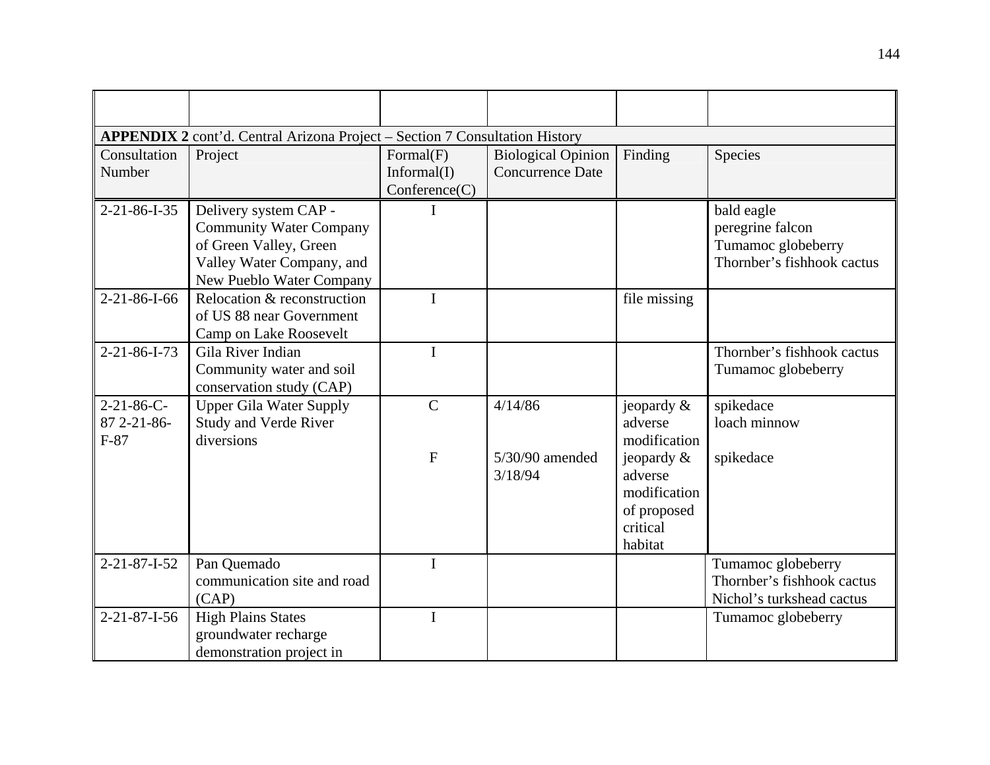| <b>APPENDIX 2</b> cont'd. Central Arizona Project - Section 7 Consultation History |                                                                                                                                            |                                           |                                                      |                                                                                |                                                                                    |  |  |
|------------------------------------------------------------------------------------|--------------------------------------------------------------------------------------------------------------------------------------------|-------------------------------------------|------------------------------------------------------|--------------------------------------------------------------------------------|------------------------------------------------------------------------------------|--|--|
| Consultation<br>Number                                                             | Project                                                                                                                                    | Formal(F)<br>Informal(I)<br>Conference(C) | <b>Biological Opinion</b><br><b>Concurrence Date</b> | Finding                                                                        | Species                                                                            |  |  |
| $2 - 21 - 86 - 1 - 35$                                                             | Delivery system CAP -<br><b>Community Water Company</b><br>of Green Valley, Green<br>Valley Water Company, and<br>New Pueblo Water Company |                                           |                                                      |                                                                                | bald eagle<br>peregrine falcon<br>Tumamoc globeberry<br>Thornber's fishhook cactus |  |  |
| $2 - 21 - 86 - 1 - 66$                                                             | Relocation & reconstruction<br>of US 88 near Government<br>Camp on Lake Roosevelt                                                          | I                                         |                                                      | file missing                                                                   |                                                                                    |  |  |
| $2 - 21 - 86 - 1 - 73$                                                             | Gila River Indian<br>Community water and soil<br>conservation study (CAP)                                                                  | $\mathbf I$                               |                                                      |                                                                                | Thornber's fishhook cactus<br>Tumamoc globeberry                                   |  |  |
| $2 - 21 - 86 - C -$<br>87 2-21-86-<br>$F-87$                                       | <b>Upper Gila Water Supply</b><br><b>Study and Verde River</b><br>diversions                                                               | $\mathbf C$                               | 4/14/86                                              | jeopardy $\&$<br>adverse<br>modification                                       | spikedace<br>loach minnow                                                          |  |  |
|                                                                                    |                                                                                                                                            | $\mathbf F$                               | $5/30/90$ amended<br>3/18/94                         | jeopardy $\&$<br>adverse<br>modification<br>of proposed<br>critical<br>habitat | spikedace                                                                          |  |  |
| $2 - 21 - 87 - 1 - 52$                                                             | Pan Quemado<br>communication site and road<br>(CAP)                                                                                        | $\bf{I}$                                  |                                                      |                                                                                | Tumamoc globeberry<br>Thornber's fishhook cactus<br>Nichol's turkshead cactus      |  |  |
| $2 - 21 - 87 - 1 - 56$                                                             | <b>High Plains States</b><br>groundwater recharge<br>demonstration project in                                                              | $\mathbf I$                               |                                                      |                                                                                | Tumamoc globeberry                                                                 |  |  |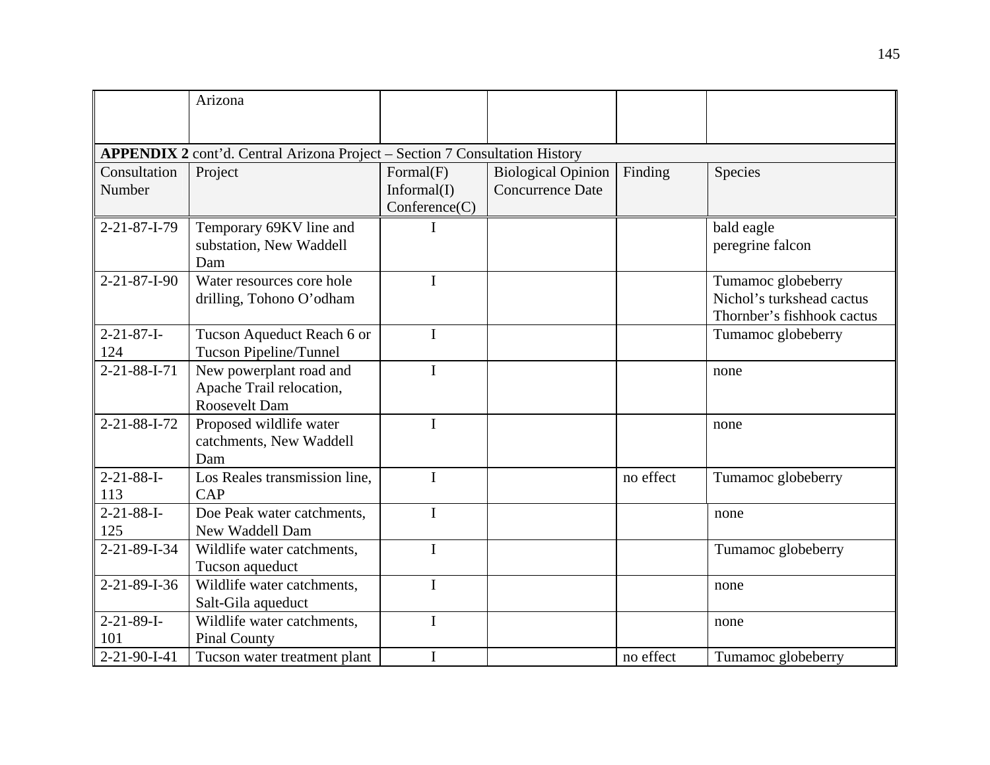|                                                                                    | Arizona                                                              |                                           |                                                      |           |                                                                               |  |  |  |  |  |
|------------------------------------------------------------------------------------|----------------------------------------------------------------------|-------------------------------------------|------------------------------------------------------|-----------|-------------------------------------------------------------------------------|--|--|--|--|--|
|                                                                                    |                                                                      |                                           |                                                      |           |                                                                               |  |  |  |  |  |
| <b>APPENDIX 2</b> cont'd. Central Arizona Project – Section 7 Consultation History |                                                                      |                                           |                                                      |           |                                                                               |  |  |  |  |  |
| Consultation<br>Number                                                             | Project                                                              | Formal(F)<br>Informal(I)<br>Conference(C) | <b>Biological Opinion</b><br><b>Concurrence Date</b> | Finding   | Species                                                                       |  |  |  |  |  |
| $2 - 21 - 87 - 1 - 79$                                                             | Temporary 69KV line and<br>substation, New Waddell<br>Dam            | I                                         |                                                      |           | bald eagle<br>peregrine falcon                                                |  |  |  |  |  |
| $2 - 21 - 87 - 1 - 90$                                                             | Water resources core hole<br>drilling, Tohono O'odham                | $\mathbf{I}$                              |                                                      |           | Tumamoc globeberry<br>Nichol's turkshead cactus<br>Thornber's fishhook cactus |  |  |  |  |  |
| $2 - 21 - 87 - I -$<br>124                                                         | Tucson Aqueduct Reach 6 or<br>Tucson Pipeline/Tunnel                 | $\mathbf I$                               |                                                      |           | Tumamoc globeberry                                                            |  |  |  |  |  |
| $2 - 21 - 88 - 1 - 71$                                                             | New powerplant road and<br>Apache Trail relocation,<br>Roosevelt Dam | $\mathbf I$                               |                                                      |           | none                                                                          |  |  |  |  |  |
| 2-21-88-I-72                                                                       | Proposed wildlife water<br>catchments, New Waddell<br>Dam            | $\mathbf I$                               |                                                      |           | none                                                                          |  |  |  |  |  |
| $2 - 21 - 88 - I -$<br>113                                                         | Los Reales transmission line,<br><b>CAP</b>                          | $\mathbf I$                               |                                                      | no effect | Tumamoc globeberry                                                            |  |  |  |  |  |
| $2 - 21 - 88 - I -$<br>125                                                         | Doe Peak water catchments,<br>New Waddell Dam                        | $\mathbf I$                               |                                                      |           | none                                                                          |  |  |  |  |  |
| $2 - 21 - 89 - 1 - 34$                                                             | Wildlife water catchments,<br>Tucson aqueduct                        | $\mathbf I$                               |                                                      |           | Tumamoc globeberry                                                            |  |  |  |  |  |
| 2-21-89-I-36                                                                       | Wildlife water catchments,<br>Salt-Gila aqueduct                     | $\mathbf I$                               |                                                      |           | none                                                                          |  |  |  |  |  |
| $2 - 21 - 89 - I -$<br>101                                                         | Wildlife water catchments,<br><b>Pinal County</b>                    | $\mathbf I$                               |                                                      |           | none                                                                          |  |  |  |  |  |
| 2-21-90-I-41                                                                       | Tucson water treatment plant                                         | I                                         |                                                      | no effect | Tumamoc globeberry                                                            |  |  |  |  |  |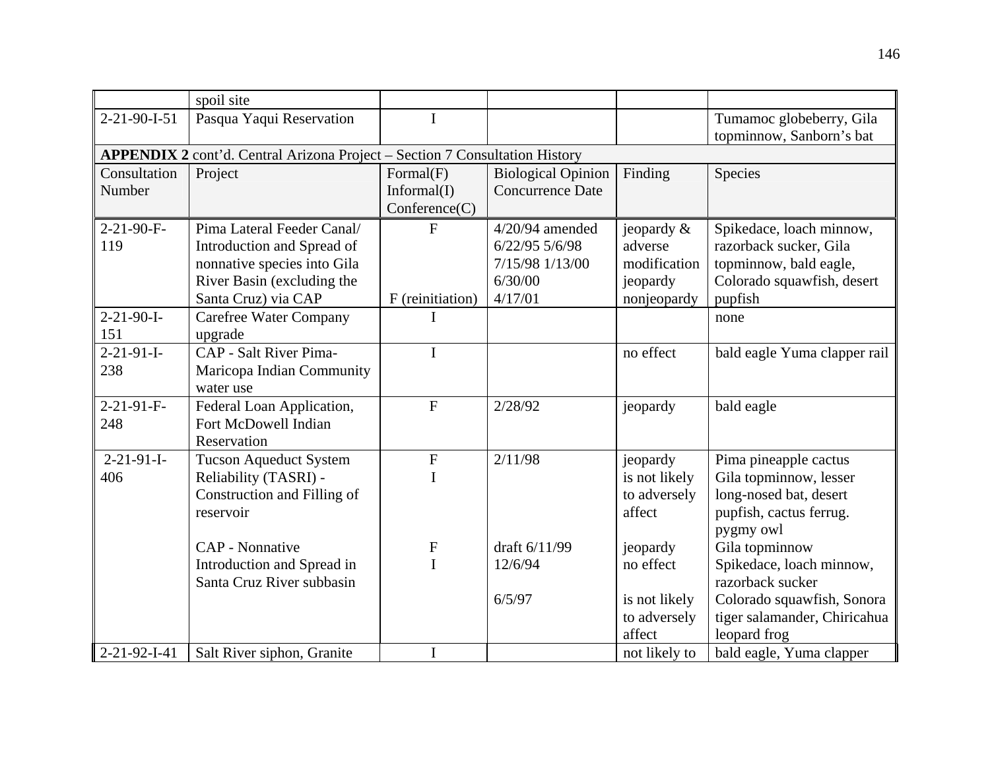|                            | spoil site                                                                                                                                   |                                           |                                                                              |                                                                     |                                                                                                                       |  |  |  |  |  |  |
|----------------------------|----------------------------------------------------------------------------------------------------------------------------------------------|-------------------------------------------|------------------------------------------------------------------------------|---------------------------------------------------------------------|-----------------------------------------------------------------------------------------------------------------------|--|--|--|--|--|--|
| $2 - 21 - 90 - 1 - 51$     | Pasqua Yaqui Reservation                                                                                                                     | I                                         |                                                                              |                                                                     | Tumamoc globeberry, Gila<br>topminnow, Sanborn's bat                                                                  |  |  |  |  |  |  |
|                            | <b>APPENDIX 2</b> cont'd. Central Arizona Project – Section 7 Consultation History                                                           |                                           |                                                                              |                                                                     |                                                                                                                       |  |  |  |  |  |  |
| Consultation<br>Number     | Project                                                                                                                                      | Formal(F)<br>Informal(I)<br>Conference(C) | <b>Biological Opinion</b><br><b>Concurrence Date</b>                         | Finding                                                             | Species                                                                                                               |  |  |  |  |  |  |
| $2-21-90-F$ -<br>119       | Pima Lateral Feeder Canal/<br>Introduction and Spread of<br>nonnative species into Gila<br>River Basin (excluding the<br>Santa Cruz) via CAP | ${\bf F}$<br>F (reinitiation)             | $4/20/94$ amended<br>6/22/95 5/6/98<br>7/15/98 1/13/00<br>6/30/00<br>4/17/01 | jeopardy $\&$<br>adverse<br>modification<br>jeopardy<br>nonjeopardy | Spikedace, loach minnow,<br>razorback sucker, Gila<br>topminnow, bald eagle,<br>Colorado squawfish, desert<br>pupfish |  |  |  |  |  |  |
| $2 - 21 - 90 - I -$<br>151 | <b>Carefree Water Company</b><br>upgrade                                                                                                     |                                           |                                                                              |                                                                     | none                                                                                                                  |  |  |  |  |  |  |
| $2 - 21 - 91 - I -$<br>238 | CAP - Salt River Pima-<br>Maricopa Indian Community<br>water use                                                                             | $\mathbf I$                               |                                                                              | no effect                                                           | bald eagle Yuma clapper rail                                                                                          |  |  |  |  |  |  |
| $2 - 21 - 91 - F -$<br>248 | Federal Loan Application,<br>Fort McDowell Indian<br>Reservation                                                                             | $\mathbf F$                               | 2/28/92                                                                      | jeopardy                                                            | bald eagle                                                                                                            |  |  |  |  |  |  |
| $2-21-91-I-$<br>406        | <b>Tucson Aqueduct System</b><br>Reliability (TASRI) -<br>Construction and Filling of<br>reservoir                                           | $\mathbf F$<br>I                          | 2/11/98                                                                      | jeopardy<br>is not likely<br>to adversely<br>affect                 | Pima pineapple cactus<br>Gila topminnow, lesser<br>long-nosed bat, desert<br>pupfish, cactus ferrug.<br>pygmy owl     |  |  |  |  |  |  |
|                            | <b>CAP</b> - Nonnative<br>Introduction and Spread in                                                                                         | $\mathbf F$<br>$\mathbf I$                | draft 6/11/99<br>12/6/94                                                     | jeopardy<br>no effect                                               | Gila topminnow<br>Spikedace, loach minnow,                                                                            |  |  |  |  |  |  |
|                            | Santa Cruz River subbasin                                                                                                                    |                                           | 6/5/97                                                                       | is not likely<br>to adversely<br>affect                             | razorback sucker<br>Colorado squawfish, Sonora<br>tiger salamander, Chiricahua<br>leopard frog                        |  |  |  |  |  |  |
| 2-21-92-I-41               | Salt River siphon, Granite                                                                                                                   | $\mathbf I$                               |                                                                              | not likely to                                                       | bald eagle, Yuma clapper                                                                                              |  |  |  |  |  |  |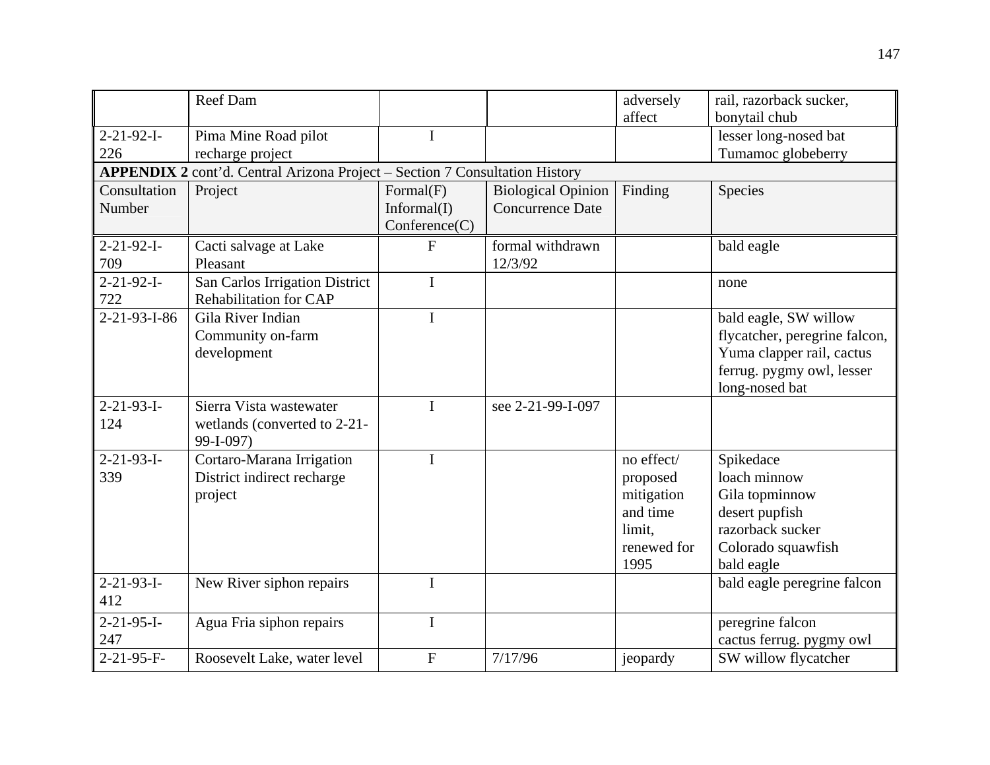|                            | Reef Dam                                                                    |                                           |                                                      | adversely<br>affect                                                               | rail, razorback sucker,<br>bonytail chub                                                                                           |
|----------------------------|-----------------------------------------------------------------------------|-------------------------------------------|------------------------------------------------------|-----------------------------------------------------------------------------------|------------------------------------------------------------------------------------------------------------------------------------|
| $2 - 21 - 92 - I -$<br>226 | Pima Mine Road pilot<br>recharge project                                    | I                                         |                                                      |                                                                                   | lesser long-nosed bat<br>Tumamoc globeberry                                                                                        |
|                            | APPENDIX 2 cont'd. Central Arizona Project - Section 7 Consultation History |                                           |                                                      |                                                                                   |                                                                                                                                    |
| Consultation<br>Number     | Project                                                                     | Formal(F)<br>Informal(I)<br>Conference(C) | <b>Biological Opinion</b><br><b>Concurrence Date</b> | Finding                                                                           | Species                                                                                                                            |
| $2 - 21 - 92 - I -$<br>709 | Cacti salvage at Lake<br>Pleasant                                           | $\mathbf{F}$                              | formal withdrawn<br>12/3/92                          |                                                                                   | bald eagle                                                                                                                         |
| $2 - 21 - 92 - I -$<br>722 | San Carlos Irrigation District<br>Rehabilitation for CAP                    | I                                         |                                                      |                                                                                   | none                                                                                                                               |
| $2 - 21 - 93 - 1 - 86$     | Gila River Indian<br>Community on-farm<br>development                       | I                                         |                                                      |                                                                                   | bald eagle, SW willow<br>flycatcher, peregrine falcon,<br>Yuma clapper rail, cactus<br>ferrug. pygmy owl, lesser<br>long-nosed bat |
| $2 - 21 - 93 - I -$<br>124 | Sierra Vista wastewater<br>wetlands (converted to 2-21-<br>99-I-097)        | I                                         | see 2-21-99-I-097                                    |                                                                                   |                                                                                                                                    |
| $2 - 21 - 93 - I -$<br>339 | Cortaro-Marana Irrigation<br>District indirect recharge<br>project          | I                                         |                                                      | no effect/<br>proposed<br>mitigation<br>and time<br>limit.<br>renewed for<br>1995 | Spikedace<br>loach minnow<br>Gila topminnow<br>desert pupfish<br>razorback sucker<br>Colorado squawfish<br>bald eagle              |
| $2 - 21 - 93 - I -$<br>412 | New River siphon repairs                                                    | $\mathbf I$                               |                                                      |                                                                                   | bald eagle peregrine falcon                                                                                                        |
| $2 - 21 - 95 - I -$<br>247 | Agua Fria siphon repairs                                                    | $\mathbf I$                               |                                                      |                                                                                   | peregrine falcon<br>cactus ferrug. pygmy owl                                                                                       |
| 2-21-95-F-                 | Roosevelt Lake, water level                                                 | $\overline{F}$                            | 7/17/96                                              | jeopardy                                                                          | SW willow flycatcher                                                                                                               |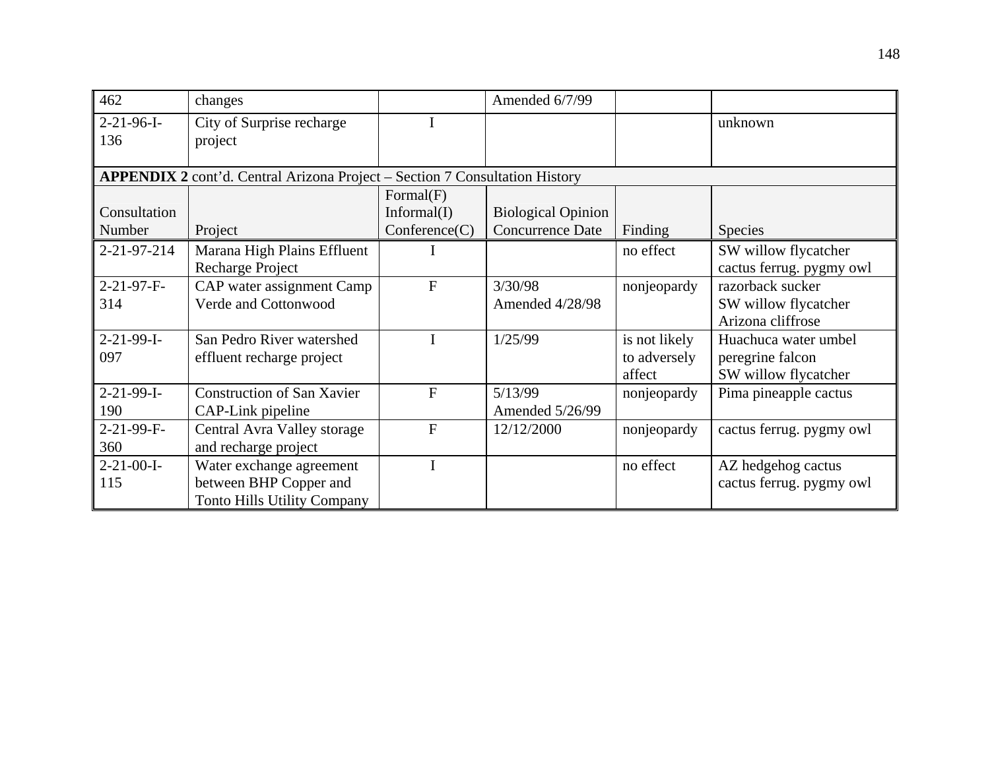| 462                 | changes                                                                     |               | Amended 6/7/99            |               |                          |
|---------------------|-----------------------------------------------------------------------------|---------------|---------------------------|---------------|--------------------------|
| $2-21-96-I-$        | City of Surprise recharge                                                   |               |                           |               | unknown                  |
| 136                 | project                                                                     |               |                           |               |                          |
|                     | APPENDIX 2 cont'd. Central Arizona Project - Section 7 Consultation History |               |                           |               |                          |
|                     |                                                                             | Formal(F)     |                           |               |                          |
| Consultation        |                                                                             | Informal(I)   | <b>Biological Opinion</b> |               |                          |
| Number              | Project                                                                     | Conference(C) | Concurrence Date          | Finding       | <b>Species</b>           |
| 2-21-97-214         | Marana High Plains Effluent                                                 |               |                           | no effect     | SW willow flycatcher     |
|                     | <b>Recharge Project</b>                                                     |               |                           |               | cactus ferrug. pygmy owl |
| $2-21-97-F$ -       | CAP water assignment Camp                                                   | $\mathbf F$   | 3/30/98                   | nonjeopardy   | razorback sucker         |
| 314                 | Verde and Cottonwood                                                        |               | Amended 4/28/98           |               | SW willow flycatcher     |
|                     |                                                                             |               |                           |               | Arizona cliffrose        |
| $2-21-99-I-$        | San Pedro River watershed                                                   |               | 1/25/99                   | is not likely | Huachuca water umbel     |
| 097                 | effluent recharge project                                                   |               |                           | to adversely  | peregrine falcon         |
|                     |                                                                             |               |                           | affect        | SW willow flycatcher     |
| $2-21-99-I-$        | <b>Construction of San Xavier</b>                                           | $\mathbf{F}$  | 5/13/99                   | nonjeopardy   | Pima pineapple cactus    |
| 190                 | CAP-Link pipeline                                                           |               | Amended 5/26/99           |               |                          |
| 2-21-99-F-          | Central Avra Valley storage                                                 | $\mathbf{F}$  | 12/12/2000                | nonjeopardy   | cactus ferrug. pygmy owl |
| 360                 | and recharge project                                                        |               |                           |               |                          |
| $2 - 21 - 00 - I -$ | Water exchange agreement                                                    | I             |                           | no effect     | AZ hedgehog cactus       |
| 115                 | between BHP Copper and                                                      |               |                           |               | cactus ferrug. pygmy owl |
|                     | <b>Tonto Hills Utility Company</b>                                          |               |                           |               |                          |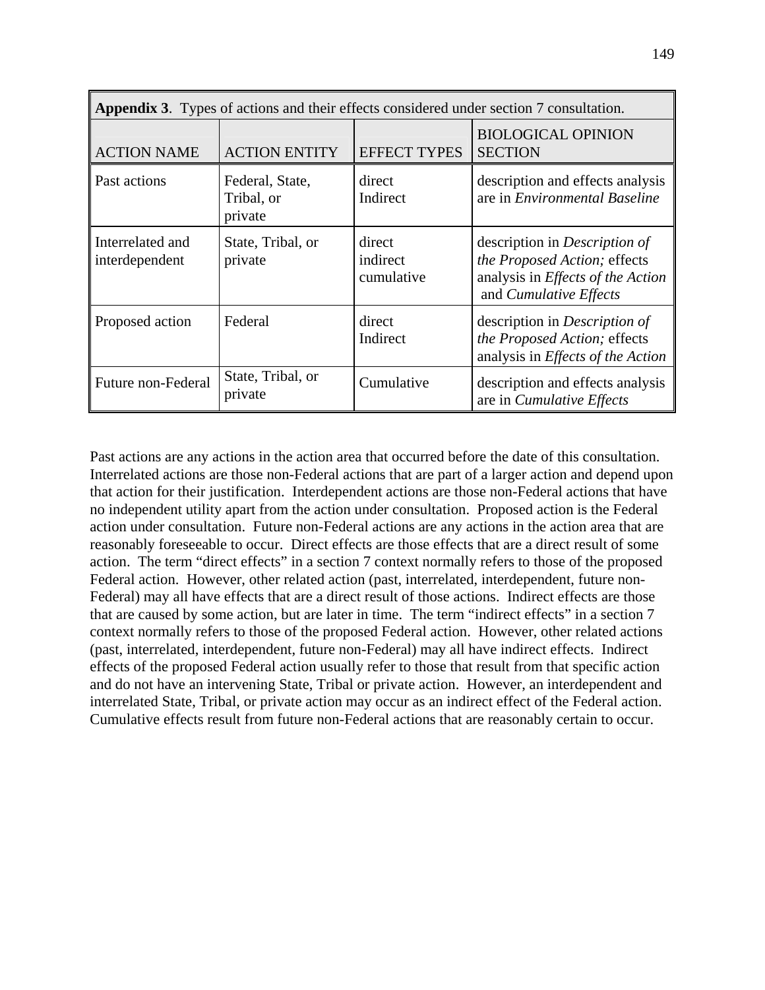| <b>Appendix 3.</b> Types of actions and their effects considered under section 7 consultation. |                                          |                                  |                                                                                                                                     |  |  |  |
|------------------------------------------------------------------------------------------------|------------------------------------------|----------------------------------|-------------------------------------------------------------------------------------------------------------------------------------|--|--|--|
| <b>ACTION NAME</b>                                                                             | <b>ACTION ENTITY</b>                     | <b>EFFECT TYPES</b>              | <b>BIOLOGICAL OPINION</b><br><b>SECTION</b>                                                                                         |  |  |  |
| Past actions                                                                                   | Federal, State,<br>Tribal, or<br>private | direct<br>Indirect               | description and effects analysis<br>are in <i>Environmental Baseline</i>                                                            |  |  |  |
| Interrelated and<br>interdependent                                                             | State, Tribal, or<br>private             | direct<br>indirect<br>cumulative | description in <i>Description of</i><br>the Proposed Action; effects<br>analysis in Effects of the Action<br>and Cumulative Effects |  |  |  |
| Proposed action                                                                                | Federal                                  | direct<br>Indirect               | description in <i>Description of</i><br>the Proposed Action; effects<br>analysis in <i>Effects of the Action</i>                    |  |  |  |
| Future non-Federal                                                                             | State, Tribal, or<br>private             | Cumulative                       | description and effects analysis<br>are in <i>Cumulative Effects</i>                                                                |  |  |  |

Past actions are any actions in the action area that occurred before the date of this consultation. Interrelated actions are those non-Federal actions that are part of a larger action and depend upon that action for their justification. Interdependent actions are those non-Federal actions that have no independent utility apart from the action under consultation. Proposed action is the Federal action under consultation. Future non-Federal actions are any actions in the action area that are reasonably foreseeable to occur. Direct effects are those effects that are a direct result of some action. The term "direct effects" in a section 7 context normally refers to those of the proposed Federal action. However, other related action (past, interrelated, interdependent, future non-Federal) may all have effects that are a direct result of those actions. Indirect effects are those that are caused by some action, but are later in time. The term "indirect effects" in a section 7 context normally refers to those of the proposed Federal action. However, other related actions (past, interrelated, interdependent, future non-Federal) may all have indirect effects. Indirect effects of the proposed Federal action usually refer to those that result from that specific action and do not have an intervening State, Tribal or private action. However, an interdependent and interrelated State, Tribal, or private action may occur as an indirect effect of the Federal action. Cumulative effects result from future non-Federal actions that are reasonably certain to occur.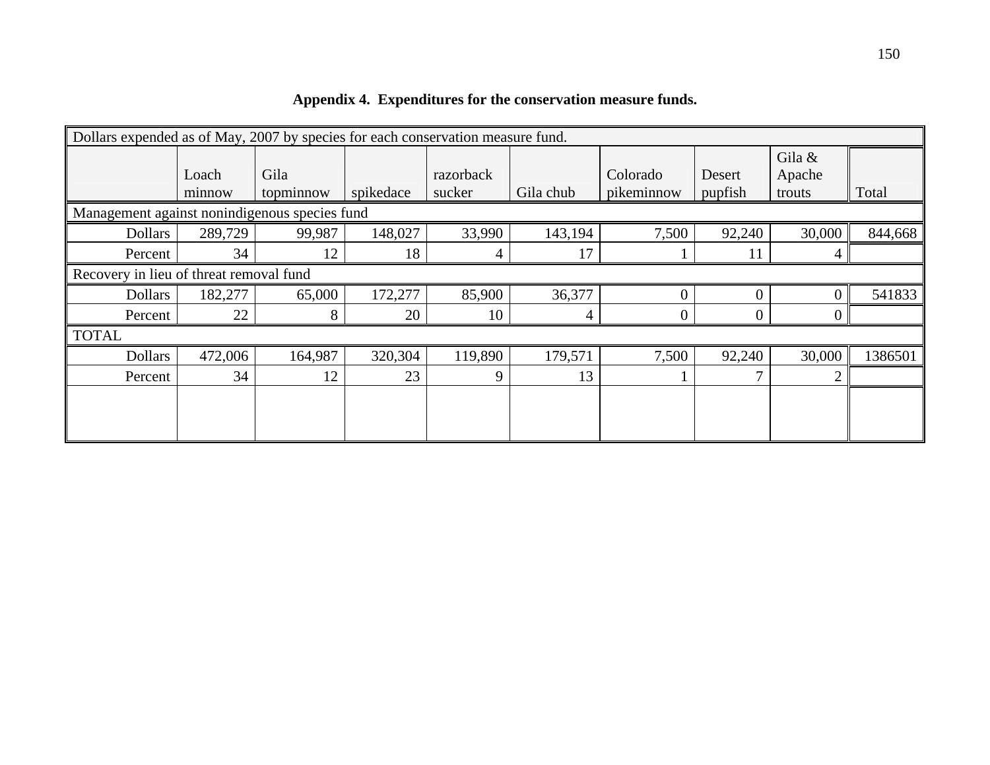|                                               | Dollars expended as of May, 2007 by species for each conservation measure fund. |                   |           |                     |           |                        |                   |                            |         |
|-----------------------------------------------|---------------------------------------------------------------------------------|-------------------|-----------|---------------------|-----------|------------------------|-------------------|----------------------------|---------|
|                                               | Loach<br>minnow                                                                 | Gila<br>topminnow | spikedace | razorback<br>sucker | Gila chub | Colorado<br>pikeminnow | Desert<br>pupfish | Gila &<br>Apache<br>trouts | Total   |
| Management against nonindigenous species fund |                                                                                 |                   |           |                     |           |                        |                   |                            |         |
| <b>Dollars</b>                                | 289,729                                                                         | 99,987            | 148,027   | 33,990              | 143,194   | 7,500                  | 92,240            | 30,000                     | 844,668 |
| Percent                                       | 34                                                                              | 12                | 18        | 4                   | 17        |                        | 11                | 4                          |         |
| Recovery in lieu of threat removal fund       |                                                                                 |                   |           |                     |           |                        |                   |                            |         |
| <b>Dollars</b>                                | 182,277                                                                         | 65,000            | 172,277   | 85,900              | 36,377    | 0                      | $\Omega$          | 0                          | 541833  |
| Percent                                       | 22                                                                              | 8                 | 20        | 10                  | 4         | 0                      | 0                 | 0                          |         |
| <b>TOTAL</b>                                  |                                                                                 |                   |           |                     |           |                        |                   |                            |         |
| <b>Dollars</b>                                | 472,006                                                                         | 164,987           | 320,304   | 119,890             | 179,571   | 7,500                  | 92,240            | 30,000                     | 1386501 |
| Percent                                       | 34                                                                              | 12                | 23        | 9                   | 13        |                        |                   | $\overline{2}$             |         |
|                                               |                                                                                 |                   |           |                     |           |                        |                   |                            |         |

**Appendix 4. Expenditures for the conservation measure funds.**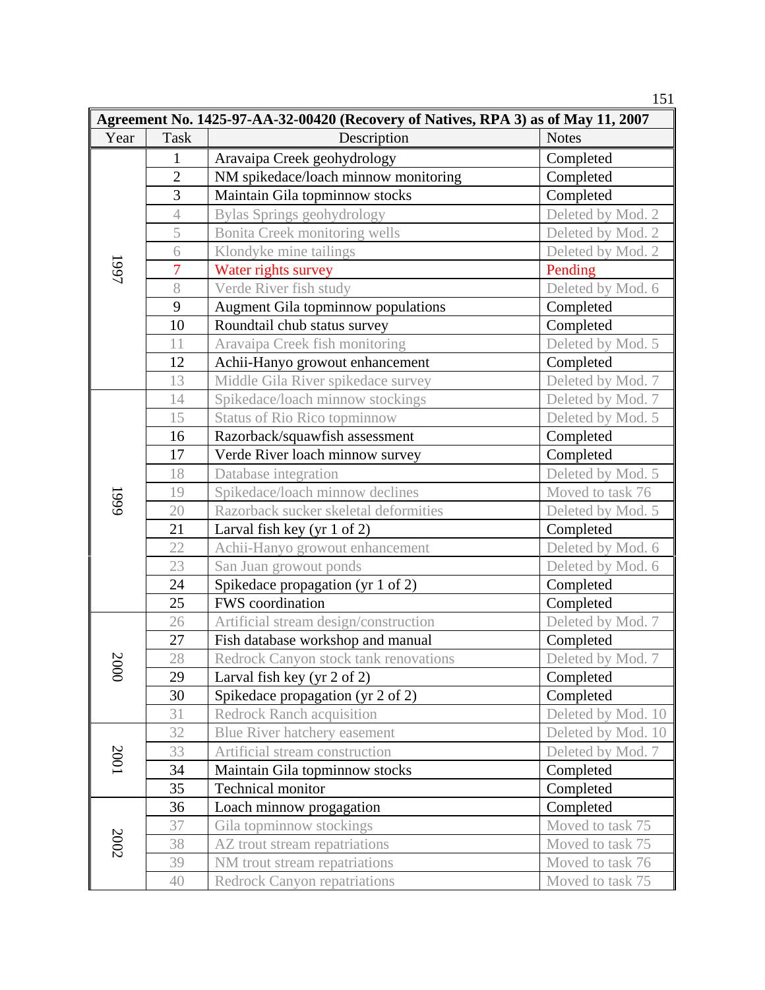|      |                                                                                   |                                       | 151                |  |  |  |  |  |
|------|-----------------------------------------------------------------------------------|---------------------------------------|--------------------|--|--|--|--|--|
|      | Agreement No. 1425-97-AA-32-00420 (Recovery of Natives, RPA 3) as of May 11, 2007 |                                       |                    |  |  |  |  |  |
| Year | Task                                                                              | Description                           | <b>Notes</b>       |  |  |  |  |  |
|      | 1                                                                                 | Aravaipa Creek geohydrology           | Completed          |  |  |  |  |  |
|      | $\overline{2}$                                                                    | NM spikedace/loach minnow monitoring  | Completed          |  |  |  |  |  |
|      | $\overline{3}$                                                                    | Maintain Gila topminnow stocks        | Completed          |  |  |  |  |  |
|      | $\overline{4}$                                                                    | <b>Bylas Springs geohydrology</b>     | Deleted by Mod. 2  |  |  |  |  |  |
|      | 5                                                                                 | Bonita Creek monitoring wells         | Deleted by Mod. 2  |  |  |  |  |  |
|      | 6                                                                                 | Klondyke mine tailings                | Deleted by Mod. 2  |  |  |  |  |  |
| 1997 | $\overline{7}$                                                                    | Water rights survey                   | Pending            |  |  |  |  |  |
|      | 8                                                                                 | Verde River fish study                | Deleted by Mod. 6  |  |  |  |  |  |
|      | 9                                                                                 | Augment Gila topminnow populations    | Completed          |  |  |  |  |  |
|      | 10                                                                                | Roundtail chub status survey          | Completed          |  |  |  |  |  |
|      | 11                                                                                | Aravaipa Creek fish monitoring        | Deleted by Mod. 5  |  |  |  |  |  |
|      | 12                                                                                | Achii-Hanyo growout enhancement       | Completed          |  |  |  |  |  |
|      | 13                                                                                | Middle Gila River spikedace survey    | Deleted by Mod. 7  |  |  |  |  |  |
|      | 14                                                                                | Spikedace/loach minnow stockings      | Deleted by Mod. 7  |  |  |  |  |  |
|      | 15                                                                                | <b>Status of Rio Rico topminnow</b>   | Deleted by Mod. 5  |  |  |  |  |  |
|      | 16                                                                                | Razorback/squawfish assessment        | Completed          |  |  |  |  |  |
|      | 17                                                                                | Verde River loach minnow survey       | Completed          |  |  |  |  |  |
|      | 18                                                                                | Database integration                  | Deleted by Mod. 5  |  |  |  |  |  |
|      | 19                                                                                | Spikedace/loach minnow declines       | Moved to task 76   |  |  |  |  |  |
| 1999 | 20                                                                                | Razorback sucker skeletal deformities | Deleted by Mod. 5  |  |  |  |  |  |
|      | 21                                                                                | Larval fish key (yr $1$ of $2$ )      | Completed          |  |  |  |  |  |
|      | 22                                                                                | Achii-Hanyo growout enhancement       | Deleted by Mod. 6  |  |  |  |  |  |
|      | 23                                                                                | San Juan growout ponds                | Deleted by Mod. 6  |  |  |  |  |  |
|      | $24\,$                                                                            | Spikedace propagation (yr 1 of 2)     | Completed          |  |  |  |  |  |
|      | 25                                                                                | FWS coordination                      | Completed          |  |  |  |  |  |
|      | 26                                                                                | Artificial stream design/construction | Deleted by Mod. 7  |  |  |  |  |  |
|      | 27                                                                                | Fish database workshop and manual     | Completed          |  |  |  |  |  |
| 2000 | 28                                                                                | Redrock Canyon stock tank renovations | Deleted by Mod. 7  |  |  |  |  |  |
|      | 29                                                                                | Larval fish key (yr 2 of 2)           | Completed          |  |  |  |  |  |
|      | 30                                                                                | Spikedace propagation (yr 2 of 2)     | Completed          |  |  |  |  |  |
|      | 31                                                                                | <b>Redrock Ranch acquisition</b>      | Deleted by Mod. 10 |  |  |  |  |  |
|      | 32                                                                                | Blue River hatchery easement          | Deleted by Mod. 10 |  |  |  |  |  |
| 2001 | 33                                                                                | Artificial stream construction        | Deleted by Mod. 7  |  |  |  |  |  |
|      | 34                                                                                | Maintain Gila topminnow stocks        | Completed          |  |  |  |  |  |
|      | 35                                                                                | Technical monitor                     | Completed          |  |  |  |  |  |
|      | 36                                                                                | Loach minnow progagation              | Completed          |  |  |  |  |  |
|      | 37                                                                                | Gila topminnow stockings              | Moved to task 75   |  |  |  |  |  |
| 2002 | 38                                                                                | AZ trout stream repatriations         | Moved to task 75   |  |  |  |  |  |
|      | 39                                                                                | NM trout stream repatriations         | Moved to task 76   |  |  |  |  |  |
|      | 40                                                                                | <b>Redrock Canyon repatriations</b>   | Moved to task 75   |  |  |  |  |  |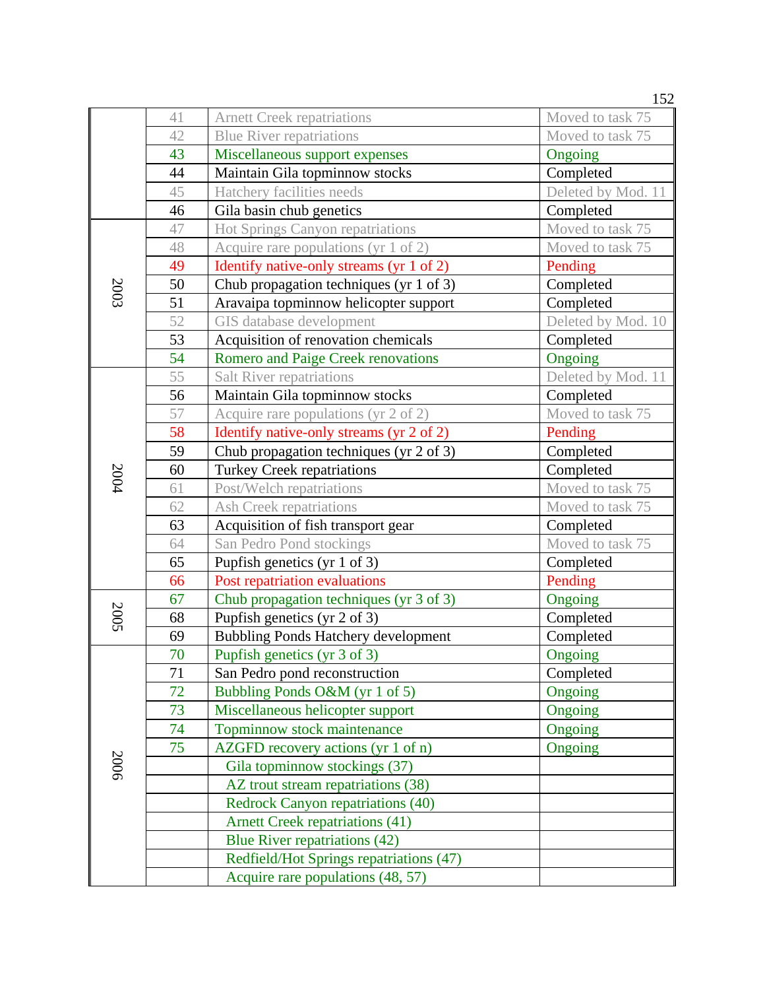|      |    |                                            | 152                |
|------|----|--------------------------------------------|--------------------|
|      | 41 | <b>Arnett Creek repatriations</b>          | Moved to task 75   |
|      | 42 | <b>Blue River repatriations</b>            | Moved to task 75   |
|      | 43 | Miscellaneous support expenses             | Ongoing            |
|      | 44 | Maintain Gila topminnow stocks             | Completed          |
|      | 45 | Hatchery facilities needs                  | Deleted by Mod. 11 |
|      | 46 | Gila basin chub genetics                   | Completed          |
|      | 47 | Hot Springs Canyon repatriations           | Moved to task 75   |
|      | 48 | Acquire rare populations (yr 1 of 2)       | Moved to task 75   |
|      | 49 | Identify native-only streams (yr 1 of 2)   | Pending            |
| 2003 | 50 | Chub propagation techniques (yr 1 of 3)    | Completed          |
|      | 51 | Aravaipa topminnow helicopter support      | Completed          |
|      | 52 | GIS database development                   | Deleted by Mod. 10 |
|      | 53 | Acquisition of renovation chemicals        | Completed          |
|      | 54 | <b>Romero and Paige Creek renovations</b>  | Ongoing            |
|      | 55 | Salt River repatriations                   | Deleted by Mod. 11 |
|      | 56 | Maintain Gila topminnow stocks             | Completed          |
|      | 57 | Acquire rare populations (yr 2 of 2)       | Moved to task 75   |
|      | 58 | Identify native-only streams (yr 2 of 2)   | Pending            |
|      | 59 | Chub propagation techniques (yr 2 of 3)    | Completed          |
| 2004 | 60 | <b>Turkey Creek repatriations</b>          | Completed          |
|      | 61 | Post/Welch repatriations                   | Moved to task 75   |
|      | 62 | Ash Creek repatriations                    | Moved to task 75   |
|      | 63 | Acquisition of fish transport gear         | Completed          |
|      | 64 | San Pedro Pond stockings                   | Moved to task 75   |
|      | 65 | Pupfish genetics (yr 1 of 3)               | Completed          |
|      | 66 | Post repatriation evaluations              | Pending            |
|      | 67 | Chub propagation techniques (yr 3 of 3)    | Ongoing            |
| 2005 | 68 | Pupfish genetics (yr 2 of 3)               | Completed          |
|      | 69 | <b>Bubbling Ponds Hatchery development</b> | Completed          |
|      | 70 | Pupfish genetics (yr 3 of 3)               | Ongoing            |
|      | 71 | San Pedro pond reconstruction              | Completed          |
|      | 72 | Bubbling Ponds O&M (yr 1 of 5)             | Ongoing            |
|      | 73 | Miscellaneous helicopter support           | Ongoing            |
|      | 74 | Topminnow stock maintenance                | Ongoing            |
|      | 75 | AZGFD recovery actions (yr 1 of n)         | Ongoing            |
| 2006 |    | Gila topminnow stockings (37)              |                    |
|      |    | AZ trout stream repatriations (38)         |                    |
|      |    | Redrock Canyon repatriations (40)          |                    |
|      |    | <b>Arnett Creek repatriations (41)</b>     |                    |
|      |    | Blue River repatriations (42)              |                    |
|      |    | Redfield/Hot Springs repatriations (47)    |                    |
|      |    | Acquire rare populations (48, 57)          |                    |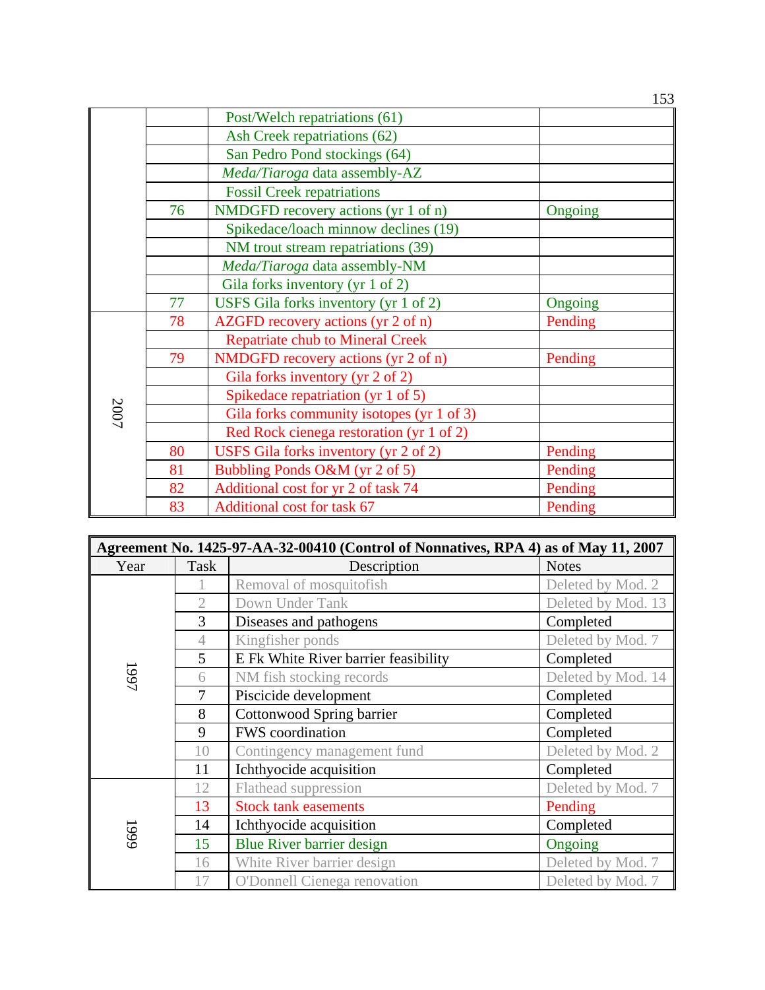|      |    | Post/Welch repatriations (61)             |         |
|------|----|-------------------------------------------|---------|
|      |    | Ash Creek repatriations (62)              |         |
|      |    | San Pedro Pond stockings (64)             |         |
|      |    | Meda/Tiaroga data assembly-AZ             |         |
|      |    | <b>Fossil Creek repatriations</b>         |         |
|      | 76 | NMDGFD recovery actions (yr 1 of n)       | Ongoing |
|      |    | Spikedace/loach minnow declines (19)      |         |
|      |    | NM trout stream repatriations (39)        |         |
|      |    | Meda/Tiaroga data assembly-NM             |         |
|      |    | Gila forks inventory (yr 1 of 2)          |         |
|      | 77 | USFS Gila forks inventory (yr 1 of 2)     | Ongoing |
|      | 78 | AZGFD recovery actions (yr 2 of n)        | Pending |
|      |    | <b>Repatriate chub to Mineral Creek</b>   |         |
|      | 79 | NMDGFD recovery actions (yr 2 of n)       | Pending |
|      |    | Gila forks inventory (yr 2 of 2)          |         |
|      |    | Spikedace repatriation (yr 1 of 5)        |         |
| 2007 |    | Gila forks community isotopes (yr 1 of 3) |         |
|      |    | Red Rock cienega restoration (yr 1 of 2)  |         |
|      | 80 | USFS Gila forks inventory (yr 2 of 2)     | Pending |
|      | 81 | Bubbling Ponds O&M (yr 2 of 5)            | Pending |
|      | 82 | Additional cost for yr 2 of task 74       | Pending |
|      | 83 | Additional cost for task 67               | Pending |

| Agreement No. 1425-97-AA-32-00410 (Control of Nonnatives, RPA 4) as of May 11, 2007 |                |                                      |                    |  |  |  |
|-------------------------------------------------------------------------------------|----------------|--------------------------------------|--------------------|--|--|--|
| Year                                                                                | Task           | Description                          | <b>Notes</b>       |  |  |  |
|                                                                                     |                | Removal of mosquitofish              | Deleted by Mod. 2  |  |  |  |
|                                                                                     | $\overline{2}$ | Down Under Tank                      | Deleted by Mod. 13 |  |  |  |
|                                                                                     | 3              | Diseases and pathogens               | Completed          |  |  |  |
|                                                                                     | 4              | Kingfisher ponds                     | Deleted by Mod. 7  |  |  |  |
|                                                                                     | 5              | E Fk White River barrier feasibility | Completed          |  |  |  |
| 1661                                                                                | 6              | NM fish stocking records             | Deleted by Mod. 14 |  |  |  |
|                                                                                     | 7              | Piscicide development                | Completed          |  |  |  |
|                                                                                     | 8              | Cottonwood Spring barrier            | Completed          |  |  |  |
|                                                                                     | 9              | FWS coordination                     | Completed          |  |  |  |
|                                                                                     | 10             | Contingency management fund          | Deleted by Mod. 2  |  |  |  |
|                                                                                     | 11             | Ichthyocide acquisition              | Completed          |  |  |  |
|                                                                                     | 12             | <b>Flathead suppression</b>          | Deleted by Mod. 7  |  |  |  |
|                                                                                     | 13             | <b>Stock tank easements</b>          | Pending            |  |  |  |
| 1999                                                                                | 14             | Ichthyocide acquisition              | Completed          |  |  |  |
|                                                                                     | 15             | Blue River barrier design            | Ongoing            |  |  |  |
|                                                                                     | 16             | White River barrier design           | Deleted by Mod. 7  |  |  |  |
|                                                                                     | 17             | <b>O'Donnell Cienega renovation</b>  | Deleted by Mod. 7  |  |  |  |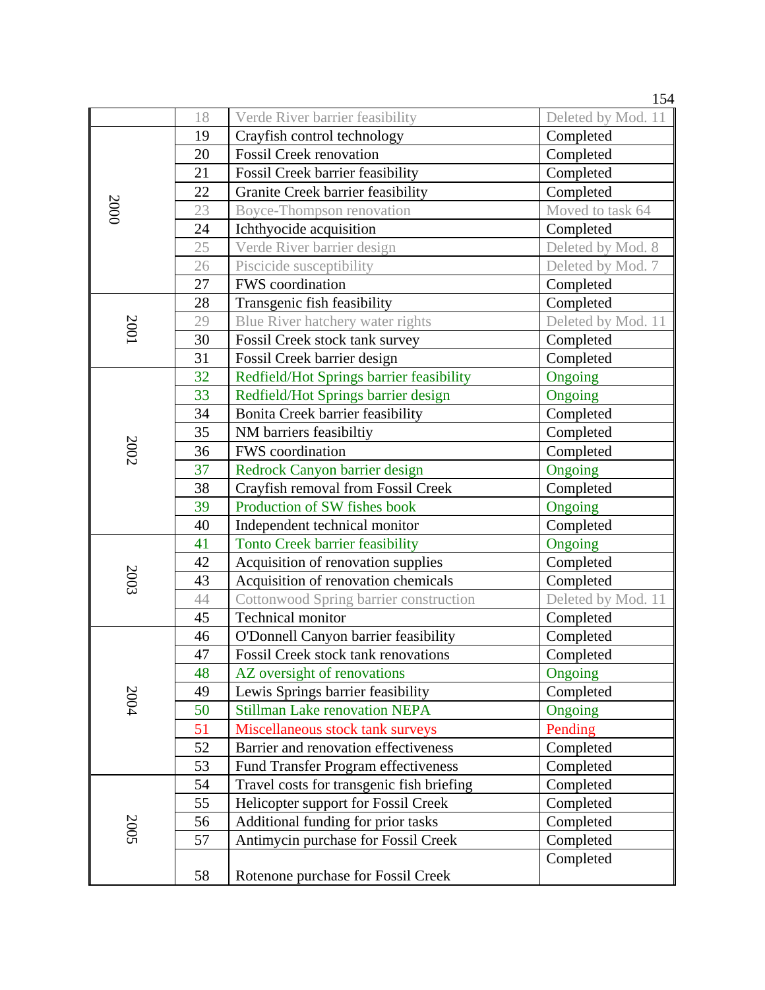|             |    |                                           | 154                |
|-------------|----|-------------------------------------------|--------------------|
|             | 18 | Verde River barrier feasibility           | Deleted by Mod. 11 |
|             | 19 | Crayfish control technology               | Completed          |
|             | 20 | <b>Fossil Creek renovation</b>            | Completed          |
|             | 21 | <b>Fossil Creek barrier feasibility</b>   | Completed          |
|             | 22 | Granite Creek barrier feasibility         | Completed          |
| 2000        | 23 | Boyce-Thompson renovation                 | Moved to task 64   |
|             | 24 | Ichthyocide acquisition                   | Completed          |
|             | 25 | Verde River barrier design                | Deleted by Mod. 8  |
|             | 26 | Piscicide susceptibility                  | Deleted by Mod. 7  |
|             | 27 | <b>FWS</b> coordination                   | Completed          |
|             | 28 | Transgenic fish feasibility               | Completed          |
|             | 29 | Blue River hatchery water rights          | Deleted by Mod. 11 |
| <b>2001</b> | 30 | Fossil Creek stock tank survey            | Completed          |
|             | 31 | Fossil Creek barrier design               | Completed          |
|             | 32 | Redfield/Hot Springs barrier feasibility  | Ongoing            |
|             | 33 | Redfield/Hot Springs barrier design       | Ongoing            |
|             | 34 | Bonita Creek barrier feasibility          | Completed          |
|             | 35 | NM barriers feasibiltiy                   | Completed          |
| 2002        | 36 | FWS coordination                          | Completed          |
|             | 37 | Redrock Canyon barrier design             | Ongoing            |
|             | 38 | Crayfish removal from Fossil Creek        | Completed          |
|             | 39 | Production of SW fishes book              | Ongoing            |
|             | 40 | Independent technical monitor             | Completed          |
|             | 41 | <b>Tonto Creek barrier feasibility</b>    | Ongoing            |
|             | 42 | Acquisition of renovation supplies        | Completed          |
| 2003        | 43 | Acquisition of renovation chemicals       | Completed          |
|             | 44 | Cottonwood Spring barrier construction    | Deleted by Mod. 11 |
|             | 45 | <b>Technical monitor</b>                  | Completed          |
|             | 46 | O'Donnell Canyon barrier feasibility      | Completed          |
|             | 47 | Fossil Creek stock tank renovations       | Completed          |
|             | 48 | AZ oversight of renovations               | Ongoing            |
| 2004        | 49 | Lewis Springs barrier feasibility         | Completed          |
|             | 50 | <b>Stillman Lake renovation NEPA</b>      | Ongoing            |
|             | 51 | Miscellaneous stock tank surveys          | Pending            |
|             | 52 | Barrier and renovation effectiveness      | Completed          |
|             | 53 | Fund Transfer Program effectiveness       | Completed          |
|             | 54 | Travel costs for transgenic fish briefing | Completed          |
|             | 55 | Helicopter support for Fossil Creek       | Completed          |
| 2005        | 56 | Additional funding for prior tasks        | Completed          |
|             | 57 | Antimycin purchase for Fossil Creek       | Completed          |
|             |    |                                           | Completed          |
|             | 58 | Rotenone purchase for Fossil Creek        |                    |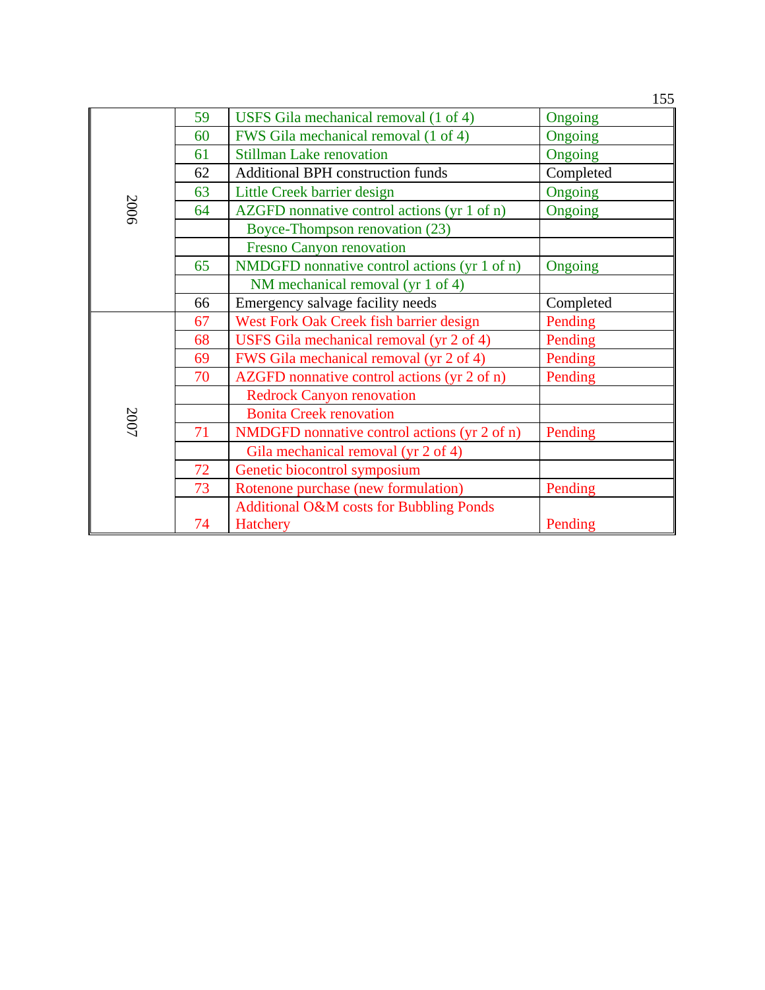|      |    |                                                    | 155       |
|------|----|----------------------------------------------------|-----------|
|      | 59 | USFS Gila mechanical removal (1 of 4)              | Ongoing   |
|      | 60 | FWS Gila mechanical removal (1 of 4)               | Ongoing   |
|      | 61 | <b>Stillman Lake renovation</b>                    | Ongoing   |
|      | 62 | <b>Additional BPH</b> construction funds           | Completed |
|      | 63 | Little Creek barrier design                        | Ongoing   |
| 2006 | 64 | AZGFD nonnative control actions (yr 1 of n)        | Ongoing   |
|      |    | Boyce-Thompson renovation (23)                     |           |
|      |    | <b>Fresno Canyon renovation</b>                    |           |
|      | 65 | NMDGFD nonnative control actions (yr 1 of n)       | Ongoing   |
|      |    | NM mechanical removal (yr 1 of 4)                  |           |
|      | 66 | Emergency salvage facility needs                   | Completed |
|      | 67 | West Fork Oak Creek fish barrier design            | Pending   |
|      | 68 | USFS Gila mechanical removal (yr 2 of 4)           | Pending   |
|      | 69 | FWS Gila mechanical removal (yr 2 of 4)            | Pending   |
|      | 70 | AZGFD nonnative control actions (yr 2 of n)        | Pending   |
|      |    | <b>Redrock Canyon renovation</b>                   |           |
| 2007 |    | <b>Bonita Creek renovation</b>                     |           |
|      | 71 | NMDGFD nonnative control actions (yr 2 of n)       | Pending   |
|      |    | Gila mechanical removal (yr 2 of 4)                |           |
|      | 72 | Genetic biocontrol symposium                       |           |
|      | 73 | Rotenone purchase (new formulation)                | Pending   |
|      |    | <b>Additional O&amp;M costs for Bubbling Ponds</b> |           |
|      | 74 | <b>Hatchery</b>                                    | Pending   |